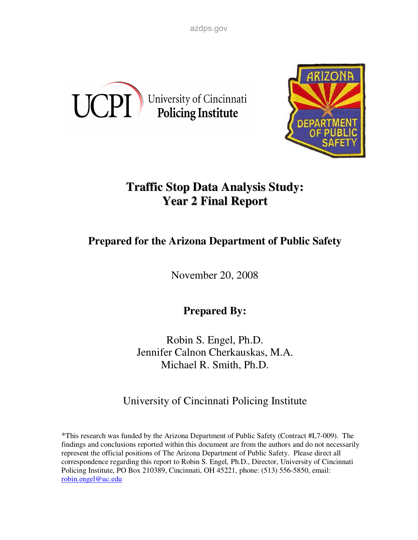azdps.gov





# **Traffic Stop Data Analysis Study: Year 2 Final Report**

# **Prepared for the Arizona Department of Public Safety**

November 20, 2008

**Prepared By:** 

Robin S. Engel, Ph.D. Jennifer Calnon Cherkauskas, M.A. Michael R. Smith, Ph.D.

University of Cincinnati Policing Institute

\*This research was funded by the Arizona Department of Public Safety (Contract #L7-009). The findings and conclusions reported within this document are from the authors and do not necessarily represent the official positions of The Arizona Department of Public Safety. Please direct all correspondence regarding this report to Robin S. Engel, Ph.D., Director, University of Cincinnati Policing Institute, PO Box 210389, Cincinnati, OH 45221, phone: (513) 556-5850, email: robin.engel@uc.edu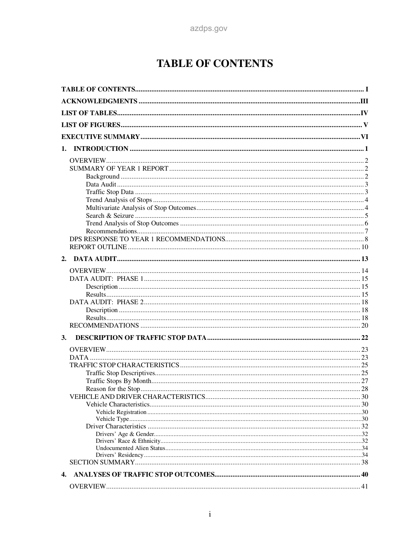# **TABLE OF CONTENTS**

| 3. |  |
|----|--|
|    |  |
|    |  |
|    |  |
|    |  |
|    |  |
|    |  |
|    |  |
|    |  |
|    |  |
|    |  |
|    |  |
|    |  |
|    |  |
|    |  |
|    |  |
| 4. |  |
|    |  |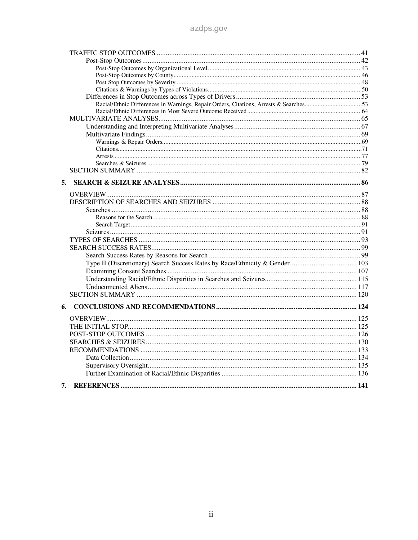| Racial/Ethnic Differences in Warnings, Repair Orders, Citations, Arrests & Searches53 |  |
|---------------------------------------------------------------------------------------|--|
|                                                                                       |  |
|                                                                                       |  |
|                                                                                       |  |
|                                                                                       |  |
|                                                                                       |  |
|                                                                                       |  |
|                                                                                       |  |
|                                                                                       |  |
|                                                                                       |  |
| 5.                                                                                    |  |
|                                                                                       |  |
|                                                                                       |  |
|                                                                                       |  |
|                                                                                       |  |
|                                                                                       |  |
|                                                                                       |  |
|                                                                                       |  |
|                                                                                       |  |
|                                                                                       |  |
|                                                                                       |  |
|                                                                                       |  |
|                                                                                       |  |
|                                                                                       |  |
|                                                                                       |  |
| 6.                                                                                    |  |
|                                                                                       |  |
|                                                                                       |  |
|                                                                                       |  |
|                                                                                       |  |
|                                                                                       |  |
|                                                                                       |  |
|                                                                                       |  |
|                                                                                       |  |
|                                                                                       |  |
| 7.                                                                                    |  |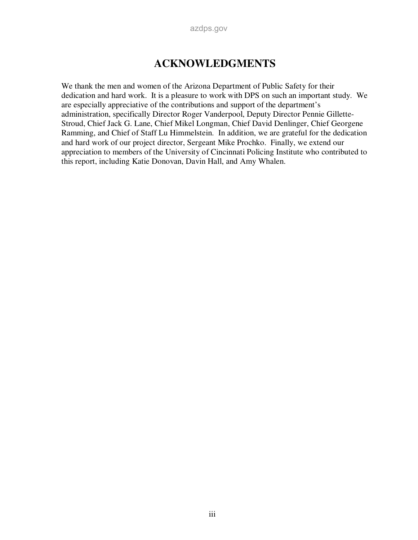## **ACKNOWLEDGMENTS**

We thank the men and women of the Arizona Department of Public Safety for their dedication and hard work. It is a pleasure to work with DPS on such an important study. We are especially appreciative of the contributions and support of the department's administration, specifically Director Roger Vanderpool, Deputy Director Pennie Gillette-Stroud, Chief Jack G. Lane, Chief Mikel Longman, Chief David Denlinger, Chief Georgene Ramming, and Chief of Staff Lu Himmelstein. In addition, we are grateful for the dedication and hard work of our project director, Sergeant Mike Prochko. Finally, we extend our appreciation to members of the University of Cincinnati Policing Institute who contributed to this report, including Katie Donovan, Davin Hall, and Amy Whalen.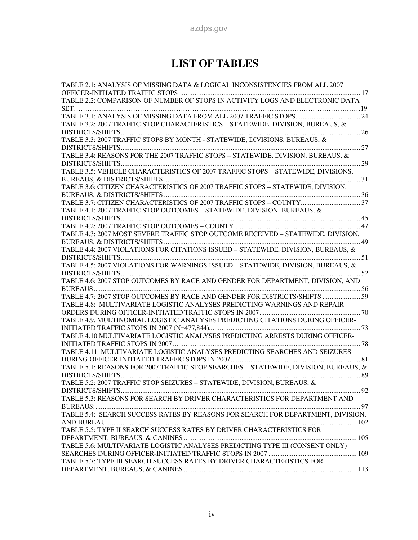# **LIST OF TABLES**

| TABLE 2.1: ANALYSIS OF MISSING DATA & LOGICAL INCONSISTENCIES FROM ALL 2007         |  |
|-------------------------------------------------------------------------------------|--|
| TABLE 2.2: COMPARISON OF NUMBER OF STOPS IN ACTIVITY LOGS AND ELECTRONIC DATA       |  |
|                                                                                     |  |
|                                                                                     |  |
|                                                                                     |  |
| TABLE 3.2: 2007 TRAFFIC STOP CHARACTERISTICS - STATEWIDE, DIVISION, BUREAUS, &      |  |
| TABLE 3.3: 2007 TRAFFIC STOPS BY MONTH - STATEWIDE, DIVISIONS, BUREAUS, &           |  |
|                                                                                     |  |
| TABLE 3.4: REASONS FOR THE 2007 TRAFFIC STOPS - STATEWIDE, DIVISION, BUREAUS, &     |  |
|                                                                                     |  |
| TABLE 3.5: VEHICLE CHARACTERISTICS OF 2007 TRAFFIC STOPS - STATEWIDE, DIVISIONS,    |  |
|                                                                                     |  |
| TABLE 3.6: CITIZEN CHARACTERISTICS OF 2007 TRAFFIC STOPS - STATEWIDE, DIVISION,     |  |
|                                                                                     |  |
|                                                                                     |  |
| TABLE 4.1: 2007 TRAFFIC STOP OUTCOMES - STATEWIDE, DIVISION, BUREAUS, &             |  |
|                                                                                     |  |
|                                                                                     |  |
| TABLE 4.3: 2007 MOST SEVERE TRAFFIC STOP OUTCOME RECEIVED - STATEWIDE, DIVISION,    |  |
|                                                                                     |  |
| TABLE 4.4: 2007 VIOLATIONS FOR CITATIONS ISSUED - STATEWIDE, DIVISION, BUREAUS, &   |  |
|                                                                                     |  |
| TABLE 4.5: 2007 VIOLATIONS FOR WARNINGS ISSUED - STATEWIDE, DIVISION, BUREAUS, &    |  |
|                                                                                     |  |
| TABLE 4.6: 2007 STOP OUTCOMES BY RACE AND GENDER FOR DEPARTMENT, DIVISION, AND      |  |
|                                                                                     |  |
| TABLE 4.7: 2007 STOP OUTCOMES BY RACE AND GENDER FOR DISTRICTS/SHIFTS  59           |  |
| TABLE 4.8: MULTIVARIATE LOGISTIC ANALYSES PREDICTING WARNINGS AND REPAIR            |  |
|                                                                                     |  |
| TABLE 4.9. MULTINOMIAL LOGISTIC ANALYSES PREDICTING CITATIONS DURING OFFICER-       |  |
|                                                                                     |  |
| TABLE 4.10 MULTIVARIATE LOGISTIC ANALYSES PREDICTING ARRESTS DURING OFFICER-        |  |
|                                                                                     |  |
| TABLE 4.11: MULTIVARIATE LOGISTIC ANALYSES PREDICTING SEARCHES AND SEIZURES         |  |
|                                                                                     |  |
| TABLE 5.1: REASONS FOR 2007 TRAFFIC STOP SEARCHES - STATEWIDE, DIVISION, BUREAUS, & |  |
|                                                                                     |  |
| TABLE 5.2: 2007 TRAFFIC STOP SEIZURES - STATEWIDE, DIVISION, BUREAUS, &             |  |
|                                                                                     |  |
| TABLE 5.3: REASONS FOR SEARCH BY DRIVER CHARACTERISTICS FOR DEPARTMENT AND          |  |
|                                                                                     |  |
| TABLE 5.4: SEARCH SUCCESS RATES BY REASONS FOR SEARCH FOR DEPARTMENT, DIVISION,     |  |
|                                                                                     |  |
| TABLE 5.5: TYPE II SEARCH SUCCESS RATES BY DRIVER CHARACTERISTICS FOR               |  |
|                                                                                     |  |
| TABLE 5.6: MULTIVARIATE LOGISTIC ANALYSES PREDICTING TYPE III (CONSENT ONLY)        |  |
|                                                                                     |  |
| TABLE 5.7: TYPE III SEARCH SUCCESS RATES BY DRIVER CHARACTERISTICS FOR              |  |
|                                                                                     |  |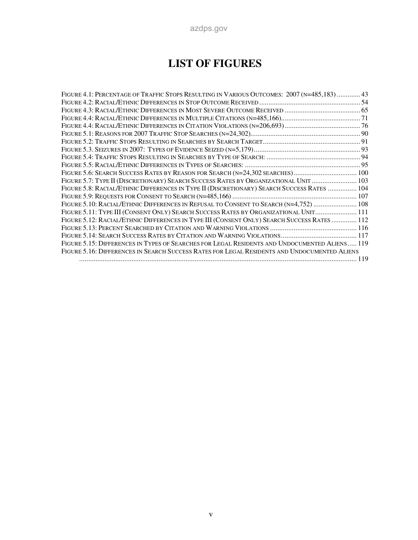# **LIST OF FIGURES**

| 34. FIGURE 4.1: PERCENTAGE OF TRAFFIC STOPS RESULTING IN VARIOUS OUTCOMES: 2007 (N=485,183)  43 |  |
|-------------------------------------------------------------------------------------------------|--|
|                                                                                                 |  |
|                                                                                                 |  |
|                                                                                                 |  |
|                                                                                                 |  |
|                                                                                                 |  |
|                                                                                                 |  |
|                                                                                                 |  |
|                                                                                                 |  |
|                                                                                                 |  |
| Figure 5.6: Search Success Rates by Reason for Search (n=24,302 searches) 100                   |  |
| FIGURE 5.7: TYPE II (DISCRETIONARY) SEARCH SUCCESS RATES BY ORGANIZATIONAL UNIT  103            |  |
| FIGURE 5.8: RACIAL/ETHNIC DIFFERENCES IN TYPE II (DISCRETIONARY) SEARCH SUCCESS RATES  104      |  |
|                                                                                                 |  |
| FIGURE 5.10: RACIAL/ETHNIC DIFFERENCES IN REFUSAL TO CONSENT TO SEARCH (N=4,752)  108           |  |
| FIGURE 5.11: TYPE III (CONSENT ONLY) SEARCH SUCCESS RATES BY ORGANIZATIONAL UNIT 111            |  |
| FIGURE 5.12: RACIAL/ETHNIC DIFFERENCES IN TYPE III (CONSENT ONLY) SEARCH SUCCESS RATES  112     |  |
|                                                                                                 |  |
|                                                                                                 |  |
| FIGURE 5.15: DIFFERENCES IN TYPES OF SEARCHES FOR LEGAL RESIDENTS AND UNDOCUMENTED ALIENS 119   |  |
| FIGURE 5.16: DIFFERENCES IN SEARCH SUCCESS RATES FOR LEGAL RESIDENTS AND UNDOCUMENTED ALIENS    |  |
|                                                                                                 |  |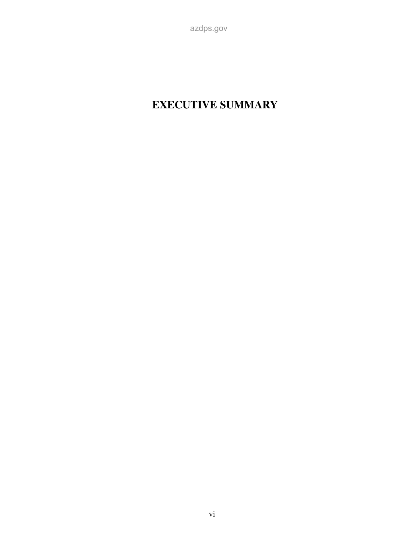#### vi

# **EXECUTIVE SUMMARY**

azdps.gov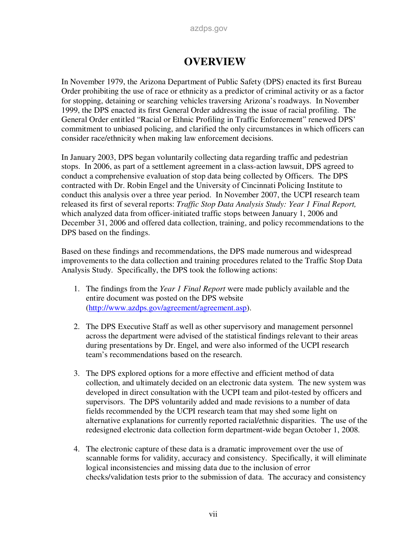## **OVERVIEW**

In November 1979, the Arizona Department of Public Safety (DPS) enacted its first Bureau Order prohibiting the use of race or ethnicity as a predictor of criminal activity or as a factor for stopping, detaining or searching vehicles traversing Arizona's roadways. In November 1999, the DPS enacted its first General Order addressing the issue of racial profiling. The General Order entitled "Racial or Ethnic Profiling in Traffic Enforcement" renewed DPS' commitment to unbiased policing, and clarified the only circumstances in which officers can consider race/ethnicity when making law enforcement decisions.

In January 2003, DPS began voluntarily collecting data regarding traffic and pedestrian stops. In 2006, as part of a settlement agreement in a class-action lawsuit, DPS agreed to conduct a comprehensive evaluation of stop data being collected by Officers. The DPS contracted with Dr. Robin Engel and the University of Cincinnati Policing Institute to conduct this analysis over a three year period. In November 2007, the UCPI research team released its first of several reports: *Traffic Stop Data Analysis Study: Year 1 Final Report,*  which analyzed data from officer-initiated traffic stops between January 1, 2006 and December 31, 2006 and offered data collection, training, and policy recommendations to the DPS based on the findings.

Based on these findings and recommendations, the DPS made numerous and widespread improvements to the data collection and training procedures related to the Traffic Stop Data Analysis Study. Specifically, the DPS took the following actions:

- 1. The findings from the *Year 1 Final Report* were made publicly available and the entire document was posted on the DPS website (http://www.azdps.gov/agreement/agreement.asp).
- 2. The DPS Executive Staff as well as other supervisory and management personnel across the department were advised of the statistical findings relevant to their areas during presentations by Dr. Engel, and were also informed of the UCPI research team's recommendations based on the research.
- 3. The DPS explored options for a more effective and efficient method of data collection, and ultimately decided on an electronic data system. The new system was developed in direct consultation with the UCPI team and pilot-tested by officers and supervisors. The DPS voluntarily added and made revisions to a number of data fields recommended by the UCPI research team that may shed some light on alternative explanations for currently reported racial/ethnic disparities. The use of the redesigned electronic data collection form department-wide began October 1, 2008.
- 4. The electronic capture of these data is a dramatic improvement over the use of scannable forms for validity, accuracy and consistency. Specifically, it will eliminate logical inconsistencies and missing data due to the inclusion of error checks/validation tests prior to the submission of data. The accuracy and consistency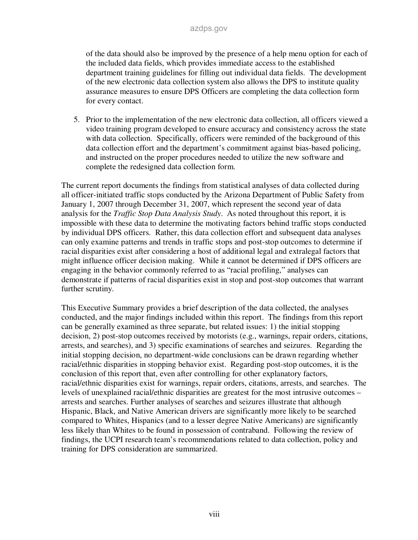of the data should also be improved by the presence of a help menu option for each of the included data fields, which provides immediate access to the established department training guidelines for filling out individual data fields. The development of the new electronic data collection system also allows the DPS to institute quality assurance measures to ensure DPS Officers are completing the data collection form for every contact.

5. Prior to the implementation of the new electronic data collection, all officers viewed a video training program developed to ensure accuracy and consistency across the state with data collection. Specifically, officers were reminded of the background of this data collection effort and the department's commitment against bias-based policing, and instructed on the proper procedures needed to utilize the new software and complete the redesigned data collection form.

The current report documents the findings from statistical analyses of data collected during all officer-initiated traffic stops conducted by the Arizona Department of Public Safety from January 1, 2007 through December 31, 2007, which represent the second year of data analysis for the *Traffic Stop Data Analysis Study*. As noted throughout this report, it is impossible with these data to determine the motivating factors behind traffic stops conducted by individual DPS officers. Rather, this data collection effort and subsequent data analyses can only examine patterns and trends in traffic stops and post-stop outcomes to determine if racial disparities exist after considering a host of additional legal and extralegal factors that might influence officer decision making. While it cannot be determined if DPS officers are engaging in the behavior commonly referred to as "racial profiling," analyses can demonstrate if patterns of racial disparities exist in stop and post-stop outcomes that warrant further scrutiny.

This Executive Summary provides a brief description of the data collected, the analyses conducted, and the major findings included within this report. The findings from this report can be generally examined as three separate, but related issues: 1) the initial stopping decision, 2) post-stop outcomes received by motorists (e.g., warnings, repair orders, citations, arrests, and searches), and 3) specific examinations of searches and seizures. Regarding the initial stopping decision, no department-wide conclusions can be drawn regarding whether racial/ethnic disparities in stopping behavior exist. Regarding post-stop outcomes, it is the conclusion of this report that, even after controlling for other explanatory factors, racial/ethnic disparities exist for warnings, repair orders, citations, arrests, and searches. The levels of unexplained racial/ethnic disparities are greatest for the most intrusive outcomes – arrests and searches. Further analyses of searches and seizures illustrate that although Hispanic, Black, and Native American drivers are significantly more likely to be searched compared to Whites, Hispanics (and to a lesser degree Native Americans) are significantly less likely than Whites to be found in possession of contraband. Following the review of findings, the UCPI research team's recommendations related to data collection, policy and training for DPS consideration are summarized.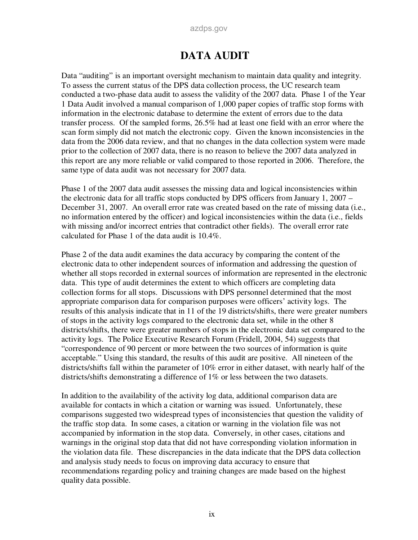# **DATA AUDIT**

Data "auditing" is an important oversight mechanism to maintain data quality and integrity. To assess the current status of the DPS data collection process, the UC research team conducted a two-phase data audit to assess the validity of the 2007 data. Phase 1 of the Year 1 Data Audit involved a manual comparison of 1,000 paper copies of traffic stop forms with information in the electronic database to determine the extent of errors due to the data transfer process. Of the sampled forms, 26.5% had at least one field with an error where the scan form simply did not match the electronic copy. Given the known inconsistencies in the data from the 2006 data review, and that no changes in the data collection system were made prior to the collection of 2007 data, there is no reason to believe the 2007 data analyzed in this report are any more reliable or valid compared to those reported in 2006. Therefore, the same type of data audit was not necessary for 2007 data.

Phase 1 of the 2007 data audit assesses the missing data and logical inconsistencies within the electronic data for all traffic stops conducted by DPS officers from January 1, 2007 – December 31, 2007. An overall error rate was created based on the rate of missing data (i.e., no information entered by the officer) and logical inconsistencies within the data (i.e., fields with missing and/or incorrect entries that contradict other fields). The overall error rate calculated for Phase 1 of the data audit is 10.4%.

Phase 2 of the data audit examines the data accuracy by comparing the content of the electronic data to other independent sources of information and addressing the question of whether all stops recorded in external sources of information are represented in the electronic data. This type of audit determines the extent to which officers are completing data collection forms for all stops. Discussions with DPS personnel determined that the most appropriate comparison data for comparison purposes were officers' activity logs. The results of this analysis indicate that in 11 of the 19 districts/shifts, there were greater numbers of stops in the activity logs compared to the electronic data set, while in the other 8 districts/shifts, there were greater numbers of stops in the electronic data set compared to the activity logs. The Police Executive Research Forum (Fridell, 2004, 54) suggests that "correspondence of 90 percent or more between the two sources of information is quite acceptable." Using this standard, the results of this audit are positive. All nineteen of the districts/shifts fall within the parameter of 10% error in either dataset, with nearly half of the districts/shifts demonstrating a difference of 1% or less between the two datasets.

In addition to the availability of the activity log data, additional comparison data are available for contacts in which a citation or warning was issued. Unfortunately, these comparisons suggested two widespread types of inconsistencies that question the validity of the traffic stop data. In some cases, a citation or warning in the violation file was not accompanied by information in the stop data. Conversely, in other cases, citations and warnings in the original stop data that did not have corresponding violation information in the violation data file. These discrepancies in the data indicate that the DPS data collection and analysis study needs to focus on improving data accuracy to ensure that recommendations regarding policy and training changes are made based on the highest quality data possible.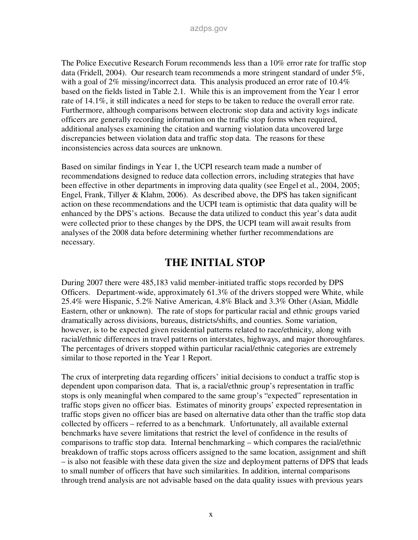The Police Executive Research Forum recommends less than a 10% error rate for traffic stop data (Fridell, 2004). Our research team recommends a more stringent standard of under 5%, with a goal of 2% missing/incorrect data. This analysis produced an error rate of  $10.4\%$ based on the fields listed in Table 2.1. While this is an improvement from the Year 1 error rate of 14.1%, it still indicates a need for steps to be taken to reduce the overall error rate. Furthermore, although comparisons between electronic stop data and activity logs indicate officers are generally recording information on the traffic stop forms when required, additional analyses examining the citation and warning violation data uncovered large discrepancies between violation data and traffic stop data. The reasons for these inconsistencies across data sources are unknown.

Based on similar findings in Year 1, the UCPI research team made a number of recommendations designed to reduce data collection errors, including strategies that have been effective in other departments in improving data quality (see Engel et al., 2004, 2005; Engel, Frank, Tillyer & Klahm, 2006). As described above, the DPS has taken significant action on these recommendations and the UCPI team is optimistic that data quality will be enhanced by the DPS's actions. Because the data utilized to conduct this year's data audit were collected prior to these changes by the DPS, the UCPI team will await results from analyses of the 2008 data before determining whether further recommendations are necessary.

## **THE INITIAL STOP**

During 2007 there were 485,183 valid member-initiated traffic stops recorded by DPS Officers. Department-wide, approximately 61.3% of the drivers stopped were White, while 25.4% were Hispanic, 5.2% Native American, 4.8% Black and 3.3% Other (Asian, Middle Eastern, other or unknown). The rate of stops for particular racial and ethnic groups varied dramatically across divisions, bureaus, districts/shifts, and counties. Some variation, however, is to be expected given residential patterns related to race/ethnicity, along with racial/ethnic differences in travel patterns on interstates, highways, and major thoroughfares. The percentages of drivers stopped within particular racial/ethnic categories are extremely similar to those reported in the Year 1 Report.

The crux of interpreting data regarding officers' initial decisions to conduct a traffic stop is dependent upon comparison data. That is, a racial/ethnic group's representation in traffic stops is only meaningful when compared to the same group's "expected" representation in traffic stops given no officer bias. Estimates of minority groups' expected representation in traffic stops given no officer bias are based on alternative data other than the traffic stop data collected by officers – referred to as a benchmark. Unfortunately, all available external benchmarks have severe limitations that restrict the level of confidence in the results of comparisons to traffic stop data. Internal benchmarking – which compares the racial/ethnic breakdown of traffic stops across officers assigned to the same location, assignment and shift – is also not feasible with these data given the size and deployment patterns of DPS that leads to small number of officers that have such similarities. In addition, internal comparisons through trend analysis are not advisable based on the data quality issues with previous years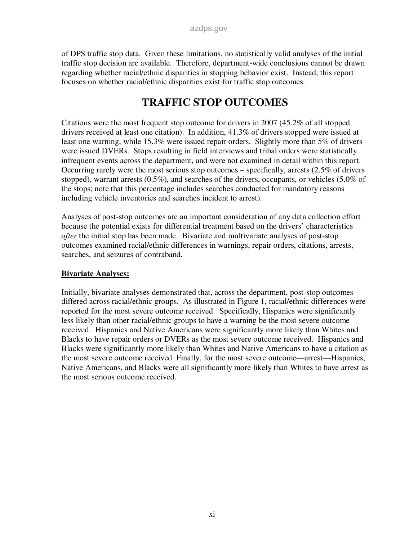of DPS traffic stop data. Given these limitations, no statistically valid analyses of the initial traffic stop decision are available. Therefore, department-wide conclusions cannot be drawn regarding whether racial/ethnic disparities in stopping behavior exist. Instead, this report focuses on whether racial/ethnic disparities exist for traffic stop outcomes.

# **TRAFFIC STOP OUTCOMES**

Citations were the most frequent stop outcome for drivers in 2007 (45.2% of all stopped drivers received at least one citation). In addition, 41.3% of drivers stopped were issued at least one warning, while 15.3% were issued repair orders. Slightly more than 5% of drivers were issued DVERs. Stops resulting in field interviews and tribal orders were statistically infrequent events across the department, and were not examined in detail within this report. Occurring rarely were the most serious stop outcomes – specifically, arrests (2.5% of drivers stopped), warrant arrests (0.5%), and searches of the drivers, occupants, or vehicles (5.0% of the stops; note that this percentage includes searches conducted for mandatory reasons including vehicle inventories and searches incident to arrest).

Analyses of post-stop outcomes are an important consideration of any data collection effort because the potential exists for differential treatment based on the drivers' characteristics *after* the initial stop has been made. Bivariate and multivariate analyses of post-stop outcomes examined racial/ethnic differences in warnings, repair orders, citations, arrests, searches, and seizures of contraband.

#### **Bivariate Analyses:**

Initially, bivariate analyses demonstrated that, across the department, post-stop outcomes differed across racial/ethnic groups. As illustrated in Figure 1, racial/ethnic differences were reported for the most severe outcome received. Specifically, Hispanics were significantly less likely than other racial/ethnic groups to have a warning be the most severe outcome received. Hispanics and Native Americans were significantly more likely than Whites and Blacks to have repair orders or DVERs as the most severe outcome received. Hispanics and Blacks were significantly more likely than Whites and Native Americans to have a citation as the most severe outcome received. Finally, for the most severe outcome—arrest—Hispanics, Native Americans, and Blacks were all significantly more likely than Whites to have arrest as the most serious outcome received.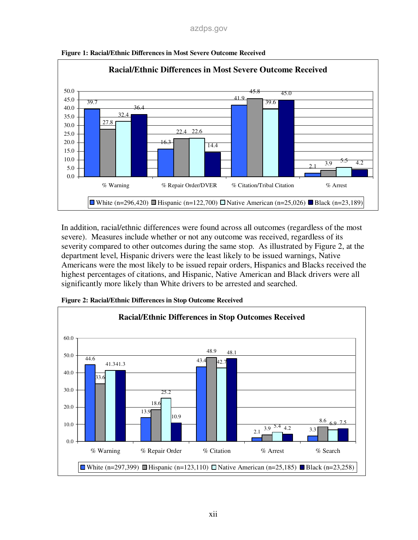

**Figure 1: Racial/Ethnic Differences in Most Severe Outcome Received** 

In addition, racial/ethnic differences were found across all outcomes (regardless of the most severe). Measures include whether or not any outcome was received, regardless of its severity compared to other outcomes during the same stop. As illustrated by Figure 2, at the department level, Hispanic drivers were the least likely to be issued warnings, Native Americans were the most likely to be issued repair orders, Hispanics and Blacks received the highest percentages of citations, and Hispanic, Native American and Black drivers were all significantly more likely than White drivers to be arrested and searched.



**Figure 2: Racial/Ethnic Differences in Stop Outcome Received**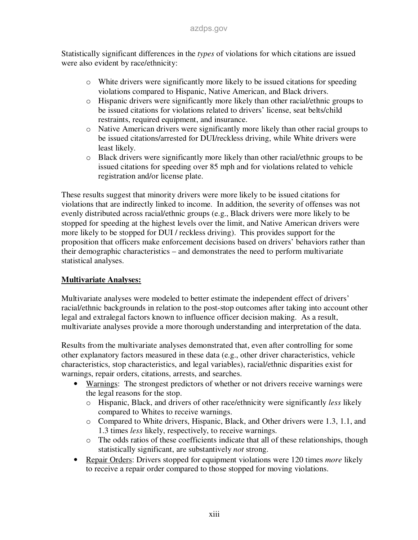Statistically significant differences in the *types* of violations for which citations are issued were also evident by race/ethnicity:

- $\circ$  White drivers were significantly more likely to be issued citations for speeding violations compared to Hispanic, Native American, and Black drivers.
- o Hispanic drivers were significantly more likely than other racial/ethnic groups to be issued citations for violations related to drivers' license, seat belts/child restraints, required equipment, and insurance.
- o Native American drivers were significantly more likely than other racial groups to be issued citations/arrested for DUI/reckless driving, while White drivers were least likely.
- o Black drivers were significantly more likely than other racial/ethnic groups to be issued citations for speeding over 85 mph and for violations related to vehicle registration and/or license plate.

These results suggest that minority drivers were more likely to be issued citations for violations that are indirectly linked to income. In addition, the severity of offenses was not evenly distributed across racial/ethnic groups (e.g., Black drivers were more likely to be stopped for speeding at the highest levels over the limit, and Native American drivers were more likely to be stopped for DUI / reckless driving). This provides support for the proposition that officers make enforcement decisions based on drivers' behaviors rather than their demographic characteristics – and demonstrates the need to perform multivariate statistical analyses.

#### **Multivariate Analyses:**

Multivariate analyses were modeled to better estimate the independent effect of drivers' racial/ethnic backgrounds in relation to the post-stop outcomes after taking into account other legal and extralegal factors known to influence officer decision making. As a result, multivariate analyses provide a more thorough understanding and interpretation of the data.

Results from the multivariate analyses demonstrated that, even after controlling for some other explanatory factors measured in these data (e.g., other driver characteristics, vehicle characteristics, stop characteristics, and legal variables), racial/ethnic disparities exist for warnings, repair orders, citations, arrests, and searches.

- Warnings: The strongest predictors of whether or not drivers receive warnings were the legal reasons for the stop.
	- o Hispanic, Black, and drivers of other race/ethnicity were significantly *less* likely compared to Whites to receive warnings.
	- o Compared to White drivers, Hispanic, Black, and Other drivers were 1.3, 1.1, and 1.3 times *less* likely, respectively, to receive warnings.
	- o The odds ratios of these coefficients indicate that all of these relationships, though statistically significant, are substantively *not* strong.
- Repair Orders: Drivers stopped for equipment violations were 120 times *more* likely to receive a repair order compared to those stopped for moving violations.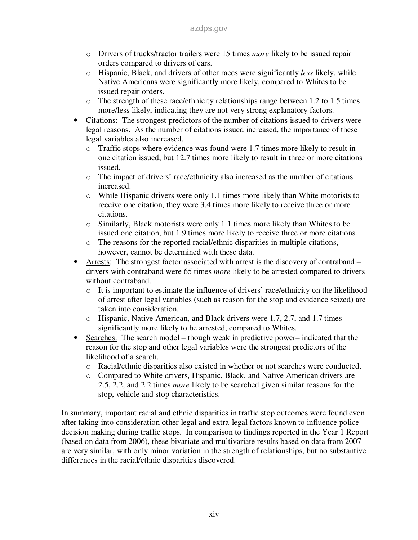- o Drivers of trucks/tractor trailers were 15 times *more* likely to be issued repair orders compared to drivers of cars.
- o Hispanic, Black, and drivers of other races were significantly *less* likely, while Native Americans were significantly more likely, compared to Whites to be issued repair orders.
- o The strength of these race/ethnicity relationships range between 1.2 to 1.5 times more/less likely, indicating they are not very strong explanatory factors.
- Citations: The strongest predictors of the number of citations issued to drivers were legal reasons. As the number of citations issued increased, the importance of these legal variables also increased.
	- $\circ$  Traffic stops where evidence was found were 1.7 times more likely to result in one citation issued, but 12.7 times more likely to result in three or more citations issued.
	- o The impact of drivers' race/ethnicity also increased as the number of citations increased.
	- $\circ$  While Hispanic drivers were only 1.1 times more likely than White motorists to receive one citation, they were 3.4 times more likely to receive three or more citations.
	- o Similarly, Black motorists were only 1.1 times more likely than Whites to be issued one citation, but 1.9 times more likely to receive three or more citations.
	- o The reasons for the reported racial/ethnic disparities in multiple citations, however, cannot be determined with these data.
- Arrests: The strongest factor associated with arrest is the discovery of contraband drivers with contraband were 65 times *more* likely to be arrested compared to drivers without contraband.
	- $\circ$  It is important to estimate the influence of drivers' race/ethnicity on the likelihood of arrest after legal variables (such as reason for the stop and evidence seized) are taken into consideration.
	- o Hispanic, Native American, and Black drivers were 1.7, 2.7, and 1.7 times significantly more likely to be arrested, compared to Whites.
- Searches: The search model though weak in predictive power– indicated that the reason for the stop and other legal variables were the strongest predictors of the likelihood of a search.
	- o Racial/ethnic disparities also existed in whether or not searches were conducted.
	- o Compared to White drivers, Hispanic, Black, and Native American drivers are 2.5, 2.2, and 2.2 times *more* likely to be searched given similar reasons for the stop, vehicle and stop characteristics.

In summary, important racial and ethnic disparities in traffic stop outcomes were found even after taking into consideration other legal and extra-legal factors known to influence police decision making during traffic stops. In comparison to findings reported in the Year 1 Report (based on data from 2006), these bivariate and multivariate results based on data from 2007 are very similar, with only minor variation in the strength of relationships, but no substantive differences in the racial/ethnic disparities discovered.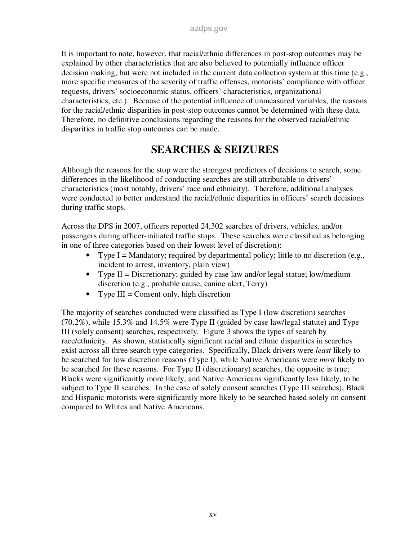It is important to note, however, that racial/ethnic differences in post-stop outcomes may be explained by other characteristics that are also believed to potentially influence officer decision making, but were not included in the current data collection system at this time (e.g., more specific measures of the severity of traffic offenses, motorists' compliance with officer requests, drivers' socioeconomic status, officers' characteristics, organizational characteristics, etc.). Because of the potential influence of unmeasured variables, the reasons for the racial/ethnic disparities in post-stop outcomes cannot be determined with these data. Therefore, no definitive conclusions regarding the reasons for the observed racial/ethnic disparities in traffic stop outcomes can be made.

# **SEARCHES & SEIZURES**

Although the reasons for the stop were the strongest predictors of decisions to search, some differences in the likelihood of conducting searches are still attributable to drivers' characteristics (most notably, drivers' race and ethnicity). Therefore, additional analyses were conducted to better understand the racial/ethnic disparities in officers' search decisions during traffic stops.

Across the DPS in 2007, officers reported 24,302 searches of drivers, vehicles, and/or passengers during officer-initiated traffic stops. These searches were classified as belonging in one of three categories based on their lowest level of discretion):

- Type  $I =$  Mandatory; required by departmental policy; little to no discretion (e.g., incident to arrest, inventory, plain view)
- Type II = Discretionary; guided by case law and/or legal statue; low/medium discretion (e.g., probable cause, canine alert, Terry)
- Type  $III =$  Consent only, high discretion

The majority of searches conducted were classified as Type I (low discretion) searches (70.2%), while 15.3% and 14.5% were Type II (guided by case law/legal statute) and Type III (solely consent) searches, respectively. Figure 3 shows the types of search by race/ethnicity. As shown, statistically significant racial and ethnic disparities in searches exist across all three search type categories. Specifically, Black drivers were *least* likely to be searched for low discretion reasons (Type I), while Native Americans were *most* likely to be searched for these reasons. For Type II (discretionary) searches, the opposite is true; Blacks were significantly more likely, and Native Americans significantly less likely, to be subject to Type II searches. In the case of solely consent searches (Type III searches), Black and Hispanic motorists were significantly more likely to be searched based solely on consent compared to Whites and Native Americans.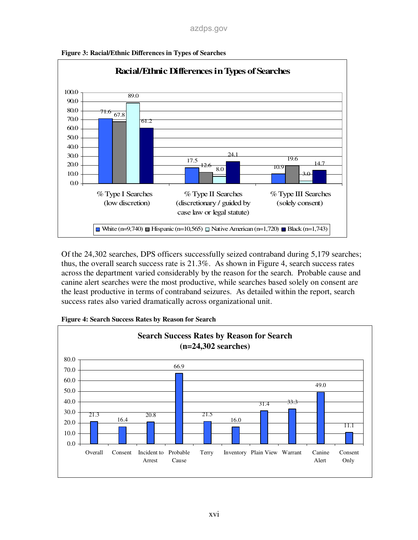

**Figure 3: Racial/Ethnic Differences in Types of Searches** 

Of the 24,302 searches, DPS officers successfully seized contraband during 5,179 searches; thus, the overall search success rate is 21.3%. As shown in Figure 4, search success rates across the department varied considerably by the reason for the search. Probable cause and canine alert searches were the most productive, while searches based solely on consent are the least productive in terms of contraband seizures. As detailed within the report, search success rates also varied dramatically across organizational unit.



**Figure 4: Search Success Rates by Reason for Search**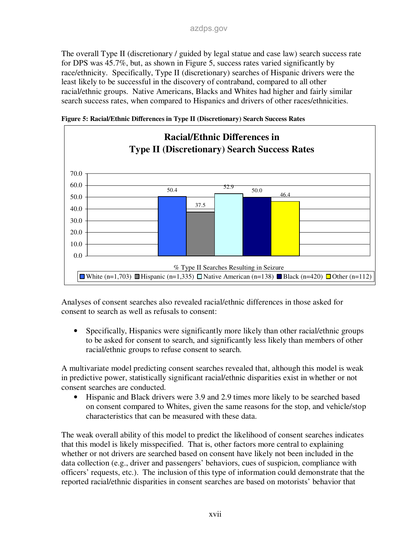The overall Type II (discretionary / guided by legal statue and case law) search success rate for DPS was 45.7%, but, as shown in Figure 5, success rates varied significantly by race/ethnicity. Specifically, Type II (discretionary) searches of Hispanic drivers were the least likely to be successful in the discovery of contraband, compared to all other racial/ethnic groups. Native Americans, Blacks and Whites had higher and fairly similar search success rates, when compared to Hispanics and drivers of other races/ethnicities.





Analyses of consent searches also revealed racial/ethnic differences in those asked for consent to search as well as refusals to consent:

• Specifically, Hispanics were significantly more likely than other racial/ethnic groups to be asked for consent to search, and significantly less likely than members of other racial/ethnic groups to refuse consent to search.

A multivariate model predicting consent searches revealed that, although this model is weak in predictive power, statistically significant racial/ethnic disparities exist in whether or not consent searches are conducted.

• Hispanic and Black drivers were 3.9 and 2.9 times more likely to be searched based on consent compared to Whites, given the same reasons for the stop, and vehicle/stop characteristics that can be measured with these data.

The weak overall ability of this model to predict the likelihood of consent searches indicates that this model is likely misspecified. That is, other factors more central to explaining whether or not drivers are searched based on consent have likely not been included in the data collection (e.g., driver and passengers' behaviors, cues of suspicion, compliance with officers' requests, etc.). The inclusion of this type of information could demonstrate that the reported racial/ethnic disparities in consent searches are based on motorists' behavior that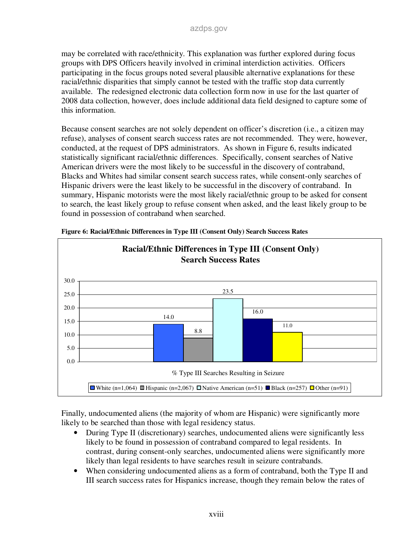may be correlated with race/ethnicity. This explanation was further explored during focus groups with DPS Officers heavily involved in criminal interdiction activities. Officers participating in the focus groups noted several plausible alternative explanations for these racial/ethnic disparities that simply cannot be tested with the traffic stop data currently available. The redesigned electronic data collection form now in use for the last quarter of 2008 data collection, however, does include additional data field designed to capture some of this information.

Because consent searches are not solely dependent on officer's discretion (i.e., a citizen may refuse), analyses of consent search success rates are not recommended. They were, however, conducted, at the request of DPS administrators. As shown in Figure 6, results indicated statistically significant racial/ethnic differences. Specifically, consent searches of Native American drivers were the most likely to be successful in the discovery of contraband, Blacks and Whites had similar consent search success rates, while consent-only searches of Hispanic drivers were the least likely to be successful in the discovery of contraband. In summary, Hispanic motorists were the most likely racial/ethnic group to be asked for consent to search, the least likely group to refuse consent when asked, and the least likely group to be found in possession of contraband when searched.



**Figure 6: Racial/Ethnic Differences in Type III (Consent Only) Search Success Rates** 

Finally, undocumented aliens (the majority of whom are Hispanic) were significantly more likely to be searched than those with legal residency status.

- During Type II (discretionary) searches, undocumented aliens were significantly less likely to be found in possession of contraband compared to legal residents. In contrast, during consent-only searches, undocumented aliens were significantly more likely than legal residents to have searches result in seizure contrabands.
- When considering undocumented aliens as a form of contraband, both the Type II and III search success rates for Hispanics increase, though they remain below the rates of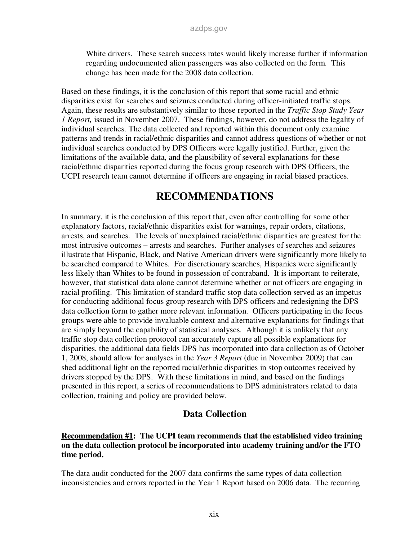White drivers. These search success rates would likely increase further if information regarding undocumented alien passengers was also collected on the form. This change has been made for the 2008 data collection.

Based on these findings, it is the conclusion of this report that some racial and ethnic disparities exist for searches and seizures conducted during officer-initiated traffic stops. Again, these results are substantively similar to those reported in the *Traffic Stop Study Year 1 Report,* issued in November 2007. These findings, however, do not address the legality of individual searches. The data collected and reported within this document only examine patterns and trends in racial/ethnic disparities and cannot address questions of whether or not individual searches conducted by DPS Officers were legally justified. Further, given the limitations of the available data, and the plausibility of several explanations for these racial/ethnic disparities reported during the focus group research with DPS Officers, the UCPI research team cannot determine if officers are engaging in racial biased practices.

## **RECOMMENDATIONS**

In summary, it is the conclusion of this report that, even after controlling for some other explanatory factors, racial/ethnic disparities exist for warnings, repair orders, citations, arrests, and searches. The levels of unexplained racial/ethnic disparities are greatest for the most intrusive outcomes – arrests and searches. Further analyses of searches and seizures illustrate that Hispanic, Black, and Native American drivers were significantly more likely to be searched compared to Whites. For discretionary searches, Hispanics were significantly less likely than Whites to be found in possession of contraband. It is important to reiterate, however, that statistical data alone cannot determine whether or not officers are engaging in racial profiling. This limitation of standard traffic stop data collection served as an impetus for conducting additional focus group research with DPS officers and redesigning the DPS data collection form to gather more relevant information. Officers participating in the focus groups were able to provide invaluable context and alternative explanations for findings that are simply beyond the capability of statistical analyses. Although it is unlikely that any traffic stop data collection protocol can accurately capture all possible explanations for disparities, the additional data fields DPS has incorporated into data collection as of October 1, 2008, should allow for analyses in the *Year 3 Report* (due in November 2009) that can shed additional light on the reported racial/ethnic disparities in stop outcomes received by drivers stopped by the DPS. With these limitations in mind, and based on the findings presented in this report, a series of recommendations to DPS administrators related to data collection, training and policy are provided below.

### **Data Collection**

#### **Recommendation #1: The UCPI team recommends that the established video training on the data collection protocol be incorporated into academy training and/or the FTO time period.**

The data audit conducted for the 2007 data confirms the same types of data collection inconsistencies and errors reported in the Year 1 Report based on 2006 data. The recurring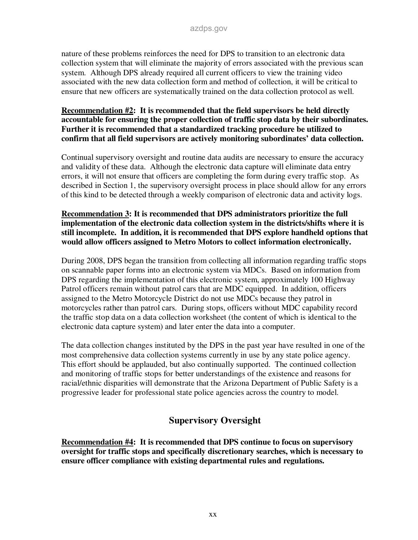nature of these problems reinforces the need for DPS to transition to an electronic data collection system that will eliminate the majority of errors associated with the previous scan system. Although DPS already required all current officers to view the training video associated with the new data collection form and method of collection, it will be critical to ensure that new officers are systematically trained on the data collection protocol as well.

#### **Recommendation #2: It is recommended that the field supervisors be held directly accountable for ensuring the proper collection of traffic stop data by their subordinates. Further it is recommended that a standardized tracking procedure be utilized to confirm that all field supervisors are actively monitoring subordinates' data collection.**

Continual supervisory oversight and routine data audits are necessary to ensure the accuracy and validity of these data. Although the electronic data capture will eliminate data entry errors, it will not ensure that officers are completing the form during every traffic stop. As described in Section 1, the supervisory oversight process in place should allow for any errors of this kind to be detected through a weekly comparison of electronic data and activity logs.

#### **Recommendation 3: It is recommended that DPS administrators prioritize the full implementation of the electronic data collection system in the districts/shifts where it is still incomplete. In addition, it is recommended that DPS explore handheld options that would allow officers assigned to Metro Motors to collect information electronically.**

During 2008, DPS began the transition from collecting all information regarding traffic stops on scannable paper forms into an electronic system via MDCs. Based on information from DPS regarding the implementation of this electronic system, approximately 100 Highway Patrol officers remain without patrol cars that are MDC equipped. In addition, officers assigned to the Metro Motorcycle District do not use MDCs because they patrol in motorcycles rather than patrol cars. During stops, officers without MDC capability record the traffic stop data on a data collection worksheet (the content of which is identical to the electronic data capture system) and later enter the data into a computer.

The data collection changes instituted by the DPS in the past year have resulted in one of the most comprehensive data collection systems currently in use by any state police agency. This effort should be applauded, but also continually supported. The continued collection and monitoring of traffic stops for better understandings of the existence and reasons for racial/ethnic disparities will demonstrate that the Arizona Department of Public Safety is a progressive leader for professional state police agencies across the country to model.

### **Supervisory Oversight**

**Recommendation #4: It is recommended that DPS continue to focus on supervisory oversight for traffic stops and specifically discretionary searches, which is necessary to ensure officer compliance with existing departmental rules and regulations.**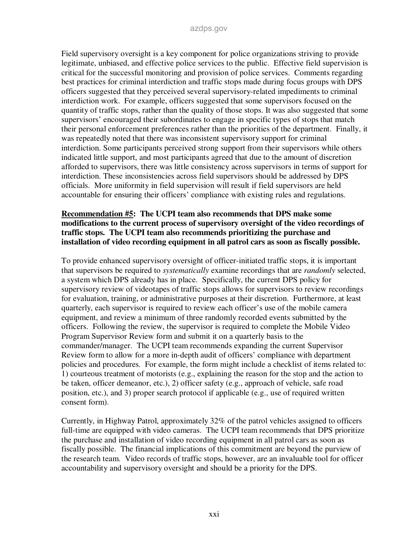Field supervisory oversight is a key component for police organizations striving to provide legitimate, unbiased, and effective police services to the public. Effective field supervision is critical for the successful monitoring and provision of police services. Comments regarding best practices for criminal interdiction and traffic stops made during focus groups with DPS officers suggested that they perceived several supervisory-related impediments to criminal interdiction work. For example, officers suggested that some supervisors focused on the quantity of traffic stops, rather than the quality of those stops. It was also suggested that some supervisors' encouraged their subordinates to engage in specific types of stops that match their personal enforcement preferences rather than the priorities of the department. Finally, it was repeatedly noted that there was inconsistent supervisory support for criminal interdiction. Some participants perceived strong support from their supervisors while others indicated little support, and most participants agreed that due to the amount of discretion afforded to supervisors, there was little consistency across supervisors in terms of support for interdiction. These inconsistencies across field supervisors should be addressed by DPS officials. More uniformity in field supervision will result if field supervisors are held accountable for ensuring their officers' compliance with existing rules and regulations.

#### **Recommendation #5: The UCPI team also recommends that DPS make some modifications to the current process of supervisory oversight of the video recordings of traffic stops. The UCPI team also recommends prioritizing the purchase and installation of video recording equipment in all patrol cars as soon as fiscally possible.**

To provide enhanced supervisory oversight of officer-initiated traffic stops, it is important that supervisors be required to *systematically* examine recordings that are *randomly* selected, a system which DPS already has in place. Specifically, the current DPS policy for supervisory review of videotapes of traffic stops allows for supervisors to review recordings for evaluation, training, or administrative purposes at their discretion. Furthermore, at least quarterly, each supervisor is required to review each officer's use of the mobile camera equipment, and review a minimum of three randomly recorded events submitted by the officers. Following the review, the supervisor is required to complete the Mobile Video Program Supervisor Review form and submit it on a quarterly basis to the commander/manager. The UCPI team recommends expanding the current Supervisor Review form to allow for a more in-depth audit of officers' compliance with department policies and procedures. For example, the form might include a checklist of items related to: 1) courteous treatment of motorists (e.g., explaining the reason for the stop and the action to be taken, officer demeanor, etc.), 2) officer safety (e.g., approach of vehicle, safe road position, etc.), and 3) proper search protocol if applicable (e.g., use of required written consent form).

Currently, in Highway Patrol, approximately 32% of the patrol vehicles assigned to officers full-time are equipped with video cameras. The UCPI team recommends that DPS prioritize the purchase and installation of video recording equipment in all patrol cars as soon as fiscally possible. The financial implications of this commitment are beyond the purview of the research team. Video records of traffic stops, however, are an invaluable tool for officer accountability and supervisory oversight and should be a priority for the DPS.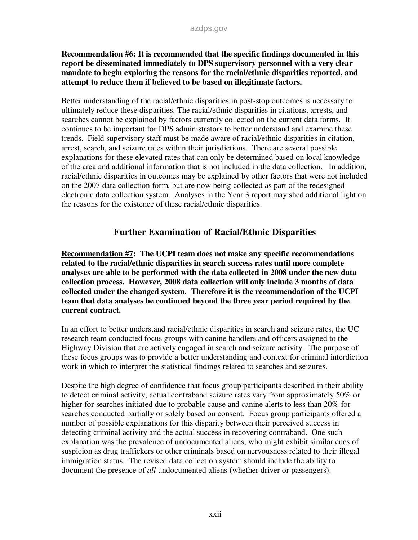#### **Recommendation #6: It is recommended that the specific findings documented in this report be disseminated immediately to DPS supervisory personnel with a very clear mandate to begin exploring the reasons for the racial/ethnic disparities reported, and attempt to reduce them if believed to be based on illegitimate factors.**

Better understanding of the racial/ethnic disparities in post-stop outcomes is necessary to ultimately reduce these disparities. The racial/ethnic disparities in citations, arrests, and searches cannot be explained by factors currently collected on the current data forms. It continues to be important for DPS administrators to better understand and examine these trends. Field supervisory staff must be made aware of racial/ethnic disparities in citation, arrest, search, and seizure rates within their jurisdictions. There are several possible explanations for these elevated rates that can only be determined based on local knowledge of the area and additional information that is not included in the data collection. In addition, racial/ethnic disparities in outcomes may be explained by other factors that were not included on the 2007 data collection form, but are now being collected as part of the redesigned electronic data collection system. Analyses in the Year 3 report may shed additional light on the reasons for the existence of these racial/ethnic disparities.

### **Further Examination of Racial/Ethnic Disparities**

**Recommendation #7: The UCPI team does not make any specific recommendations related to the racial/ethnic disparities in search success rates until more complete analyses are able to be performed with the data collected in 2008 under the new data collection process. However, 2008 data collection will only include 3 months of data collected under the changed system. Therefore it is the recommendation of the UCPI team that data analyses be continued beyond the three year period required by the current contract.** 

In an effort to better understand racial/ethnic disparities in search and seizure rates, the UC research team conducted focus groups with canine handlers and officers assigned to the Highway Division that are actively engaged in search and seizure activity. The purpose of these focus groups was to provide a better understanding and context for criminal interdiction work in which to interpret the statistical findings related to searches and seizures.

Despite the high degree of confidence that focus group participants described in their ability to detect criminal activity, actual contraband seizure rates vary from approximately 50% or higher for searches initiated due to probable cause and canine alerts to less than 20% for searches conducted partially or solely based on consent. Focus group participants offered a number of possible explanations for this disparity between their perceived success in detecting criminal activity and the actual success in recovering contraband. One such explanation was the prevalence of undocumented aliens, who might exhibit similar cues of suspicion as drug traffickers or other criminals based on nervousness related to their illegal immigration status. The revised data collection system should include the ability to document the presence of *all* undocumented aliens (whether driver or passengers).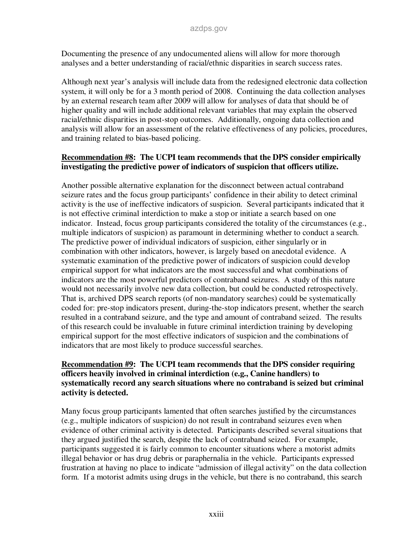Documenting the presence of any undocumented aliens will allow for more thorough analyses and a better understanding of racial/ethnic disparities in search success rates.

Although next year's analysis will include data from the redesigned electronic data collection system, it will only be for a 3 month period of 2008. Continuing the data collection analyses by an external research team after 2009 will allow for analyses of data that should be of higher quality and will include additional relevant variables that may explain the observed racial/ethnic disparities in post-stop outcomes. Additionally, ongoing data collection and analysis will allow for an assessment of the relative effectiveness of any policies, procedures, and training related to bias-based policing.

#### **Recommendation #8: The UCPI team recommends that the DPS consider empirically investigating the predictive power of indicators of suspicion that officers utilize.**

Another possible alternative explanation for the disconnect between actual contraband seizure rates and the focus group participants' confidence in their ability to detect criminal activity is the use of ineffective indicators of suspicion. Several participants indicated that it is not effective criminal interdiction to make a stop or initiate a search based on one indicator. Instead, focus group participants considered the totality of the circumstances (e.g., multiple indicators of suspicion) as paramount in determining whether to conduct a search. The predictive power of individual indicators of suspicion, either singularly or in combination with other indicators, however, is largely based on anecdotal evidence. A systematic examination of the predictive power of indicators of suspicion could develop empirical support for what indicators are the most successful and what combinations of indicators are the most powerful predictors of contraband seizures. A study of this nature would not necessarily involve new data collection, but could be conducted retrospectively. That is, archived DPS search reports (of non-mandatory searches) could be systematically coded for: pre-stop indicators present, during-the-stop indicators present, whether the search resulted in a contraband seizure, and the type and amount of contraband seized. The results of this research could be invaluable in future criminal interdiction training by developing empirical support for the most effective indicators of suspicion and the combinations of indicators that are most likely to produce successful searches.

#### **Recommendation #9: The UCPI team recommends that the DPS consider requiring officers heavily involved in criminal interdiction (e.g., Canine handlers) to systematically record any search situations where no contraband is seized but criminal activity is detected.**

Many focus group participants lamented that often searches justified by the circumstances (e.g., multiple indicators of suspicion) do not result in contraband seizures even when evidence of other criminal activity is detected. Participants described several situations that they argued justified the search, despite the lack of contraband seized. For example, participants suggested it is fairly common to encounter situations where a motorist admits illegal behavior or has drug debris or paraphernalia in the vehicle. Participants expressed frustration at having no place to indicate "admission of illegal activity" on the data collection form. If a motorist admits using drugs in the vehicle, but there is no contraband, this search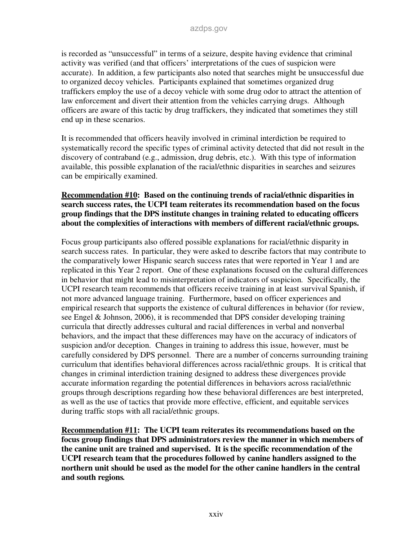is recorded as "unsuccessful" in terms of a seizure, despite having evidence that criminal activity was verified (and that officers' interpretations of the cues of suspicion were accurate). In addition, a few participants also noted that searches might be unsuccessful due to organized decoy vehicles. Participants explained that sometimes organized drug traffickers employ the use of a decoy vehicle with some drug odor to attract the attention of law enforcement and divert their attention from the vehicles carrying drugs. Although officers are aware of this tactic by drug traffickers, they indicated that sometimes they still end up in these scenarios.

It is recommended that officers heavily involved in criminal interdiction be required to systematically record the specific types of criminal activity detected that did not result in the discovery of contraband (e.g., admission, drug debris, etc.). With this type of information available, this possible explanation of the racial/ethnic disparities in searches and seizures can be empirically examined.

#### **Recommendation #10: Based on the continuing trends of racial/ethnic disparities in search success rates, the UCPI team reiterates its recommendation based on the focus group findings that the DPS institute changes in training related to educating officers about the complexities of interactions with members of different racial/ethnic groups.**

Focus group participants also offered possible explanations for racial/ethnic disparity in search success rates. In particular, they were asked to describe factors that may contribute to the comparatively lower Hispanic search success rates that were reported in Year 1 and are replicated in this Year 2 report. One of these explanations focused on the cultural differences in behavior that might lead to misinterpretation of indicators of suspicion. Specifically, the UCPI research team recommends that officers receive training in at least survival Spanish, if not more advanced language training. Furthermore, based on officer experiences and empirical research that supports the existence of cultural differences in behavior (for review, see Engel & Johnson, 2006), it is recommended that DPS consider developing training curricula that directly addresses cultural and racial differences in verbal and nonverbal behaviors, and the impact that these differences may have on the accuracy of indicators of suspicion and/or deception. Changes in training to address this issue, however, must be carefully considered by DPS personnel. There are a number of concerns surrounding training curriculum that identifies behavioral differences across racial/ethnic groups. It is critical that changes in criminal interdiction training designed to address these divergences provide accurate information regarding the potential differences in behaviors across racial/ethnic groups through descriptions regarding how these behavioral differences are best interpreted, as well as the use of tactics that provide more effective, efficient, and equitable services during traffic stops with all racial/ethnic groups.

**Recommendation #11: The UCPI team reiterates its recommendations based on the focus group findings that DPS administrators review the manner in which members of the canine unit are trained and supervised. It is the specific recommendation of the UCPI research team that the procedures followed by canine handlers assigned to the northern unit should be used as the model for the other canine handlers in the central and south regions***.*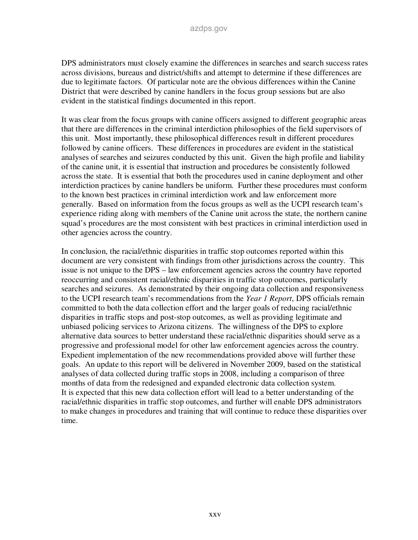DPS administrators must closely examine the differences in searches and search success rates across divisions, bureaus and district/shifts and attempt to determine if these differences are due to legitimate factors. Of particular note are the obvious differences within the Canine District that were described by canine handlers in the focus group sessions but are also evident in the statistical findings documented in this report.

It was clear from the focus groups with canine officers assigned to different geographic areas that there are differences in the criminal interdiction philosophies of the field supervisors of this unit. Most importantly, these philosophical differences result in different procedures followed by canine officers. These differences in procedures are evident in the statistical analyses of searches and seizures conducted by this unit. Given the high profile and liability of the canine unit, it is essential that instruction and procedures be consistently followed across the state. It is essential that both the procedures used in canine deployment and other interdiction practices by canine handlers be uniform. Further these procedures must conform to the known best practices in criminal interdiction work and law enforcement more generally. Based on information from the focus groups as well as the UCPI research team's experience riding along with members of the Canine unit across the state, the northern canine squad's procedures are the most consistent with best practices in criminal interdiction used in other agencies across the country.

In conclusion, the racial/ethnic disparities in traffic stop outcomes reported within this document are very consistent with findings from other jurisdictions across the country. This issue is not unique to the DPS – law enforcement agencies across the country have reported reoccurring and consistent racial/ethnic disparities in traffic stop outcomes, particularly searches and seizures. As demonstrated by their ongoing data collection and responsiveness to the UCPI research team's recommendations from the *Year 1 Report*, DPS officials remain committed to both the data collection effort and the larger goals of reducing racial/ethnic disparities in traffic stops and post-stop outcomes, as well as providing legitimate and unbiased policing services to Arizona citizens. The willingness of the DPS to explore alternative data sources to better understand these racial/ethnic disparities should serve as a progressive and professional model for other law enforcement agencies across the country. Expedient implementation of the new recommendations provided above will further these goals. An update to this report will be delivered in November 2009, based on the statistical analyses of data collected during traffic stops in 2008, including a comparison of three months of data from the redesigned and expanded electronic data collection system. It is expected that this new data collection effort will lead to a better understanding of the racial/ethnic disparities in traffic stop outcomes, and further will enable DPS administrators to make changes in procedures and training that will continue to reduce these disparities over time.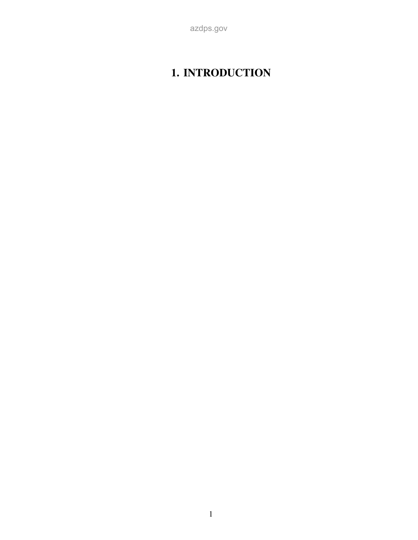# **1. INTRODUCTION**

azdps.gov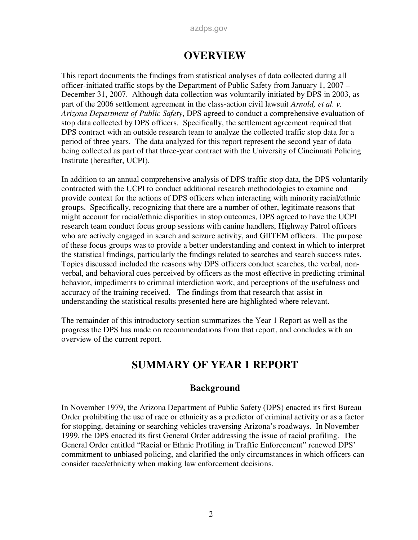## **OVERVIEW**

This report documents the findings from statistical analyses of data collected during all officer-initiated traffic stops by the Department of Public Safety from January 1, 2007 – December 31, 2007. Although data collection was voluntarily initiated by DPS in 2003, as part of the 2006 settlement agreement in the class-action civil lawsuit *Arnold, et al. v. Arizona Department of Public Safety*, DPS agreed to conduct a comprehensive evaluation of stop data collected by DPS officers. Specifically, the settlement agreement required that DPS contract with an outside research team to analyze the collected traffic stop data for a period of three years. The data analyzed for this report represent the second year of data being collected as part of that three-year contract with the University of Cincinnati Policing Institute (hereafter, UCPI).

In addition to an annual comprehensive analysis of DPS traffic stop data, the DPS voluntarily contracted with the UCPI to conduct additional research methodologies to examine and provide context for the actions of DPS officers when interacting with minority racial/ethnic groups. Specifically, recognizing that there are a number of other, legitimate reasons that might account for racial/ethnic disparities in stop outcomes, DPS agreed to have the UCPI research team conduct focus group sessions with canine handlers, Highway Patrol officers who are actively engaged in search and seizure activity, and GIITEM officers. The purpose of these focus groups was to provide a better understanding and context in which to interpret the statistical findings, particularly the findings related to searches and search success rates. Topics discussed included the reasons why DPS officers conduct searches, the verbal, nonverbal, and behavioral cues perceived by officers as the most effective in predicting criminal behavior, impediments to criminal interdiction work, and perceptions of the usefulness and accuracy of the training received. The findings from that research that assist in understanding the statistical results presented here are highlighted where relevant.

The remainder of this introductory section summarizes the Year 1 Report as well as the progress the DPS has made on recommendations from that report, and concludes with an overview of the current report.

# **SUMMARY OF YEAR 1 REPORT**

### **Background**

In November 1979, the Arizona Department of Public Safety (DPS) enacted its first Bureau Order prohibiting the use of race or ethnicity as a predictor of criminal activity or as a factor for stopping, detaining or searching vehicles traversing Arizona's roadways. In November 1999, the DPS enacted its first General Order addressing the issue of racial profiling. The General Order entitled "Racial or Ethnic Profiling in Traffic Enforcement" renewed DPS' commitment to unbiased policing, and clarified the only circumstances in which officers can consider race/ethnicity when making law enforcement decisions.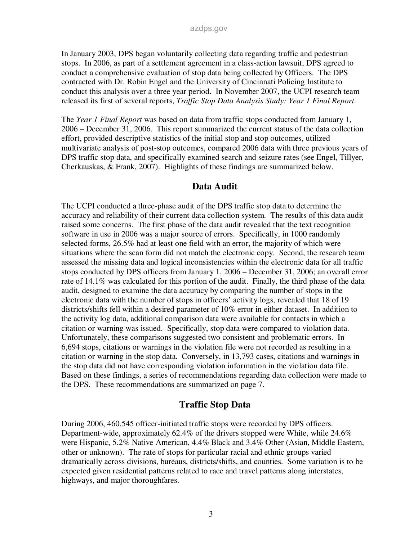In January 2003, DPS began voluntarily collecting data regarding traffic and pedestrian stops. In 2006, as part of a settlement agreement in a class-action lawsuit, DPS agreed to conduct a comprehensive evaluation of stop data being collected by Officers. The DPS contracted with Dr. Robin Engel and the University of Cincinnati Policing Institute to conduct this analysis over a three year period. In November 2007, the UCPI research team released its first of several reports, *Traffic Stop Data Analysis Study: Year 1 Final Report*.

The *Year 1 Final Report* was based on data from traffic stops conducted from January 1, 2006 – December 31, 2006. This report summarized the current status of the data collection effort, provided descriptive statistics of the initial stop and stop outcomes, utilized multivariate analysis of post-stop outcomes, compared 2006 data with three previous years of DPS traffic stop data, and specifically examined search and seizure rates (see Engel, Tillyer, Cherkauskas, & Frank, 2007). Highlights of these findings are summarized below.

### **Data Audit**

The UCPI conducted a three-phase audit of the DPS traffic stop data to determine the accuracy and reliability of their current data collection system. The results of this data audit raised some concerns. The first phase of the data audit revealed that the text recognition software in use in 2006 was a major source of errors. Specifically, in 1000 randomly selected forms, 26.5% had at least one field with an error, the majority of which were situations where the scan form did not match the electronic copy. Second, the research team assessed the missing data and logical inconsistencies within the electronic data for all traffic stops conducted by DPS officers from January 1, 2006 – December 31, 2006; an overall error rate of 14.1% was calculated for this portion of the audit. Finally, the third phase of the data audit, designed to examine the data accuracy by comparing the number of stops in the electronic data with the number of stops in officers' activity logs, revealed that 18 of 19 districts/shifts fell within a desired parameter of 10% error in either dataset. In addition to the activity log data, additional comparison data were available for contacts in which a citation or warning was issued. Specifically, stop data were compared to violation data. Unfortunately, these comparisons suggested two consistent and problematic errors. In 6,694 stops, citations or warnings in the violation file were not recorded as resulting in a citation or warning in the stop data. Conversely, in 13,793 cases, citations and warnings in the stop data did not have corresponding violation information in the violation data file. Based on these findings, a series of recommendations regarding data collection were made to the DPS. These recommendations are summarized on page 7.

### **Traffic Stop Data**

During 2006, 460,545 officer-initiated traffic stops were recorded by DPS officers. Department-wide, approximately 62.4% of the drivers stopped were White, while 24.6% were Hispanic, 5.2% Native American, 4.4% Black and 3.4% Other (Asian, Middle Eastern, other or unknown). The rate of stops for particular racial and ethnic groups varied dramatically across divisions, bureaus, districts/shifts, and counties. Some variation is to be expected given residential patterns related to race and travel patterns along interstates, highways, and major thoroughfares.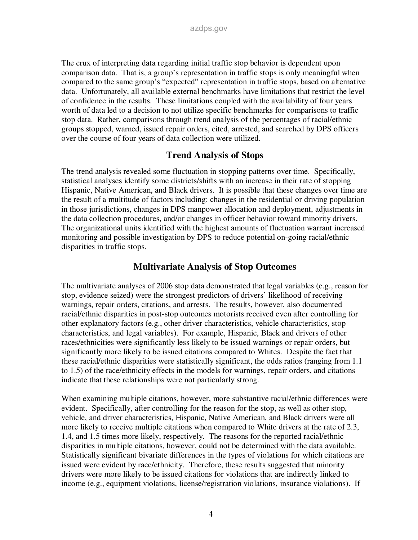The crux of interpreting data regarding initial traffic stop behavior is dependent upon comparison data. That is, a group's representation in traffic stops is only meaningful when compared to the same group's "expected" representation in traffic stops, based on alternative data. Unfortunately, all available external benchmarks have limitations that restrict the level of confidence in the results. These limitations coupled with the availability of four years worth of data led to a decision to not utilize specific benchmarks for comparisons to traffic stop data. Rather, comparisons through trend analysis of the percentages of racial/ethnic groups stopped, warned, issued repair orders, cited, arrested, and searched by DPS officers over the course of four years of data collection were utilized.

### **Trend Analysis of Stops**

The trend analysis revealed some fluctuation in stopping patterns over time. Specifically, statistical analyses identify some districts/shifts with an increase in their rate of stopping Hispanic, Native American, and Black drivers. It is possible that these changes over time are the result of a multitude of factors including: changes in the residential or driving population in those jurisdictions, changes in DPS manpower allocation and deployment, adjustments in the data collection procedures, and/or changes in officer behavior toward minority drivers. The organizational units identified with the highest amounts of fluctuation warrant increased monitoring and possible investigation by DPS to reduce potential on-going racial/ethnic disparities in traffic stops.

### **Multivariate Analysis of Stop Outcomes**

The multivariate analyses of 2006 stop data demonstrated that legal variables (e.g., reason for stop, evidence seized) were the strongest predictors of drivers' likelihood of receiving warnings, repair orders, citations, and arrests. The results, however, also documented racial/ethnic disparities in post-stop outcomes motorists received even after controlling for other explanatory factors (e.g., other driver characteristics, vehicle characteristics, stop characteristics, and legal variables). For example, Hispanic, Black and drivers of other races/ethnicities were significantly less likely to be issued warnings or repair orders, but significantly more likely to be issued citations compared to Whites. Despite the fact that these racial/ethnic disparities were statistically significant, the odds ratios (ranging from 1.1 to 1.5) of the race/ethnicity effects in the models for warnings, repair orders, and citations indicate that these relationships were not particularly strong.

When examining multiple citations, however, more substantive racial/ethnic differences were evident. Specifically, after controlling for the reason for the stop, as well as other stop, vehicle, and driver characteristics, Hispanic, Native American, and Black drivers were all more likely to receive multiple citations when compared to White drivers at the rate of 2.3, 1.4, and 1.5 times more likely, respectively. The reasons for the reported racial/ethnic disparities in multiple citations, however, could not be determined with the data available. Statistically significant bivariate differences in the types of violations for which citations are issued were evident by race/ethnicity. Therefore, these results suggested that minority drivers were more likely to be issued citations for violations that are indirectly linked to income (e.g., equipment violations, license/registration violations, insurance violations). If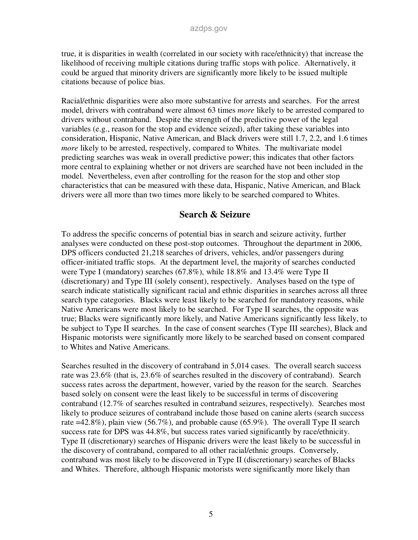true, it is disparities in wealth (correlated in our society with race/ethnicity) that increase the likelihood of receiving multiple citations during traffic stops with police. Alternatively, it could be argued that minority drivers are significantly more likely to be issued multiple citations because of police bias.

Racial/ethnic disparities were also more substantive for arrests and searches. For the arrest model, drivers with contraband were almost 63 times *more* likely to be arrested compared to drivers without contraband. Despite the strength of the predictive power of the legal variables (e.g., reason for the stop and evidence seized), after taking these variables into consideration, Hispanic, Native American, and Black drivers were still 1.7, 2.2, and 1.6 times *more* likely to be arrested, respectively, compared to Whites. The multivariate model predicting searches was weak in overall predictive power; this indicates that other factors more central to explaining whether or not drivers are searched have not been included in the model. Nevertheless, even after controlling for the reason for the stop and other stop characteristics that can be measured with these data, Hispanic, Native American, and Black drivers were all more than two times more likely to be searched compared to Whites.

#### **Search & Seizure**

To address the specific concerns of potential bias in search and seizure activity, further analyses were conducted on these post-stop outcomes. Throughout the department in 2006, DPS officers conducted 21,218 searches of drivers, vehicles, and/or passengers during officer-initiated traffic stops. At the department level, the majority of searches conducted were Type I (mandatory) searches (67.8%), while 18.8% and 13.4% were Type II (discretionary) and Type III (solely consent), respectively. Analyses based on the type of search indicate statistically significant racial and ethnic disparities in searches across all three search type categories. Blacks were least likely to be searched for mandatory reasons, while Native Americans were most likely to be searched. For Type II searches, the opposite was true; Blacks were significantly more likely, and Native Americans significantly less likely, to be subject to Type II searches. In the case of consent searches (Type III searches), Black and Hispanic motorists were significantly more likely to be searched based on consent compared to Whites and Native Americans.

Searches resulted in the discovery of contraband in 5,014 cases. The overall search success rate was 23.6% (that is, 23.6% of searches resulted in the discovery of contraband). Search success rates across the department, however, varied by the reason for the search. Searches based solely on consent were the least likely to be successful in terms of discovering contraband (12.7% of searches resulted in contraband seizures, respectively). Searches most likely to produce seizures of contraband include those based on canine alerts (search success rate  $=42.8\%$ ), plain view (56.7%), and probable cause (65.9%). The overall Type II search success rate for DPS was 44.8%, but success rates varied significantly by race/ethnicity. Type II (discretionary) searches of Hispanic drivers were the least likely to be successful in the discovery of contraband, compared to all other racial/ethnic groups. Conversely, contraband was most likely to be discovered in Type II (discretionary) searches of Blacks and Whites. Therefore, although Hispanic motorists were significantly more likely than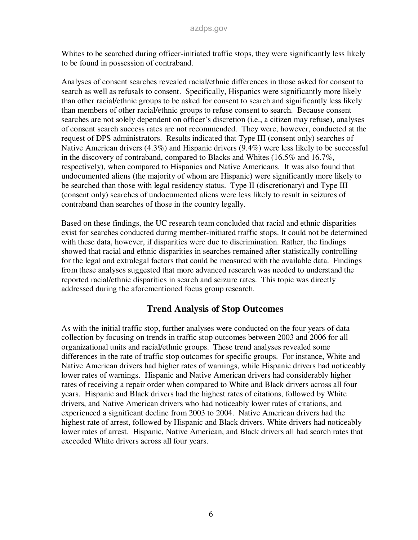Whites to be searched during officer-initiated traffic stops, they were significantly less likely to be found in possession of contraband.

Analyses of consent searches revealed racial/ethnic differences in those asked for consent to search as well as refusals to consent. Specifically, Hispanics were significantly more likely than other racial/ethnic groups to be asked for consent to search and significantly less likely than members of other racial/ethnic groups to refuse consent to search. Because consent searches are not solely dependent on officer's discretion (i.e., a citizen may refuse), analyses of consent search success rates are not recommended. They were, however, conducted at the request of DPS administrators. Results indicated that Type III (consent only) searches of Native American drivers (4.3%) and Hispanic drivers (9.4%) were less likely to be successful in the discovery of contraband, compared to Blacks and Whites (16.5% and 16.7%, respectively), when compared to Hispanics and Native Americans. It was also found that undocumented aliens (the majority of whom are Hispanic) were significantly more likely to be searched than those with legal residency status. Type II (discretionary) and Type III (consent only) searches of undocumented aliens were less likely to result in seizures of contraband than searches of those in the country legally.

Based on these findings, the UC research team concluded that racial and ethnic disparities exist for searches conducted during member-initiated traffic stops. It could not be determined with these data, however, if disparities were due to discrimination. Rather, the findings showed that racial and ethnic disparities in searches remained after statistically controlling for the legal and extralegal factors that could be measured with the available data. Findings from these analyses suggested that more advanced research was needed to understand the reported racial/ethnic disparities in search and seizure rates. This topic was directly addressed during the aforementioned focus group research.

### **Trend Analysis of Stop Outcomes**

As with the initial traffic stop, further analyses were conducted on the four years of data collection by focusing on trends in traffic stop outcomes between 2003 and 2006 for all organizational units and racial/ethnic groups. These trend analyses revealed some differences in the rate of traffic stop outcomes for specific groups. For instance, White and Native American drivers had higher rates of warnings, while Hispanic drivers had noticeably lower rates of warnings. Hispanic and Native American drivers had considerably higher rates of receiving a repair order when compared to White and Black drivers across all four years. Hispanic and Black drivers had the highest rates of citations, followed by White drivers, and Native American drivers who had noticeably lower rates of citations, and experienced a significant decline from 2003 to 2004. Native American drivers had the highest rate of arrest, followed by Hispanic and Black drivers. White drivers had noticeably lower rates of arrest. Hispanic, Native American, and Black drivers all had search rates that exceeded White drivers across all four years.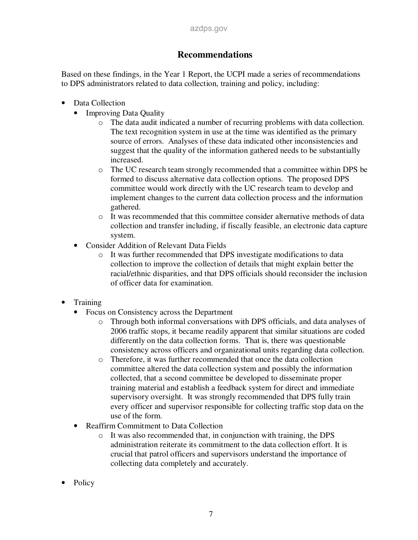### **Recommendations**

Based on these findings, in the Year 1 Report, the UCPI made a series of recommendations to DPS administrators related to data collection, training and policy, including:

- Data Collection
	- Improving Data Quality
		- o The data audit indicated a number of recurring problems with data collection. The text recognition system in use at the time was identified as the primary source of errors. Analyses of these data indicated other inconsistencies and suggest that the quality of the information gathered needs to be substantially increased.
		- o The UC research team strongly recommended that a committee within DPS be formed to discuss alternative data collection options. The proposed DPS committee would work directly with the UC research team to develop and implement changes to the current data collection process and the information gathered.
		- o It was recommended that this committee consider alternative methods of data collection and transfer including, if fiscally feasible, an electronic data capture system.
	- Consider Addition of Relevant Data Fields
		- o It was further recommended that DPS investigate modifications to data collection to improve the collection of details that might explain better the racial/ethnic disparities, and that DPS officials should reconsider the inclusion of officer data for examination.
- Training
	- Focus on Consistency across the Department
		- o Through both informal conversations with DPS officials, and data analyses of 2006 traffic stops, it became readily apparent that similar situations are coded differently on the data collection forms. That is, there was questionable consistency across officers and organizational units regarding data collection.
		- o Therefore, it was further recommended that once the data collection committee altered the data collection system and possibly the information collected, that a second committee be developed to disseminate proper training material and establish a feedback system for direct and immediate supervisory oversight. It was strongly recommended that DPS fully train every officer and supervisor responsible for collecting traffic stop data on the use of the form.
	- Reaffirm Commitment to Data Collection
		- o It was also recommended that, in conjunction with training, the DPS administration reiterate its commitment to the data collection effort. It is crucial that patrol officers and supervisors understand the importance of collecting data completely and accurately.
- Policy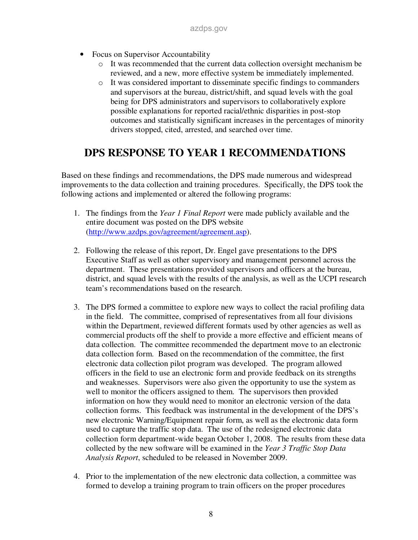- Focus on Supervisor Accountability
	- o It was recommended that the current data collection oversight mechanism be reviewed, and a new, more effective system be immediately implemented.
	- o It was considered important to disseminate specific findings to commanders and supervisors at the bureau, district/shift, and squad levels with the goal being for DPS administrators and supervisors to collaboratively explore possible explanations for reported racial/ethnic disparities in post-stop outcomes and statistically significant increases in the percentages of minority drivers stopped, cited, arrested, and searched over time.

# **DPS RESPONSE TO YEAR 1 RECOMMENDATIONS**

Based on these findings and recommendations, the DPS made numerous and widespread improvements to the data collection and training procedures. Specifically, the DPS took the following actions and implemented or altered the following programs:

- 1. The findings from the *Year 1 Final Report* were made publicly available and the entire document was posted on the DPS website (http://www.azdps.gov/agreement/agreement.asp).
- 2. Following the release of this report, Dr. Engel gave presentations to the DPS Executive Staff as well as other supervisory and management personnel across the department. These presentations provided supervisors and officers at the bureau, district, and squad levels with the results of the analysis, as well as the UCPI research team's recommendations based on the research.
- 3. The DPS formed a committee to explore new ways to collect the racial profiling data in the field. The committee, comprised of representatives from all four divisions within the Department, reviewed different formats used by other agencies as well as commercial products off the shelf to provide a more effective and efficient means of data collection. The committee recommended the department move to an electronic data collection form. Based on the recommendation of the committee, the first electronic data collection pilot program was developed. The program allowed officers in the field to use an electronic form and provide feedback on its strengths and weaknesses. Supervisors were also given the opportunity to use the system as well to monitor the officers assigned to them. The supervisors then provided information on how they would need to monitor an electronic version of the data collection forms. This feedback was instrumental in the development of the DPS's new electronic Warning/Equipment repair form, as well as the electronic data form used to capture the traffic stop data. The use of the redesigned electronic data collection form department-wide began October 1, 2008. The results from these data collected by the new software will be examined in the *Year 3 Traffic Stop Data Analysis Report*, scheduled to be released in November 2009.
- 4. Prior to the implementation of the new electronic data collection, a committee was formed to develop a training program to train officers on the proper procedures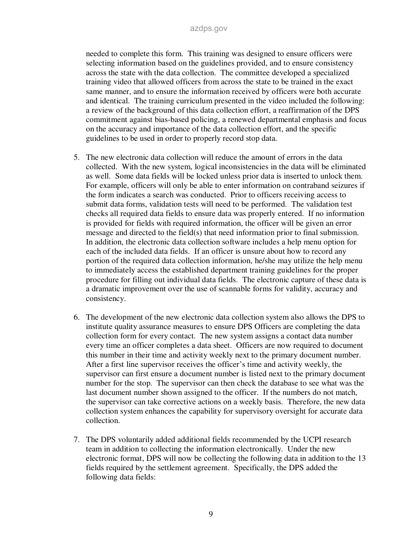needed to complete this form. This training was designed to ensure officers were selecting information based on the guidelines provided, and to ensure consistency across the state with the data collection. The committee developed a specialized training video that allowed officers from across the state to be trained in the exact same manner, and to ensure the information received by officers were both accurate and identical. The training curriculum presented in the video included the following: a review of the background of this data collection effort, a reaffirmation of the DPS commitment against bias-based policing, a renewed departmental emphasis and focus on the accuracy and importance of the data collection effort, and the specific guidelines to be used in order to properly record stop data.

- 5. The new electronic data collection will reduce the amount of errors in the data collected. With the new system, logical inconsistencies in the data will be eliminated as well. Some data fields will be locked unless prior data is inserted to unlock them. For example, officers will only be able to enter information on contraband seizures if the form indicates a search was conducted. Prior to officers receiving access to submit data forms, validation tests will need to be performed. The validation test checks all required data fields to ensure data was properly entered. If no information is provided for fields with required information, the officer will be given an error message and directed to the field(s) that need information prior to final submission. In addition, the electronic data collection software includes a help menu option for each of the included data fields. If an officer is unsure about how to record any portion of the required data collection information, he/she may utilize the help menu to immediately access the established department training guidelines for the proper procedure for filling out individual data fields. The electronic capture of these data is a dramatic improvement over the use of scannable forms for validity, accuracy and consistency.
- 6. The development of the new electronic data collection system also allows the DPS to institute quality assurance measures to ensure DPS Officers are completing the data collection form for every contact. The new system assigns a contact data number every time an officer completes a data sheet. Officers are now required to document this number in their time and activity weekly next to the primary document number. After a first line supervisor receives the officer's time and activity weekly, the supervisor can first ensure a document number is listed next to the primary document number for the stop. The supervisor can then check the database to see what was the last document number shown assigned to the officer. If the numbers do not match, the supervisor can take corrective actions on a weekly basis. Therefore, the new data collection system enhances the capability for supervisory oversight for accurate data collection.
- 7. The DPS voluntarily added additional fields recommended by the UCPI research team in addition to collecting the information electronically. Under the new electronic format, DPS will now be collecting the following data in addition to the 13 fields required by the settlement agreement. Specifically, the DPS added the following data fields: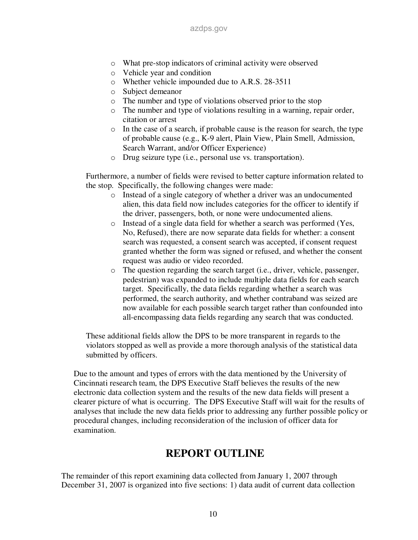- o What pre-stop indicators of criminal activity were observed
- o Vehicle year and condition
- o Whether vehicle impounded due to A.R.S. 28-3511
- o Subject demeanor
- o The number and type of violations observed prior to the stop
- o The number and type of violations resulting in a warning, repair order, citation or arrest
- o In the case of a search, if probable cause is the reason for search, the type of probable cause (e.g., K-9 alert, Plain View, Plain Smell, Admission, Search Warrant, and/or Officer Experience)
- o Drug seizure type (i.e., personal use vs. transportation).

Furthermore, a number of fields were revised to better capture information related to the stop. Specifically, the following changes were made:

- o Instead of a single category of whether a driver was an undocumented alien, this data field now includes categories for the officer to identify if the driver, passengers, both, or none were undocumented aliens.
- o Instead of a single data field for whether a search was performed (Yes, No, Refused), there are now separate data fields for whether: a consent search was requested, a consent search was accepted, if consent request granted whether the form was signed or refused, and whether the consent request was audio or video recorded.
- o The question regarding the search target (i.e., driver, vehicle, passenger, pedestrian) was expanded to include multiple data fields for each search target. Specifically, the data fields regarding whether a search was performed, the search authority, and whether contraband was seized are now available for each possible search target rather than confounded into all-encompassing data fields regarding any search that was conducted.

These additional fields allow the DPS to be more transparent in regards to the violators stopped as well as provide a more thorough analysis of the statistical data submitted by officers.

Due to the amount and types of errors with the data mentioned by the University of Cincinnati research team, the DPS Executive Staff believes the results of the new electronic data collection system and the results of the new data fields will present a clearer picture of what is occurring. The DPS Executive Staff will wait for the results of analyses that include the new data fields prior to addressing any further possible policy or procedural changes, including reconsideration of the inclusion of officer data for examination.

## **REPORT OUTLINE**

The remainder of this report examining data collected from January 1, 2007 through December 31, 2007 is organized into five sections: 1) data audit of current data collection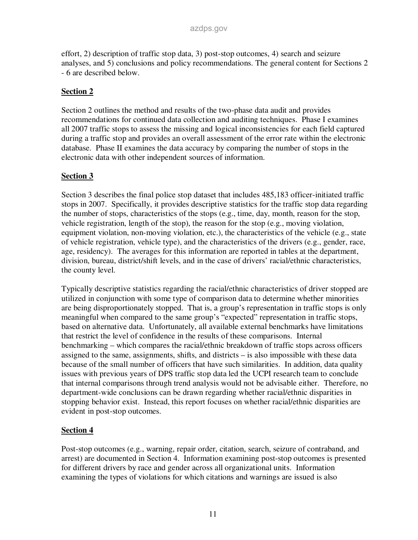effort, 2) description of traffic stop data, 3) post-stop outcomes, 4) search and seizure analyses, and 5) conclusions and policy recommendations. The general content for Sections 2 - 6 are described below.

### **Section 2**

Section 2 outlines the method and results of the two-phase data audit and provides recommendations for continued data collection and auditing techniques. Phase I examines all 2007 traffic stops to assess the missing and logical inconsistencies for each field captured during a traffic stop and provides an overall assessment of the error rate within the electronic database. Phase II examines the data accuracy by comparing the number of stops in the electronic data with other independent sources of information.

### **Section 3**

Section 3 describes the final police stop dataset that includes 485,183 officer-initiated traffic stops in 2007. Specifically, it provides descriptive statistics for the traffic stop data regarding the number of stops, characteristics of the stops (e.g., time, day, month, reason for the stop, vehicle registration, length of the stop), the reason for the stop (e.g., moving violation, equipment violation, non-moving violation, etc.), the characteristics of the vehicle (e.g., state of vehicle registration, vehicle type), and the characteristics of the drivers (e.g., gender, race, age, residency). The averages for this information are reported in tables at the department, division, bureau, district/shift levels, and in the case of drivers' racial/ethnic characteristics, the county level.

Typically descriptive statistics regarding the racial/ethnic characteristics of driver stopped are utilized in conjunction with some type of comparison data to determine whether minorities are being disproportionately stopped. That is, a group's representation in traffic stops is only meaningful when compared to the same group's "expected" representation in traffic stops, based on alternative data. Unfortunately, all available external benchmarks have limitations that restrict the level of confidence in the results of these comparisons. Internal benchmarking – which compares the racial/ethnic breakdown of traffic stops across officers assigned to the same, assignments, shifts, and districts – is also impossible with these data because of the small number of officers that have such similarities. In addition, data quality issues with previous years of DPS traffic stop data led the UCPI research team to conclude that internal comparisons through trend analysis would not be advisable either. Therefore, no department-wide conclusions can be drawn regarding whether racial/ethnic disparities in stopping behavior exist. Instead, this report focuses on whether racial/ethnic disparities are evident in post-stop outcomes.

### **Section 4**

Post-stop outcomes (e.g., warning, repair order, citation, search, seizure of contraband, and arrest) are documented in Section 4. Information examining post-stop outcomes is presented for different drivers by race and gender across all organizational units. Information examining the types of violations for which citations and warnings are issued is also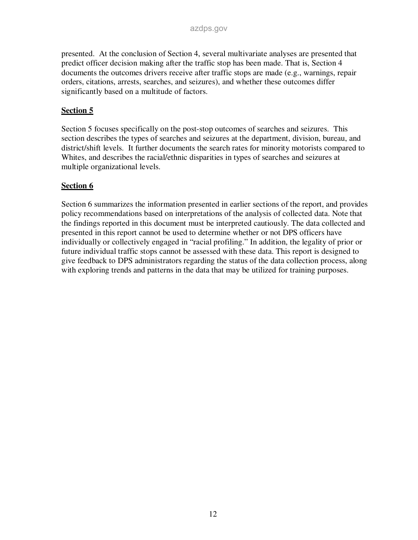presented. At the conclusion of Section 4, several multivariate analyses are presented that predict officer decision making after the traffic stop has been made. That is, Section 4 documents the outcomes drivers receive after traffic stops are made (e.g., warnings, repair orders, citations, arrests, searches, and seizures), and whether these outcomes differ significantly based on a multitude of factors.

### **Section 5**

Section 5 focuses specifically on the post-stop outcomes of searches and seizures. This section describes the types of searches and seizures at the department, division, bureau, and district/shift levels. It further documents the search rates for minority motorists compared to Whites, and describes the racial/ethnic disparities in types of searches and seizures at multiple organizational levels.

### **Section 6**

Section 6 summarizes the information presented in earlier sections of the report, and provides policy recommendations based on interpretations of the analysis of collected data. Note that the findings reported in this document must be interpreted cautiously. The data collected and presented in this report cannot be used to determine whether or not DPS officers have individually or collectively engaged in "racial profiling." In addition, the legality of prior or future individual traffic stops cannot be assessed with these data. This report is designed to give feedback to DPS administrators regarding the status of the data collection process, along with exploring trends and patterns in the data that may be utilized for training purposes.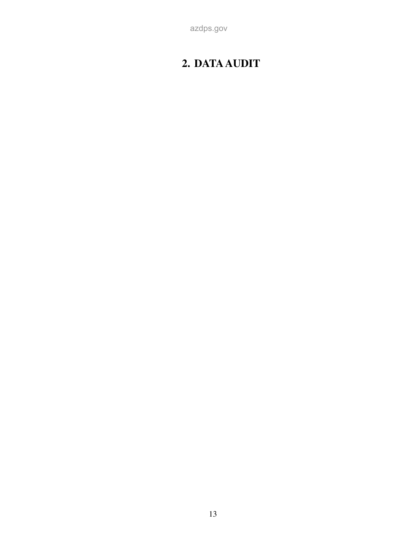# **2. DATA AUDIT**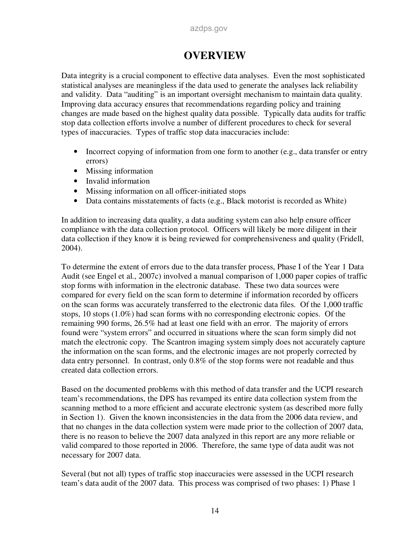## **OVERVIEW**

Data integrity is a crucial component to effective data analyses. Even the most sophisticated statistical analyses are meaningless if the data used to generate the analyses lack reliability and validity. Data "auditing" is an important oversight mechanism to maintain data quality. Improving data accuracy ensures that recommendations regarding policy and training changes are made based on the highest quality data possible. Typically data audits for traffic stop data collection efforts involve a number of different procedures to check for several types of inaccuracies. Types of traffic stop data inaccuracies include:

- Incorrect copying of information from one form to another (e.g., data transfer or entry errors)
- Missing information
- Invalid information
- Missing information on all officer-initiated stops
- Data contains misstatements of facts (e.g., Black motorist is recorded as White)

In addition to increasing data quality, a data auditing system can also help ensure officer compliance with the data collection protocol. Officers will likely be more diligent in their data collection if they know it is being reviewed for comprehensiveness and quality (Fridell, 2004).

To determine the extent of errors due to the data transfer process, Phase I of the Year 1 Data Audit (see Engel et al., 2007c) involved a manual comparison of 1,000 paper copies of traffic stop forms with information in the electronic database. These two data sources were compared for every field on the scan form to determine if information recorded by officers on the scan forms was accurately transferred to the electronic data files. Of the 1,000 traffic stops, 10 stops (1.0%) had scan forms with no corresponding electronic copies. Of the remaining 990 forms, 26.5% had at least one field with an error. The majority of errors found were "system errors" and occurred in situations where the scan form simply did not match the electronic copy. The Scantron imaging system simply does not accurately capture the information on the scan forms, and the electronic images are not properly corrected by data entry personnel. In contrast, only 0.8% of the stop forms were not readable and thus created data collection errors.

Based on the documented problems with this method of data transfer and the UCPI research team's recommendations, the DPS has revamped its entire data collection system from the scanning method to a more efficient and accurate electronic system (as described more fully in Section 1). Given the known inconsistencies in the data from the 2006 data review, and that no changes in the data collection system were made prior to the collection of 2007 data, there is no reason to believe the 2007 data analyzed in this report are any more reliable or valid compared to those reported in 2006. Therefore, the same type of data audit was not necessary for 2007 data.

Several (but not all) types of traffic stop inaccuracies were assessed in the UCPI research team's data audit of the 2007 data. This process was comprised of two phases: 1) Phase 1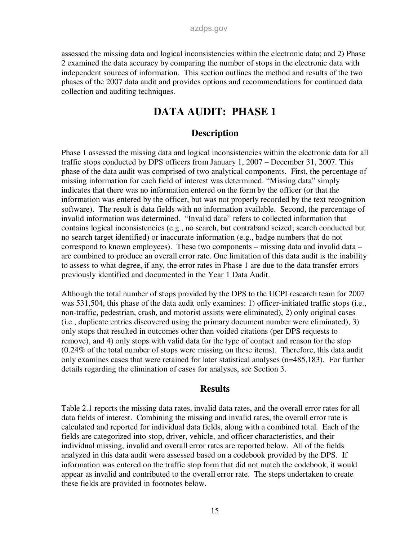assessed the missing data and logical inconsistencies within the electronic data; and 2) Phase 2 examined the data accuracy by comparing the number of stops in the electronic data with independent sources of information. This section outlines the method and results of the two phases of the 2007 data audit and provides options and recommendations for continued data collection and auditing techniques.

## **DATA AUDIT: PHASE 1**

#### **Description**

Phase 1 assessed the missing data and logical inconsistencies within the electronic data for all traffic stops conducted by DPS officers from January 1, 2007 – December 31, 2007. This phase of the data audit was comprised of two analytical components. First, the percentage of missing information for each field of interest was determined. "Missing data" simply indicates that there was no information entered on the form by the officer (or that the information was entered by the officer, but was not properly recorded by the text recognition software). The result is data fields with no information available. Second, the percentage of invalid information was determined. "Invalid data" refers to collected information that contains logical inconsistencies (e.g., no search, but contraband seized; search conducted but no search target identified) or inaccurate information (e.g., badge numbers that do not correspond to known employees). These two components – missing data and invalid data – are combined to produce an overall error rate. One limitation of this data audit is the inability to assess to what degree, if any, the error rates in Phase 1 are due to the data transfer errors previously identified and documented in the Year 1 Data Audit.

Although the total number of stops provided by the DPS to the UCPI research team for 2007 was 531,504, this phase of the data audit only examines: 1) officer-initiated traffic stops (i.e., non-traffic, pedestrian, crash, and motorist assists were eliminated), 2) only original cases (i.e., duplicate entries discovered using the primary document number were eliminated), 3) only stops that resulted in outcomes other than voided citations (per DPS requests to remove), and 4) only stops with valid data for the type of contact and reason for the stop (0.24% of the total number of stops were missing on these items). Therefore, this data audit only examines cases that were retained for later statistical analyses (n=485,183). For further details regarding the elimination of cases for analyses, see Section 3.

#### **Results**

Table 2.1 reports the missing data rates, invalid data rates, and the overall error rates for all data fields of interest. Combining the missing and invalid rates, the overall error rate is calculated and reported for individual data fields, along with a combined total. Each of the fields are categorized into stop, driver, vehicle, and officer characteristics, and their individual missing, invalid and overall error rates are reported below. All of the fields analyzed in this data audit were assessed based on a codebook provided by the DPS. If information was entered on the traffic stop form that did not match the codebook, it would appear as invalid and contributed to the overall error rate. The steps undertaken to create these fields are provided in footnotes below.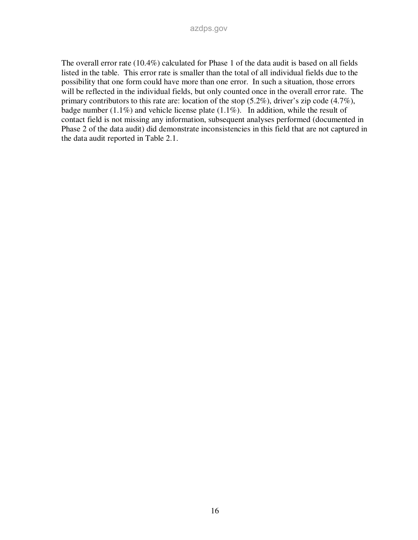The overall error rate (10.4%) calculated for Phase 1 of the data audit is based on all fields listed in the table. This error rate is smaller than the total of all individual fields due to the possibility that one form could have more than one error. In such a situation, those errors will be reflected in the individual fields, but only counted once in the overall error rate. The primary contributors to this rate are: location of the stop (5.2%), driver's zip code (4.7%), badge number (1.1%) and vehicle license plate (1.1%). In addition, while the result of contact field is not missing any information, subsequent analyses performed (documented in Phase 2 of the data audit) did demonstrate inconsistencies in this field that are not captured in the data audit reported in Table 2.1.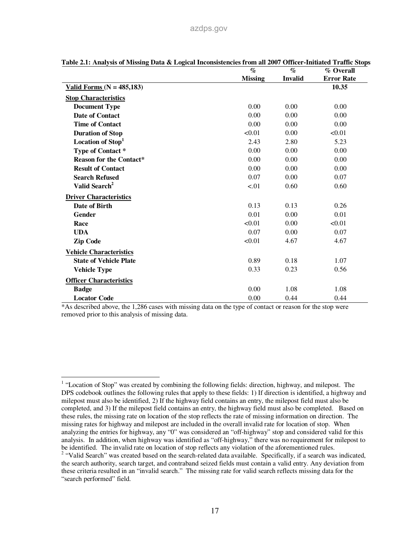|                                | $\%$           | $\%$           | % Overall         |
|--------------------------------|----------------|----------------|-------------------|
|                                | <b>Missing</b> | <b>Invalid</b> | <b>Error Rate</b> |
| Valid Forms ( $N = 485,183$ )  |                |                | 10.35             |
| <b>Stop Characteristics</b>    |                |                |                   |
| <b>Document Type</b>           | 0.00           | 0.00           | 0.00              |
| <b>Date of Contact</b>         | 0.00           | 0.00           | 0.00              |
| <b>Time of Contact</b>         | 0.00           | 0.00           | 0.00              |
| <b>Duration of Stop</b>        | < 0.01         | 0.00           | < 0.01            |
| Location of Stop <sup>1</sup>  | 2.43           | 2.80           | 5.23              |
| Type of Contact*               | 0.00           | 0.00           | 0.00              |
| <b>Reason for the Contact*</b> | 0.00           | 0.00           | 0.00              |
| <b>Result of Contact</b>       | 0.00           | 0.00           | 0.00              |
| <b>Search Refused</b>          | 0.07           | 0.00           | 0.07              |
| Valid Search <sup>2</sup>      | < 01           | 0.60           | 0.60              |
| <b>Driver Characteristics</b>  |                |                |                   |
| Date of Birth                  | 0.13           | 0.13           | 0.26              |
| <b>Gender</b>                  | 0.01           | 0.00           | 0.01              |
| Race                           | < 0.01         | 0.00           | < 0.01            |
| <b>UDA</b>                     | 0.07           | 0.00           | 0.07              |
| <b>Zip Code</b>                | < 0.01         | 4.67           | 4.67              |
| <b>Vehicle Characteristics</b> |                |                |                   |
| <b>State of Vehicle Plate</b>  | 0.89           | 0.18           | 1.07              |
| <b>Vehicle Type</b>            | 0.33           | 0.23           | 0.56              |
| <b>Officer Characteristics</b> |                |                |                   |
| <b>Badge</b>                   | 0.00           | 1.08           | 1.08              |
| <b>Locator Code</b>            | 0.00           | 0.44           | 0.44              |

|  | Table 2.1: Analysis of Missing Data & Logical Inconsistencies from all 2007 Officer-Initiated Traffic Stops |
|--|-------------------------------------------------------------------------------------------------------------|
|  |                                                                                                             |

\*As described above, the 1,286 cases with missing data on the type of contact or reason for the stop were removed prior to this analysis of missing data.

<sup>&</sup>lt;sup>1</sup> "Location of Stop" was created by combining the following fields: direction, highway, and milepost. The DPS codebook outlines the following rules that apply to these fields: 1) If direction is identified, a highway and milepost must also be identified, 2) If the highway field contains an entry, the milepost field must also be completed, and 3) If the milepost field contains an entry, the highway field must also be completed. Based on these rules, the missing rate on location of the stop reflects the rate of missing information on direction. The missing rates for highway and milepost are included in the overall invalid rate for location of stop. When analyzing the entries for highway, any "0" was considered an "off-highway" stop and considered valid for this analysis. In addition, when highway was identified as "off-highway," there was no requirement for milepost to be identified. The invalid rate on location of stop reflects any violation of the aforementioned rules. <sup>2</sup> "Valid Search" was created based on the search-related data available. Specifically, if a search was indicated, the search authority, search target, and contraband seized fields must contain a valid entry. Any deviation from these criteria resulted in an "invalid search." The missing rate for valid search reflects missing data for the "search performed" field.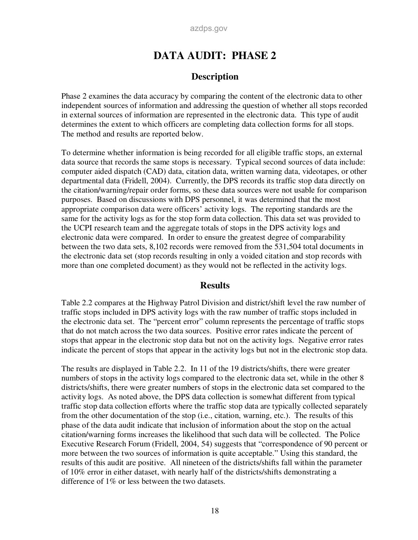## **DATA AUDIT: PHASE 2**

#### **Description**

Phase 2 examines the data accuracy by comparing the content of the electronic data to other independent sources of information and addressing the question of whether all stops recorded in external sources of information are represented in the electronic data. This type of audit determines the extent to which officers are completing data collection forms for all stops. The method and results are reported below.

To determine whether information is being recorded for all eligible traffic stops, an external data source that records the same stops is necessary. Typical second sources of data include: computer aided dispatch (CAD) data, citation data, written warning data, videotapes, or other departmental data (Fridell, 2004). Currently, the DPS records its traffic stop data directly on the citation/warning/repair order forms, so these data sources were not usable for comparison purposes. Based on discussions with DPS personnel, it was determined that the most appropriate comparison data were officers' activity logs. The reporting standards are the same for the activity logs as for the stop form data collection. This data set was provided to the UCPI research team and the aggregate totals of stops in the DPS activity logs and electronic data were compared. In order to ensure the greatest degree of comparability between the two data sets, 8,102 records were removed from the 531,504 total documents in the electronic data set (stop records resulting in only a voided citation and stop records with more than one completed document) as they would not be reflected in the activity logs.

#### **Results**

Table 2.2 compares at the Highway Patrol Division and district/shift level the raw number of traffic stops included in DPS activity logs with the raw number of traffic stops included in the electronic data set. The "percent error" column represents the percentage of traffic stops that do not match across the two data sources. Positive error rates indicate the percent of stops that appear in the electronic stop data but not on the activity logs. Negative error rates indicate the percent of stops that appear in the activity logs but not in the electronic stop data.

The results are displayed in Table 2.2. In 11 of the 19 districts/shifts, there were greater numbers of stops in the activity logs compared to the electronic data set, while in the other 8 districts/shifts, there were greater numbers of stops in the electronic data set compared to the activity logs. As noted above, the DPS data collection is somewhat different from typical traffic stop data collection efforts where the traffic stop data are typically collected separately from the other documentation of the stop (i.e., citation, warning, etc.). The results of this phase of the data audit indicate that inclusion of information about the stop on the actual citation/warning forms increases the likelihood that such data will be collected. The Police Executive Research Forum (Fridell, 2004, 54) suggests that "correspondence of 90 percent or more between the two sources of information is quite acceptable." Using this standard, the results of this audit are positive. All nineteen of the districts/shifts fall within the parameter of 10% error in either dataset, with nearly half of the districts/shifts demonstrating a difference of 1% or less between the two datasets.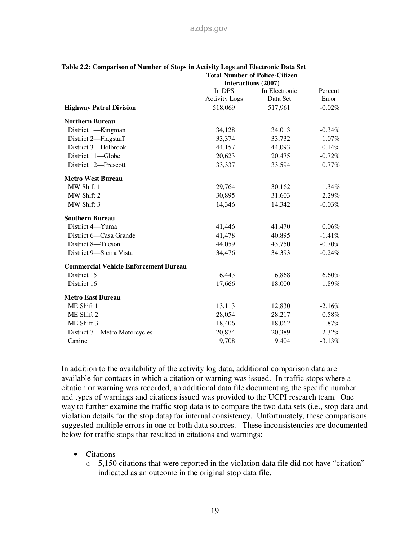|                                              |                      | <b>Total Number of Police-Citizen</b> |                  |
|----------------------------------------------|----------------------|---------------------------------------|------------------|
|                                              |                      | Interactions (2007)                   |                  |
|                                              | In DPS               | In Electronic<br>Data Set             | Percent<br>Error |
|                                              | <b>Activity Logs</b> |                                       |                  |
| <b>Highway Patrol Division</b>               | 518,069              | 517,961                               | $-0.02%$         |
| <b>Northern Bureau</b>                       |                      |                                       |                  |
| District 1-Kingman                           | 34,128               | 34,013                                | $-0.34%$         |
| District 2-Flagstaff                         | 33,374               | 33,732                                | 1.07%            |
| District 3-Holbrook                          | 44,157               | 44,093                                | $-0.14%$         |
| District 11-Globe                            | 20,623               | 20,475                                | $-0.72%$         |
| District 12-Prescott                         | 33,337               | 33,594                                | 0.77%            |
| <b>Metro West Bureau</b>                     |                      |                                       |                  |
| MW Shift 1                                   | 29,764               | 30,162                                | $1.34\%$         |
| MW Shift 2                                   | 30,895               | 31,603                                | 2.29%            |
| MW Shift 3                                   | 14,346               | 14,342                                | $-0.03%$         |
| <b>Southern Bureau</b>                       |                      |                                       |                  |
| District 4-Yuma                              | 41,446               | 41,470                                | 0.06%            |
| District 6-Casa Grande                       | 41,478               | 40,895                                | $-1.41%$         |
| District 8-Tucson                            | 44,059               | 43,750                                | $-0.70%$         |
| District 9-Sierra Vista                      | 34,476               | 34,393                                | $-0.24%$         |
| <b>Commercial Vehicle Enforcement Bureau</b> |                      |                                       |                  |
| District 15                                  | 6,443                | 6,868                                 | 6.60%            |
| District 16                                  | 17,666               | 18,000                                | 1.89%            |
| <b>Metro East Bureau</b>                     |                      |                                       |                  |
| ME Shift 1                                   | 13,113               | 12,830                                | $-2.16%$         |
| ME Shift 2                                   | 28,054               | 28,217                                | 0.58%            |
| ME Shift 3                                   | 18,406               | 18,062                                | $-1.87%$         |
| District 7-Metro Motorcycles                 | 20,874               | 20,389                                | $-2.32%$         |
| Canine                                       | 9,708                | 9,404                                 | $-3.13%$         |

|  |  |  | Table 2.2: Comparison of Number of Stops in Activity Logs and Electronic Data Set |  |
|--|--|--|-----------------------------------------------------------------------------------|--|
|  |  |  | Total Number of Delice Citizen                                                    |  |

In addition to the availability of the activity log data, additional comparison data are available for contacts in which a citation or warning was issued. In traffic stops where a citation or warning was recorded, an additional data file documenting the specific number and types of warnings and citations issued was provided to the UCPI research team. One way to further examine the traffic stop data is to compare the two data sets (i.e., stop data and violation details for the stop data) for internal consistency. Unfortunately, these comparisons suggested multiple errors in one or both data sources. These inconsistencies are documented below for traffic stops that resulted in citations and warnings:

- Citations
	- $\circ$  5,150 citations that were reported in the violation data file did not have "citation" indicated as an outcome in the original stop data file.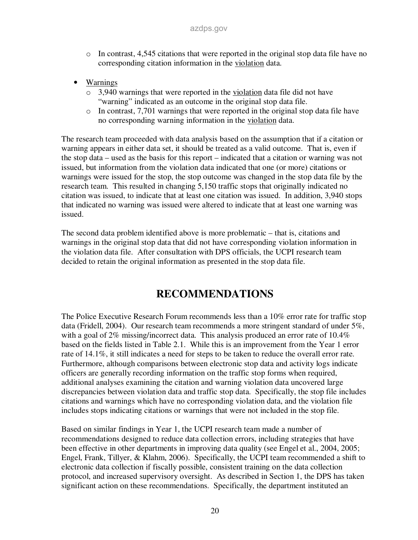- $\circ$  In contrast, 4,545 citations that were reported in the original stop data file have no corresponding citation information in the violation data.
- Warnings
	- o 3,940 warnings that were reported in the violation data file did not have "warning" indicated as an outcome in the original stop data file.
	- o In contrast, 7,701 warnings that were reported in the original stop data file have no corresponding warning information in the violation data.

The research team proceeded with data analysis based on the assumption that if a citation or warning appears in either data set, it should be treated as a valid outcome. That is, even if the stop data – used as the basis for this report – indicated that a citation or warning was not issued, but information from the violation data indicated that one (or more) citations or warnings were issued for the stop, the stop outcome was changed in the stop data file by the research team. This resulted in changing 5,150 traffic stops that originally indicated no citation was issued, to indicate that at least one citation was issued. In addition, 3,940 stops that indicated no warning was issued were altered to indicate that at least one warning was issued.

The second data problem identified above is more problematic – that is, citations and warnings in the original stop data that did not have corresponding violation information in the violation data file. After consultation with DPS officials, the UCPI research team decided to retain the original information as presented in the stop data file.

## **RECOMMENDATIONS**

The Police Executive Research Forum recommends less than a 10% error rate for traffic stop data (Fridell, 2004). Our research team recommends a more stringent standard of under 5%, with a goal of 2% missing/incorrect data. This analysis produced an error rate of 10.4% based on the fields listed in Table 2.1. While this is an improvement from the Year 1 error rate of 14.1%, it still indicates a need for steps to be taken to reduce the overall error rate. Furthermore, although comparisons between electronic stop data and activity logs indicate officers are generally recording information on the traffic stop forms when required, additional analyses examining the citation and warning violation data uncovered large discrepancies between violation data and traffic stop data. Specifically, the stop file includes citations and warnings which have no corresponding violation data, and the violation file includes stops indicating citations or warnings that were not included in the stop file.

Based on similar findings in Year 1, the UCPI research team made a number of recommendations designed to reduce data collection errors, including strategies that have been effective in other departments in improving data quality (see Engel et al., 2004, 2005; Engel, Frank, Tillyer, & Klahm, 2006). Specifically, the UCPI team recommended a shift to electronic data collection if fiscally possible, consistent training on the data collection protocol, and increased supervisory oversight. As described in Section 1, the DPS has taken significant action on these recommendations. Specifically, the department instituted an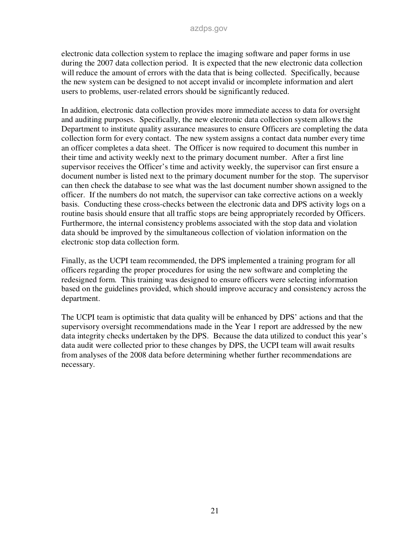electronic data collection system to replace the imaging software and paper forms in use during the 2007 data collection period. It is expected that the new electronic data collection will reduce the amount of errors with the data that is being collected. Specifically, because the new system can be designed to not accept invalid or incomplete information and alert users to problems, user-related errors should be significantly reduced.

In addition, electronic data collection provides more immediate access to data for oversight and auditing purposes. Specifically, the new electronic data collection system allows the Department to institute quality assurance measures to ensure Officers are completing the data collection form for every contact. The new system assigns a contact data number every time an officer completes a data sheet. The Officer is now required to document this number in their time and activity weekly next to the primary document number. After a first line supervisor receives the Officer's time and activity weekly, the supervisor can first ensure a document number is listed next to the primary document number for the stop. The supervisor can then check the database to see what was the last document number shown assigned to the officer. If the numbers do not match, the supervisor can take corrective actions on a weekly basis. Conducting these cross-checks between the electronic data and DPS activity logs on a routine basis should ensure that all traffic stops are being appropriately recorded by Officers. Furthermore, the internal consistency problems associated with the stop data and violation data should be improved by the simultaneous collection of violation information on the electronic stop data collection form.

Finally, as the UCPI team recommended, the DPS implemented a training program for all officers regarding the proper procedures for using the new software and completing the redesigned form. This training was designed to ensure officers were selecting information based on the guidelines provided, which should improve accuracy and consistency across the department.

The UCPI team is optimistic that data quality will be enhanced by DPS' actions and that the supervisory oversight recommendations made in the Year 1 report are addressed by the new data integrity checks undertaken by the DPS. Because the data utilized to conduct this year's data audit were collected prior to these changes by DPS, the UCPI team will await results from analyses of the 2008 data before determining whether further recommendations are necessary.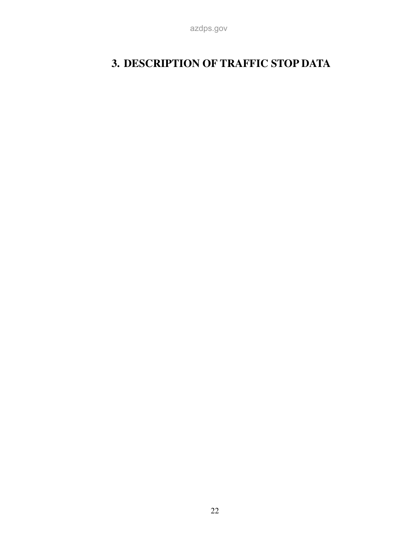# **3. DESCRIPTION OF TRAFFIC STOP DATA**

azdps.gov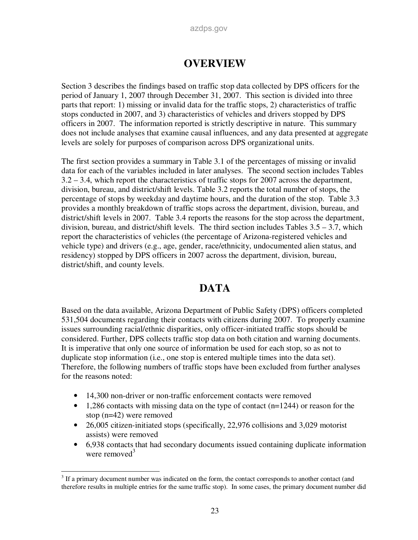## **OVERVIEW**

Section 3 describes the findings based on traffic stop data collected by DPS officers for the period of January 1, 2007 through December 31, 2007. This section is divided into three parts that report: 1) missing or invalid data for the traffic stops, 2) characteristics of traffic stops conducted in 2007, and 3) characteristics of vehicles and drivers stopped by DPS officers in 2007. The information reported is strictly descriptive in nature. This summary does not include analyses that examine causal influences, and any data presented at aggregate levels are solely for purposes of comparison across DPS organizational units.

The first section provides a summary in Table 3.1 of the percentages of missing or invalid data for each of the variables included in later analyses. The second section includes Tables 3.2 – 3.4, which report the characteristics of traffic stops for 2007 across the department, division, bureau, and district/shift levels. Table 3.2 reports the total number of stops, the percentage of stops by weekday and daytime hours, and the duration of the stop. Table 3.3 provides a monthly breakdown of traffic stops across the department, division, bureau, and district/shift levels in 2007. Table 3.4 reports the reasons for the stop across the department, division, bureau, and district/shift levels. The third section includes Tables  $3.5 - 3.7$ , which report the characteristics of vehicles (the percentage of Arizona-registered vehicles and vehicle type) and drivers (e.g., age, gender, race/ethnicity, undocumented alien status, and residency) stopped by DPS officers in 2007 across the department, division, bureau, district/shift, and county levels.

## **DATA**

Based on the data available, Arizona Department of Public Safety (DPS) officers completed 531,504 documents regarding their contacts with citizens during 2007. To properly examine issues surrounding racial/ethnic disparities, only officer-initiated traffic stops should be considered. Further, DPS collects traffic stop data on both citation and warning documents. It is imperative that only one source of information be used for each stop, so as not to duplicate stop information (i.e., one stop is entered multiple times into the data set). Therefore, the following numbers of traffic stops have been excluded from further analyses for the reasons noted:

- 14,300 non-driver or non-traffic enforcement contacts were removed
- $\bullet$  1,286 contacts with missing data on the type of contact (n=1244) or reason for the stop (n=42) were removed
- 26,005 citizen-initiated stops (specifically, 22,976 collisions and 3,029 motorist assists) were removed
- 6,938 contacts that had secondary documents issued containing duplicate information were removed $3$

<sup>&</sup>lt;sup>3</sup> If a primary document number was indicated on the form, the contact corresponds to another contact (and <sup>3</sup> therefore results in multiple entries for the same traffic stop). In some cases, the primary document number did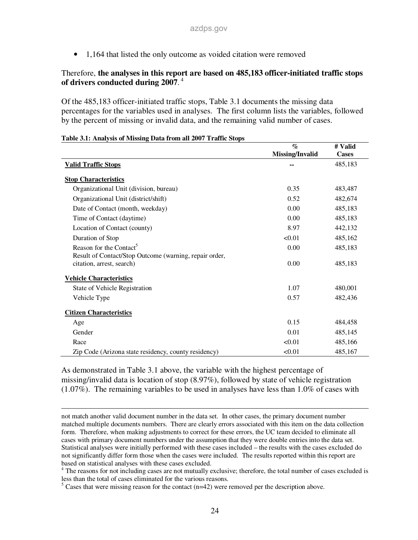• 1,164 that listed the only outcome as voided citation were removed

### Therefore, **the analyses in this report are based on 485,183 officer-initiated traffic stops of drivers conducted during 2007**. 4

Of the 485,183 officer-initiated traffic stops, Table 3.1 documents the missing data percentages for the variables used in analyses. The first column lists the variables, followed by the percent of missing or invalid data, and the remaining valid number of cases.

|                                                        | $\mathcal{O}'$  | # Valid      |
|--------------------------------------------------------|-----------------|--------------|
|                                                        | Missing/Invalid | <b>Cases</b> |
| <b>Valid Traffic Stops</b>                             |                 | 485,183      |
| <b>Stop Characteristics</b>                            |                 |              |
| Organizational Unit (division, bureau)                 | 0.35            | 483,487      |
| Organizational Unit (district/shift)                   | 0.52            | 482,674      |
| Date of Contact (month, weekday)                       | 0.00            | 485,183      |
| Time of Contact (daytime)                              | 0.00            | 485,183      |
| Location of Contact (county)                           | 8.97            | 442,132      |
| Duration of Stop                                       | < 0.01          | 485,162      |
| Reason for the Contact <sup>5</sup>                    | 0.00            | 485,183      |
| Result of Contact/Stop Outcome (warning, repair order, |                 |              |
| citation, arrest, search)                              | 0.00            | 485,183      |
| <b>Vehicle Characteristics</b>                         |                 |              |
| State of Vehicle Registration                          | 1.07            | 480,001      |
| Vehicle Type                                           | 0.57            | 482,436      |
| <b>Citizen Characteristics</b>                         |                 |              |
| Age                                                    | 0.15            | 484,458      |
| Gender                                                 | 0.01            | 485,145      |
| Race                                                   | < 0.01          | 485,166      |
| Zip Code (Arizona state residency, county residency)   | < 0.01          | 485,167      |

#### **Table 3.1: Analysis of Missing Data from all 2007 Traffic Stops**

-

As demonstrated in Table 3.1 above, the variable with the highest percentage of missing/invalid data is location of stop (8.97%), followed by state of vehicle registration (1.07%). The remaining variables to be used in analyses have less than 1.0% of cases with

not match another valid document number in the data set. In other cases, the primary document number matched multiple documents numbers. There are clearly errors associated with this item on the data collection form. Therefore, when making adjustments to correct for these errors, the UC team decided to eliminate all cases with primary document numbers under the assumption that they were double entries into the data set. Statistical analyses were initially performed with these cases included – the results with the cases excluded do not significantly differ form those when the cases were included. The results reported within this report are based on statistical analyses with these cases excluded.

<sup>&</sup>lt;sup>4</sup> The reasons for not including cases are not mutually exclusive; therefore, the total number of cases excluded is less than the total of cases eliminated for the various reasons.

 $5$  Cases that were missing reason for the contact (n=42) were removed per the description above.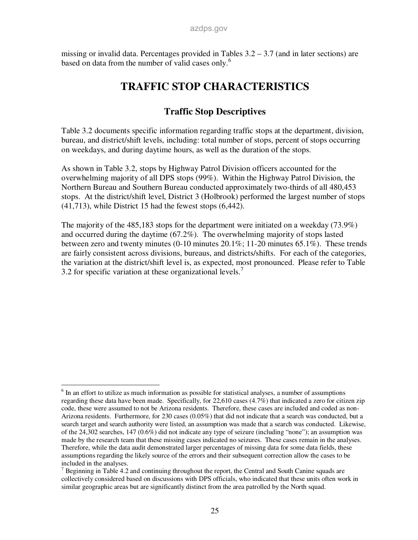missing or invalid data. Percentages provided in Tables  $3.2 - 3.7$  (and in later sections) are based on data from the number of valid cases only.<sup>6</sup>

## **TRAFFIC STOP CHARACTERISTICS**

## **Traffic Stop Descriptives**

Table 3.2 documents specific information regarding traffic stops at the department, division, bureau, and district/shift levels, including: total number of stops, percent of stops occurring on weekdays, and during daytime hours, as well as the duration of the stops.

As shown in Table 3.2, stops by Highway Patrol Division officers accounted for the overwhelming majority of all DPS stops (99%). Within the Highway Patrol Division, the Northern Bureau and Southern Bureau conducted approximately two-thirds of all 480,453 stops. At the district/shift level, District 3 (Holbrook) performed the largest number of stops (41,713), while District 15 had the fewest stops (6,442).

The majority of the 485,183 stops for the department were initiated on a weekday (73.9%) and occurred during the daytime (67.2%). The overwhelming majority of stops lasted between zero and twenty minutes (0-10 minutes 20.1%; 11-20 minutes 65.1%). These trends are fairly consistent across divisions, bureaus, and districts/shifts. For each of the categories, the variation at the district/shift level is, as expected, most pronounced. Please refer to Table 3.2 for specific variation at these organizational levels.<sup>7</sup>

<sup>&</sup>lt;sup>6</sup> In an effort to utilize as much information as possible for statistical analyses, a number of assumptions regarding these data have been made. Specifically, for 22,610 cases (4.7%) that indicated a zero for citizen zip code, these were assumed to not be Arizona residents. Therefore, these cases are included and coded as non-Arizona residents. Furthermore, for 230 cases (0.05%) that did not indicate that a search was conducted, but a search target and search authority were listed, an assumption was made that a search was conducted. Likewise, of the 24,302 searches, 147 (0.6%) did not indicate any type of seizure (including "none"); an assumption was made by the research team that these missing cases indicated no seizures. These cases remain in the analyses. Therefore, while the data audit demonstrated larger percentages of missing data for some data fields, these assumptions regarding the likely source of the errors and their subsequent correction allow the cases to be included in the analyses.

 $7$  Beginning in Table 4.2 and continuing throughout the report, the Central and South Canine squads are collectively considered based on discussions with DPS officials, who indicated that these units often work in similar geographic areas but are significantly distinct from the area patrolled by the North squad.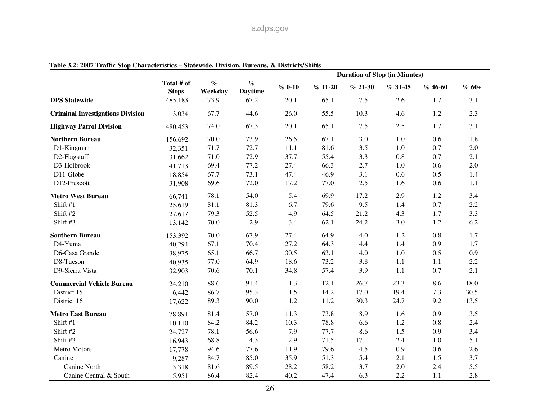|                                         |                            |                 |                        |          |          | <b>Duration of Stop (in Minutes)</b> |           |           |         |
|-----------------------------------------|----------------------------|-----------------|------------------------|----------|----------|--------------------------------------|-----------|-----------|---------|
|                                         | Total # of<br><b>Stops</b> | $\%$<br>Weekday | $\%$<br><b>Daytime</b> | $% 0-10$ | $%11-20$ | $% 21-30$                            | $% 31-45$ | $% 46-60$ | $% 60+$ |
| <b>DPS</b> Statewide                    | 485,183                    | 73.9            | 67.2                   | 20.1     | 65.1     | 7.5                                  | 2.6       | 1.7       | 3.1     |
| <b>Criminal Investigations Division</b> | 3,034                      | 67.7            | 44.6                   | 26.0     | 55.5     | 10.3                                 | 4.6       | $1.2\,$   | 2.3     |
| <b>Highway Patrol Division</b>          | 480,453                    | 74.0            | 67.3                   | 20.1     | 65.1     | 7.5                                  | 2.5       | 1.7       | 3.1     |
| <b>Northern Bureau</b>                  | 156,692                    | 70.0            | 73.9                   | 26.5     | 67.1     | 3.0                                  | 1.0       | 0.6       | 1.8     |
| D1-Kingman                              | 32,351                     | 71.7            | 72.7                   | 11.1     | 81.6     | 3.5                                  | 1.0       | 0.7       | $2.0\,$ |
| D2-Flagstaff                            | 31,662                     | 71.0            | 72.9                   | 37.7     | 55.4     | 3.3                                  | 0.8       | 0.7       | 2.1     |
| D3-Holbrook                             | 41,713                     | 69.4            | 77.2                   | 27.4     | 66.3     | 2.7                                  | 1.0       | 0.6       | 2.0     |
| D11-Globe                               | 18,854                     | 67.7            | 73.1                   | 47.4     | 46.9     | 3.1                                  | 0.6       | 0.5       | 1.4     |
| D12-Prescott                            | 31,908                     | 69.6            | 72.0                   | 17.2     | 77.0     | 2.5                                  | 1.6       | 0.6       | 1.1     |
| <b>Metro West Bureau</b>                | 66,741                     | 78.1            | 54.0                   | 5.4      | 69.9     | 17.2                                 | 2.9       | 1.2       | 3.4     |
| Shift #1                                | 25,619                     | 81.1            | 81.3                   | 6.7      | 79.6     | 9.5                                  | 1.4       | 0.7       | 2.2     |
| Shift #2                                | 27,617                     | 79.3            | 52.5                   | 4.9      | 64.5     | 21.2                                 | 4.3       | 1.7       | 3.3     |
| Shift #3                                | 13,142                     | 70.0            | 2.9                    | 3.4      | 62.1     | 24.2                                 | 3.0       | 1.2       | 6.2     |
| <b>Southern Bureau</b>                  | 153,392                    | 70.0            | 67.9                   | 27.4     | 64.9     | 4.0                                  | $1.2\,$   | 0.8       | 1.7     |
| D4-Yuma                                 | 40,294                     | 67.1            | 70.4                   | 27.2     | 64.3     | 4.4                                  | 1.4       | 0.9       | 1.7     |
| D6-Casa Grande                          | 38,975                     | 65.1            | 66.7                   | 30.5     | 63.1     | 4.0                                  | $1.0\,$   | 0.5       | 0.9     |
| D8-Tucson                               | 40,935                     | 77.0            | 64.9                   | 18.6     | 73.2     | 3.8                                  | 1.1       | 1.1       | 2.2     |
| D9-Sierra Vista                         | 32,903                     | 70.6            | 70.1                   | 34.8     | 57.4     | 3.9                                  | 1.1       | 0.7       | 2.1     |
| <b>Commercial Vehicle Bureau</b>        | 24,210                     | 88.6            | 91.4                   | 1.3      | 12.1     | 26.7                                 | 23.3      | 18.6      | 18.0    |
| District 15                             | 6,442                      | 86.7            | 95.3                   | 1.5      | 14.2     | 17.0                                 | 19.4      | 17.3      | 30.5    |
| District 16                             | 17,622                     | 89.3            | 90.0                   | 1.2      | 11.2     | 30.3                                 | 24.7      | 19.2      | 13.5    |
| <b>Metro East Bureau</b>                | 78,891                     | 81.4            | 57.0                   | 11.3     | 73.8     | 8.9                                  | 1.6       | 0.9       | 3.5     |
| Shift #1                                | 10,110                     | 84.2            | 84.2                   | 10.3     | 78.8     | 6.6                                  | 1.2       | 0.8       | 2.4     |
| Shift #2                                | 24,727                     | 78.1            | 56.6                   | 7.9      | 77.7     | 8.6                                  | 1.5       | 0.9       | 3.4     |
| Shift #3                                | 16,943                     | 68.8            | 4.3                    | 2.9      | 71.5     | 17.1                                 | 2.4       | 1.0       | 5.1     |
| Metro Motors                            | 17,778                     | 94.6            | 77.6                   | 11.9     | 79.6     | 4.5                                  | 0.9       | 0.6       | 2.6     |
| Canine                                  | 9,287                      | 84.7            | 85.0                   | 35.9     | 51.3     | 5.4                                  | 2.1       | 1.5       | 3.7     |
| Canine North                            | 3,318                      | 81.6            | 89.5                   | 28.2     | 58.2     | 3.7                                  | 2.0       | 2.4       | 5.5     |
| Canine Central & South                  | 5,951                      | 86.4            | 82.4                   | 40.2     | 47.4     | 6.3                                  | 2.2       | 1.1       | 2.8     |

#### **Table 3.2: 2007 Traffic Stop Characteristics – Statewide, Division, Bureaus, & Districts/Shifts**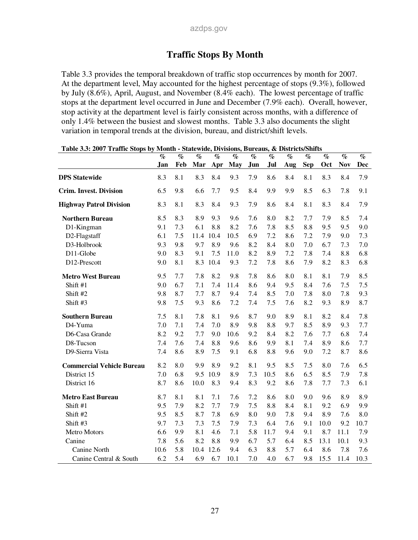## **Traffic Stops By Month**

Table 3.3 provides the temporal breakdown of traffic stop occurrences by month for 2007. At the department level, May accounted for the highest percentage of stops (9.3%), followed by July (8.6%), April, August, and November (8.4% each). The lowest percentage of traffic stops at the department level occurred in June and December (7.9% each). Overall, however, stop activity at the department level is fairly consistent across months, with a difference of only 1.4% between the busiest and slowest months. Table 3.3 also documents the slight variation in temporal trends at the division, bureau, and district/shift levels.

|                                  | $\%$ | $\%$ | $\%$ | $\%$ | $\%$ | $\%$ | $\%$ | $\%$ | $\%$       | $\%$ | $\%$       | $\%$       |
|----------------------------------|------|------|------|------|------|------|------|------|------------|------|------------|------------|
|                                  | Jan  | Feb  | Mar  | Apr  | May  | Jun  | Jul  | Aug  | <b>Sep</b> | Oct  | <b>Nov</b> | <b>Dec</b> |
| <b>DPS</b> Statewide             | 8.3  | 8.1  | 8.3  | 8.4  | 9.3  | 7.9  | 8.6  | 8.4  | 8.1        | 8.3  | 8.4        | 7.9        |
| <b>Crim. Invest. Division</b>    | 6.5  | 9.8  | 6.6  | 7.7  | 9.5  | 8.4  | 9.9  | 9.9  | 8.5        | 6.3  | 7.8        | 9.1        |
| <b>Highway Patrol Division</b>   | 8.3  | 8.1  | 8.3  | 8.4  | 9.3  | 7.9  | 8.6  | 8.4  | 8.1        | 8.3  | 8.4        | 7.9        |
| <b>Northern Bureau</b>           | 8.5  | 8.3  | 8.9  | 9.3  | 9.6  | 7.6  | 8.0  | 8.2  | 7.7        | 7.9  | 8.5        | 7.4        |
| D1-Kingman                       | 9.1  | 7.3  | 6.1  | 8.8  | 8.2  | 7.6  | 7.8  | 8.5  | 8.8        | 9.5  | 9.5        | 9.0        |
| D2-Flagstaff                     | 6.1  | 7.5  | 11.4 | 10.4 | 10.5 | 6.9  | 7.2  | 8.6  | 7.2        | 7.9  | 9.0        | 7.3        |
| D3-Holbrook                      | 9.3  | 9.8  | 9.7  | 8.9  | 9.6  | 8.2  | 8.4  | 8.0  | 7.0        | 6.7  | 7.3        | 7.0        |
| D11-Globe                        | 9.0  | 8.3  | 9.1  | 7.5  | 11.0 | 8.2  | 8.9  | 7.2  | 7.8        | 7.4  | 8.8        | 6.8        |
| D12-Prescott                     | 9.0  | 8.1  | 8.3  | 10.4 | 9.3  | 7.2  | 7.8  | 8.6  | 7.9        | 8.2  | 8.3        | 6.8        |
| <b>Metro West Bureau</b>         | 9.5  | 7.7  | 7.8  | 8.2  | 9.8  | 7.8  | 8.6  | 8.0  | 8.1        | 8.1  | 7.9        | 8.5        |
| Shift #1                         | 9.0  | 6.7  | 7.1  | 7.4  | 11.4 | 8.6  | 9.4  | 9.5  | 8.4        | 7.6  | 7.5        | 7.5        |
| Shift #2                         | 9.8  | 8.7  | 7.7  | 8.7  | 9.4  | 7.4  | 8.5  | 7.0  | 7.8        | 8.0  | 7.8        | 9.3        |
| Shift #3                         | 9.8  | 7.5  | 9.3  | 8.6  | 7.2  | 7.4  | 7.5  | 7.6  | 8.2        | 9.3  | 8.9        | 8.7        |
| <b>Southern Bureau</b>           | 7.5  | 8.1  | 7.8  | 8.1  | 9.6  | 8.7  | 9.0  | 8.9  | 8.1        | 8.2  | 8.4        | 7.8        |
| D4-Yuma                          | 7.0  | 7.1  | 7.4  | 7.0  | 8.9  | 9.8  | 8.8  | 9.7  | 8.5        | 8.9  | 9.3        | 7.7        |
| D6-Casa Grande                   | 8.2  | 9.2  | 7.7  | 9.0  | 10.6 | 9.2  | 8.4  | 8.2  | 7.6        | 7.7  | 6.8        | 7.4        |
| D8-Tucson                        | 7.4  | 7.6  | 7.4  | 8.8  | 9.6  | 8.6  | 9.9  | 8.1  | 7.4        | 8.9  | 8.6        | 7.7        |
| D9-Sierra Vista                  | 7.4  | 8.6  | 8.9  | 7.5  | 9.1  | 6.8  | 8.8  | 9.6  | 9.0        | 7.2  | 8.7        | 8.6        |
| <b>Commercial Vehicle Bureau</b> | 8.2  | 8.0  | 9.9  | 8.9  | 9.2  | 8.1  | 9.5  | 8.5  | 7.5        | 8.0  | 7.6        | 6.5        |
| District 15                      | 7.0  | 6.8  | 9.5  | 10.9 | 8.9  | 7.3  | 10.5 | 8.6  | 6.5        | 8.5  | 7.9        | 7.8        |
| District 16                      | 8.7  | 8.6  | 10.0 | 8.3  | 9.4  | 8.3  | 9.2  | 8.6  | 7.8        | 7.7  | 7.3        | 6.1        |
| <b>Metro East Bureau</b>         | 8.7  | 8.1  | 8.1  | 7.1  | 7.6  | 7.2  | 8.6  | 8.0  | 9.0        | 9.6  | 8.9        | 8.9        |
| Shift #1                         | 9.5  | 7.9  | 8.2  | 7.7  | 7.9  | 7.5  | 8.8  | 8.4  | 8.1        | 9.2  | 6.9        | 9.9        |
| Shift #2                         | 9.5  | 8.5  | 8.7  | 7.8  | 6.9  | 8.0  | 9.0  | 7.8  | 9.4        | 8.9  | 7.6        | 8.0        |
| Shift #3                         | 9.7  | 7.3  | 7.3  | 7.5  | 7.9  | 7.3  | 6.4  | 7.6  | 9.1        | 10.0 | 9.2        | 10.7       |
| Metro Motors                     | 6.6  | 9.9  | 8.1  | 4.6  | 7.1  | 5.8  | 11.7 | 9.4  | 9.1        | 8.7  | 11.1       | 7.9        |
| Canine                           | 7.8  | 5.6  | 8.2  | 8.8  | 9.9  | 6.7  | 5.7  | 6.4  | 8.5        | 13.1 | 10.1       | 9.3        |
| Canine North                     | 10.6 | 5.8  | 10.4 | 12.6 | 9.4  | 6.3  | 8.8  | 5.7  | 6.4        | 8.6  | 7.8        | 7.6        |
| Canine Central & South           | 6.2  | 5.4  | 6.9  | 6.7  | 10.1 | 7.0  | 4.0  | 6.7  | 9.8        | 15.5 | 11.4       | 10.3       |

**Table 3.3: 2007 Traffic Stops by Month - Statewide, Divisions, Bureaus, & Districts/Shifts**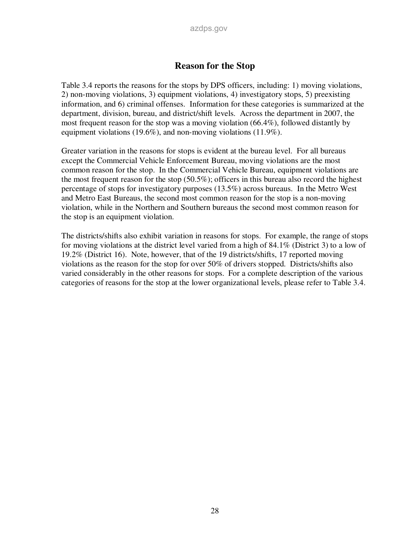### **Reason for the Stop**

Table 3.4 reports the reasons for the stops by DPS officers, including: 1) moving violations, 2) non-moving violations, 3) equipment violations, 4) investigatory stops, 5) preexisting information, and 6) criminal offenses. Information for these categories is summarized at the department, division, bureau, and district/shift levels. Across the department in 2007, the most frequent reason for the stop was a moving violation (66.4%), followed distantly by equipment violations (19.6%), and non-moving violations (11.9%).

Greater variation in the reasons for stops is evident at the bureau level. For all bureaus except the Commercial Vehicle Enforcement Bureau, moving violations are the most common reason for the stop. In the Commercial Vehicle Bureau, equipment violations are the most frequent reason for the stop (50.5%); officers in this bureau also record the highest percentage of stops for investigatory purposes (13.5%) across bureaus. In the Metro West and Metro East Bureaus, the second most common reason for the stop is a non-moving violation, while in the Northern and Southern bureaus the second most common reason for the stop is an equipment violation.

The districts/shifts also exhibit variation in reasons for stops. For example, the range of stops for moving violations at the district level varied from a high of 84.1% (District 3) to a low of 19.2% (District 16). Note, however, that of the 19 districts/shifts, 17 reported moving violations as the reason for the stop for over 50% of drivers stopped. Districts/shifts also varied considerably in the other reasons for stops. For a complete description of the various categories of reasons for the stop at the lower organizational levels, please refer to Table 3.4.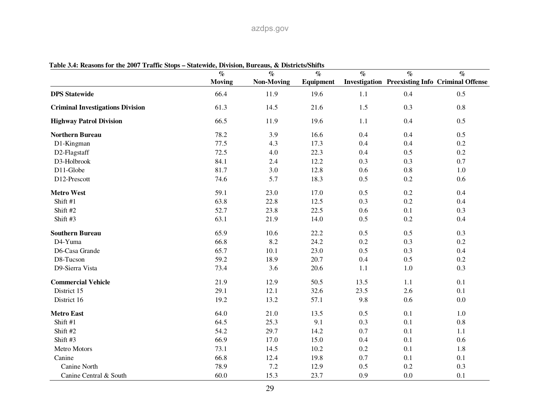| $\frac{1}{2}$                           | <b>DITIONALLY DOME</b><br>$\%$ | $\mathcal{O}_0$   | <b>DEVALLANT DELLAN</b><br>$\%$ | $\%$ | $\%$    | $\%$                                                   |
|-----------------------------------------|--------------------------------|-------------------|---------------------------------|------|---------|--------------------------------------------------------|
|                                         | <b>Moving</b>                  | <b>Non-Moving</b> | Equipment                       |      |         | <b>Investigation Preexisting Info Criminal Offense</b> |
| <b>DPS</b> Statewide                    | 66.4                           | 11.9              | 19.6                            | 1.1  | 0.4     | 0.5                                                    |
| <b>Criminal Investigations Division</b> | 61.3                           | 14.5              | 21.6                            | 1.5  | 0.3     | 0.8                                                    |
| <b>Highway Patrol Division</b>          | 66.5                           | 11.9              | 19.6                            | 1.1  | 0.4     | 0.5                                                    |
| <b>Northern Bureau</b>                  | 78.2                           | 3.9               | 16.6                            | 0.4  | 0.4     | 0.5                                                    |
| D1-Kingman                              | 77.5                           | 4.3               | 17.3                            | 0.4  | 0.4     | 0.2                                                    |
| D2-Flagstaff                            | 72.5                           | 4.0               | 22.3                            | 0.4  | 0.5     | 0.2                                                    |
| D3-Holbrook                             | 84.1                           | 2.4               | 12.2                            | 0.3  | 0.3     | 0.7                                                    |
| D11-Globe                               | 81.7                           | 3.0               | 12.8                            | 0.6  | 0.8     | $1.0\,$                                                |
| D12-Prescott                            | 74.6                           | 5.7               | 18.3                            | 0.5  | 0.2     | 0.6                                                    |
| <b>Metro West</b>                       | 59.1                           | 23.0              | 17.0                            | 0.5  | 0.2     | 0.4                                                    |
| Shift #1                                | 63.8                           | 22.8              | 12.5                            | 0.3  | 0.2     | 0.4                                                    |
| Shift #2                                | 52.7                           | 23.8              | 22.5                            | 0.6  | 0.1     | 0.3                                                    |
| Shift #3                                | 63.1                           | 21.9              | 14.0                            | 0.5  | 0.2     | 0.4                                                    |
| <b>Southern Bureau</b>                  | 65.9                           | 10.6              | 22.2                            | 0.5  | 0.5     | 0.3                                                    |
| D4-Yuma                                 | 66.8                           | 8.2               | 24.2                            | 0.2  | 0.3     | 0.2                                                    |
| D6-Casa Grande                          | 65.7                           | 10.1              | 23.0                            | 0.5  | 0.3     | 0.4                                                    |
| D8-Tucson                               | 59.2                           | 18.9              | 20.7                            | 0.4  | 0.5     | 0.2                                                    |
| D9-Sierra Vista                         | 73.4                           | 3.6               | 20.6                            | 1.1  | $1.0\,$ | 0.3                                                    |
| <b>Commercial Vehicle</b>               | 21.9                           | 12.9              | 50.5                            | 13.5 | 1.1     | 0.1                                                    |
| District 15                             | 29.1                           | 12.1              | 32.6                            | 23.5 | 2.6     | 0.1                                                    |
| District 16                             | 19.2                           | 13.2              | 57.1                            | 9.8  | 0.6     | 0.0                                                    |
| <b>Metro East</b>                       | 64.0                           | 21.0              | 13.5                            | 0.5  | 0.1     | $1.0\,$                                                |
| Shift #1                                | 64.5                           | 25.3              | 9.1                             | 0.3  | 0.1     | $0.8\,$                                                |
| Shift #2                                | 54.2                           | 29.7              | 14.2                            | 0.7  | 0.1     | 1.1                                                    |
| Shift #3                                | 66.9                           | 17.0              | 15.0                            | 0.4  | 0.1     | 0.6                                                    |
| Metro Motors                            | 73.1                           | 14.5              | 10.2                            | 0.2  | 0.1     | 1.8                                                    |
| Canine                                  | 66.8                           | 12.4              | 19.8                            | 0.7  | 0.1     | 0.1                                                    |
| Canine North                            | 78.9                           | 7.2               | 12.9                            | 0.5  | 0.2     | 0.3                                                    |
| Canine Central & South                  | 60.0                           | 15.3              | 23.7                            | 0.9  | 0.0     | 0.1                                                    |

**Table 3.4: Reasons for the 2007 Traffic Stops – Statewide, Division, Bureaus, & Districts/Shifts**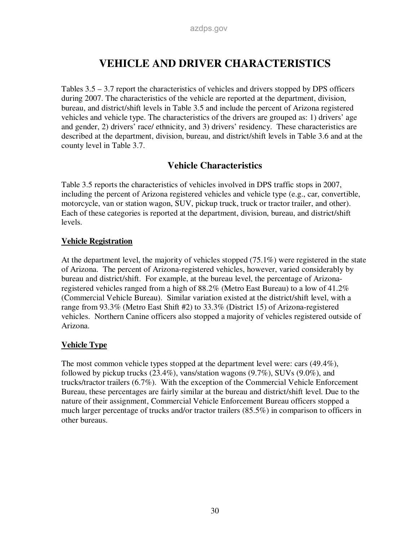## **VEHICLE AND DRIVER CHARACTERISTICS**

Tables 3.5 – 3.7 report the characteristics of vehicles and drivers stopped by DPS officers during 2007. The characteristics of the vehicle are reported at the department, division, bureau, and district/shift levels in Table 3.5 and include the percent of Arizona registered vehicles and vehicle type. The characteristics of the drivers are grouped as: 1) drivers' age and gender, 2) drivers' race/ ethnicity, and 3) drivers' residency. These characteristics are described at the department, division, bureau, and district/shift levels in Table 3.6 and at the county level in Table 3.7.

## **Vehicle Characteristics**

Table 3.5 reports the characteristics of vehicles involved in DPS traffic stops in 2007, including the percent of Arizona registered vehicles and vehicle type (e.g., car, convertible, motorcycle, van or station wagon, SUV, pickup truck, truck or tractor trailer, and other). Each of these categories is reported at the department, division, bureau, and district/shift levels.

### **Vehicle Registration**

At the department level, the majority of vehicles stopped (75.1%) were registered in the state of Arizona. The percent of Arizona-registered vehicles, however, varied considerably by bureau and district/shift. For example, at the bureau level, the percentage of Arizonaregistered vehicles ranged from a high of 88.2% (Metro East Bureau) to a low of 41.2% (Commercial Vehicle Bureau). Similar variation existed at the district/shift level, with a range from 93.3% (Metro East Shift #2) to 33.3% (District 15) of Arizona-registered vehicles. Northern Canine officers also stopped a majority of vehicles registered outside of Arizona.

### **Vehicle Type**

The most common vehicle types stopped at the department level were: cars (49.4%), followed by pickup trucks (23.4%), vans/station wagons (9.7%), SUVs (9.0%), and trucks/tractor trailers (6.7%). With the exception of the Commercial Vehicle Enforcement Bureau, these percentages are fairly similar at the bureau and district/shift level. Due to the nature of their assignment, Commercial Vehicle Enforcement Bureau officers stopped a much larger percentage of trucks and/or tractor trailers (85.5%) in comparison to officers in other bureaus.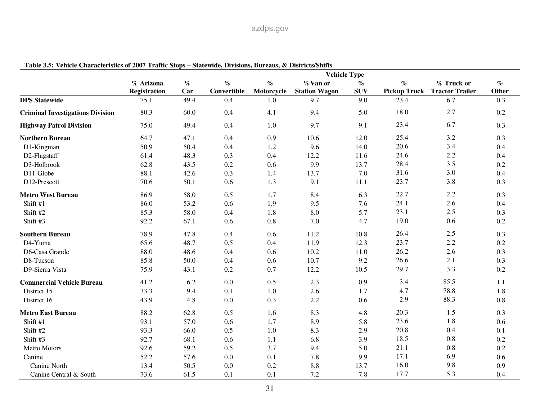|                                         |                                  |             |                     |                    | <b>Vehicle Type</b>              |                    |                             |                                      |               |
|-----------------------------------------|----------------------------------|-------------|---------------------|--------------------|----------------------------------|--------------------|-----------------------------|--------------------------------------|---------------|
|                                         | % Arizona<br><b>Registration</b> | $\%$<br>Car | $\%$<br>Convertible | $\%$<br>Motorcycle | % Van or<br><b>Station Wagon</b> | $\%$<br><b>SUV</b> | $\%$<br><b>Pickup Truck</b> | % Truck or<br><b>Tractor Trailer</b> | $\%$<br>Other |
| <b>DPS Statewide</b>                    | 75.1                             | 49.4        | 0.4                 | 1.0                | 9.7                              | 9.0                | 23.4                        | 6.7                                  | 0.3           |
| <b>Criminal Investigations Division</b> | 80.3                             | 60.0        | 0.4                 | 4.1                | 9.4                              | 5.0                | 18.0                        | 2.7                                  | 0.2           |
| <b>Highway Patrol Division</b>          | 75.0                             | 49.4        | 0.4                 | 1.0                | 9.7                              | 9.1                | 23.4                        | 6.7                                  | 0.3           |
| <b>Northern Bureau</b>                  | 64.7                             | 47.1        | 0.4                 | 0.9                | 10.6                             | 12.0               | 25.4                        | 3.2                                  | 0.3           |
| D1-Kingman                              | 50.9                             | 50.4        | 0.4                 | 1.2                | 9.6                              | 14.0               | 20.6                        | 3.4                                  | 0.4           |
| D2-Flagstaff                            | 61.4                             | 48.3        | 0.3                 | 0.4                | 12.2                             | 11.6               | 24.6                        | 2.2                                  | 0.4           |
| D3-Holbrook                             | 62.8                             | 43.5        | 0.2                 | 0.6                | 9.9                              | 13.7               | 28.4                        | 3.5                                  | 0.2           |
| D11-Globe                               | 88.1                             | 42.6        | 0.3                 | 1.4                | 13.7                             | 7.0                | 31.6                        | 3.0                                  | 0.4           |
| D12-Prescott                            | 70.6                             | 50.1        | 0.6                 | 1.3                | 9.1                              | 11.1               | 23.7                        | 3.8                                  | 0.3           |
| <b>Metro West Bureau</b>                | 86.9                             | 58.0        | 0.5                 | 1.7                | 8.4                              | 6.3                | 22.7                        | 2.2                                  | 0.3           |
| Shift #1                                | 86.0                             | 53.2        | 0.6                 | 1.9                | 9.5                              | 7.6                | 24.1                        | 2.6                                  | 0.4           |
| Shift #2                                | 85.3                             | 58.0        | 0.4                 | 1.8                | 8.0                              | 5.7                | 23.1                        | 2.5                                  | 0.3           |
| Shift #3                                | 92.2                             | 67.1        | 0.6                 | 0.8                | 7.0                              | 4.7                | 19.0                        | 0.6                                  | 0.2           |
| <b>Southern Bureau</b>                  | 78.9                             | 47.8        | 0.4                 | 0.6                | 11.2                             | 10.8               | 26.4                        | 2.5                                  | 0.3           |
| D4-Yuma                                 | 65.6                             | 48.7        | 0.5                 | 0.4                | 11.9                             | 12.3               | 23.7                        | 2.2                                  | 0.2           |
| D6-Casa Grande                          | 88.0                             | 48.6        | 0.4                 | 0.6                | 10.2                             | 11.0               | 26.2                        | 2.6                                  | 0.3           |
| D8-Tucson                               | 85.8                             | 50.0        | 0.4                 | 0.6                | 10.7                             | 9.2                | 26.6                        | 2.1                                  | 0.3           |
| D9-Sierra Vista                         | 75.9                             | 43.1        | 0.2                 | 0.7                | 12.2                             | 10.5               | 29.7                        | 3.3                                  | 0.2           |
| <b>Commercial Vehicle Bureau</b>        | 41.2                             | 6.2         | 0.0                 | 0.5                | 2.3                              | 0.9                | 3.4                         | 85.5                                 | 1.1           |
| District 15                             | 33.3                             | 9.4         | 0.1                 | 1.0                | 2.6                              | 1.7                | 4.7                         | 78.8                                 | 1.8           |
| District 16                             | 43.9                             | 4.8         | 0.0                 | 0.3                | 2.2                              | 0.6                | 2.9                         | 88.3                                 | 0.8           |
| <b>Metro East Bureau</b>                | 88.2                             | 62.8        | 0.5                 | 1.6                | 8.3                              | 4.8                | 20.3                        | 1.5                                  | 0.3           |
| Shift #1                                | 93.1                             | 57.0        | 0.6                 | 1.7                | 8.9                              | 5.8                | 23.6                        | 1.8                                  | 0.6           |
| Shift #2                                | 93.3                             | 66.0        | 0.5                 | 1.0                | 8.3                              | 2.9                | 20.8                        | 0.4                                  | 0.1           |
| Shift #3                                | 92.7                             | 68.1        | 0.6                 | 1.1                | 6.8                              | 3.9                | 18.5                        | 0.8                                  | 0.2           |
| Metro Motors                            | 92.6                             | 59.2        | 0.5                 | 3.7                | 9.4                              | 5.0                | 21.1                        | 0.8                                  | 0.2           |
| Canine                                  | 52.2                             | 57.6        | 0.0                 | 0.1                | 7.8                              | 9.9                | 17.1                        | 6.9                                  | 0.6           |
| Canine North                            | 13.4                             | 50.5        | 0.0                 | 0.2                | 8.8                              | 13.7               | 16.0                        | 9.8                                  | 0.9           |
| Canine Central & South                  | 73.6                             | 61.5        | 0.1                 | 0.1                | 7.2                              | 7.8                | 17.7                        | 5.3                                  | 0.4           |

**Table 3.5: Vehicle Characteristics of 2007 Traffic Stops – Statewide, Divisions, Bureaus, & Districts/Shifts**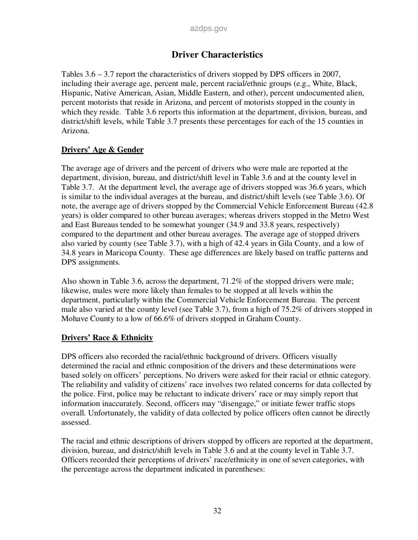## **Driver Characteristics**

Tables 3.6 – 3.7 report the characteristics of drivers stopped by DPS officers in 2007, including their average age, percent male, percent racial/ethnic groups (e.g., White, Black, Hispanic, Native American, Asian, Middle Eastern, and other), percent undocumented alien, percent motorists that reside in Arizona, and percent of motorists stopped in the county in which they reside. Table 3.6 reports this information at the department, division, bureau, and district/shift levels, while Table 3.7 presents these percentages for each of the 15 counties in Arizona.

### **Drivers' Age & Gender**

The average age of drivers and the percent of drivers who were male are reported at the department, division, bureau, and district/shift level in Table 3.6 and at the county level in Table 3.7. At the department level, the average age of drivers stopped was 36.6 years, which is similar to the individual averages at the bureau, and district/shift levels (see Table 3.6). Of note, the average age of drivers stopped by the Commercial Vehicle Enforcement Bureau (42.8 years) is older compared to other bureau averages; whereas drivers stopped in the Metro West and East Bureaus tended to be somewhat younger (34.9 and 33.8 years, respectively) compared to the department and other bureau averages. The average age of stopped drivers also varied by county (see Table 3.7), with a high of 42.4 years in Gila County, and a low of 34.8 years in Maricopa County. These age differences are likely based on traffic patterns and DPS assignments.

Also shown in Table 3.6, across the department, 71.2% of the stopped drivers were male; likewise, males were more likely than females to be stopped at all levels within the department, particularly within the Commercial Vehicle Enforcement Bureau. The percent male also varied at the county level (see Table 3.7), from a high of 75.2% of drivers stopped in Mohave County to a low of 66.6% of drivers stopped in Graham County.

### **Drivers' Race & Ethnicity**

DPS officers also recorded the racial/ethnic background of drivers. Officers visually determined the racial and ethnic composition of the drivers and these determinations were based solely on officers' perceptions. No drivers were asked for their racial or ethnic category. The reliability and validity of citizens' race involves two related concerns for data collected by the police. First, police may be reluctant to indicate drivers' race or may simply report that information inaccurately. Second, officers may "disengage," or initiate fewer traffic stops overall. Unfortunately, the validity of data collected by police officers often cannot be directly assessed.

The racial and ethnic descriptions of drivers stopped by officers are reported at the department, division, bureau, and district/shift levels in Table 3.6 and at the county level in Table 3.7. Officers recorded their perceptions of drivers' race/ethnicity in one of seven categories, with the percentage across the department indicated in parentheses: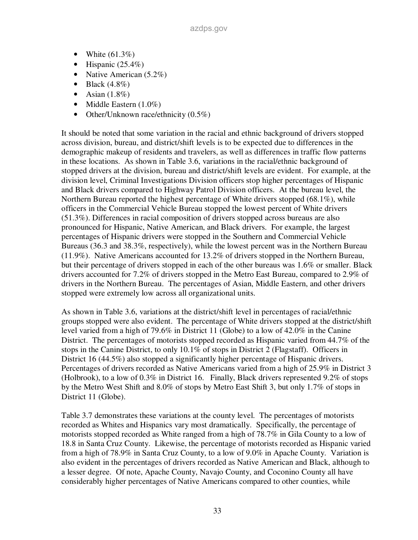- White  $(61.3\%)$
- Hispanic  $(25.4\%)$
- Native American (5.2%)
- Black  $(4.8\%)$
- Asian  $(1.8\%)$
- Middle Eastern  $(1.0\%)$
- Other/Unknown race/ethnicity (0.5%)

It should be noted that some variation in the racial and ethnic background of drivers stopped across division, bureau, and district/shift levels is to be expected due to differences in the demographic makeup of residents and travelers, as well as differences in traffic flow patterns in these locations. As shown in Table 3.6, variations in the racial/ethnic background of stopped drivers at the division, bureau and district/shift levels are evident. For example, at the division level, Criminal Investigations Division officers stop higher percentages of Hispanic and Black drivers compared to Highway Patrol Division officers. At the bureau level, the Northern Bureau reported the highest percentage of White drivers stopped (68.1%), while officers in the Commercial Vehicle Bureau stopped the lowest percent of White drivers (51.3%). Differences in racial composition of drivers stopped across bureaus are also pronounced for Hispanic, Native American, and Black drivers. For example, the largest percentages of Hispanic drivers were stopped in the Southern and Commercial Vehicle Bureaus (36.3 and 38.3%, respectively), while the lowest percent was in the Northern Bureau (11.9%). Native Americans accounted for 13.2% of drivers stopped in the Northern Bureau, but their percentage of drivers stopped in each of the other bureaus was 1.6% or smaller. Black drivers accounted for 7.2% of drivers stopped in the Metro East Bureau, compared to 2.9% of drivers in the Northern Bureau. The percentages of Asian, Middle Eastern, and other drivers stopped were extremely low across all organizational units.

As shown in Table 3.6, variations at the district/shift level in percentages of racial/ethnic groups stopped were also evident. The percentage of White drivers stopped at the district/shift level varied from a high of 79.6% in District 11 (Globe) to a low of 42.0% in the Canine District. The percentages of motorists stopped recorded as Hispanic varied from 44.7% of the stops in the Canine District, to only 10.1% of stops in District 2 (Flagstaff). Officers in District 16 (44.5%) also stopped a significantly higher percentage of Hispanic drivers. Percentages of drivers recorded as Native Americans varied from a high of 25.9% in District 3 (Holbrook), to a low of 0.3% in District 16. Finally, Black drivers represented 9.2% of stops by the Metro West Shift and 8.0% of stops by Metro East Shift 3, but only 1.7% of stops in District 11 (Globe).

Table 3.7 demonstrates these variations at the county level. The percentages of motorists recorded as Whites and Hispanics vary most dramatically. Specifically, the percentage of motorists stopped recorded as White ranged from a high of 78.7% in Gila County to a low of 18.8 in Santa Cruz County. Likewise, the percentage of motorists recorded as Hispanic varied from a high of 78.9% in Santa Cruz County, to a low of 9.0% in Apache County. Variation is also evident in the percentages of drivers recorded as Native American and Black, although to a lesser degree. Of note, Apache County, Navajo County, and Coconino County all have considerably higher percentages of Native Americans compared to other counties, while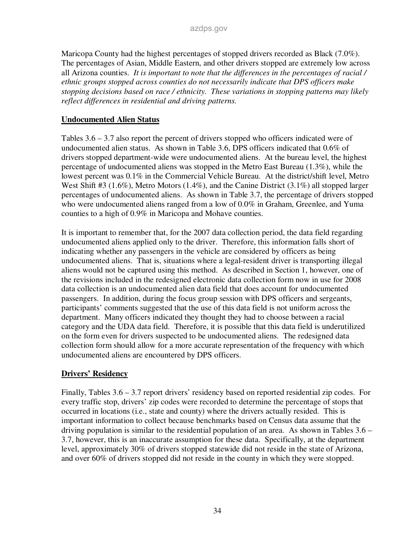Maricopa County had the highest percentages of stopped drivers recorded as Black (7.0%). The percentages of Asian, Middle Eastern, and other drivers stopped are extremely low across all Arizona counties. *It is important to note that the differences in the percentages of racial / ethnic groups stopped across counties do not necessarily indicate that DPS officers make stopping decisions based on race / ethnicity. These variations in stopping patterns may likely reflect differences in residential and driving patterns.* 

### **Undocumented Alien Status**

Tables 3.6 – 3.7 also report the percent of drivers stopped who officers indicated were of undocumented alien status. As shown in Table 3.6, DPS officers indicated that 0.6% of drivers stopped department-wide were undocumented aliens. At the bureau level, the highest percentage of undocumented aliens was stopped in the Metro East Bureau (1.3%), while the lowest percent was 0.1% in the Commercial Vehicle Bureau. At the district/shift level, Metro West Shift #3 (1.6%), Metro Motors (1.4%), and the Canine District (3.1%) all stopped larger percentages of undocumented aliens. As shown in Table 3.7, the percentage of drivers stopped who were undocumented aliens ranged from a low of 0.0% in Graham, Greenlee, and Yuma counties to a high of 0.9% in Maricopa and Mohave counties.

It is important to remember that, for the 2007 data collection period, the data field regarding undocumented aliens applied only to the driver. Therefore, this information falls short of indicating whether any passengers in the vehicle are considered by officers as being undocumented aliens. That is, situations where a legal-resident driver is transporting illegal aliens would not be captured using this method. As described in Section 1, however, one of the revisions included in the redesigned electronic data collection form now in use for 2008 data collection is an undocumented alien data field that does account for undocumented passengers. In addition, during the focus group session with DPS officers and sergeants, participants' comments suggested that the use of this data field is not uniform across the department. Many officers indicated they thought they had to choose between a racial category and the UDA data field. Therefore, it is possible that this data field is underutilized on the form even for drivers suspected to be undocumented aliens. The redesigned data collection form should allow for a more accurate representation of the frequency with which undocumented aliens are encountered by DPS officers.

### **Drivers' Residency**

Finally, Tables 3.6 – 3.7 report drivers' residency based on reported residential zip codes. For every traffic stop, drivers' zip codes were recorded to determine the percentage of stops that occurred in locations (i.e., state and county) where the drivers actually resided. This is important information to collect because benchmarks based on Census data assume that the driving population is similar to the residential population of an area. As shown in Tables 3.6 – 3.7, however, this is an inaccurate assumption for these data. Specifically, at the department level, approximately 30% of drivers stopped statewide did not reside in the state of Arizona, and over 60% of drivers stopped did not reside in the county in which they were stopped.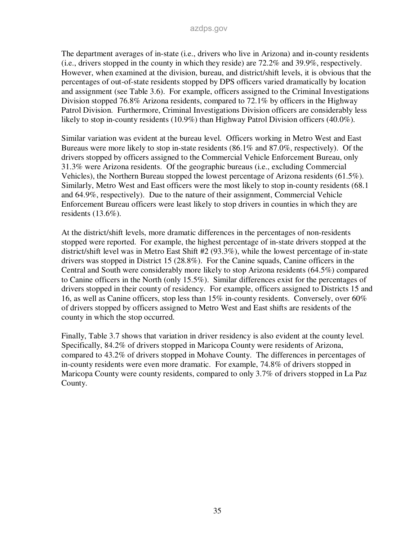The department averages of in-state (i.e., drivers who live in Arizona) and in-county residents (i.e., drivers stopped in the county in which they reside) are 72.2% and 39.9%, respectively. However, when examined at the division, bureau, and district/shift levels, it is obvious that the percentages of out-of-state residents stopped by DPS officers varied dramatically by location and assignment (see Table 3.6). For example, officers assigned to the Criminal Investigations Division stopped 76.8% Arizona residents, compared to 72.1% by officers in the Highway Patrol Division. Furthermore, Criminal Investigations Division officers are considerably less likely to stop in-county residents (10.9%) than Highway Patrol Division officers (40.0%).

Similar variation was evident at the bureau level. Officers working in Metro West and East Bureaus were more likely to stop in-state residents (86.1% and 87.0%, respectively). Of the drivers stopped by officers assigned to the Commercial Vehicle Enforcement Bureau, only 31.3% were Arizona residents. Of the geographic bureaus (i.e., excluding Commercial Vehicles), the Northern Bureau stopped the lowest percentage of Arizona residents (61.5%). Similarly, Metro West and East officers were the most likely to stop in-county residents (68.1 and 64.9%, respectively). Due to the nature of their assignment, Commercial Vehicle Enforcement Bureau officers were least likely to stop drivers in counties in which they are residents (13.6%).

At the district/shift levels, more dramatic differences in the percentages of non-residents stopped were reported. For example, the highest percentage of in-state drivers stopped at the district/shift level was in Metro East Shift #2 (93.3%), while the lowest percentage of in-state drivers was stopped in District 15 (28.8%). For the Canine squads, Canine officers in the Central and South were considerably more likely to stop Arizona residents (64.5%) compared to Canine officers in the North (only 15.5%). Similar differences exist for the percentages of drivers stopped in their county of residency. For example, officers assigned to Districts 15 and 16, as well as Canine officers, stop less than 15% in-county residents. Conversely, over 60% of drivers stopped by officers assigned to Metro West and East shifts are residents of the county in which the stop occurred.

Finally, Table 3.7 shows that variation in driver residency is also evident at the county level. Specifically, 84.2% of drivers stopped in Maricopa County were residents of Arizona, compared to 43.2% of drivers stopped in Mohave County. The differences in percentages of in-county residents were even more dramatic. For example, 74.8% of drivers stopped in Maricopa County were county residents, compared to only 3.7% of drivers stopped in La Paz County.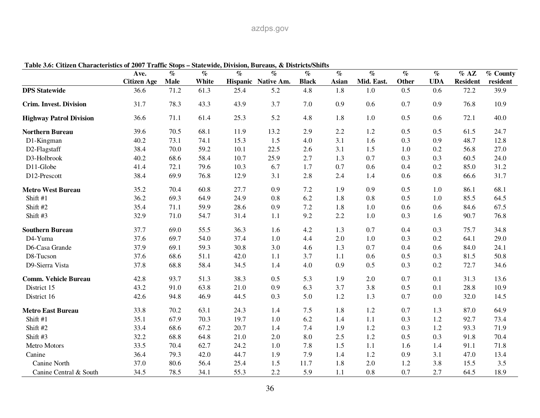| Table 5.0. Chizen Characteristics of 2007 Trainc Stops – Statewitte, Dryision, Dureaus, & Districts/Shirts | Ave.               | $\%$        | $\%$  | $\%$ | $\%$                | $\%$         | $\%$  | $\mathcal{O}_0$ | $\overline{\mathcal{C}}$ | $\%$       | $%$ AZ          | % County |
|------------------------------------------------------------------------------------------------------------|--------------------|-------------|-------|------|---------------------|--------------|-------|-----------------|--------------------------|------------|-----------------|----------|
|                                                                                                            | <b>Citizen Age</b> | <b>Male</b> | White |      | Hispanic Native Am. | <b>Black</b> | Asian | Mid. East.      | Other                    | <b>UDA</b> | <b>Resident</b> | resident |
| <b>DPS</b> Statewide                                                                                       | 36.6               | 71.2        | 61.3  | 25.4 | 5.2                 | 4.8          | 1.8   | 1.0             | 0.5                      | 0.6        | 72.2            | 39.9     |
| <b>Crim. Invest. Division</b>                                                                              | 31.7               | 78.3        | 43.3  | 43.9 | 3.7                 | 7.0          | 0.9   | 0.6             | 0.7                      | 0.9        | 76.8            | 10.9     |
| <b>Highway Patrol Division</b>                                                                             | 36.6               | 71.1        | 61.4  | 25.3 | 5.2                 | 4.8          | 1.8   | $1.0\,$         | 0.5                      | 0.6        | 72.1            | 40.0     |
| <b>Northern Bureau</b>                                                                                     | 39.6               | 70.5        | 68.1  | 11.9 | 13.2                | 2.9          | 2.2   | 1.2             | 0.5                      | 0.5        | 61.5            | 24.7     |
| D1-Kingman                                                                                                 | 40.2               | 73.1        | 74.1  | 15.3 | 1.5                 | 4.0          | 3.1   | 1.6             | 0.3                      | 0.9        | 48.7            | 12.8     |
| D2-Flagstaff                                                                                               | 38.4               | 70.0        | 59.2  | 10.1 | 22.5                | 2.6          | 3.1   | 1.5             | 1.0                      | 0.2        | 56.8            | 27.0     |
| D3-Holbrook                                                                                                | 40.2               | 68.6        | 58.4  | 10.7 | 25.9                | 2.7          | 1.3   | 0.7             | 0.3                      | 0.3        | 60.5            | 24.0     |
| D11-Globe                                                                                                  | 41.4               | 72.1        | 79.6  | 10.3 | 6.7                 | 1.7          | 0.7   | 0.6             | 0.4                      | 0.2        | 85.0            | 31.2     |
| D12-Prescott                                                                                               | 38.4               | 69.9        | 76.8  | 12.9 | 3.1                 | 2.8          | 2.4   | 1.4             | 0.6                      | 0.8        | 66.6            | 31.7     |
| <b>Metro West Bureau</b>                                                                                   | 35.2               | 70.4        | 60.8  | 27.7 | 0.9                 | 7.2          | 1.9   | 0.9             | 0.5                      | 1.0        | 86.1            | 68.1     |
| Shift #1                                                                                                   | 36.2               | 69.3        | 64.9  | 24.9 | 0.8                 | 6.2          | 1.8   | $0.8\,$         | 0.5                      | 1.0        | 85.5            | 64.5     |
| Shift #2                                                                                                   | 35.4               | 71.1        | 59.9  | 28.6 | 0.9                 | 7.2          | 1.8   | 1.0             | 0.6                      | 0.6        | 84.6            | 67.5     |
| Shift #3                                                                                                   | 32.9               | 71.0        | 54.7  | 31.4 | 1.1                 | 9.2          | 2.2   | $1.0\,$         | 0.3                      | 1.6        | 90.7            | 76.8     |
| <b>Southern Bureau</b>                                                                                     | 37.7               | 69.0        | 55.5  | 36.3 | 1.6                 | 4.2          | 1.3   | 0.7             | 0.4                      | 0.3        | 75.7            | 34.8     |
| D4-Yuma                                                                                                    | 37.6               | 69.7        | 54.0  | 37.4 | 1.0                 | 4.4          | 2.0   | 1.0             | 0.3                      | 0.2        | 64.1            | 29.0     |
| D6-Casa Grande                                                                                             | 37.9               | 69.1        | 59.3  | 30.8 | 3.0                 | 4.6          | 1.3   | 0.7             | 0.4                      | 0.6        | 84.0            | 24.1     |
| D8-Tucson                                                                                                  | 37.6               | 68.6        | 51.1  | 42.0 | 1.1                 | 3.7          | 1.1   | 0.6             | 0.5                      | 0.3        | 81.5            | 50.8     |
| D9-Sierra Vista                                                                                            | 37.8               | 68.8        | 58.4  | 34.5 | 1.4                 | 4.0          | 0.9   | 0.5             | 0.3                      | 0.2        | 72.7            | 34.6     |
| <b>Comm. Vehicle Bureau</b>                                                                                | 42.8               | 93.7        | 51.3  | 38.3 | 0.5                 | 5.3          | 1.9   | 2.0             | 0.7                      | 0.1        | 31.3            | 13.6     |
| District 15                                                                                                | 43.2               | 91.0        | 63.8  | 21.0 | 0.9                 | 6.3          | 3.7   | 3.8             | 0.5                      | 0.1        | 28.8            | 10.9     |
| District 16                                                                                                | 42.6               | 94.8        | 46.9  | 44.5 | 0.3                 | 5.0          | 1.2   | 1.3             | 0.7                      | 0.0        | 32.0            | 14.5     |
| <b>Metro East Bureau</b>                                                                                   | 33.8               | 70.2        | 63.1  | 24.3 | 1.4                 | 7.5          | 1.8   | 1.2             | 0.7                      | 1.3        | 87.0            | 64.9     |
| Shift #1                                                                                                   | 35.1               | 67.9        | 70.3  | 19.7 | 1.0                 | 6.2          | 1.4   | 1.1             | 0.3                      | 1.2        | 92.7            | 73.4     |
| Shift #2                                                                                                   | 33.4               | 68.6        | 67.2  | 20.7 | 1.4                 | 7.4          | 1.9   | 1.2             | 0.3                      | 1.2        | 93.3            | 71.9     |
| Shift #3                                                                                                   | 32.2               | 68.8        | 64.8  | 21.0 | 2.0                 | 8.0          | 2.5   | 1.2             | 0.5                      | 0.3        | 91.8            | 70.4     |
| Metro Motors                                                                                               | 33.5               | 70.4        | 62.7  | 24.2 | 1.0                 | 7.8          | 1.5   | 1.1             | 1.6                      | 1.4        | 91.1            | 71.8     |
| Canine                                                                                                     | 36.4               | 79.3        | 42.0  | 44.7 | 1.9                 | 7.9          | 1.4   | 1.2             | 0.9                      | 3.1        | 47.0            | 13.4     |
| Canine North                                                                                               | 37.0               | 80.6        | 56.4  | 25.4 | 1.5                 | 11.7         | 1.8   | 2.0             | 1.2                      | 3.8        | 15.5            | 3.5      |
| Canine Central & South                                                                                     | 34.5               | 78.5        | 34.1  | 55.3 | 2.2                 | 5.9          | 1.1   | 0.8             | 0.7                      | 2.7        | 64.5            | 18.9     |

**Table 3.6: Citizen Characteristics of 2007 Traffic Stops – Statewide, Division, Bureaus, & Districts/Shifts**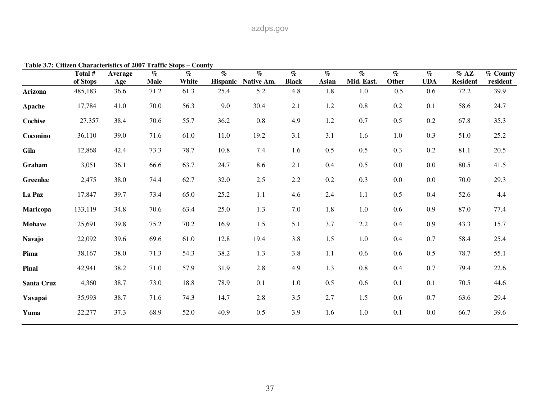| Table 3.7. Cluzen Characteristics of 2007 Trainc Stops – County | Total #  | Average | $\%$        | $\%$  | $\%$            | $\%$       | $\%$         | $\%$  | $\%$       | $\%$  | $\%$       | $%$ AZ          | % County |
|-----------------------------------------------------------------|----------|---------|-------------|-------|-----------------|------------|--------------|-------|------------|-------|------------|-----------------|----------|
|                                                                 | of Stops | Age     | <b>Male</b> | White | <b>Hispanic</b> | Native Am. | <b>Black</b> | Asian | Mid. East. | Other | <b>UDA</b> | <b>Resident</b> | resident |
| Arizona                                                         | 485,183  | 36.6    | 71.2        | 61.3  | 25.4            | 5.2        | 4.8          | 1.8   | 1.0        | 0.5   | 0.6        | 72.2            | 39.9     |
| Apache                                                          | 17,784   | 41.0    | 70.0        | 56.3  | 9.0             | 30.4       | 2.1          | 1.2   | $0.8\,$    | 0.2   | 0.1        | 58.6            | 24.7     |
| Cochise                                                         | 27.357   | 38.4    | 70.6        | 55.7  | 36.2            | $0.8\,$    | 4.9          | 1.2   | 0.7        | 0.5   | 0.2        | 67.8            | 35.3     |
| Coconino                                                        | 36,110   | 39.0    | 71.6        | 61.0  | 11.0            | 19.2       | 3.1          | 3.1   | 1.6        | 1.0   | 0.3        | 51.0            | 25.2     |
| Gila                                                            | 12,868   | 42.4    | 73.3        | 78.7  | 10.8            | 7.4        | 1.6          | 0.5   | 0.5        | 0.3   | 0.2        | 81.1            | 20.5     |
| Graham                                                          | 3,051    | 36.1    | 66.6        | 63.7  | 24.7            | 8.6        | 2.1          | 0.4   | 0.5        | 0.0   | 0.0        | 80.5            | 41.5     |
| <b>Greenlee</b>                                                 | 2,475    | 38.0    | 74.4        | 62.7  | 32.0            | $2.5$      | 2.2          | 0.2   | 0.3        | 0.0   | $0.0\,$    | 70.0            | 29.3     |
| La Paz                                                          | 17,847   | 39.7    | 73.4        | 65.0  | 25.2            | 1.1        | 4.6          | 2.4   | 1.1        | 0.5   | 0.4        | 52.6            | 4.4      |
| Maricopa                                                        | 133,119  | 34.8    | 70.6        | 63.4  | 25.0            | 1.3        | 7.0          | 1.8   | 1.0        | 0.6   | 0.9        | 87.0            | 77.4     |
| <b>Mohave</b>                                                   | 25,691   | 39.8    | 75.2        | 70.2  | 16.9            | 1.5        | 5.1          | 3.7   | $2.2\,$    | 0.4   | 0.9        | 43.3            | 15.7     |
| <b>Navajo</b>                                                   | 22,092   | 39.6    | 69.6        | 61.0  | 12.8            | 19.4       | 3.8          | 1.5   | 1.0        | 0.4   | 0.7        | 58.4            | 25.4     |
| Pima                                                            | 38,167   | 38.0    | 71.3        | 54.3  | 38.2            | 1.3        | 3.8          | 1.1   | 0.6        | 0.6   | 0.5        | 78.7            | 55.1     |
| Pinal                                                           | 42,941   | 38.2    | 71.0        | 57.9  | 31.9            | $2.8\,$    | 4.9          | 1.3   | $0.8\,$    | 0.4   | 0.7        | 79.4            | 22.6     |
| <b>Santa Cruz</b>                                               | 4,360    | 38.7    | 73.0        | 18.8  | 78.9            | 0.1        | 1.0          | 0.5   | 0.6        | 0.1   | 0.1        | 70.5            | 44.6     |
| Yavapai                                                         | 35,993   | 38.7    | 71.6        | 74.3  | 14.7            | 2.8        | 3.5          | 2.7   | 1.5        | 0.6   | 0.7        | 63.6            | 29.4     |
| Yuma                                                            | 22,277   | 37.3    | 68.9        | 52.0  | 40.9            | 0.5        | 3.9          | 1.6   | $1.0\,$    | 0.1   | 0.0        | 66.7            | 39.6     |

**Table 3.7: Citizen Characteristics of 2007 Traffic Stops – County**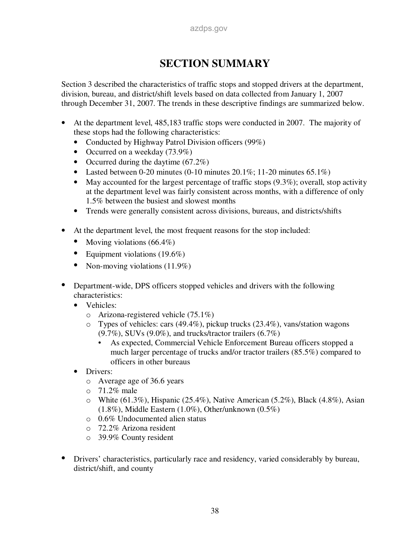# **SECTION SUMMARY**

Section 3 described the characteristics of traffic stops and stopped drivers at the department, division, bureau, and district/shift levels based on data collected from January 1, 2007 through December 31, 2007. The trends in these descriptive findings are summarized below.

- At the department level, 485,183 traffic stops were conducted in 2007. The majority of these stops had the following characteristics:
	- Conducted by Highway Patrol Division officers (99%)
	- Occurred on a weekday (73.9%)
	- Occurred during the daytime (67.2%)
	- Lasted between 0-20 minutes (0-10 minutes 20.1%; 11-20 minutes  $65.1\%$ )
	- May accounted for the largest percentage of traffic stops  $(9.3\%)$ ; overall, stop activity at the department level was fairly consistent across months, with a difference of only 1.5% between the busiest and slowest months
	- Trends were generally consistent across divisions, bureaus, and districts/shifts
- At the department level, the most frequent reasons for the stop included:
	- Moving violations (66.4%)
	- Equipment violations (19.6%)
	- Non-moving violations  $(11.9\%)$
- **•** Department-wide, DPS officers stopped vehicles and drivers with the following characteristics:
	- Vehicles:
		- o Arizona-registered vehicle (75.1%)
		- o Types of vehicles: cars (49.4%), pickup trucks (23.4%), vans/station wagons  $(9.7\%)$ , SUVs  $(9.0\%)$ , and trucks/tractor trailers  $(6.7\%)$ 
			- As expected, Commercial Vehicle Enforcement Bureau officers stopped a much larger percentage of trucks and/or tractor trailers (85.5%) compared to officers in other bureaus
	- Drivers:
		- o Average age of 36.6 years
		- o 71.2% male
		- o White (61.3%), Hispanic (25.4%), Native American (5.2%), Black (4.8%), Asian (1.8%), Middle Eastern (1.0%), Other/unknown (0.5%)
		- o 0.6% Undocumented alien status
		- o 72.2% Arizona resident
		- o 39.9% County resident
- Drivers' characteristics, particularly race and residency, varied considerably by bureau, district/shift, and county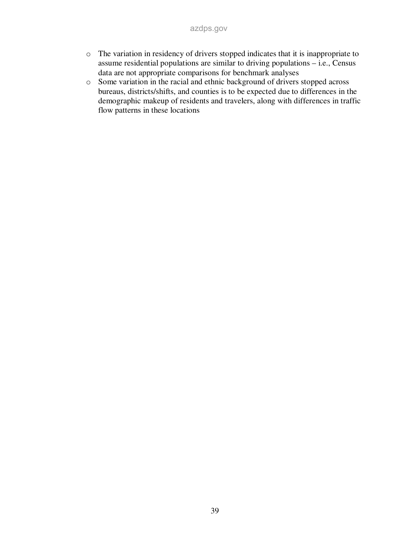- o The variation in residency of drivers stopped indicates that it is inappropriate to assume residential populations are similar to driving populations – i.e., Census data are not appropriate comparisons for benchmark analyses
- o Some variation in the racial and ethnic background of drivers stopped across bureaus, districts/shifts, and counties is to be expected due to differences in the demographic makeup of residents and travelers, along with differences in traffic flow patterns in these locations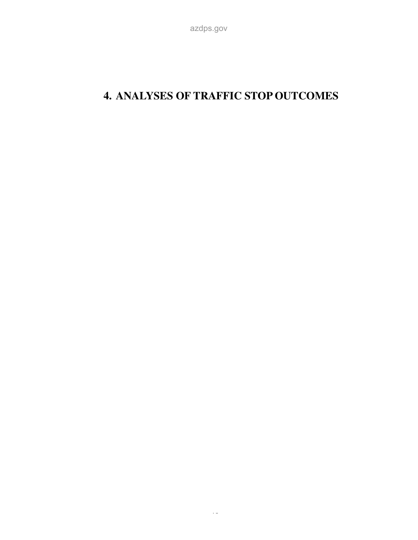# **4. ANALYSES OF TRAFFIC STOP OUTCOMES**

azdps.gov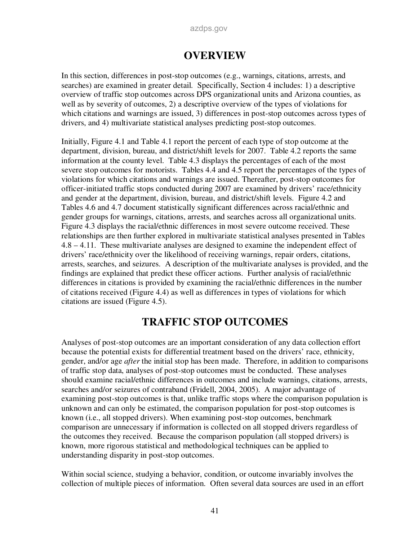## **OVERVIEW**

In this section, differences in post-stop outcomes (e.g., warnings, citations, arrests, and searches) are examined in greater detail. Specifically, Section 4 includes: 1) a descriptive overview of traffic stop outcomes across DPS organizational units and Arizona counties, as well as by severity of outcomes, 2) a descriptive overview of the types of violations for which citations and warnings are issued, 3) differences in post-stop outcomes across types of drivers, and 4) multivariate statistical analyses predicting post-stop outcomes.

Initially, Figure 4.1 and Table 4.1 report the percent of each type of stop outcome at the department, division, bureau, and district/shift levels for 2007. Table 4.2 reports the same information at the county level. Table 4.3 displays the percentages of each of the most severe stop outcomes for motorists. Tables 4.4 and 4.5 report the percentages of the types of violations for which citations and warnings are issued. Thereafter, post-stop outcomes for officer-initiated traffic stops conducted during 2007 are examined by drivers' race/ethnicity and gender at the department, division, bureau, and district/shift levels. Figure 4.2 and Tables 4.6 and 4.7 document statistically significant differences across racial/ethnic and gender groups for warnings, citations, arrests, and searches across all organizational units. Figure 4.3 displays the racial/ethnic differences in most severe outcome received. These relationships are then further explored in multivariate statistical analyses presented in Tables 4.8 – 4.11. These multivariate analyses are designed to examine the independent effect of drivers' race/ethnicity over the likelihood of receiving warnings, repair orders, citations, arrests, searches, and seizures. A description of the multivariate analyses is provided, and the findings are explained that predict these officer actions. Further analysis of racial/ethnic differences in citations is provided by examining the racial/ethnic differences in the number of citations received (Figure 4.4) as well as differences in types of violations for which citations are issued (Figure 4.5).

## **TRAFFIC STOP OUTCOMES**

Analyses of post-stop outcomes are an important consideration of any data collection effort because the potential exists for differential treatment based on the drivers' race, ethnicity, gender, and/or age *after* the initial stop has been made. Therefore, in addition to comparisons of traffic stop data, analyses of post-stop outcomes must be conducted. These analyses should examine racial/ethnic differences in outcomes and include warnings, citations, arrests, searches and/or seizures of contraband (Fridell, 2004, 2005). A major advantage of examining post-stop outcomes is that, unlike traffic stops where the comparison population is unknown and can only be estimated, the comparison population for post-stop outcomes is known (i.e., all stopped drivers). When examining post-stop outcomes, benchmark comparison are unnecessary if information is collected on all stopped drivers regardless of the outcomes they received. Because the comparison population (all stopped drivers) is known, more rigorous statistical and methodological techniques can be applied to understanding disparity in post-stop outcomes.

Within social science, studying a behavior, condition, or outcome invariably involves the collection of multiple pieces of information. Often several data sources are used in an effort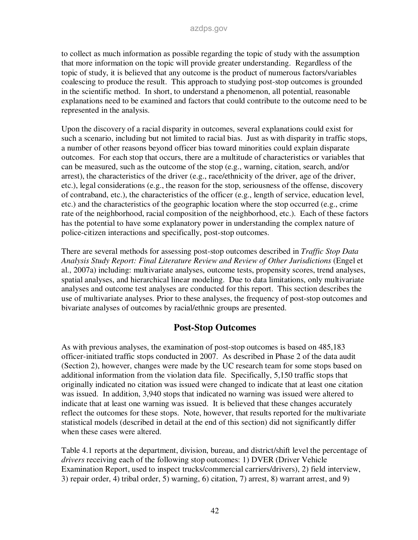to collect as much information as possible regarding the topic of study with the assumption that more information on the topic will provide greater understanding. Regardless of the topic of study, it is believed that any outcome is the product of numerous factors/variables coalescing to produce the result. This approach to studying post-stop outcomes is grounded in the scientific method. In short, to understand a phenomenon, all potential, reasonable explanations need to be examined and factors that could contribute to the outcome need to be represented in the analysis.

Upon the discovery of a racial disparity in outcomes, several explanations could exist for such a scenario, including but not limited to racial bias. Just as with disparity in traffic stops, a number of other reasons beyond officer bias toward minorities could explain disparate outcomes. For each stop that occurs, there are a multitude of characteristics or variables that can be measured, such as the outcome of the stop (e.g., warning, citation, search, and/or arrest), the characteristics of the driver (e.g., race/ethnicity of the driver, age of the driver, etc.), legal considerations (e.g., the reason for the stop, seriousness of the offense, discovery of contraband, etc.), the characteristics of the officer (e.g., length of service, education level, etc.) and the characteristics of the geographic location where the stop occurred (e.g., crime rate of the neighborhood, racial composition of the neighborhood, etc.). Each of these factors has the potential to have some explanatory power in understanding the complex nature of police-citizen interactions and specifically, post-stop outcomes.

There are several methods for assessing post-stop outcomes described in *Traffic Stop Data Analysis Study Report: Final Literature Review and Review of Other Jurisdictions* (Engel et al., 2007a) including: multivariate analyses, outcome tests, propensity scores, trend analyses, spatial analyses, and hierarchical linear modeling. Due to data limitations, only multivariate analyses and outcome test analyses are conducted for this report. This section describes the use of multivariate analyses. Prior to these analyses, the frequency of post-stop outcomes and bivariate analyses of outcomes by racial/ethnic groups are presented.

## **Post-Stop Outcomes**

As with previous analyses, the examination of post-stop outcomes is based on 485,183 officer-initiated traffic stops conducted in 2007. As described in Phase 2 of the data audit (Section 2), however, changes were made by the UC research team for some stops based on additional information from the violation data file. Specifically, 5,150 traffic stops that originally indicated no citation was issued were changed to indicate that at least one citation was issued. In addition, 3,940 stops that indicated no warning was issued were altered to indicate that at least one warning was issued. It is believed that these changes accurately reflect the outcomes for these stops. Note, however, that results reported for the multivariate statistical models (described in detail at the end of this section) did not significantly differ when these cases were altered.

Table 4.1 reports at the department, division, bureau, and district/shift level the percentage of *drivers* receiving each of the following stop outcomes: 1) DVER (Driver Vehicle Examination Report, used to inspect trucks/commercial carriers/drivers), 2) field interview, 3) repair order, 4) tribal order, 5) warning, 6) citation, 7) arrest, 8) warrant arrest, and 9)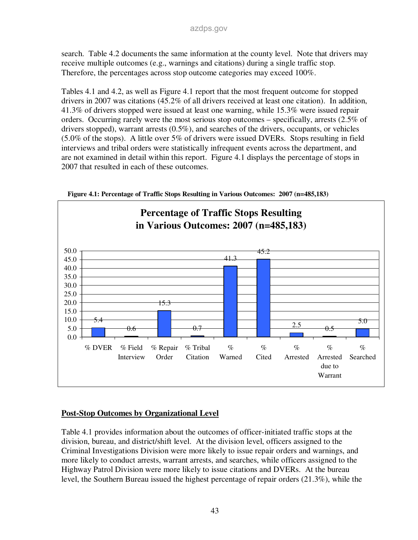search. Table 4.2 documents the same information at the county level. Note that drivers may receive multiple outcomes (e.g., warnings and citations) during a single traffic stop. Therefore, the percentages across stop outcome categories may exceed 100%.

Tables 4.1 and 4.2, as well as Figure 4.1 report that the most frequent outcome for stopped drivers in 2007 was citations (45.2% of all drivers received at least one citation). In addition, 41.3% of drivers stopped were issued at least one warning, while 15.3% were issued repair orders. Occurring rarely were the most serious stop outcomes – specifically, arrests (2.5% of drivers stopped), warrant arrests (0.5%), and searches of the drivers, occupants, or vehicles (5.0% of the stops). A little over 5% of drivers were issued DVERs. Stops resulting in field interviews and tribal orders were statistically infrequent events across the department, and are not examined in detail within this report. Figure 4.1 displays the percentage of stops in 2007 that resulted in each of these outcomes.





## **Post-Stop Outcomes by Organizational Level**

Table 4.1 provides information about the outcomes of officer-initiated traffic stops at the division, bureau, and district/shift level. At the division level, officers assigned to the Criminal Investigations Division were more likely to issue repair orders and warnings, and more likely to conduct arrests, warrant arrests, and searches, while officers assigned to the Highway Patrol Division were more likely to issue citations and DVERs. At the bureau level, the Southern Bureau issued the highest percentage of repair orders (21.3%), while the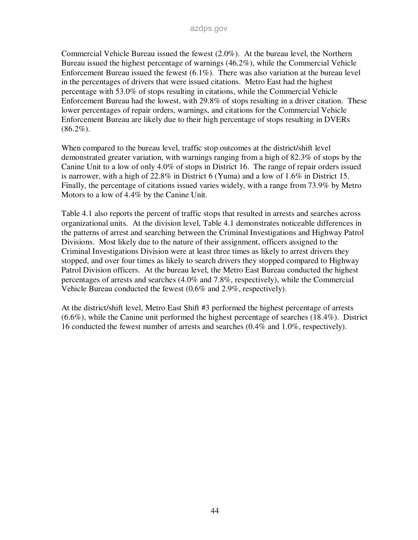Commercial Vehicle Bureau issued the fewest (2.0%). At the bureau level, the Northern Bureau issued the highest percentage of warnings (46.2%), while the Commercial Vehicle Enforcement Bureau issued the fewest (6.1%). There was also variation at the bureau level in the percentages of drivers that were issued citations. Metro East had the highest percentage with 53.0% of stops resulting in citations, while the Commercial Vehicle Enforcement Bureau had the lowest, with 29.8% of stops resulting in a driver citation. These lower percentages of repair orders, warnings, and citations for the Commercial Vehicle Enforcement Bureau are likely due to their high percentage of stops resulting in DVERs  $(86.2\%)$ .

When compared to the bureau level, traffic stop outcomes at the district/shift level demonstrated greater variation, with warnings ranging from a high of 82.3% of stops by the Canine Unit to a low of only 4.0% of stops in District 16. The range of repair orders issued is narrower, with a high of 22.8% in District 6 (Yuma) and a low of 1.6% in District 15. Finally, the percentage of citations issued varies widely, with a range from 73.9% by Metro Motors to a low of 4.4% by the Canine Unit.

Table 4.1 also reports the percent of traffic stops that resulted in arrests and searches across organizational units. At the division level, Table 4.1 demonstrates noticeable differences in the patterns of arrest and searching between the Criminal Investigations and Highway Patrol Divisions. Most likely due to the nature of their assignment, officers assigned to the Criminal Investigations Division were at least three times as likely to arrest drivers they stopped, and over four times as likely to search drivers they stopped compared to Highway Patrol Division officers. At the bureau level, the Metro East Bureau conducted the highest percentages of arrests and searches (4.0% and 7.8%, respectively), while the Commercial Vehicle Bureau conducted the fewest (0.6% and 2.9%, respectively).

At the district/shift level, Metro East Shift #3 performed the highest percentage of arrests (6.6%), while the Canine unit performed the highest percentage of searches (18.4%). District 16 conducted the fewest number of arrests and searches (0.4% and 1.0%, respectively).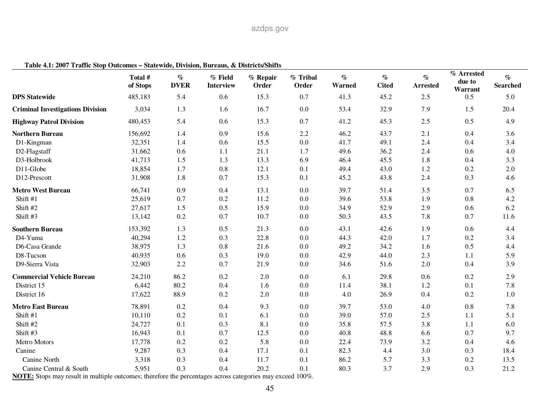|                                         | Total #<br>of Stops | $\%$<br><b>DVER</b> | % Field<br><b>Interview</b> | % Repair<br>Order | % Tribal<br>Order | $\%$<br>Warned | $\%$<br><b>Cited</b> | $\%$<br><b>Arrested</b> | % Arrested<br>due to<br>Warrant | $\%$<br><b>Searched</b> |
|-----------------------------------------|---------------------|---------------------|-----------------------------|-------------------|-------------------|----------------|----------------------|-------------------------|---------------------------------|-------------------------|
| <b>DPS Statewide</b>                    | 485,183             | 5.4                 | 0.6                         | 15.3              | 0.7               | 41.3           | 45.2                 | 2.5                     | 0.5                             | 5.0                     |
| <b>Criminal Investigations Division</b> | 3,034               | 1.3                 | 1.6                         | 16.7              | 0.0               | 53.4           | 32.9                 | 7.9                     | 1.5                             | 20.4                    |
| <b>Highway Patrol Division</b>          | 480,453             | 5.4                 | 0.6                         | 15.3              | 0.7               | 41.2           | 45.3                 | 2.5                     | 0.5                             | 4.9                     |
| <b>Northern Bureau</b>                  | 156,692             | 1.4                 | 0.9                         | 15.6              | 2.2               | 46.2           | 43.7                 | 2.1                     | 0.4                             | 3.6                     |
| D1-Kingman                              | 32,351              | 1.4                 | 0.6                         | 15.5              | 0.0               | 41.7           | 49.1                 | 2.4                     | 0.4                             | 3.4                     |
| D2-Flagstaff                            | 31,662              | 0.6                 | 1.1                         | 21.1              | 1.7               | 49.6           | 36.2                 | 2.4                     | 0.6                             | 4.0                     |
| D3-Holbrook                             | 41,713              | 1.5                 | 1.3                         | 13.3              | 6.9               | 46.4           | 45.5                 | 1.8                     | 0.4                             | 3.3                     |
| D11-Globe                               | 18,854              | 1.7                 | 0.8                         | 12.1              | 0.1               | 49.4           | 43.0                 | 1.2                     | 0.2                             | 2.0                     |
| D12-Prescott                            | 31,908              | 1.8                 | 0.7                         | 15.3              | 0.1               | 45.2           | 43.8                 | 2.4                     | 0.3                             | 4.6                     |
| <b>Metro West Bureau</b>                | 66,741              | 0.9                 | 0.4                         | 13.1              | 0.0               | 39.7           | 51.4                 | 3.5                     | 0.7                             | 6.5                     |
| Shift #1                                | 25,619              | 0.7                 | 0.2                         | 11.2              | 0.0               | 39.6           | 53.8                 | 1.9                     | 0.8                             | 4.2                     |
| Shift #2                                | 27,617              | 1.5                 | 0.5                         | 15.9              | 0.0               | 34.9           | 52.9                 | 2.9                     | 0.6                             | 6.2                     |
| Shift #3                                | 13,142              | 0.2                 | 0.7                         | 10.7              | 0.0               | 50.3           | 43.5                 | 7.8                     | 0.7                             | 11.6                    |
| <b>Southern Bureau</b>                  | 153,392             | 1.3                 | 0.5                         | 21.3              | 0.0               | 43.1           | 42.6                 | 1.9                     | 0.6                             | 4.4                     |
| D4-Yuma                                 | 40,294              | 1.2                 | 0.3                         | 22.8              | 0.0               | 44.3           | 42.0                 | 1.7                     | 0.2                             | 3.4                     |
| D6-Casa Grande                          | 38,975              | 1.3                 | 0.8                         | 21.6              | 0.0               | 49.2           | 34.2                 | 1.6                     | 0.5                             | 4.4                     |
| D8-Tucson                               | 40,935              | 0.6                 | 0.3                         | 19.0              | 0.0               | 42.9           | 44.0                 | 2.3                     | 1.1                             | 5.9                     |
| D9-Sierra Vista                         | 32,903              | 2.2                 | 0.7                         | 21.9              | 0.0               | 34.6           | 51.6                 | 2.0                     | 0.4                             | 3.9                     |
| <b>Commercial Vehicle Bureau</b>        | 24,210              | 86.2                | 0.2                         | 2.0               | 0.0               | 6.1            | 29.8                 | 0.6                     | 0.2                             | 2.9                     |
| District 15                             | 6,442               | 80.2                | 0.4                         | 1.6               | 0.0               | 11.4           | 38.1                 | 1.2                     | 0.1                             | 7.8                     |
| District 16                             | 17,622              | 88.9                | 0.2                         | 2.0               | 0.0               | 4.0            | 26.9                 | 0.4                     | 0.2                             | 1.0                     |
| <b>Metro East Bureau</b>                | 78,891              | 0.2                 | 0.4                         | 9.3               | 0.0               | 39.7           | 53.0                 | 4.0                     | 0.8                             | 7.8                     |
| Shift #1                                | 10,110              | $0.2\,$             | 0.1                         | 6.1               | 0.0               | 39.0           | 57.0                 | 2.5                     | 1.1                             | 5.1                     |
| Shift #2                                | 24,727              | 0.1                 | 0.3                         | 8.1               | 0.0               | 35.8           | 57.5                 | 3.8                     | 1.1                             | 6.0                     |
| Shift #3                                | 16,943              | 0.1                 | 0.7                         | 12.5              | 0.0               | 40.8           | 48.8                 | 6.6                     | 0.7                             | 9.7                     |
| Metro Motors                            | 17,778              | 0.2                 | 0.2                         | 5.8               | 0.0               | 22.4           | 73.9                 | 3.2                     | 0.4                             | 4.6                     |
| Canine                                  | 9,287               | 0.3                 | 0.4                         | 17.1              | 0.1               | 82.3           | 4.4                  | 3.0                     | 0.3                             | 18.4                    |
| Canine North                            | 3,318               | 0.3                 | 0.4                         | 11.7              | 0.1               | 86.2           | 5.7                  | 3.3                     | 0.2                             | 13.5                    |
| Canine Central & South                  | 5,951               | 0.3                 | 0.4                         | 20.2              | 0.1               | 80.3           | 3.7                  | 2.9                     | 0.3                             | 21.2                    |

#### **Table 4.1: 2007 Traffic Stop Outcomes – Statewide, Division, Bureaus, & Districts/Shifts**

**NOTE:** Stops may result in multiple outcomes; therefore the percentages across categories may exceed 100%.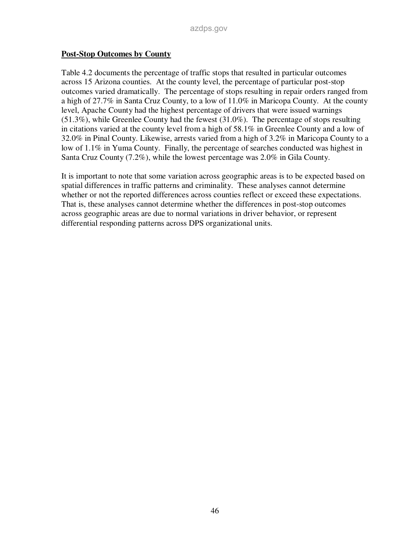#### **Post-Stop Outcomes by County**

Table 4.2 documents the percentage of traffic stops that resulted in particular outcomes across 15 Arizona counties. At the county level, the percentage of particular post-stop outcomes varied dramatically. The percentage of stops resulting in repair orders ranged from a high of 27.7% in Santa Cruz County, to a low of 11.0% in Maricopa County. At the county level, Apache County had the highest percentage of drivers that were issued warnings (51.3%), while Greenlee County had the fewest (31.0%). The percentage of stops resulting in citations varied at the county level from a high of 58.1% in Greenlee County and a low of 32.0% in Pinal County. Likewise, arrests varied from a high of 3.2% in Maricopa County to a low of 1.1% in Yuma County. Finally, the percentage of searches conducted was highest in Santa Cruz County (7.2%), while the lowest percentage was 2.0% in Gila County.

It is important to note that some variation across geographic areas is to be expected based on spatial differences in traffic patterns and criminality. These analyses cannot determine whether or not the reported differences across counties reflect or exceed these expectations. That is, these analyses cannot determine whether the differences in post-stop outcomes across geographic areas are due to normal variations in driver behavior, or represent differential responding patterns across DPS organizational units.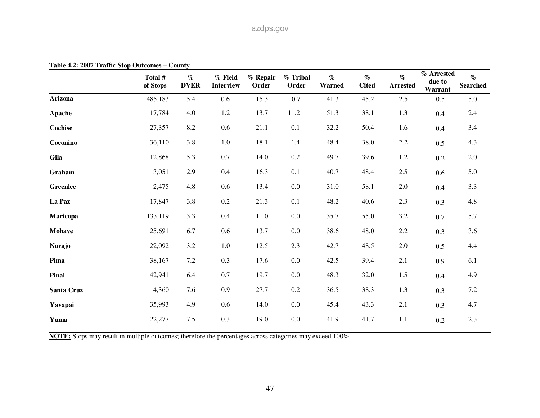| rable $\pm 2.2$ over Frank Stop Outcomes – County | Total #<br>of Stops | $\%$<br><b>DVER</b> | $%$ Field<br><b>Interview</b> | % Repair<br>Order | % Tribal<br>Order | $\%$<br>Warned | $\%$<br><b>Cited</b> | $\%$<br><b>Arrested</b> | % Arrested<br>due to<br>Warrant | $\%$<br><b>Searched</b> |
|---------------------------------------------------|---------------------|---------------------|-------------------------------|-------------------|-------------------|----------------|----------------------|-------------------------|---------------------------------|-------------------------|
| <b>Arizona</b>                                    | 485,183             | 5.4                 | 0.6                           | 15.3              | 0.7               | 41.3           | 45.2                 | 2.5                     | 0.5                             | 5.0                     |
| Apache                                            | 17,784              | 4.0                 | 1.2                           | 13.7              | 11.2              | 51.3           | 38.1                 | 1.3                     | 0.4                             | 2.4                     |
| <b>Cochise</b>                                    | 27,357              | 8.2                 | 0.6                           | 21.1              | 0.1               | 32.2           | 50.4                 | 1.6                     | 0.4                             | 3.4                     |
| Coconino                                          | 36,110              | 3.8                 | 1.0                           | 18.1              | 1.4               | 48.4           | 38.0                 | $2.2\,$                 | 0.5                             | 4.3                     |
| Gila                                              | 12,868              | 5.3                 | $0.7\,$                       | 14.0              | $0.2\,$           | 49.7           | 39.6                 | 1.2                     | 0.2                             | 2.0                     |
| Graham                                            | 3,051               | 2.9                 | 0.4                           | 16.3              | 0.1               | 40.7           | 48.4                 | $2.5\,$                 | 0.6                             | 5.0                     |
| <b>Greenlee</b>                                   | 2,475               | 4.8                 | 0.6                           | 13.4              | $0.0\,$           | 31.0           | 58.1                 | $2.0\,$                 | 0.4                             | 3.3                     |
| La Paz                                            | 17,847              | 3.8                 | $0.2\,$                       | 21.3              | 0.1               | 48.2           | 40.6                 | $2.3\,$                 | 0.3                             | 4.8                     |
| Maricopa                                          | 133,119             | 3.3                 | 0.4                           | 11.0              | 0.0               | 35.7           | 55.0                 | 3.2                     | 0.7                             | 5.7                     |
| <b>Mohave</b>                                     | 25,691              | 6.7                 | 0.6                           | 13.7              | $0.0\,$           | 38.6           | 48.0                 | $2.2\,$                 | 0.3                             | 3.6                     |
| <b>Navajo</b>                                     | 22,092              | 3.2                 | 1.0                           | 12.5              | 2.3               | 42.7           | 48.5                 | $2.0\,$                 | 0.5                             | 4.4                     |
| Pima                                              | 38,167              | 7.2                 | 0.3                           | 17.6              | $0.0\,$           | 42.5           | 39.4                 | 2.1                     | 0.9                             | 6.1                     |
| Pinal                                             | 42,941              | 6.4                 | 0.7                           | 19.7              | 0.0               | 48.3           | 32.0                 | $1.5$                   | 0.4                             | 4.9                     |
| Santa Cruz                                        | 4,360               | 7.6                 | 0.9                           | 27.7              | $0.2\,$           | 36.5           | 38.3                 | 1.3                     | 0.3                             | 7.2                     |
| Yavapai                                           | 35,993              | 4.9                 | 0.6                           | 14.0              | 0.0               | 45.4           | 43.3                 | 2.1                     | 0.3                             | 4.7                     |
| Yuma                                              | 22,277              | 7.5                 | 0.3                           | 19.0              | $0.0\,$           | 41.9           | 41.7                 | 1.1                     | $0.2\,$                         | 2.3                     |

**Table 4.2: 2007 Traffic Stop Outcomes – County** 

**NOTE:** Stops may result in multiple outcomes; therefore the percentages across categories may exceed 100%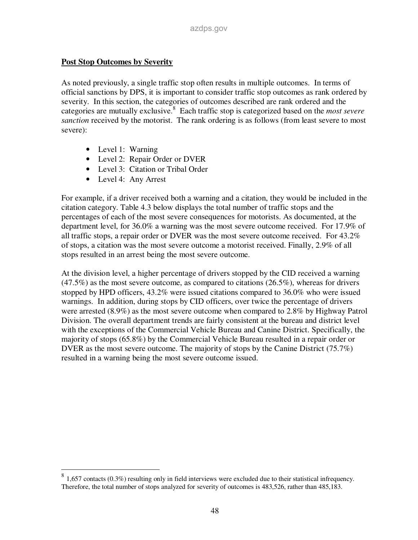#### **Post Stop Outcomes by Severity**

As noted previously, a single traffic stop often results in multiple outcomes. In terms of official sanctions by DPS, it is important to consider traffic stop outcomes as rank ordered by severity. In this section, the categories of outcomes described are rank ordered and the categories are mutually exclusive.<sup>8</sup> Each traffic stop is categorized based on the *most severe sanction* received by the motorist. The rank ordering is as follows (from least severe to most severe):

- Level 1: Warning
- Level 2: Repair Order or DVER
- Level 3: Citation or Tribal Order
- Level 4: Any Arrest

For example, if a driver received both a warning and a citation, they would be included in the citation category. Table 4.3 below displays the total number of traffic stops and the percentages of each of the most severe consequences for motorists. As documented, at the department level, for 36.0% a warning was the most severe outcome received. For 17.9% of all traffic stops, a repair order or DVER was the most severe outcome received. For 43.2% of stops, a citation was the most severe outcome a motorist received. Finally, 2.9% of all stops resulted in an arrest being the most severe outcome.

At the division level, a higher percentage of drivers stopped by the CID received a warning  $(47.5\%)$  as the most severe outcome, as compared to citations  $(26.5\%)$ , whereas for drivers stopped by HPD officers, 43.2% were issued citations compared to 36.0% who were issued warnings. In addition, during stops by CID officers, over twice the percentage of drivers were arrested (8.9%) as the most severe outcome when compared to 2.8% by Highway Patrol Division. The overall department trends are fairly consistent at the bureau and district level with the exceptions of the Commercial Vehicle Bureau and Canine District. Specifically, the majority of stops (65.8%) by the Commercial Vehicle Bureau resulted in a repair order or DVER as the most severe outcome. The majority of stops by the Canine District (75.7%) resulted in a warning being the most severe outcome issued.

 $\frac{8}{1,657}$  contacts (0.3%) resulting only in field interviews were excluded due to their statistical infrequency. Therefore, the total number of stops analyzed for severity of outcomes is 483,526, rather than 485,183.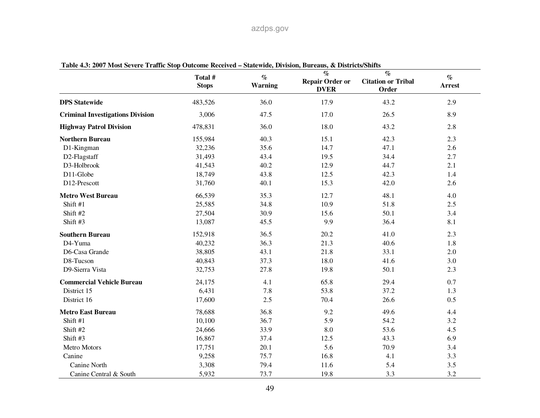|                                         | Total #<br><b>Stops</b> | $\%$<br><b>Warning</b> | $\mathcal{O}_0$<br><b>Repair Order or</b><br><b>DVER</b> | $\%$<br><b>Citation or Tribal</b><br>Order | $\%$<br><b>Arrest</b> |
|-----------------------------------------|-------------------------|------------------------|----------------------------------------------------------|--------------------------------------------|-----------------------|
| <b>DPS</b> Statewide                    | 483,526                 | 36.0                   | 17.9                                                     | 43.2                                       | 2.9                   |
| <b>Criminal Investigations Division</b> | 3,006                   | 47.5                   | 17.0                                                     | 26.5                                       | 8.9                   |
| <b>Highway Patrol Division</b>          | 478,831                 | 36.0                   | 18.0                                                     | 43.2                                       | 2.8                   |
| <b>Northern Bureau</b>                  | 155,984                 | 40.3                   | 15.1                                                     | 42.3                                       | 2.3                   |
| D1-Kingman                              | 32,236                  | 35.6                   | 14.7                                                     | 47.1                                       | 2.6                   |
| D2-Flagstaff                            | 31,493                  | 43.4                   | 19.5                                                     | 34.4                                       | 2.7                   |
| D3-Holbrook                             | 41,543                  | 40.2                   | 12.9                                                     | 44.7                                       | 2.1                   |
| D11-Globe                               | 18,749                  | 43.8                   | 12.5                                                     | 42.3                                       | 1.4                   |
| D12-Prescott                            | 31,760                  | 40.1                   | 15.3                                                     | 42.0                                       | 2.6                   |
| <b>Metro West Bureau</b>                | 66,539                  | 35.3                   | 12.7                                                     | 48.1                                       | 4.0                   |
| Shift #1                                | 25,585                  | 34.8                   | 10.9                                                     | 51.8                                       | 2.5                   |
| Shift #2                                | 27,504                  | 30.9                   | 15.6                                                     | 50.1                                       | 3.4                   |
| Shift #3                                | 13,087                  | 45.5                   | 9.9                                                      | 36.4                                       | 8.1                   |
| <b>Southern Bureau</b>                  | 152,918                 | 36.5                   | 20.2                                                     | 41.0                                       | 2.3                   |
| D4-Yuma                                 | 40,232                  | 36.3                   | 21.3                                                     | 40.6                                       | 1.8                   |
| D6-Casa Grande                          | 38,805                  | 43.1                   | 21.8                                                     | 33.1                                       | 2.0                   |
| D8-Tucson                               | 40,843                  | 37.3                   | 18.0                                                     | 41.6                                       | 3.0                   |
| D9-Sierra Vista                         | 32,753                  | 27.8                   | 19.8                                                     | 50.1                                       | 2.3                   |
| <b>Commercial Vehicle Bureau</b>        | 24,175                  | 4.1                    | 65.8                                                     | 29.4                                       | 0.7                   |
| District 15                             | 6,431                   | 7.8                    | 53.8                                                     | 37.2                                       | 1.3                   |
| District 16                             | 17,600                  | 2.5                    | 70.4                                                     | 26.6                                       | 0.5                   |
| <b>Metro East Bureau</b>                | 78,688                  | 36.8                   | 9.2                                                      | 49.6                                       | 4.4                   |
| Shift #1                                | 10,100                  | 36.7                   | 5.9                                                      | 54.2                                       | 3.2                   |
| Shift #2                                | 24,666                  | 33.9                   | 8.0                                                      | 53.6                                       | 4.5                   |
| Shift #3                                | 16,867                  | 37.4                   | 12.5                                                     | 43.3                                       | 6.9                   |
| Metro Motors                            | 17,751                  | 20.1                   | 5.6                                                      | 70.9                                       | 3.4                   |
| Canine                                  | 9,258                   | 75.7                   | 16.8                                                     | 4.1                                        | 3.3                   |
| Canine North                            | 3,308                   | 79.4                   | 11.6                                                     | 5.4                                        | 3.5                   |
| Canine Central & South                  | 5,932                   | 73.7                   | 19.8                                                     | 3.3                                        | 3.2                   |

**Table 4.3: 2007 Most Severe Traffic Stop Outcome Received – Statewide, Division, Bureaus, & Districts/Shifts**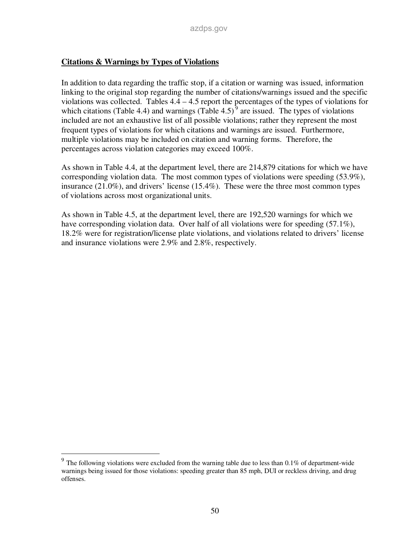#### **Citations & Warnings by Types of Violations**

In addition to data regarding the traffic stop, if a citation or warning was issued, information linking to the original stop regarding the number of citations/warnings issued and the specific violations was collected. Tables  $4.4 - 4.5$  report the percentages of the types of violations for which citations (Table 4.4) and warnings (Table 4.5)<sup>9</sup> are issued. The types of violations included are not an exhaustive list of all possible violations; rather they represent the most frequent types of violations for which citations and warnings are issued. Furthermore, multiple violations may be included on citation and warning forms. Therefore, the percentages across violation categories may exceed 100%.

As shown in Table 4.4, at the department level, there are 214,879 citations for which we have corresponding violation data. The most common types of violations were speeding (53.9%), insurance (21.0%), and drivers' license (15.4%). These were the three most common types of violations across most organizational units.

As shown in Table 4.5, at the department level, there are 192,520 warnings for which we have corresponding violation data. Over half of all violations were for speeding (57.1%), 18.2% were for registration/license plate violations, and violations related to drivers' license and insurance violations were 2.9% and 2.8%, respectively.

The following violations were excluded from the warning table due to less than 0.1% of department-wide warnings being issued for those violations: speeding greater than 85 mph, DUI or reckless driving, and drug offenses.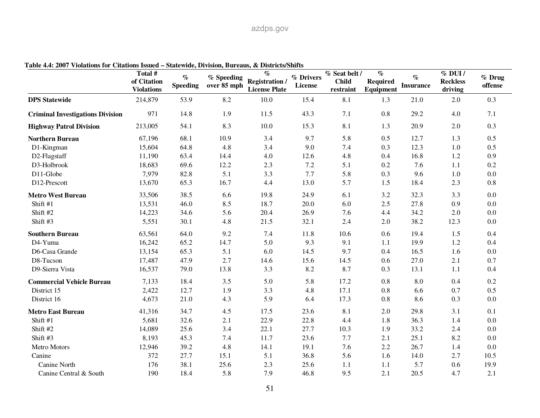| <u>violations for Chattons issued – blan muc, Dryiston, Durcaus, &amp; Districts/binris</u> | Total #<br>of Citation<br><b>Violations</b> | $\%$<br><b>Speeding</b> | % Speeding<br>over 85 mph | $\%$<br><b>Registration</b> /<br><b>License Plate</b> | % Drivers<br>License | % Seat belt /<br><b>Child</b><br>restraint | $\%$<br><b>Required</b><br>Equipment | $\%$<br><b>Insurance</b> | $%$ DUI /<br><b>Reckless</b><br>driving | % Drug<br>offense |
|---------------------------------------------------------------------------------------------|---------------------------------------------|-------------------------|---------------------------|-------------------------------------------------------|----------------------|--------------------------------------------|--------------------------------------|--------------------------|-----------------------------------------|-------------------|
| <b>DPS</b> Statewide                                                                        | 214,879                                     | 53.9                    | 8.2                       | 10.0                                                  | 15.4                 | 8.1                                        | 1.3                                  | 21.0                     | 2.0                                     | 0.3               |
| <b>Criminal Investigations Division</b>                                                     | 971                                         | 14.8                    | 1.9                       | 11.5                                                  | 43.3                 | 7.1                                        | 0.8                                  | 29.2                     | 4.0                                     | 7.1               |
| <b>Highway Patrol Division</b>                                                              | 213,005                                     | 54.1                    | 8.3                       | 10.0                                                  | 15.3                 | 8.1                                        | 1.3                                  | 20.9                     | 2.0                                     | 0.3               |
| <b>Northern Bureau</b>                                                                      | 67,196                                      | 68.1                    | 10.9                      | 3.4                                                   | 9.7                  | 5.8                                        | 0.5                                  | 12.7                     | 1.3                                     | 0.5               |
| D1-Kingman                                                                                  | 15,604                                      | 64.8                    | 4.8                       | 3.4                                                   | 9.0                  | 7.4                                        | 0.3                                  | 12.3                     | 1.0                                     | 0.5               |
| D2-Flagstaff                                                                                | 11,190                                      | 63.4                    | 14.4                      | 4.0                                                   | 12.6                 | 4.8                                        | 0.4                                  | 16.8                     | 1.2                                     | 0.9               |
| D3-Holbrook                                                                                 | 18,683                                      | 69.6                    | 12.2                      | 2.3                                                   | $7.2\,$              | 5.1                                        | 0.2                                  | 7.6                      | 1.1                                     | 0.2               |
| D11-Globe                                                                                   | 7,979                                       | 82.8                    | 5.1                       | 3.3                                                   | 7.7                  | 5.8                                        | 0.3                                  | 9.6                      | 1.0                                     | 0.0               |
| D12-Prescott                                                                                | 13,670                                      | 65.3                    | 16.7                      | 4.4                                                   | 13.0                 | 5.7                                        | 1.5                                  | 18.4                     | 2.3                                     | 0.8               |
| <b>Metro West Bureau</b>                                                                    | 33,506                                      | 38.5                    | 6.6                       | 19.8                                                  | 24.9                 | 6.1                                        | 3.2                                  | 32.3                     | 3.3                                     | $0.0\,$           |
| Shift #1                                                                                    | 13,531                                      | 46.0                    | 8.5                       | 18.7                                                  | 20.0                 | 6.0                                        | 2.5                                  | 27.8                     | 0.9                                     | 0.0               |
| Shift #2                                                                                    | 14,223                                      | 34.6                    | 5.6                       | 20.4                                                  | 26.9                 | 7.6                                        | 4.4                                  | 34.2                     | 2.0                                     | $0.0\,$           |
| Shift #3                                                                                    | 5,551                                       | 30.1                    | 4.8                       | 21.5                                                  | 32.1                 | 2.4                                        | 2.0                                  | 38.2                     | 12.3                                    | $0.0\,$           |
| <b>Southern Bureau</b>                                                                      | 63,561                                      | 64.0                    | 9.2                       | 7.4                                                   | 11.8                 | 10.6                                       | 0.6                                  | 19.4                     | 1.5                                     | 0.4               |
| D4-Yuma                                                                                     | 16,242                                      | 65.2                    | 14.7                      | 5.0                                                   | 9.3                  | 9.1                                        | 1.1                                  | 19.9                     | 1.2                                     | 0.4               |
| D6-Casa Grande                                                                              | 13,154                                      | 65.3                    | 5.1                       | 6.0                                                   | 14.5                 | 9.7                                        | 0.4                                  | 16.5                     | 1.6                                     | $0.0\,$           |
| D8-Tucson                                                                                   | 17,487                                      | 47.9                    | 2.7                       | 14.6                                                  | 15.6                 | 14.5                                       | 0.6                                  | 27.0                     | 2.1                                     | 0.7               |
| D9-Sierra Vista                                                                             | 16,537                                      | 79.0                    | 13.8                      | 3.3                                                   | 8.2                  | 8.7                                        | 0.3                                  | 13.1                     | 1.1                                     | 0.4               |
| <b>Commercial Vehicle Bureau</b>                                                            | 7,133                                       | 18.4                    | 3.5                       | 5.0                                                   | 5.8                  | 17.2                                       | 0.8                                  | 8.0                      | 0.4                                     | 0.2               |
| District 15                                                                                 | 2,422                                       | 12.7                    | 1.9                       | 3.3                                                   | 4.8                  | 17.1                                       | 0.8                                  | 6.6                      | 0.7                                     | 0.5               |
| District 16                                                                                 | 4,673                                       | 21.0                    | 4.3                       | 5.9                                                   | 6.4                  | 17.3                                       | 0.8                                  | 8.6                      | 0.3                                     | 0.0               |
| <b>Metro East Bureau</b>                                                                    | 41,316                                      | 34.7                    | 4.5                       | 17.5                                                  | 23.6                 | 8.1                                        | 2.0                                  | 29.8                     | 3.1                                     | 0.1               |
| Shift #1                                                                                    | 5,681                                       | 32.6                    | 2.1                       | 22.9                                                  | 22.8                 | 4.4                                        | 1.8                                  | 36.3                     | 1.4                                     | 0.0               |
| Shift #2                                                                                    | 14,089                                      | 25.6                    | 3.4                       | 22.1                                                  | 27.7                 | 10.3                                       | 1.9                                  | 33.2                     | 2.4                                     | $0.0\,$           |
| Shift #3                                                                                    | 8,193                                       | 45.3                    | 7.4                       | 11.7                                                  | 23.6                 | 7.7                                        | 2.1                                  | 25.1                     | 8.2                                     | $0.0\,$           |
| Metro Motors                                                                                | 12,946                                      | 39.2                    | 4.8                       | 14.1                                                  | 19.1                 | 7.6                                        | 2.2                                  | 26.7                     | 1.4                                     | 0.0               |
| Canine                                                                                      | 372                                         | 27.7                    | 15.1                      | 5.1                                                   | 36.8                 | 5.6                                        | 1.6                                  | 14.0                     | 2.7                                     | 10.5              |
| Canine North                                                                                | 176                                         | 38.1                    | 25.6                      | 2.3                                                   | 25.6                 | 1.1                                        | 1.1                                  | 5.7                      | 0.6                                     | 19.9              |
| Canine Central & South                                                                      | 190                                         | 18.4                    | 5.8                       | 7.9                                                   | 46.8                 | 9.5                                        | 2.1                                  | 20.5                     | 4.7                                     | 2.1               |

**Table 4.4: 2007 Violations for Citations Issued – Statewide, Division, Bureaus, & Districts/Shifts**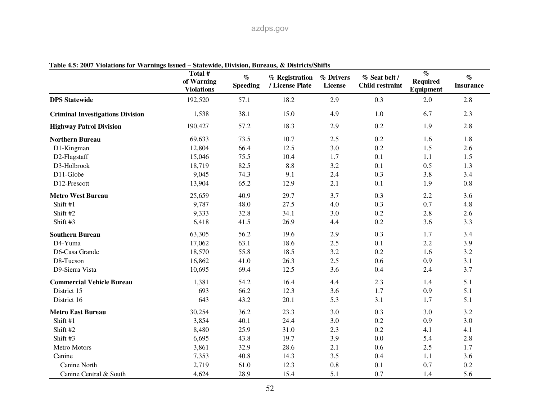| rable $\pi\omega$ , 2007 violations for vearings hours | Total #<br>of Warning<br><b>Violations</b> | $\%$<br><b>Speeding</b> | <b>Diarchiac, Division, Durcaus, &amp; Districts/Dinits</b><br>% Registration<br>/ License Plate | % Drivers<br>License | % Seat belt /<br><b>Child restraint</b> | $\overline{\mathcal{C}}$<br><b>Required</b><br>Equipment | $\%$<br><b>Insurance</b> |
|--------------------------------------------------------|--------------------------------------------|-------------------------|--------------------------------------------------------------------------------------------------|----------------------|-----------------------------------------|----------------------------------------------------------|--------------------------|
| <b>DPS</b> Statewide                                   | 192,520                                    | 57.1                    | 18.2                                                                                             | 2.9                  | 0.3                                     | 2.0                                                      | 2.8                      |
| <b>Criminal Investigations Division</b>                | 1,538                                      | 38.1                    | 15.0                                                                                             | 4.9                  | 1.0                                     | 6.7                                                      | 2.3                      |
| <b>Highway Patrol Division</b>                         | 190,427                                    | 57.2                    | 18.3                                                                                             | 2.9                  | 0.2                                     | 1.9                                                      | 2.8                      |
| <b>Northern Bureau</b>                                 | 69,633                                     | 73.5                    | 10.7                                                                                             | 2.5                  | 0.2                                     | 1.6                                                      | 1.8                      |
| D1-Kingman                                             | 12,804                                     | 66.4                    | 12.5                                                                                             | 3.0                  | 0.2                                     | 1.5                                                      | 2.6                      |
| D2-Flagstaff                                           | 15,046                                     | 75.5                    | 10.4                                                                                             | 1.7                  | 0.1                                     | 1.1                                                      | 1.5                      |
| D3-Holbrook                                            | 18,719                                     | 82.5                    | $8.8\,$                                                                                          | 3.2                  | 0.1                                     | 0.5                                                      | 1.3                      |
| D11-Globe                                              | 9,045                                      | 74.3                    | 9.1                                                                                              | 2.4                  | 0.3                                     | 3.8                                                      | 3.4                      |
| D12-Prescott                                           | 13,904                                     | 65.2                    | 12.9                                                                                             | 2.1                  | 0.1                                     | 1.9                                                      | 0.8                      |
| <b>Metro West Bureau</b>                               | 25,659                                     | 40.9                    | 29.7                                                                                             | 3.7                  | 0.3                                     | 2.2                                                      | 3.6                      |
| Shift #1                                               | 9,787                                      | 48.0                    | 27.5                                                                                             | 4.0                  | 0.3                                     | 0.7                                                      | 4.8                      |
| Shift #2                                               | 9,333                                      | 32.8                    | 34.1                                                                                             | 3.0                  | 0.2                                     | 2.8                                                      | 2.6                      |
| Shift #3                                               | 6,418                                      | 41.5                    | 26.9                                                                                             | 4.4                  | 0.2                                     | 3.6                                                      | 3.3                      |
| <b>Southern Bureau</b>                                 | 63,305                                     | 56.2                    | 19.6                                                                                             | 2.9                  | 0.3                                     | 1.7                                                      | 3.4                      |
| D4-Yuma                                                | 17,062                                     | 63.1                    | 18.6                                                                                             | 2.5                  | 0.1                                     | 2.2                                                      | 3.9                      |
| D6-Casa Grande                                         | 18,570                                     | 55.8                    | 18.5                                                                                             | 3.2                  | 0.2                                     | 1.6                                                      | 3.2                      |
| D8-Tucson                                              | 16,862                                     | 41.0                    | 26.3                                                                                             | 2.5                  | 0.6                                     | 0.9                                                      | 3.1                      |
| D9-Sierra Vista                                        | 10,695                                     | 69.4                    | 12.5                                                                                             | 3.6                  | 0.4                                     | 2.4                                                      | 3.7                      |
| <b>Commercial Vehicle Bureau</b>                       | 1,381                                      | 54.2                    | 16.4                                                                                             | 4.4                  | 2.3                                     | 1.4                                                      | 5.1                      |
| District 15                                            | 693                                        | 66.2                    | 12.3                                                                                             | 3.6                  | 1.7                                     | 0.9                                                      | 5.1                      |
| District 16                                            | 643                                        | 43.2                    | 20.1                                                                                             | 5.3                  | 3.1                                     | 1.7                                                      | 5.1                      |
| <b>Metro East Bureau</b>                               | 30,254                                     | 36.2                    | 23.3                                                                                             | 3.0                  | 0.3                                     | 3.0                                                      | 3.2                      |
| Shift #1                                               | 3,854                                      | 40.1                    | 24.4                                                                                             | 3.0                  | 0.2                                     | 0.9                                                      | 3.0                      |
| Shift #2                                               | 8,480                                      | 25.9                    | 31.0                                                                                             | 2.3                  | 0.2                                     | 4.1                                                      | 4.1                      |
| Shift #3                                               | 6,695                                      | 43.8                    | 19.7                                                                                             | 3.9                  | 0.0                                     | 5.4                                                      | 2.8                      |
| Metro Motors                                           | 3,861                                      | 32.9                    | 28.6                                                                                             | 2.1                  | 0.6                                     | 2.5                                                      | 1.7                      |
| Canine                                                 | 7,353                                      | 40.8                    | 14.3                                                                                             | 3.5                  | 0.4                                     | $1.1\,$                                                  | 3.6                      |
| Canine North                                           | 2,719                                      | 61.0                    | 12.3                                                                                             | 0.8                  | 0.1                                     | 0.7                                                      | 0.2                      |
| Canine Central & South                                 | 4,624                                      | 28.9                    | 15.4                                                                                             | 5.1                  | 0.7                                     | 1.4                                                      | 5.6                      |

**Table 4.5: 2007 Violations for Warnings Issued – Statewide, Division, Bureaus, & Districts/Shifts**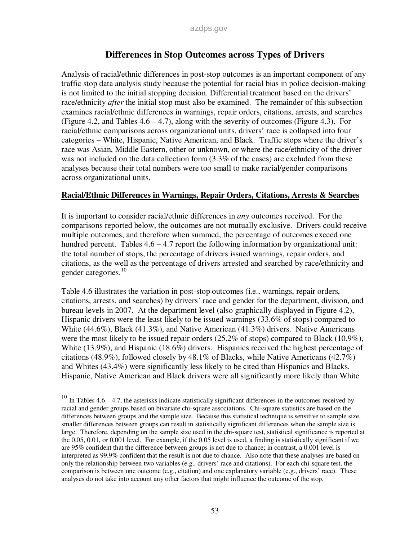## **Differences in Stop Outcomes across Types of Drivers**

Analysis of racial/ethnic differences in post-stop outcomes is an important component of any traffic stop data analysis study because the potential for racial bias in police decision-making is not limited to the initial stopping decision. Differential treatment based on the drivers' race/ethnicity *after* the initial stop must also be examined. The remainder of this subsection examines racial/ethnic differences in warnings, repair orders, citations, arrests, and searches (Figure 4.2, and Tables 4.6 – 4.7), along with the severity of outcomes (Figure 4.3). For racial/ethnic comparisons across organizational units, drivers' race is collapsed into four categories – White, Hispanic, Native American, and Black. Traffic stops where the driver's race was Asian, Middle Eastern, other or unknown, or where the race/ethnicity of the driver was not included on the data collection form  $(3.3\%$  of the cases) are excluded from these analyses because their total numbers were too small to make racial/gender comparisons across organizational units.

#### **Racial/Ethnic Differences in Warnings, Repair Orders, Citations, Arrests & Searches**

It is important to consider racial/ethnic differences in *any* outcomes received. For the comparisons reported below, the outcomes are not mutually exclusive. Drivers could receive multiple outcomes, and therefore when summed, the percentage of outcomes exceed one hundred percent. Tables 4.6 – 4.7 report the following information by organizational unit: the total number of stops, the percentage of drivers issued warnings, repair orders, and citations, as the well as the percentage of drivers arrested and searched by race/ethnicity and gender categories. $10$ 

Table 4.6 illustrates the variation in post-stop outcomes (i.e., warnings, repair orders, citations, arrests, and searches) by drivers' race and gender for the department, division, and bureau levels in 2007. At the department level (also graphically displayed in Figure 4.2), Hispanic drivers were the least likely to be issued warnings (33.6% of stops) compared to White (44.6%), Black (41.3%), and Native American (41.3%) drivers. Native Americans were the most likely to be issued repair orders (25.2% of stops) compared to Black (10.9%), White (13.9%), and Hispanic (18.6%) drivers. Hispanics received the highest percentage of citations (48.9%), followed closely by 48.1% of Blacks, while Native Americans (42.7%) and Whites (43.4%) were significantly less likely to be cited than Hispanics and Blacks. Hispanic, Native American and Black drivers were all significantly more likely than White

-

 $10$  In Tables 4.6 – 4.7, the asterisks indicate statistically significant differences in the outcomes received by racial and gender groups based on bivariate chi-square associations. Chi-square statistics are based on the differences between groups and the sample size. Because this statistical technique is sensitive to sample size, smaller differences between groups can result in statistically significant differences when the sample size is large. Therefore, depending on the sample size used in the chi-square test, statistical significance is reported at the 0.05, 0.01, or 0.001 level. For example, if the 0.05 level is used, a finding is statistically significant if we are 95% confident that the difference between groups is not due to chance; in contrast, a 0.001 level is interpreted as 99.9% confident that the result is not due to chance. Also note that these analyses are based on only the relationship between two variables (e.g., drivers' race and citations). For each chi-square test, the comparison is between one outcome (e.g., citation) and one explanatory variable (e.g., drivers' race). These analyses do not take into account any other factors that might influence the outcome of the stop.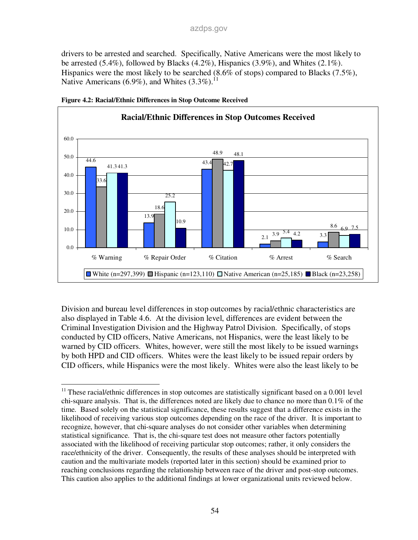drivers to be arrested and searched. Specifically, Native Americans were the most likely to be arrested (5.4%), followed by Blacks (4.2%), Hispanics (3.9%), and Whites (2.1%). Hispanics were the most likely to be searched (8.6% of stops) compared to Blacks (7.5%), Native Americans (6.9%), and Whites  $(3.3\%)$ .<sup>11</sup>





Division and bureau level differences in stop outcomes by racial/ethnic characteristics are also displayed in Table 4.6. At the division level, differences are evident between the Criminal Investigation Division and the Highway Patrol Division. Specifically, of stops conducted by CID officers, Native Americans, not Hispanics, were the least likely to be warned by CID officers. Whites, however, were still the most likely to be issued warnings by both HPD and CID officers. Whites were the least likely to be issued repair orders by CID officers, while Hispanics were the most likely. Whites were also the least likely to be

<sup>-</sup> $11$  These racial/ethnic differences in stop outcomes are statistically significant based on a 0.001 level chi-square analysis. That is, the differences noted are likely due to chance no more than 0.1% of the time. Based solely on the statistical significance, these results suggest that a difference exists in the likelihood of receiving various stop outcomes depending on the race of the driver. It is important to recognize, however, that chi-square analyses do not consider other variables when determining statistical significance. That is, the chi-square test does not measure other factors potentially associated with the likelihood of receiving particular stop outcomes; rather, it only considers the race/ethnicity of the driver. Consequently, the results of these analyses should be interpreted with caution and the multivariate models (reported later in this section) should be examined prior to reaching conclusions regarding the relationship between race of the driver and post-stop outcomes. This caution also applies to the additional findings at lower organizational units reviewed below.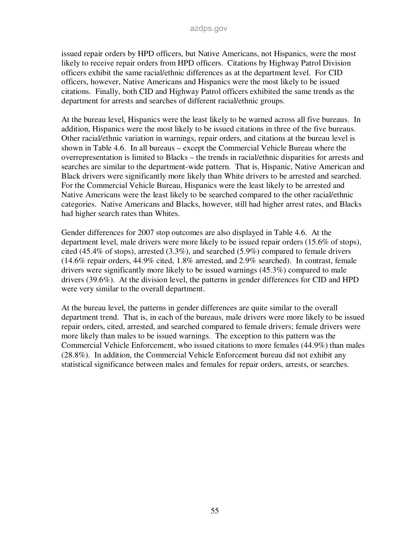issued repair orders by HPD officers, but Native Americans, not Hispanics, were the most likely to receive repair orders from HPD officers. Citations by Highway Patrol Division officers exhibit the same racial/ethnic differences as at the department level. For CID officers, however, Native Americans and Hispanics were the most likely to be issued citations. Finally, both CID and Highway Patrol officers exhibited the same trends as the department for arrests and searches of different racial/ethnic groups.

At the bureau level, Hispanics were the least likely to be warned across all five bureaus. In addition, Hispanics were the most likely to be issued citations in three of the five bureaus. Other racial/ethnic variation in warnings, repair orders, and citations at the bureau level is shown in Table 4.6. In all bureaus – except the Commercial Vehicle Bureau where the overrepresentation is limited to Blacks – the trends in racial/ethnic disparities for arrests and searches are similar to the department-wide pattern. That is, Hispanic, Native American and Black drivers were significantly more likely than White drivers to be arrested and searched. For the Commercial Vehicle Bureau, Hispanics were the least likely to be arrested and Native Americans were the least likely to be searched compared to the other racial/ethnic categories. Native Americans and Blacks, however, still had higher arrest rates, and Blacks had higher search rates than Whites.

Gender differences for 2007 stop outcomes are also displayed in Table 4.6. At the department level, male drivers were more likely to be issued repair orders (15.6% of stops), cited (45.4% of stops), arrested (3.3%), and searched (5.9%) compared to female drivers (14.6% repair orders, 44.9% cited, 1.8% arrested, and 2.9% searched). In contrast, female drivers were significantly more likely to be issued warnings (45.3%) compared to male drivers (39.6%). At the division level, the patterns in gender differences for CID and HPD were very similar to the overall department.

At the bureau level, the patterns in gender differences are quite similar to the overall department trend. That is, in each of the bureaus, male drivers were more likely to be issued repair orders, cited, arrested, and searched compared to female drivers; female drivers were more likely than males to be issued warnings. The exception to this pattern was the Commercial Vehicle Enforcement, who issued citations to more females (44.9%) than males (28.8%). In addition, the Commercial Vehicle Enforcement bureau did not exhibit any statistical significance between males and females for repair orders, arrests, or searches.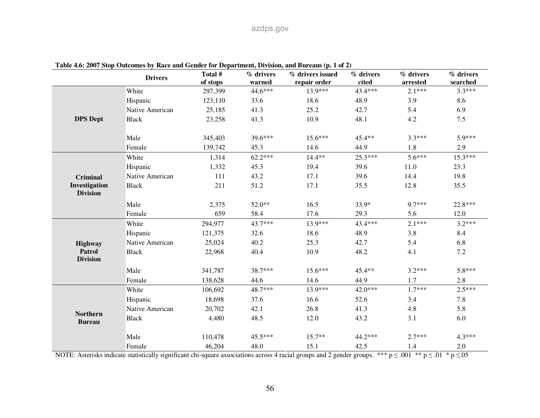|                                  | <b>Drivers</b>  | Total #<br>of stops | % drivers<br>warned | % drivers issued<br>repair order | % drivers<br>cited | % drivers<br>arrested | % drivers<br>searched |
|----------------------------------|-----------------|---------------------|---------------------|----------------------------------|--------------------|-----------------------|-----------------------|
|                                  | White           | 297,399             | 44.6***             | 13.9***                          | 43.4***            | $2.1***$              | $3.3***$              |
|                                  | Hispanic        | 123,110             | 33.6                | 18.6                             | 48.9               | 3.9                   | 8.6                   |
|                                  | Native American | 25,185              | 41.3                | 25.2                             | 42.7               | 5.4                   | 6.9                   |
| <b>DPS Dept</b>                  | <b>Black</b>    | 23,258              | 41.3                | 10.9                             | 48.1               | 4.2                   | 7.5                   |
|                                  | Male            | 345,403             | 39.6***             | $15.6***$                        | 45.4**             | $3.3***$              | $5.9***$              |
|                                  | Female          | 139,742             | 45.3                | 14.6                             | 44.9               | 1.8                   | 2.9                   |
|                                  | White           | 1,314               | $62.2***$           | 14.4**                           | $25.3***$          | $5.6***$              | $15.3***$             |
|                                  | Hispanic        | 1,332               | 45.3                | 19.4                             | 39.6               | 11.0                  | 23.3                  |
| <b>Criminal</b>                  | Native American | 111                 | 43.2                | 17.1                             | 39.6               | 14.4                  | 19.8                  |
| Investigation<br><b>Division</b> | <b>Black</b>    | 211                 | 51.2                | 17.1                             | 35.5               | 12.8                  | 35.5                  |
|                                  | Male            | 2,375               | 52.0**              | 16.5                             | 33.9*              | 9.7***                | 22.8***               |
|                                  | Female          | 659                 | 58.4                | 17.6                             | 29.3               | 5.6                   | 12.0                  |
|                                  | White           | 294,977             | 43.7***             | 13.9***                          | 43.4***            | $2.1***$              | $3.2***$              |
|                                  | Hispanic        | 121,375             | 32.6                | 18.6                             | 48.9               | 3.8                   | 8.4                   |
| Highway                          | Native American | 25,024              | 40.2                | 25.3                             | 42.7               | 5.4                   | 6.8                   |
| Patrol<br><b>Division</b>        | <b>Black</b>    | 22,968              | 40.4                | 10.9                             | 48.2               | 4.1                   | 7.2                   |
|                                  | Male            | 341,787             | 38.7***             | 15.6***                          | 45.4**             | $3.2***$              | $5.8***$              |
|                                  | Female          | 138,628             | 44.6                | 14.6                             | 44.9               | 1.7                   | 2.8                   |
|                                  | White           | 106,692             | 48.7***             | 13.9***                          | 42.0***            | $1.7***$              | $2.5***$              |
|                                  | Hispanic        | 18,698              | 37.6                | 16.6                             | 52.6               | 3.4                   | 7.8                   |
|                                  | Native American | 20,702              | 42.1                | 26.8                             | 41.3               | 4.8                   | 5.8                   |
| <b>Northern</b><br><b>Bureau</b> | <b>Black</b>    | 4,480               | 48.5                | 12.0                             | 43.2               | 3.1                   | 6.0                   |
|                                  | Male            | 110,478             | 45.5***             | $15.7**$                         | 44.2***            | $2.7***$              | 4.3***                |
|                                  | Female          | 46,204              | 48.0                | 15.1                             | 42.5               | 1.4                   | 2.0                   |

#### **Table 4.6: 2007 Stop Outcomes by Race and Gender for Department, Division, and Bureaus (p. 1 of 2)**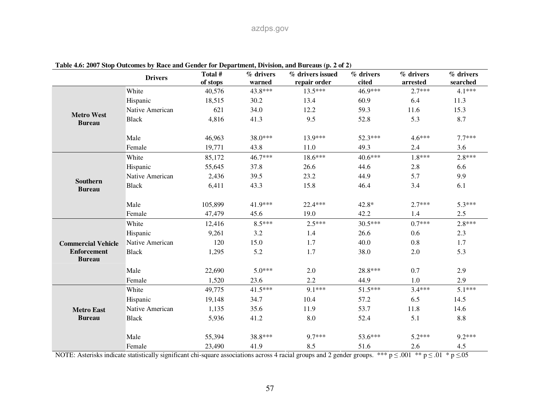| Table 4.0. 2007 Stop Outcomes by Kace and Genuer for Department, Division, and Dureaus (p. 2 or 2) | <b>Drivers</b>  | Total #<br>of stops | % drivers<br>warned | % drivers issued<br>repair order | % drivers<br>cited | % drivers<br>arrested | % drivers<br>searched |
|----------------------------------------------------------------------------------------------------|-----------------|---------------------|---------------------|----------------------------------|--------------------|-----------------------|-----------------------|
|                                                                                                    | White           | 40,576              | 43.8***             | $13.5***$                        | 46.9***            | $2.7***$              | $4.1***$              |
|                                                                                                    | Hispanic        | 18,515              | 30.2                | 13.4                             | 60.9               | 6.4                   | 11.3                  |
|                                                                                                    | Native American | 621                 | 34.0                | 12.2                             | 59.3               | 11.6                  | 15.3                  |
| <b>Metro West</b><br><b>Bureau</b>                                                                 | <b>Black</b>    | 4,816               | 41.3                | 9.5                              | 52.8               | 5.3                   | 8.7                   |
|                                                                                                    | Male            | 46,963              | 38.0***             | $13.9***$                        | 52.3***            | $4.6***$              | $7.7***$              |
|                                                                                                    | Female          | 19,771              | 43.8                | 11.0                             | 49.3               | 2.4                   | 3.6                   |
|                                                                                                    | White           | 85,172              | 46.7***             | $18.6***$                        | $40.6***$          | $1.8***$              | $2.8***$              |
|                                                                                                    | Hispanic        | 55,645              | 37.8                | 26.6                             | 44.6               | 2.8                   | 6.6                   |
|                                                                                                    | Native American | 2,436               | 39.5                | 23.2                             | 44.9               | 5.7                   | 9.9                   |
| <b>Southern</b><br><b>Bureau</b>                                                                   | <b>Black</b>    | 6,411               | 43.3                | 15.8                             | 46.4               | 3.4                   | 6.1                   |
|                                                                                                    | Male            | 105,899             | 41.9***             | 22.4***                          | $42.8*$            | $2.7***$              | $5.3***$              |
|                                                                                                    | Female          | 47,479              | 45.6                | 19.0                             | 42.2               | 1.4                   | 2.5                   |
|                                                                                                    | White           | 12,416              | $8.5***$            | $2.5***$                         | $30.5***$          | $0.7***$              | $2.8***$              |
|                                                                                                    | Hispanic        | 9,261               | 3.2                 | 1.4                              | 26.6               | 0.6                   | 2.3                   |
| <b>Commercial Vehicle</b>                                                                          | Native American | 120                 | 15.0                | 1.7                              | 40.0               | 0.8                   | 1.7                   |
| <b>Enforcement</b><br><b>Bureau</b>                                                                | <b>Black</b>    | 1,295               | 5.2                 | 1.7                              | 38.0               | 2.0                   | 5.3                   |
|                                                                                                    | Male            | 22,690              | $5.0***$            | 2.0                              | 28.8***            | 0.7                   | 2.9                   |
|                                                                                                    | Female          | 1,520               | 23.6                | 2.2                              | 44.9               | 1.0                   | 2.9                   |
|                                                                                                    | White           | 49,775              | $41.5***$           | 9.1***                           | $51.5***$          | $3.4***$              | $5.1***$              |
|                                                                                                    | Hispanic        | 19,148              | 34.7                | 10.4                             | 57.2               | 6.5                   | 14.5                  |
| <b>Metro East</b>                                                                                  | Native American | 1,135               | 35.6                | 11.9                             | 53.7               | 11.8                  | 14.6                  |
| <b>Bureau</b>                                                                                      | <b>Black</b>    | 5,936               | 41.2                | 8.0                              | 52.4               | 5.1                   | 8.8                   |
|                                                                                                    | Male            | 55,394              | 38.8***             | $9.7***$                         | $53.6***$          | $5.2***$              | $9.2***$              |
|                                                                                                    | Female          | 23,490              | 41.9                | 8.5                              | 51.6               | 2.6                   | 4.5                   |

**Table 4.6: 2007 Stop Outcomes by Race and Gender for Department, Division, and Bureaus (p. 2 of 2)**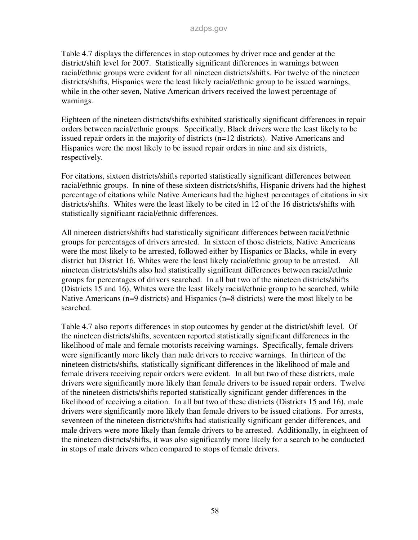Table 4.7 displays the differences in stop outcomes by driver race and gender at the district/shift level for 2007. Statistically significant differences in warnings between racial/ethnic groups were evident for all nineteen districts/shifts. For twelve of the nineteen districts/shifts, Hispanics were the least likely racial/ethnic group to be issued warnings, while in the other seven, Native American drivers received the lowest percentage of warnings.

Eighteen of the nineteen districts/shifts exhibited statistically significant differences in repair orders between racial/ethnic groups. Specifically, Black drivers were the least likely to be issued repair orders in the majority of districts (n=12 districts). Native Americans and Hispanics were the most likely to be issued repair orders in nine and six districts, respectively.

For citations, sixteen districts/shifts reported statistically significant differences between racial/ethnic groups. In nine of these sixteen districts/shifts, Hispanic drivers had the highest percentage of citations while Native Americans had the highest percentages of citations in six districts/shifts. Whites were the least likely to be cited in 12 of the 16 districts/shifts with statistically significant racial/ethnic differences.

All nineteen districts/shifts had statistically significant differences between racial/ethnic groups for percentages of drivers arrested. In sixteen of those districts, Native Americans were the most likely to be arrested, followed either by Hispanics or Blacks, while in every district but District 16, Whites were the least likely racial/ethnic group to be arrested. All nineteen districts/shifts also had statistically significant differences between racial/ethnic groups for percentages of drivers searched. In all but two of the nineteen districts/shifts (Districts 15 and 16), Whites were the least likely racial/ethnic group to be searched, while Native Americans (n=9 districts) and Hispanics (n=8 districts) were the most likely to be searched.

Table 4.7 also reports differences in stop outcomes by gender at the district/shift level. Of the nineteen districts/shifts, seventeen reported statistically significant differences in the likelihood of male and female motorists receiving warnings. Specifically, female drivers were significantly more likely than male drivers to receive warnings. In thirteen of the nineteen districts/shifts, statistically significant differences in the likelihood of male and female drivers receiving repair orders were evident. In all but two of these districts, male drivers were significantly more likely than female drivers to be issued repair orders. Twelve of the nineteen districts/shifts reported statistically significant gender differences in the likelihood of receiving a citation. In all but two of these districts (Districts 15 and 16), male drivers were significantly more likely than female drivers to be issued citations. For arrests, seventeen of the nineteen districts/shifts had statistically significant gender differences, and male drivers were more likely than female drivers to be arrested. Additionally, in eighteen of the nineteen districts/shifts, it was also significantly more likely for a search to be conducted in stops of male drivers when compared to stops of female drivers.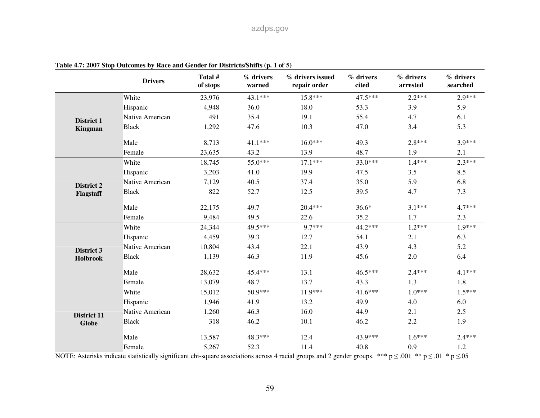|                    | <b>Drivers</b>  | Total #<br>of stops | % drivers<br>warned | % drivers issued<br>repair order | % drivers<br>cited | % drivers<br>arrested | % drivers<br>searched |
|--------------------|-----------------|---------------------|---------------------|----------------------------------|--------------------|-----------------------|-----------------------|
|                    | White           | 23,976              | $43.1***$           | $15.8***$                        | 47.5***            | $2.2***$              | $2.9***$              |
|                    | Hispanic        | 4,948               | 36.0                | 18.0                             | 53.3               | 3.9                   | 5.9                   |
| District 1         | Native American | 491                 | 35.4                | 19.1                             | 55.4               | 4.7                   | 6.1                   |
| <b>Kingman</b>     | <b>Black</b>    | 1,292               | 47.6                | 10.3                             | 47.0               | 3.4                   | 5.3                   |
|                    | Male            | 8,713               | 41.1***             | $16.0***$                        | 49.3               | $2.8***$              | 3.9***                |
|                    | Female          | 23,635              | 43.2                | 13.9                             | 48.7               | 1.9                   | 2.1                   |
|                    | White           | 18,745              | 55.0***             | $17.1***$                        | 33.0***            | $1.4***$              | $2.3***$              |
|                    | Hispanic        | 3,203               | 41.0                | 19.9                             | 47.5               | 3.5                   | 8.5                   |
| District 2         | Native American | 7,129               | 40.5                | 37.4                             | 35.0               | 5.9                   | 6.8                   |
| Flagstaff          | <b>Black</b>    | 822                 | 52.7                | 12.5                             | 39.5               | 4.7                   | 7.3                   |
|                    | Male            | 22,175              | 49.7                | 20.4***                          | $36.6*$            | $3.1***$              | $4.7***$              |
|                    | Female          | 9,484               | 49.5                | 22.6                             | 35.2               | 1.7                   | 2.3                   |
|                    | White           | 24,344              | 49.5***             | 9.7***                           | 44.2***            | $1.2***$              | $1.9***$              |
|                    | Hispanic        | 4,459               | 39.3                | 12.7                             | 54.1               | 2.1                   | 6.3                   |
| District 3         | Native American | 10,804              | 43.4                | 22.1                             | 43.9               | 4.3                   | 5.2                   |
| <b>Holbrook</b>    | <b>Black</b>    | 1,139               | 46.3                | 11.9                             | 45.6               | 2.0                   | 6.4                   |
|                    | Male            | 28,632              | 45.4***             | 13.1                             | 46.5***            | $2.4***$              | $4.1***$              |
|                    | Female          | 13,079              | 48.7                | 13.7                             | 43.3               | 1.3                   | 1.8                   |
|                    | White           | 15,012              | 50.9***             | $11.9***$                        | $41.6***$          | $1.0***$              | $1.5***$              |
|                    | Hispanic        | 1,946               | 41.9                | 13.2                             | 49.9               | 4.0                   | 6.0                   |
| <b>District 11</b> | Native American | 1,260               | 46.3                | 16.0                             | 44.9               | 2.1                   | 2.5                   |
| <b>Globe</b>       | <b>Black</b>    | 318                 | 46.2                | 10.1                             | 46.2               | 2.2                   | 1.9                   |
|                    | Male            | 13,587              | 48.3***             | 12.4                             | 43.9***            | $1.6***$              | $2.4***$              |
|                    | Female          | 5,267               | 52.3                | 11.4                             | 40.8               | 0.9                   | 1.2                   |

**Table 4.7: 2007 Stop Outcomes by Race and Gender for Districts/Shifts (p. 1 of 5)**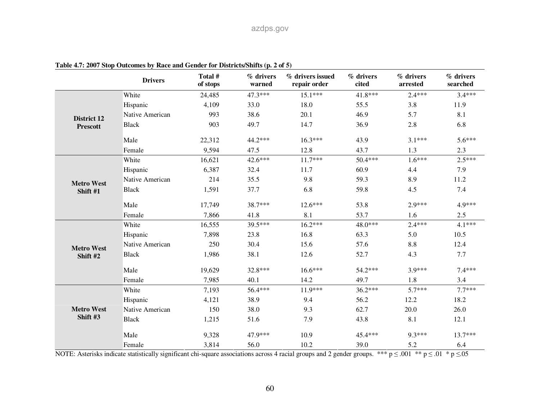|                    | <b>Drivers</b>  | Total #<br>of stops | $%$ drivers<br>warned | % drivers issued<br>repair order | % drivers<br>cited | % drivers<br>arrested | % drivers<br>searched |
|--------------------|-----------------|---------------------|-----------------------|----------------------------------|--------------------|-----------------------|-----------------------|
|                    | White           | 24,485              | $47.3***$             | $15.1***$                        | $41.8***$          | $2.4***$              | $3.4***$              |
|                    | Hispanic        | 4,109               | 33.0                  | 18.0                             | 55.5               | 3.8                   | 11.9                  |
| <b>District 12</b> | Native American | 993                 | 38.6                  | 20.1                             | 46.9               | 5.7                   | 8.1                   |
| <b>Prescott</b>    | <b>Black</b>    | 903                 | 49.7                  | 14.7                             | 36.9               | 2.8                   | 6.8                   |
|                    | Male            | 22,312              | 44.2***               | $16.3***$                        | 43.9               | $3.1***$              | $5.6***$              |
|                    | Female          | 9,594               | 47.5                  | 12.8                             | 43.7               | 1.3                   | 2.3                   |
|                    | White           | 16,621              | 42.6***               | $11.7***$                        | 50.4***            | $1.6***$              | $2.5***$              |
|                    | Hispanic        | 6,387               | 32.4                  | 11.7                             | 60.9               | 4.4                   | 7.9                   |
| <b>Metro West</b>  | Native American | 214                 | 35.5                  | 9.8                              | 59.3               | 8.9                   | 11.2                  |
| Shift #1           | <b>Black</b>    | 1,591               | 37.7                  | 6.8                              | 59.8               | 4.5                   | 7.4                   |
|                    | Male            | 17,749              | 38.7***               | $12.6***$                        | 53.8               | $2.9***$              | 4.9***                |
|                    | Female          | 7,866               | 41.8                  | 8.1                              | 53.7               | 1.6                   | 2.5                   |
|                    | White           | 16,555              | 39.5***               | $16.2***$                        | 48.0***            | $2.4***$              | $4.1***$              |
|                    | Hispanic        | 7,898               | 23.8                  | 16.8                             | 63.3               | 5.0                   | 10.5                  |
| <b>Metro West</b>  | Native American | 250                 | 30.4                  | 15.6                             | 57.6               | 8.8                   | 12.4                  |
| Shift #2           | <b>Black</b>    | 1,986               | 38.1                  | 12.6                             | 52.7               | 4.3                   | 7.7                   |
|                    | Male            | 19,629              | 32.8***               | $16.6***$                        | 54.2***            | 3.9***                | $7.4***$              |
|                    | Female          | 7,985               | 40.1                  | 14.2                             | 49.7               | 1.8                   | 3.4                   |
|                    | White           | 7,193               | 56.4***               | 11.9***                          | $36.2***$          | $5.7***$              | $7.7***$              |
|                    | Hispanic        | 4,121               | 38.9                  | 9.4                              | 56.2               | 12.2                  | 18.2                  |
| <b>Metro West</b>  | Native American | 150                 | 38.0                  | 9.3                              | 62.7               | 20.0                  | 26.0                  |
| Shift #3           | <b>Black</b>    | 1,215               | 51.6                  | 7.9                              | 43.8               | 8.1                   | 12.1                  |
|                    | Male            | 9,328               | 47.9***               | 10.9                             | 45.4***            | $9.3***$              | $13.7***$             |
|                    | Female          | 3,814               | 56.0                  | 10.2                             | 39.0               | 5.2                   | 6.4                   |

**Table 4.7: 2007 Stop Outcomes by Race and Gender for Districts/Shifts (p. 2 of 5)**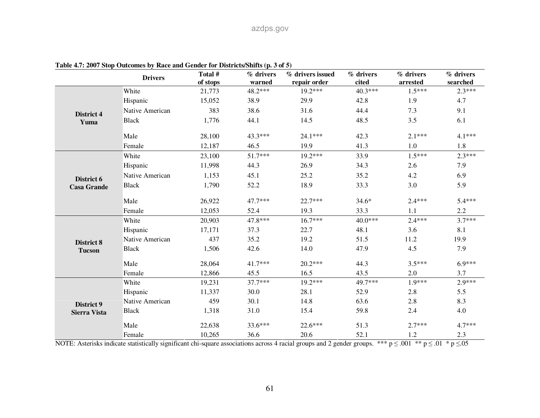|                     | <b>Drivers</b>  | Total #<br>of stops | % drivers<br>warned | % drivers issued<br>repair order | % drivers<br>cited | % drivers<br>arrested | % drivers<br>$\rm searched$ |
|---------------------|-----------------|---------------------|---------------------|----------------------------------|--------------------|-----------------------|-----------------------------|
|                     | White           | 21,773              | 48.2***             | $19.2***$                        | $40.3***$          | $1.5***$              | $2.3***$                    |
|                     | Hispanic        | 15,052              | 38.9                | 29.9                             | 42.8               | 1.9                   | 4.7                         |
| District 4          | Native American | 383                 | 38.6                | 31.6                             | 44.4               | 7.3                   | 9.1                         |
| Yuma                | <b>Black</b>    | 1,776               | 44.1                | 14.5                             | 48.5               | 3.5                   | 6.1                         |
|                     | Male            | 28,100              | 43.3***             | 24.1***                          | 42.3               | $2.1***$              | $4.1***$                    |
|                     | Female          | 12,187              | 46.5                | 19.9                             | 41.3               | 1.0                   | 1.8                         |
|                     | White           | 23,100              | 51.7***             | $19.2***$                        | 33.9               | $1.5***$              | $2.3***$                    |
|                     | Hispanic        | 11,998              | 44.3                | 26.9                             | 34.3               | 2.6                   | 7.9                         |
| District 6          | Native American | 1,153               | 45.1                | 25.2                             | 35.2               | 4.2                   | 6.9                         |
| <b>Casa Grande</b>  | <b>Black</b>    | 1,790               | 52.2                | 18.9                             | 33.3               | 3.0                   | 5.9                         |
|                     | Male            | 26,922              | 47.7***             | $22.7***$                        | $34.6*$            | $2.4***$              | $5.4***$                    |
|                     | Female          | 12,053              | 52.4                | 19.3                             | 33.3               | 1.1                   | 2.2                         |
|                     | White           | 20,903              | 47.8***             | $16.7***$                        | $40.0***$          | $2.4***$              | $3.7***$                    |
|                     | Hispanic        | 17,171              | 37.3                | 22.7                             | 48.1               | 3.6                   | 8.1                         |
| <b>District 8</b>   | Native American | 437                 | 35.2                | 19.2                             | 51.5               | 11.2                  | 19.9                        |
| <b>Tucson</b>       | <b>Black</b>    | 1,506               | 42.6                | 14.0                             | 47.9               | 4.5                   | 7.9                         |
|                     | Male            | 28,064              | 41.7***             | 20.2***                          | 44.3               | $3.5***$              | $6.9***$                    |
|                     | Female          | 12,866              | 45.5                | 16.5                             | 43.5               | 2.0                   | 3.7                         |
|                     | White           | 19,231              | $37.7***$           | $19.2***$                        | 49.7***            | $1.9***$              | $2.9***$                    |
|                     | Hispanic        | 11,337              | 30.0                | 28.1                             | 52.9               | 2.8                   | 5.5                         |
| District 9          | Native American | 459                 | 30.1                | 14.8                             | 63.6               | 2.8                   | 8.3                         |
| <b>Sierra Vista</b> | <b>Black</b>    | 1,318               | 31.0                | 15.4                             | 59.8               | 2.4                   | 4.0                         |
|                     | Male            | 22,638              | 33.6***             | $22.6***$                        | 51.3               | $2.7***$              | $4.7***$                    |
|                     | Female          | 10,265              | 36.6                | 20.6                             | 52.1               | 1.2                   | 2.3                         |

**Table 4.7: 2007 Stop Outcomes by Race and Gender for Districts/Shifts (p. 3 of 5)**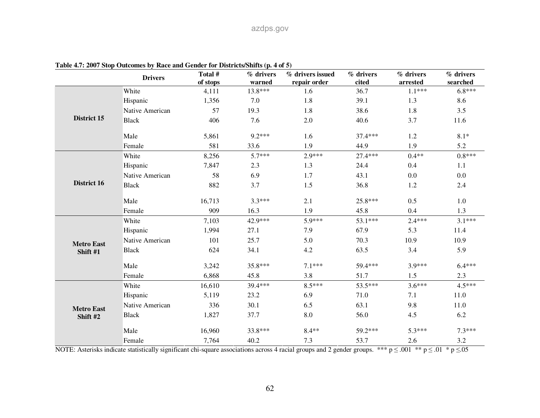|                    | <b>Drivers</b>  | Total #<br>of stops | % drivers<br>warned | $%$ drivers issued<br>repair order | % drivers<br>cited | % drivers<br>arrested | % drivers<br>searched |
|--------------------|-----------------|---------------------|---------------------|------------------------------------|--------------------|-----------------------|-----------------------|
|                    | White           | 4,111               | 13.8***             | 1.6                                | 36.7               | $1.1***$              | $6.8***$              |
|                    | Hispanic        | 1,356               | 7.0                 | 1.8                                | 39.1               | 1.3                   | 8.6                   |
|                    | Native American | 57                  | 19.3                | 1.8                                | 38.6               | 1.8                   | 3.5                   |
| <b>District 15</b> | <b>Black</b>    | 406                 | 7.6                 | $2.0\,$                            | 40.6               | 3.7                   | 11.6                  |
|                    | Male            | 5,861               | $9.2***$            | 1.6                                | 37.4***            | 1.2                   | $8.1*$                |
|                    | Female          | 581                 | 33.6                | 1.9                                | 44.9               | 1.9                   | 5.2                   |
|                    | White           | 8,256               | $5.7***$            | $2.9***$                           | 27.4***            | $0.4**$               | $0.8***$              |
|                    | Hispanic        | 7,847               | 2.3                 | 1.3                                | 24.4               | 0.4                   | 1.1                   |
|                    | Native American | 58                  | 6.9                 | 1.7                                | 43.1               | 0.0                   | 0.0                   |
| District 16        | <b>Black</b>    | 882                 | 3.7                 | 1.5                                | 36.8               | 1.2                   | 2.4                   |
|                    | Male            | 16,713              | $3.3***$            | 2.1                                | 25.8***            | 0.5                   | 1.0                   |
|                    | Female          | 909                 | 16.3                | 1.9                                | 45.8               | 0.4                   | 1.3                   |
|                    | White           | 7,103               | 42.9***             | 5.9***                             | 53.1***            | $2.4***$              | $3.1***$              |
|                    | Hispanic        | 1,994               | 27.1                | 7.9                                | 67.9               | 5.3                   | 11.4                  |
| <b>Metro East</b>  | Native American | 101                 | 25.7                | 5.0                                | 70.3               | 10.9                  | 10.9                  |
| Shift #1           | <b>Black</b>    | 624                 | 34.1                | 4.2                                | 63.5               | 3.4                   | 5.9                   |
|                    | Male            | 3,242               | 35.8***             | $7.1***$                           | 59.4***            | 3.9***                | $6.4***$              |
|                    | Female          | 6,868               | 45.8                | 3.8                                | 51.7               | 1.5                   | 2.3                   |
|                    | White           | 16,610              | 39.4***             | $8.5***$                           | 53.5***            | $3.6***$              | $4.5***$              |
|                    | Hispanic        | 5,119               | 23.2                | 6.9                                | 71.0               | 7.1                   | 11.0                  |
| <b>Metro East</b>  | Native American | 336                 | 30.1                | 6.5                                | 63.1               | 9.8                   | 11.0                  |
| Shift #2           | <b>Black</b>    | 1,827               | 37.7                | 8.0                                | 56.0               | 4.5                   | 6.2                   |
|                    | Male            | 16,960              | 33.8***             | $8.4**$                            | 59.2***            | $5.3***$              | $7.3***$              |
|                    | Female          | 7,764               | 40.2                | 7.3                                | 53.7               | 2.6                   | 3.2                   |

**Table 4.7: 2007 Stop Outcomes by Race and Gender for Districts/Shifts (p. 4 of 5)**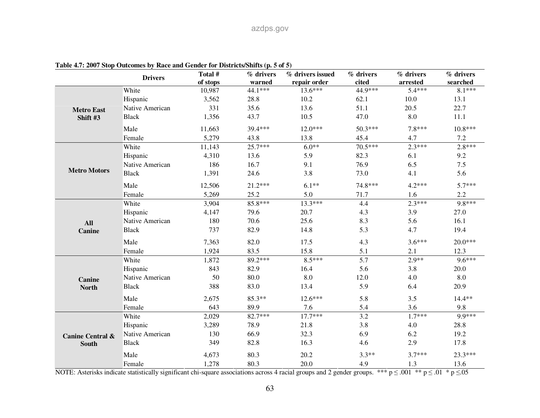|                             | <b>Drivers</b>  | Total #  | % drivers | % drivers issued | % drivers | % drivers | % drivers |
|-----------------------------|-----------------|----------|-----------|------------------|-----------|-----------|-----------|
|                             |                 | of stops | warned    | repair order     | cited     | arrested  | searched  |
|                             | White           | 10,987   | 44.1***   | $13.6***$        | 44.9***   | $5.4***$  | $8.1***$  |
|                             | Hispanic        | 3,562    | 28.8      | 10.2             | 62.1      | 10.0      | 13.1      |
| <b>Metro East</b>           | Native American | 331      | 35.6      | 13.6             | 51.1      | 20.5      | 22.7      |
| Shift #3                    | <b>Black</b>    | 1,356    | 43.7      | 10.5             | 47.0      | 8.0       | 11.1      |
|                             | Male            | 11,663   | 39.4***   | $12.0***$        | 50.3***   | $7.8***$  | $10.8***$ |
|                             | Female          | 5,279    | 43.8      | 13.8             | 45.4      | 4.7       | 7.2       |
|                             | White           | 11,143   | 25.7***   | $6.0**$          | 70.5***   | $2.3***$  | $2.8***$  |
|                             | Hispanic        | 4,310    | 13.6      | 5.9              | 82.3      | 6.1       | 9.2       |
|                             | Native American | 186      | 16.7      | 9.1              | 76.9      | 6.5       | 7.5       |
| <b>Metro Motors</b>         | <b>Black</b>    | 1,391    | 24.6      | 3.8              | 73.0      | 4.1       | 5.6       |
|                             | Male            | 12,506   | 21.2***   | $6.1**$          | 74.8***   | $4.2***$  | $5.7***$  |
|                             | Female          | 5,269    | 25.2      | 5.0              | 71.7      | 1.6       | 2.2       |
|                             | White           | 3,904    | 85.8***   | $13.3***$        | 4.4       | $2.3***$  | 9.8***    |
|                             | Hispanic        | 4,147    | 79.6      | 20.7             | 4.3       | 3.9       | 27.0      |
| <b>All</b>                  | Native American | 180      | 70.6      | 25.6             | 8.3       | 5.6       | 16.1      |
| Canine                      | <b>Black</b>    | 737      | 82.9      | 14.8             | 5.3       | 4.7       | 19.4      |
|                             | Male            | 7,363    | 82.0      | 17.5             | 4.3       | $3.6***$  | $20.0***$ |
|                             | Female          | 1,924    | 83.5      | 15.8             | 5.1       | 2.1       | 12.3      |
|                             | White           | 1,872    | 89.2***   | $8.5***$         | 5.7       | $2.9**$   | $9.6***$  |
|                             | Hispanic        | 843      | 82.9      | 16.4             | 5.6       | 3.8       | 20.0      |
| <b>Canine</b>               | Native American | 50       | 80.0      | 8.0              | 12.0      | 4.0       | 8.0       |
| <b>North</b>                | <b>Black</b>    | 388      | 83.0      | 13.4             | 5.9       | 6.4       | 20.9      |
|                             | Male            | 2,675    | 85.3**    | $12.6***$        | 5.8       | 3.5       | 14.4**    |
|                             | Female          | 643      | 89.9      | 7.6              | 5.4       | 3.6       | 9.8       |
|                             | White           | 2,029    | 82.7***   | $17.7***$        | 3.2       | $1.7***$  | 9.9***    |
|                             | Hispanic        | 3,289    | 78.9      | 21.8             | 3.8       | 4.0       | 28.8      |
| <b>Canine Central &amp;</b> | Native American | 130      | 66.9      | 32.3             | 6.9       | 6.2       | 19.2      |
| <b>South</b>                | <b>Black</b>    | 349      | 82.8      | 16.3             | 4.6       | 2.9       | 17.8      |
|                             | Male            | 4,673    | 80.3      | 20.2             | $3.3**$   | $3.7***$  | 23.3***   |
|                             | Female          | 1,278    | 80.3      | 20.0             | 4.9       | 1.3       | 13.6      |

**Table 4.7: 2007 Stop Outcomes by Race and Gender for Districts/Shifts (p. 5 of 5)**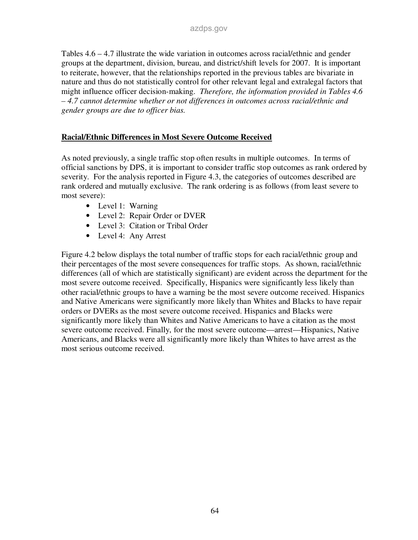Tables 4.6 – 4.7 illustrate the wide variation in outcomes across racial/ethnic and gender groups at the department, division, bureau, and district/shift levels for 2007. It is important to reiterate, however, that the relationships reported in the previous tables are bivariate in nature and thus do not statistically control for other relevant legal and extralegal factors that might influence officer decision-making. *Therefore, the information provided in Tables 4.6 – 4.7 cannot determine whether or not differences in outcomes across racial/ethnic and gender groups are due to officer bias.* 

#### **Racial/Ethnic Differences in Most Severe Outcome Received**

As noted previously, a single traffic stop often results in multiple outcomes. In terms of official sanctions by DPS, it is important to consider traffic stop outcomes as rank ordered by severity. For the analysis reported in Figure 4.3, the categories of outcomes described are rank ordered and mutually exclusive. The rank ordering is as follows (from least severe to most severe):

- Level 1: Warning
- Level 2: Repair Order or DVER
- Level 3: Citation or Tribal Order
- Level 4: Any Arrest

Figure 4.2 below displays the total number of traffic stops for each racial/ethnic group and their percentages of the most severe consequences for traffic stops. As shown, racial/ethnic differences (all of which are statistically significant) are evident across the department for the most severe outcome received. Specifically, Hispanics were significantly less likely than other racial/ethnic groups to have a warning be the most severe outcome received. Hispanics and Native Americans were significantly more likely than Whites and Blacks to have repair orders or DVERs as the most severe outcome received. Hispanics and Blacks were significantly more likely than Whites and Native Americans to have a citation as the most severe outcome received. Finally, for the most severe outcome—arrest—Hispanics, Native Americans, and Blacks were all significantly more likely than Whites to have arrest as the most serious outcome received.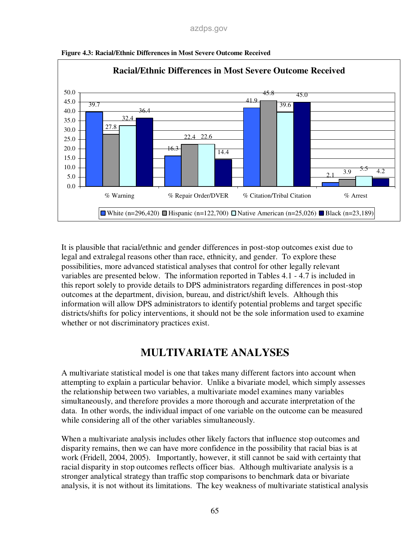

**Figure 4.3: Racial/Ethnic Differences in Most Severe Outcome Received** 

It is plausible that racial/ethnic and gender differences in post-stop outcomes exist due to legal and extralegal reasons other than race, ethnicity, and gender. To explore these possibilities, more advanced statistical analyses that control for other legally relevant variables are presented below. The information reported in Tables 4.1 - 4.7 is included in this report solely to provide details to DPS administrators regarding differences in post-stop outcomes at the department, division, bureau, and district/shift levels. Although this information will allow DPS administrators to identify potential problems and target specific districts/shifts for policy interventions, it should not be the sole information used to examine whether or not discriminatory practices exist.

# **MULTIVARIATE ANALYSES**

A multivariate statistical model is one that takes many different factors into account when attempting to explain a particular behavior. Unlike a bivariate model, which simply assesses the relationship between two variables, a multivariate model examines many variables simultaneously, and therefore provides a more thorough and accurate interpretation of the data. In other words, the individual impact of one variable on the outcome can be measured while considering all of the other variables simultaneously.

When a multivariate analysis includes other likely factors that influence stop outcomes and disparity remains, then we can have more confidence in the possibility that racial bias is at work (Fridell, 2004, 2005). Importantly, however, it still cannot be said with certainty that racial disparity in stop outcomes reflects officer bias. Although multivariate analysis is a stronger analytical strategy than traffic stop comparisons to benchmark data or bivariate analysis, it is not without its limitations. The key weakness of multivariate statistical analysis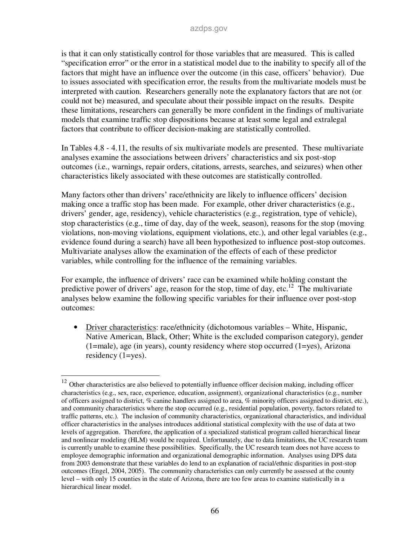is that it can only statistically control for those variables that are measured. This is called "specification error" or the error in a statistical model due to the inability to specify all of the factors that might have an influence over the outcome (in this case, officers' behavior). Due to issues associated with specification error, the results from the multivariate models must be interpreted with caution. Researchers generally note the explanatory factors that are not (or could not be) measured, and speculate about their possible impact on the results. Despite these limitations, researchers can generally be more confident in the findings of multivariate models that examine traffic stop dispositions because at least some legal and extralegal factors that contribute to officer decision-making are statistically controlled.

In Tables 4.8 - 4.11, the results of six multivariate models are presented. These multivariate analyses examine the associations between drivers' characteristics and six post-stop outcomes (i.e., warnings, repair orders, citations, arrests, searches, and seizures) when other characteristics likely associated with these outcomes are statistically controlled.

Many factors other than drivers' race/ethnicity are likely to influence officers' decision making once a traffic stop has been made. For example, other driver characteristics (e.g., drivers' gender, age, residency), vehicle characteristics (e.g., registration, type of vehicle), stop characteristics (e.g., time of day, day of the week, season), reasons for the stop (moving violations, non-moving violations, equipment violations, etc.), and other legal variables (e.g., evidence found during a search) have all been hypothesized to influence post-stop outcomes. Multivariate analyses allow the examination of the effects of each of these predictor variables, while controlling for the influence of the remaining variables.

For example, the influence of drivers' race can be examined while holding constant the predictive power of drivers' age, reason for the stop, time of day, etc.<sup>12</sup> The multivariate analyses below examine the following specific variables for their influence over post-stop outcomes:

• Driver characteristics: race/ethnicity (dichotomous variables – White, Hispanic, Native American, Black, Other; White is the excluded comparison category), gender  $(1=male)$ , age (in years), county residency where stop occurred  $(1=yes)$ , Arizona residency (1=yes).

-

 $12$  Other characteristics are also believed to potentially influence officer decision making, including officer characteristics (e.g., sex, race, experience, education, assignment), organizational characteristics (e.g., number of officers assigned to district, % canine handlers assigned to area, % minority officers assigned to district, etc.), and community characteristics where the stop occurred (e.g., residential population, poverty, factors related to traffic patterns, etc.). The inclusion of community characteristics, organizational characteristics, and individual officer characteristics in the analyses introduces additional statistical complexity with the use of data at two levels of aggregation. Therefore, the application of a specialized statistical program called hierarchical linear and nonlinear modeling (HLM) would be required. Unfortunately, due to data limitations, the UC research team is currently unable to examine these possibilities. Specifically, the UC research team does not have access to employee demographic information and organizational demographic information. Analyses using DPS data from 2003 demonstrate that these variables do lend to an explanation of racial/ethnic disparities in post-stop outcomes (Engel, 2004, 2005). The community characteristics can only currently be assessed at the county level – with only 15 counties in the state of Arizona, there are too few areas to examine statistically in a hierarchical linear model.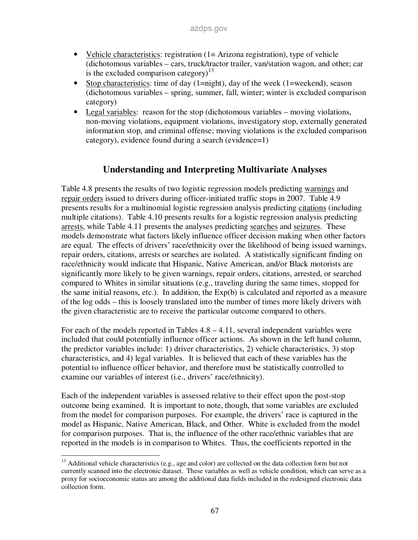- Vehicle characteristics: registration (1 = Arizona registration), type of vehicle (dichotomous variables – cars, truck/tractor trailer, van/station wagon, and other; car is the excluded comparison category)<sup>13</sup>
- Stop characteristics: time of day (1=night), day of the week (1=weekend), season (dichotomous variables – spring, summer, fall, winter; winter is excluded comparison category)
- Legal variables: reason for the stop (dichotomous variables moving violations, non-moving violations, equipment violations, investigatory stop, externally generated information stop, and criminal offense; moving violations is the excluded comparison category), evidence found during a search (evidence=1)

## **Understanding and Interpreting Multivariate Analyses**

Table 4.8 presents the results of two logistic regression models predicting warnings and repair orders issued to drivers during officer-initiated traffic stops in 2007. Table 4.9 presents results for a multinomial logistic regression analysis predicting citations (including multiple citations). Table 4.10 presents results for a logistic regression analysis predicting arrests, while Table 4.11 presents the analyses predicting searches and seizures. These models demonstrate what factors likely influence officer decision making when other factors are equal. The effects of drivers' race/ethnicity over the likelihood of being issued warnings, repair orders, citations, arrests or searches are isolated. A statistically significant finding on race/ethnicity would indicate that Hispanic, Native American, and/or Black motorists are significantly more likely to be given warnings, repair orders, citations, arrested, or searched compared to Whites in similar situations (e.g., traveling during the same times, stopped for the same initial reasons, etc.). In addition, the Exp(b) is calculated and reported as a measure of the log odds – this is loosely translated into the number of times more likely drivers with the given characteristic are to receive the particular outcome compared to others.

For each of the models reported in Tables  $4.8 - 4.11$ , several independent variables were included that could potentially influence officer actions. As shown in the left hand column, the predictor variables include: 1) driver characteristics, 2) vehicle characteristics, 3) stop characteristics, and 4) legal variables. It is believed that each of these variables has the potential to influence officer behavior, and therefore must be statistically controlled to examine our variables of interest (i.e., drivers' race/ethnicity).

Each of the independent variables is assessed relative to their effect upon the post-stop outcome being examined. It is important to note, though, that some variables are excluded from the model for comparison purposes. For example, the drivers' race is captured in the model as Hispanic, Native American, Black, and Other. White is excluded from the model for comparison purposes. That is, the influence of the other race/ethnic variables that are reported in the models is in comparison to Whites. Thus, the coefficients reported in the

<sup>-</sup><sup>13</sup> Additional vehicle characteristics (e.g., age and color) are collected on the data collection form but not currently scanned into the electronic dataset. These variables as well as vehicle condition, which can serve as a proxy for socioeconomic status are among the additional data fields included in the redesigned electronic data collection form.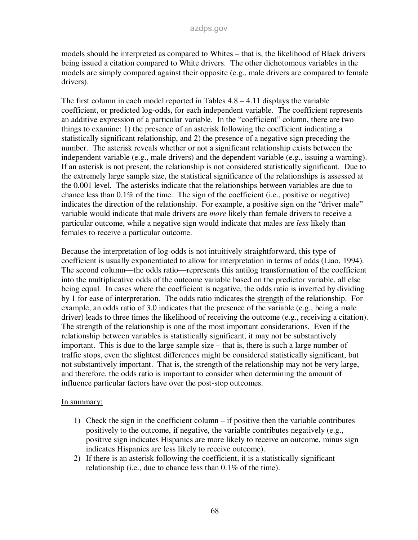models should be interpreted as compared to Whites – that is, the likelihood of Black drivers being issued a citation compared to White drivers. The other dichotomous variables in the models are simply compared against their opposite (e.g., male drivers are compared to female drivers).

The first column in each model reported in Tables  $4.8 - 4.11$  displays the variable coefficient, or predicted log-odds, for each independent variable. The coefficient represents an additive expression of a particular variable. In the "coefficient" column, there are two things to examine: 1) the presence of an asterisk following the coefficient indicating a statistically significant relationship, and 2) the presence of a negative sign preceding the number. The asterisk reveals whether or not a significant relationship exists between the independent variable (e.g., male drivers) and the dependent variable (e.g., issuing a warning). If an asterisk is not present, the relationship is not considered statistically significant. Due to the extremely large sample size, the statistical significance of the relationships is assessed at the 0.001 level. The asterisks indicate that the relationships between variables are due to chance less than 0.1% of the time. The sign of the coefficient (i.e., positive or negative) indicates the direction of the relationship. For example, a positive sign on the "driver male" variable would indicate that male drivers are *more* likely than female drivers to receive a particular outcome, while a negative sign would indicate that males are *less* likely than females to receive a particular outcome.

Because the interpretation of log-odds is not intuitively straightforward, this type of coefficient is usually exponentiated to allow for interpretation in terms of odds (Liao, 1994). The second column—the odds ratio—represents this antilog transformation of the coefficient into the multiplicative odds of the outcome variable based on the predictor variable, all else being equal. In cases where the coefficient is negative, the odds ratio is inverted by dividing by 1 for ease of interpretation. The odds ratio indicates the strength of the relationship. For example, an odds ratio of 3.0 indicates that the presence of the variable (e.g., being a male driver) leads to three times the likelihood of receiving the outcome (e.g., receiving a citation). The strength of the relationship is one of the most important considerations. Even if the relationship between variables is statistically significant, it may not be substantively important. This is due to the large sample size – that is, there is such a large number of traffic stops, even the slightest differences might be considered statistically significant, but not substantively important. That is, the strength of the relationship may not be very large, and therefore, the odds ratio is important to consider when determining the amount of influence particular factors have over the post-stop outcomes.

#### In summary:

- 1) Check the sign in the coefficient column if positive then the variable contributes positively to the outcome, if negative, the variable contributes negatively (e.g., positive sign indicates Hispanics are more likely to receive an outcome, minus sign indicates Hispanics are less likely to receive outcome).
- 2) If there is an asterisk following the coefficient, it is a statistically significant relationship (i.e., due to chance less than 0.1% of the time).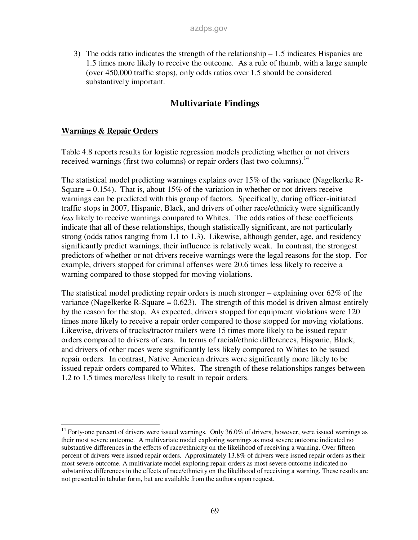3) The odds ratio indicates the strength of the relationship – 1.5 indicates Hispanics are 1.5 times more likely to receive the outcome. As a rule of thumb, with a large sample (over 450,000 traffic stops), only odds ratios over 1.5 should be considered substantively important.

# **Multivariate Findings**

#### **Warnings & Repair Orders**

-

Table 4.8 reports results for logistic regression models predicting whether or not drivers received warnings (first two columns) or repair orders (last two columns).<sup>14</sup>

The statistical model predicting warnings explains over 15% of the variance (Nagelkerke R-Square  $= 0.154$ ). That is, about 15% of the variation in whether or not drivers receive warnings can be predicted with this group of factors. Specifically, during officer-initiated traffic stops in 2007, Hispanic, Black, and drivers of other race/ethnicity were significantly *less* likely to receive warnings compared to Whites. The odds ratios of these coefficients indicate that all of these relationships, though statistically significant, are not particularly strong (odds ratios ranging from 1.1 to 1.3). Likewise, although gender, age, and residency significantly predict warnings, their influence is relatively weak. In contrast, the strongest predictors of whether or not drivers receive warnings were the legal reasons for the stop. For example, drivers stopped for criminal offenses were 20.6 times less likely to receive a warning compared to those stopped for moving violations.

The statistical model predicting repair orders is much stronger – explaining over 62% of the variance (Nagelkerke R-Square  $= 0.623$ ). The strength of this model is driven almost entirely by the reason for the stop. As expected, drivers stopped for equipment violations were 120 times more likely to receive a repair order compared to those stopped for moving violations. Likewise, drivers of trucks/tractor trailers were 15 times more likely to be issued repair orders compared to drivers of cars. In terms of racial/ethnic differences, Hispanic, Black, and drivers of other races were significantly less likely compared to Whites to be issued repair orders. In contrast, Native American drivers were significantly more likely to be issued repair orders compared to Whites. The strength of these relationships ranges between 1.2 to 1.5 times more/less likely to result in repair orders.

<sup>&</sup>lt;sup>14</sup> Forty-one percent of drivers were issued warnings. Only 36.0% of drivers, however, were issued warnings as their most severe outcome. A multivariate model exploring warnings as most severe outcome indicated no substantive differences in the effects of race/ethnicity on the likelihood of receiving a warning. Over fifteen percent of drivers were issued repair orders. Approximately 13.8% of drivers were issued repair orders as their most severe outcome. A multivariate model exploring repair orders as most severe outcome indicated no substantive differences in the effects of race/ethnicity on the likelihood of receiving a warning. These results are not presented in tabular form, but are available from the authors upon request.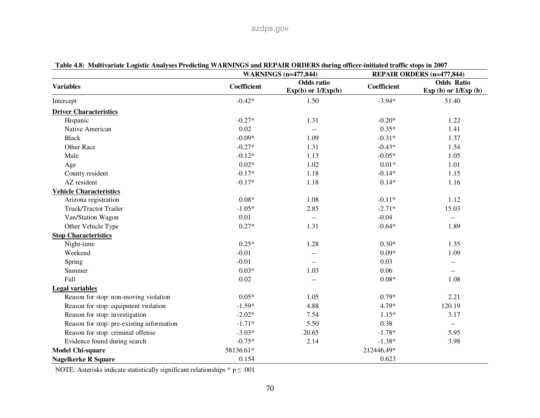| rabit 4.0. Thuilivarian logisht Anarysts i runtung veAnturob and Ner Anv ONDEND during omntr-midand iramit shops in 2007 |             | <b>WARNINGS</b> (n=477,844)                 |             | <b>REPAIR ORDERS (n=477,844)</b>            |
|--------------------------------------------------------------------------------------------------------------------------|-------------|---------------------------------------------|-------------|---------------------------------------------|
| <b>Variables</b>                                                                                                         | Coefficient | <b>Odds</b> ratio<br>$Exp(b)$ or $1/Exp(b)$ | Coefficient | <b>Odds Ratio</b><br>Exp (b) or $1/Exp$ (b) |
| Intercept                                                                                                                | $-0.42*$    | 1.50                                        | $-3.94*$    | 51.40                                       |
| <b>Driver Characteristics</b>                                                                                            |             |                                             |             |                                             |
| Hispanic                                                                                                                 | $-0.27*$    | 1.31                                        | $-0.20*$    | 1.22                                        |
| Native American                                                                                                          | 0.02        | $\mathbb{L}^{\mathbb{L}}$                   | $0.35*$     | 1.41                                        |
| <b>Black</b>                                                                                                             | $-0.09*$    | 1.09                                        | $-0.31*$    | 1.37                                        |
| <b>Other Race</b>                                                                                                        | $-0.27*$    | 1.31                                        | $-0.43*$    | 1.54                                        |
| Male                                                                                                                     | $-0.12*$    | 1.13                                        | $-0.05*$    | 1.05                                        |
| Age                                                                                                                      | $0.02*$     | 1.02                                        | $0.01*$     | 1.01                                        |
| County resident                                                                                                          | $-0.17*$    | 1.18                                        | $-0.14*$    | 1.15                                        |
| AZ resident                                                                                                              | $-0.17*$    | 1.18                                        | $0.14*$     | 1.16                                        |
| <b>Vehicle Characteristics</b>                                                                                           |             |                                             |             |                                             |
| Arizona registration                                                                                                     | $0.08*$     | 1.08                                        | $-0.11*$    | 1.12                                        |
| Truck/Tractor Trailer                                                                                                    | $-1.05*$    | 2.85                                        | $-2.71*$    | 15.03                                       |
| Van/Station Wagon                                                                                                        | 0.01        | $\overline{\phantom{a}}$                    | $-0.04$     | $-$                                         |
| Other Vehicle Type                                                                                                       | $0.27*$     | 1.31                                        | $-0.64*$    | 1.89                                        |
| <b>Stop Characteristics</b>                                                                                              |             |                                             |             |                                             |
| Night-time                                                                                                               | $0.25*$     | 1.28                                        | $0.30*$     | 1.35                                        |
| Weekend                                                                                                                  | $-0.01$     | $\overline{\phantom{a}}$                    | $0.09*$     | 1.09                                        |
| Spring                                                                                                                   | $-0.01$     |                                             | 0.03        | $\qquad \qquad -$                           |
| Summer                                                                                                                   | $0.03*$     | 1.03                                        | 0.06        | $\mathcal{L} = \mathcal{L}$                 |
| Fall                                                                                                                     | 0.02        | $\overline{\phantom{a}}$                    | $0.08*$     | 1.08                                        |
| <b>Legal variables</b>                                                                                                   |             |                                             |             |                                             |
| Reason for stop: non-moving violation                                                                                    | $0.05*$     | 1.05                                        | $0.79*$     | 2.21                                        |
| Reason for stop: equipment violation                                                                                     | $-1.59*$    | 4.88                                        | 4.79*       | 120.19                                      |
| Reason for stop: investigation                                                                                           | $-2.02*$    | 7.54                                        | $1.15*$     | 3.17                                        |
| Reason for stop: pre-existing information                                                                                | $-1.71*$    | 5.50                                        | 0.38        | $\mathcal{L}_{\mathcal{F}}$                 |
| Reason for stop: criminal offense                                                                                        | $-3.03*$    | 20.65                                       | $-1.78*$    | 5.95                                        |
| Evidence found during search                                                                                             | $-0.75*$    | 2.14                                        | $-1.38*$    | 3.98                                        |
| <b>Model Chi-square</b>                                                                                                  | 58136.61*   |                                             | 212446.49*  |                                             |
| <b>Nagelkerke R Square</b>                                                                                               | 0.154       |                                             | 0.623       |                                             |

**Table 4.8: Multivariate Logistic Analyses Predicting WARNINGS and REPAIR ORDERS during officer-initiated traffic stops in 2007** 

NOTE: Asterisks indicate statistically significant relationships  $* p \leq .001$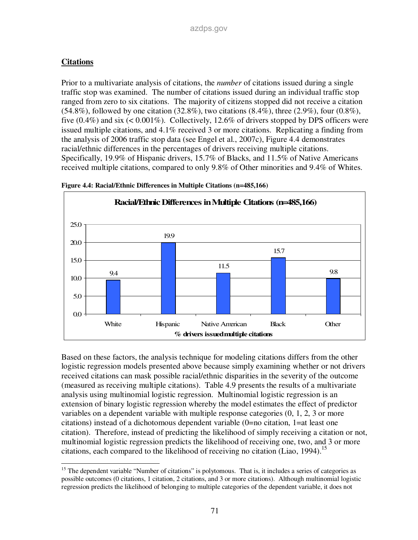### **Citations**

Prior to a multivariate analysis of citations, the *number* of citations issued during a single traffic stop was examined. The number of citations issued during an individual traffic stop ranged from zero to six citations. The majority of citizens stopped did not receive a citation  $(54.8\%)$ , followed by one citation  $(32.8\%)$ , two citations  $(8.4\%)$ , three  $(2.9\%)$ , four  $(0.8\%)$ , five  $(0.4\%)$  and six  $(< 0.001\%)$ . Collectively, 12.6% of drivers stopped by DPS officers were issued multiple citations, and 4.1% received 3 or more citations. Replicating a finding from the analysis of 2006 traffic stop data (see Engel et al., 2007c), Figure 4.4 demonstrates racial/ethnic differences in the percentages of drivers receiving multiple citations. Specifically, 19.9% of Hispanic drivers, 15.7% of Blacks, and 11.5% of Native Americans received multiple citations, compared to only 9.8% of Other minorities and 9.4% of Whites.





Based on these factors, the analysis technique for modeling citations differs from the other logistic regression models presented above because simply examining whether or not drivers received citations can mask possible racial/ethnic disparities in the severity of the outcome (measured as receiving multiple citations). Table 4.9 presents the results of a multivariate analysis using multinomial logistic regression. Multinomial logistic regression is an extension of binary logistic regression whereby the model estimates the effect of predictor variables on a dependent variable with multiple response categories (0, 1, 2, 3 or more citations) instead of a dichotomous dependent variable (0=no citation, 1=at least one citation). Therefore, instead of predicting the likelihood of simply receiving a citation or not, multinomial logistic regression predicts the likelihood of receiving one, two, and 3 or more citations, each compared to the likelihood of receiving no citation (Liao, 1994).<sup>15</sup>

<sup>-</sup><sup>15</sup> The dependent variable "Number of citations" is polytomous. That is, it includes a series of categories as possible outcomes (0 citations, 1 citation, 2 citations, and 3 or more citations). Although multinomial logistic regression predicts the likelihood of belonging to multiple categories of the dependent variable, it does not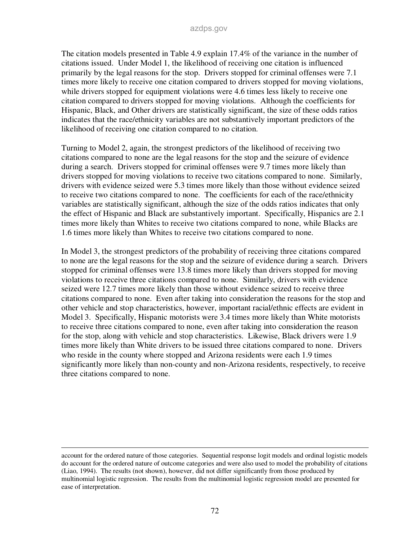The citation models presented in Table 4.9 explain 17.4% of the variance in the number of citations issued. Under Model 1, the likelihood of receiving one citation is influenced primarily by the legal reasons for the stop. Drivers stopped for criminal offenses were 7.1 times more likely to receive one citation compared to drivers stopped for moving violations, while drivers stopped for equipment violations were 4.6 times less likely to receive one citation compared to drivers stopped for moving violations. Although the coefficients for Hispanic, Black, and Other drivers are statistically significant, the size of these odds ratios indicates that the race/ethnicity variables are not substantively important predictors of the likelihood of receiving one citation compared to no citation.

Turning to Model 2, again, the strongest predictors of the likelihood of receiving two citations compared to none are the legal reasons for the stop and the seizure of evidence during a search. Drivers stopped for criminal offenses were 9.7 times more likely than drivers stopped for moving violations to receive two citations compared to none. Similarly, drivers with evidence seized were 5.3 times more likely than those without evidence seized to receive two citations compared to none. The coefficients for each of the race/ethnicity variables are statistically significant, although the size of the odds ratios indicates that only the effect of Hispanic and Black are substantively important. Specifically, Hispanics are 2.1 times more likely than Whites to receive two citations compared to none, while Blacks are 1.6 times more likely than Whites to receive two citations compared to none.

In Model 3, the strongest predictors of the probability of receiving three citations compared to none are the legal reasons for the stop and the seizure of evidence during a search. Drivers stopped for criminal offenses were 13.8 times more likely than drivers stopped for moving violations to receive three citations compared to none. Similarly, drivers with evidence seized were 12.7 times more likely than those without evidence seized to receive three citations compared to none. Even after taking into consideration the reasons for the stop and other vehicle and stop characteristics, however, important racial/ethnic effects are evident in Model 3. Specifically, Hispanic motorists were 3.4 times more likely than White motorists to receive three citations compared to none, even after taking into consideration the reason for the stop, along with vehicle and stop characteristics. Likewise, Black drivers were 1.9 times more likely than White drivers to be issued three citations compared to none. Drivers who reside in the county where stopped and Arizona residents were each 1.9 times significantly more likely than non-county and non-Arizona residents, respectively, to receive three citations compared to none.

-

account for the ordered nature of those categories. Sequential response logit models and ordinal logistic models do account for the ordered nature of outcome categories and were also used to model the probability of citations (Liao, 1994). The results (not shown), however, did not differ significantly from those produced by multinomial logistic regression. The results from the multinomial logistic regression model are presented for ease of interpretation.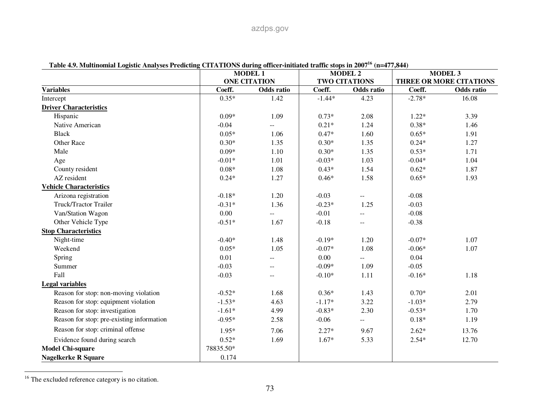| רדט, ו וויסטאט וויסטאט וויסטאר איז דער האזוויר די האזוויר שנים וויסטאר די האזוויר די האזוויר זייסטאר די האזווי | <b>MODEL 1</b><br><b>ONE CITATION</b> |                         | <b>MODEL 2</b><br><b>TWO CITATIONS</b> |                             | <b>MODEL 3</b><br>THREE OR MORE CITATIONS |            |
|----------------------------------------------------------------------------------------------------------------|---------------------------------------|-------------------------|----------------------------------------|-----------------------------|-------------------------------------------|------------|
|                                                                                                                |                                       |                         |                                        |                             |                                           |            |
| <b>Variables</b>                                                                                               | Coeff.                                | Odds ratio              | Coeff.                                 | Odds ratio                  | Coeff.                                    | Odds ratio |
| Intercept                                                                                                      | $0.35*$                               | 1.42                    | $-1.44*$                               | 4.23                        | $-2.78*$                                  | 16.08      |
| <b>Driver Characteristics</b>                                                                                  |                                       |                         |                                        |                             |                                           |            |
| Hispanic                                                                                                       | $0.09*$                               | 1.09                    | $0.73*$                                | 2.08                        | $1.22*$                                   | 3.39       |
| Native American                                                                                                | $-0.04$                               |                         | $0.21*$                                | 1.24                        | $0.38*$                                   | 1.46       |
| <b>Black</b>                                                                                                   | $0.05*$                               | 1.06                    | $0.47*$                                | 1.60                        | $0.65*$                                   | 1.91       |
| Other Race                                                                                                     | $0.30*$                               | 1.35                    | $0.30*$                                | 1.35                        | $0.24*$                                   | 1.27       |
| Male                                                                                                           | $0.09*$                               | 1.10                    | $0.30*$                                | 1.35                        | $0.53*$                                   | 1.71       |
| Age                                                                                                            | $-0.01*$                              | 1.01                    | $-0.03*$                               | 1.03                        | $-0.04*$                                  | 1.04       |
| County resident                                                                                                | $0.08*$                               | 1.08                    | $0.43*$                                | 1.54                        | $0.62*$                                   | 1.87       |
| AZ resident                                                                                                    | $0.24*$                               | 1.27                    | $0.46*$                                | 1.58                        | $0.65*$                                   | 1.93       |
| <b>Vehicle Characteristics</b>                                                                                 |                                       |                         |                                        |                             |                                           |            |
| Arizona registration                                                                                           | $-0.18*$                              | 1.20                    | $-0.03$                                | --                          | $-0.08$                                   |            |
| Truck/Tractor Trailer                                                                                          | $-0.31*$                              | 1.36                    | $-0.23*$                               | 1.25                        | $-0.03$                                   |            |
| Van/Station Wagon                                                                                              | 0.00                                  |                         | $-0.01$                                | --                          | $-0.08$                                   |            |
| Other Vehicle Type                                                                                             | $-0.51*$                              | 1.67                    | $-0.18$                                | $\mathcal{L}_{\mathcal{F}}$ | $-0.38$                                   |            |
| <b>Stop Characteristics</b>                                                                                    |                                       |                         |                                        |                             |                                           |            |
| Night-time                                                                                                     | $-0.40*$                              | 1.48                    | $-0.19*$                               | 1.20                        | $-0.07*$                                  | 1.07       |
| Weekend                                                                                                        | $0.05*$                               | 1.05                    | $-0.07*$                               | 1.08                        | $-0.06*$                                  | 1.07       |
| Spring                                                                                                         | 0.01                                  | $\overline{a}$          | 0.00                                   | $\overline{\phantom{a}}$    | 0.04                                      |            |
| Summer                                                                                                         | $-0.03$                               | $\qquad \qquad -$       | $-0.09*$                               | 1.09                        | $-0.05$                                   |            |
| Fall                                                                                                           | $-0.03$                               | $\mathbb{L} \mathbb{L}$ | $-0.10*$                               | 1.11                        | $-0.16*$                                  | 1.18       |
| <b>Legal variables</b>                                                                                         |                                       |                         |                                        |                             |                                           |            |
| Reason for stop: non-moving violation                                                                          | $-0.52*$                              | 1.68                    | $0.36*$                                | 1.43                        | $0.70*$                                   | 2.01       |
| Reason for stop: equipment violation                                                                           | $-1.53*$                              | 4.63                    | $-1.17*$                               | 3.22                        | $-1.03*$                                  | 2.79       |
| Reason for stop: investigation                                                                                 | $-1.61*$                              | 4.99                    | $-0.83*$                               | 2.30                        | $-0.53*$                                  | 1.70       |
| Reason for stop: pre-existing information                                                                      | $-0.95*$                              | 2.58                    | $-0.06$                                | --                          | $0.18*$                                   | 1.19       |
| Reason for stop: criminal offense                                                                              | $1.95*$                               | 7.06                    | $2.27*$                                | 9.67                        | $2.62*$                                   | 13.76      |
| Evidence found during search                                                                                   | $0.52*$                               | 1.69                    | $1.67*$                                | 5.33                        | $2.54*$                                   | 12.70      |
| <b>Model Chi-square</b>                                                                                        | 78835.50*                             |                         |                                        |                             |                                           |            |
| <b>Nagelkerke R Square</b>                                                                                     | 0.174                                 |                         |                                        |                             |                                           |            |

**Table 4.9. Multinomial Logistic Analyses Predicting CITATIONS during officer-initiated traffic stops in 2007<sup>16</sup> (n=477,844)** 

<sup>&</sup>lt;sup>16</sup> The excluded reference category is no citation.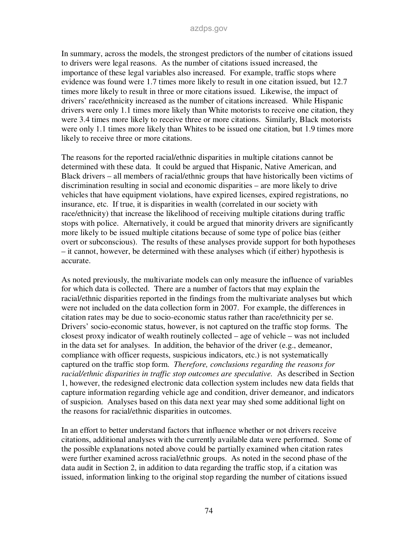In summary, across the models, the strongest predictors of the number of citations issued to drivers were legal reasons. As the number of citations issued increased, the importance of these legal variables also increased. For example, traffic stops where evidence was found were 1.7 times more likely to result in one citation issued, but 12.7 times more likely to result in three or more citations issued. Likewise, the impact of drivers' race/ethnicity increased as the number of citations increased. While Hispanic drivers were only 1.1 times more likely than White motorists to receive one citation, they were 3.4 times more likely to receive three or more citations. Similarly, Black motorists were only 1.1 times more likely than Whites to be issued one citation, but 1.9 times more likely to receive three or more citations.

The reasons for the reported racial/ethnic disparities in multiple citations cannot be determined with these data. It could be argued that Hispanic, Native American, and Black drivers – all members of racial/ethnic groups that have historically been victims of discrimination resulting in social and economic disparities – are more likely to drive vehicles that have equipment violations, have expired licenses, expired registrations, no insurance, etc. If true, it is disparities in wealth (correlated in our society with race/ethnicity) that increase the likelihood of receiving multiple citations during traffic stops with police. Alternatively, it could be argued that minority drivers are significantly more likely to be issued multiple citations because of some type of police bias (either overt or subconscious). The results of these analyses provide support for both hypotheses – it cannot, however, be determined with these analyses which (if either) hypothesis is accurate.

As noted previously, the multivariate models can only measure the influence of variables for which data is collected. There are a number of factors that may explain the racial/ethnic disparities reported in the findings from the multivariate analyses but which were not included on the data collection form in 2007. For example, the differences in citation rates may be due to socio-economic status rather than race/ethnicity per se. Drivers' socio-economic status, however, is not captured on the traffic stop forms. The closest proxy indicator of wealth routinely collected – age of vehicle – was not included in the data set for analyses. In addition, the behavior of the driver (e.g., demeanor, compliance with officer requests, suspicious indicators, etc.) is not systematically captured on the traffic stop form. *Therefore, conclusions regarding the reasons for racial/ethnic disparities in traffic stop outcomes are speculative.* As described in Section 1, however, the redesigned electronic data collection system includes new data fields that capture information regarding vehicle age and condition, driver demeanor, and indicators of suspicion. Analyses based on this data next year may shed some additional light on the reasons for racial/ethnic disparities in outcomes.

In an effort to better understand factors that influence whether or not drivers receive citations, additional analyses with the currently available data were performed. Some of the possible explanations noted above could be partially examined when citation rates were further examined across racial/ethnic groups. As noted in the second phase of the data audit in Section 2, in addition to data regarding the traffic stop, if a citation was issued, information linking to the original stop regarding the number of citations issued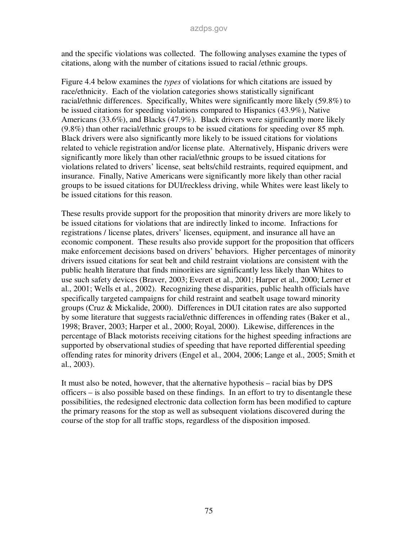and the specific violations was collected. The following analyses examine the types of citations, along with the number of citations issued to racial /ethnic groups.

Figure 4.4 below examines the *types* of violations for which citations are issued by race/ethnicity. Each of the violation categories shows statistically significant racial/ethnic differences. Specifically, Whites were significantly more likely (59.8%) to be issued citations for speeding violations compared to Hispanics (43.9%), Native Americans (33.6%), and Blacks (47.9%). Black drivers were significantly more likely (9.8%) than other racial/ethnic groups to be issued citations for speeding over 85 mph. Black drivers were also significantly more likely to be issued citations for violations related to vehicle registration and/or license plate. Alternatively, Hispanic drivers were significantly more likely than other racial/ethnic groups to be issued citations for violations related to drivers' license, seat belts/child restraints, required equipment, and insurance. Finally, Native Americans were significantly more likely than other racial groups to be issued citations for DUI/reckless driving, while Whites were least likely to be issued citations for this reason.

These results provide support for the proposition that minority drivers are more likely to be issued citations for violations that are indirectly linked to income. Infractions for registrations / license plates, drivers' licenses, equipment, and insurance all have an economic component. These results also provide support for the proposition that officers make enforcement decisions based on drivers' behaviors. Higher percentages of minority drivers issued citations for seat belt and child restraint violations are consistent with the public health literature that finds minorities are significantly less likely than Whites to use such safety devices (Braver, 2003; Everett et al., 2001; Harper et al., 2000; Lerner et al., 2001; Wells et al., 2002). Recognizing these disparities, public health officials have specifically targeted campaigns for child restraint and seatbelt usage toward minority groups (Cruz & Mickalide, 2000). Differences in DUI citation rates are also supported by some literature that suggests racial/ethnic differences in offending rates (Baker et al., 1998; Braver, 2003; Harper et al., 2000; Royal, 2000). Likewise, differences in the percentage of Black motorists receiving citations for the highest speeding infractions are supported by observational studies of speeding that have reported differential speeding offending rates for minority drivers (Engel et al., 2004, 2006; Lange et al., 2005; Smith et al., 2003).

It must also be noted, however, that the alternative hypothesis – racial bias by DPS officers – is also possible based on these findings. In an effort to try to disentangle these possibilities, the redesigned electronic data collection form has been modified to capture the primary reasons for the stop as well as subsequent violations discovered during the course of the stop for all traffic stops, regardless of the disposition imposed.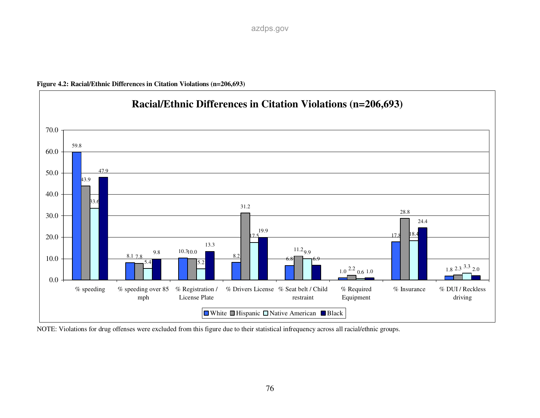



NOTE: Violations for drug offenses were excluded from this figure due to their statistical infrequency across all racial/ethnic groups.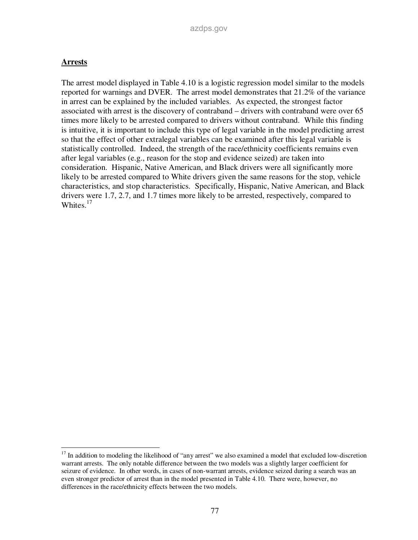#### **Arrests**

-

The arrest model displayed in Table 4.10 is a logistic regression model similar to the models reported for warnings and DVER. The arrest model demonstrates that 21.2% of the variance in arrest can be explained by the included variables. As expected, the strongest factor associated with arrest is the discovery of contraband – drivers with contraband were over 65 times more likely to be arrested compared to drivers without contraband. While this finding is intuitive, it is important to include this type of legal variable in the model predicting arrest so that the effect of other extralegal variables can be examined after this legal variable is statistically controlled. Indeed, the strength of the race/ethnicity coefficients remains even after legal variables (e.g., reason for the stop and evidence seized) are taken into consideration. Hispanic, Native American, and Black drivers were all significantly more likely to be arrested compared to White drivers given the same reasons for the stop, vehicle characteristics, and stop characteristics. Specifically, Hispanic, Native American, and Black drivers were 1.7, 2.7, and 1.7 times more likely to be arrested, respectively, compared to Whites. $17$ 

<sup>&</sup>lt;sup>17</sup> In addition to modeling the likelihood of "any arrest" we also examined a model that excluded low-discretion warrant arrests. The only notable difference between the two models was a slightly larger coefficient for seizure of evidence. In other words, in cases of non-warrant arrests, evidence seized during a search was an even stronger predictor of arrest than in the model presented in Table 4.10. There were, however, no differences in the race/ethnicity effects between the two models.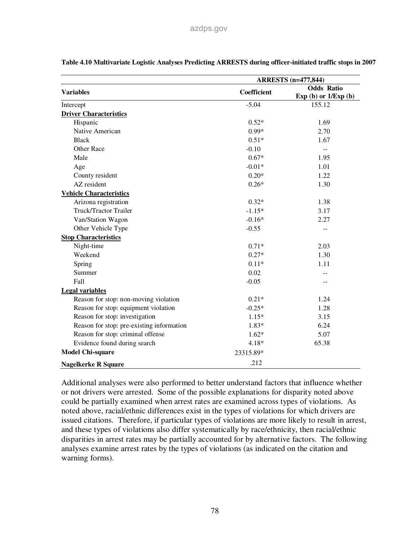|                                           | <b>ARRESTS</b> (n=477,844) |                                             |  |  |
|-------------------------------------------|----------------------------|---------------------------------------------|--|--|
| <b>Variables</b>                          | <b>Coefficient</b>         | <b>Odds Ratio</b><br>Exp (b) or $1/Exp$ (b) |  |  |
| Intercept                                 | $-5.04$                    | 155.12                                      |  |  |
| <b>Driver Characteristics</b>             |                            |                                             |  |  |
| Hispanic                                  | $0.52*$                    | 1.69                                        |  |  |
| Native American                           | $0.99*$                    | 2.70                                        |  |  |
| <b>Black</b>                              | $0.51*$                    | 1.67                                        |  |  |
| <b>Other Race</b>                         | $-0.10$                    | --                                          |  |  |
| Male                                      | $0.67*$                    | 1.95                                        |  |  |
| Age                                       | $-0.01*$                   | 1.01                                        |  |  |
| County resident                           | $0.20*$                    | 1.22                                        |  |  |
| AZ resident                               | $0.26*$                    | 1.30                                        |  |  |
| <b>Vehicle Characteristics</b>            |                            |                                             |  |  |
| Arizona registration                      | $0.32*$                    | 1.38                                        |  |  |
| Truck/Tractor Trailer                     | $-1.15*$                   | 3.17                                        |  |  |
| Van/Station Wagon                         | $-0.16*$                   | 2.27                                        |  |  |
| Other Vehicle Type                        | $-0.55$                    | --                                          |  |  |
| <b>Stop Characteristics</b>               |                            |                                             |  |  |
| Night-time                                | $0.71*$                    | 2.03                                        |  |  |
| Weekend                                   | $0.27*$                    | 1.30                                        |  |  |
| Spring                                    | $0.11*$                    | 1.11                                        |  |  |
| Summer                                    | 0.02                       |                                             |  |  |
| Fall                                      | $-0.05$                    |                                             |  |  |
| <b>Legal variables</b>                    |                            |                                             |  |  |
| Reason for stop: non-moving violation     | $0.21*$                    | 1.24                                        |  |  |
| Reason for stop: equipment violation      | $-0.25*$                   | 1.28                                        |  |  |
| Reason for stop: investigation            | $1.15*$                    | 3.15                                        |  |  |
| Reason for stop: pre-existing information | 1.83*                      | 6.24                                        |  |  |
| Reason for stop: criminal offense         | $1.62*$                    | 5.07                                        |  |  |
| Evidence found during search              | 4.18*                      | 65.38                                       |  |  |
| <b>Model Chi-square</b>                   | 23315.89*                  |                                             |  |  |
| <b>Nagelkerke R Square</b>                | .212                       |                                             |  |  |

**Table 4.10 Multivariate Logistic Analyses Predicting ARRESTS during officer-initiated traffic stops in 2007** 

Additional analyses were also performed to better understand factors that influence whether or not drivers were arrested. Some of the possible explanations for disparity noted above could be partially examined when arrest rates are examined across types of violations. As noted above, racial/ethnic differences exist in the types of violations for which drivers are issued citations. Therefore, if particular types of violations are more likely to result in arrest, and these types of violations also differ systematically by race/ethnicity, then racial/ethnic disparities in arrest rates may be partially accounted for by alternative factors. The following analyses examine arrest rates by the types of violations (as indicated on the citation and warning forms).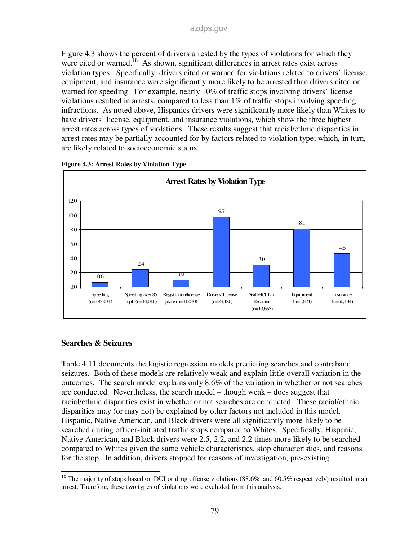Figure 4.3 shows the percent of drivers arrested by the types of violations for which they were cited or warned.<sup>18</sup> As shown, significant differences in arrest rates exist across violation types. Specifically, drivers cited or warned for violations related to drivers' license, equipment, and insurance were significantly more likely to be arrested than drivers cited or warned for speeding. For example, nearly 10% of traffic stops involving drivers' license violations resulted in arrests, compared to less than 1% of traffic stops involving speeding infractions. As noted above, Hispanics drivers were significantly more likely than Whites to have drivers' license, equipment, and insurance violations, which show the three highest arrest rates across types of violations. These results suggest that racial/ethnic disparities in arrest rates may be partially accounted for by factors related to violation type; which, in turn, are likely related to socioeconomic status.



**Figure 4.3: Arrest Rates by Violation Type** 

#### **Searches & Seizures**

Table 4.11 documents the logistic regression models predicting searches and contraband seizures. Both of these models are relatively weak and explain little overall variation in the outcomes. The search model explains only 8.6% of the variation in whether or not searches are conducted. Nevertheless, the search model – though weak – does suggest that racial/ethnic disparities exist in whether or not searches are conducted. These racial/ethnic disparities may (or may not) be explained by other factors not included in this model. Hispanic, Native American, and Black drivers were all significantly more likely to be searched during officer-initiated traffic stops compared to Whites. Specifically, Hispanic, Native American, and Black drivers were 2.5, 2.2, and 2.2 times more likely to be searched compared to Whites given the same vehicle characteristics, stop characteristics, and reasons for the stop. In addition, drivers stopped for reasons of investigation, pre-existing

<sup>-</sup><sup>18</sup> The majority of stops based on DUI or drug offense violations (88.6% and 60.5% respectively) resulted in an arrest. Therefore, these two types of violations were excluded from this analysis.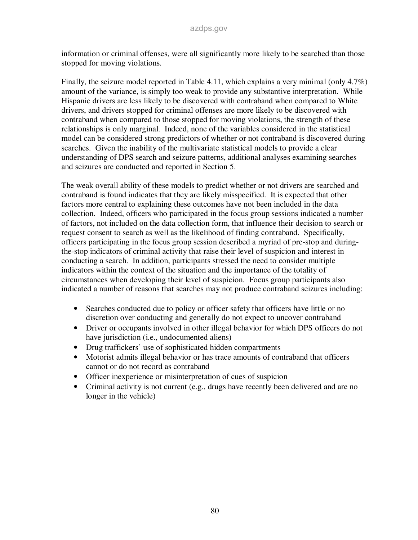information or criminal offenses, were all significantly more likely to be searched than those stopped for moving violations.

Finally, the seizure model reported in Table 4.11, which explains a very minimal (only 4.7%) amount of the variance, is simply too weak to provide any substantive interpretation. While Hispanic drivers are less likely to be discovered with contraband when compared to White drivers, and drivers stopped for criminal offenses are more likely to be discovered with contraband when compared to those stopped for moving violations, the strength of these relationships is only marginal. Indeed, none of the variables considered in the statistical model can be considered strong predictors of whether or not contraband is discovered during searches. Given the inability of the multivariate statistical models to provide a clear understanding of DPS search and seizure patterns, additional analyses examining searches and seizures are conducted and reported in Section 5.

The weak overall ability of these models to predict whether or not drivers are searched and contraband is found indicates that they are likely misspecified. It is expected that other factors more central to explaining these outcomes have not been included in the data collection. Indeed, officers who participated in the focus group sessions indicated a number of factors, not included on the data collection form, that influence their decision to search or request consent to search as well as the likelihood of finding contraband. Specifically, officers participating in the focus group session described a myriad of pre-stop and duringthe-stop indicators of criminal activity that raise their level of suspicion and interest in conducting a search. In addition, participants stressed the need to consider multiple indicators within the context of the situation and the importance of the totality of circumstances when developing their level of suspicion. Focus group participants also indicated a number of reasons that searches may not produce contraband seizures including:

- Searches conducted due to policy or officer safety that officers have little or no discretion over conducting and generally do not expect to uncover contraband
- Driver or occupants involved in other illegal behavior for which DPS officers do not have jurisdiction (i.e., undocumented aliens)
- Drug traffickers' use of sophisticated hidden compartments
- Motorist admits illegal behavior or has trace amounts of contraband that officers cannot or do not record as contraband
- Officer inexperience or misinterpretation of cues of suspicion
- Criminal activity is not current (e.g., drugs have recently been delivered and are no longer in the vehicle)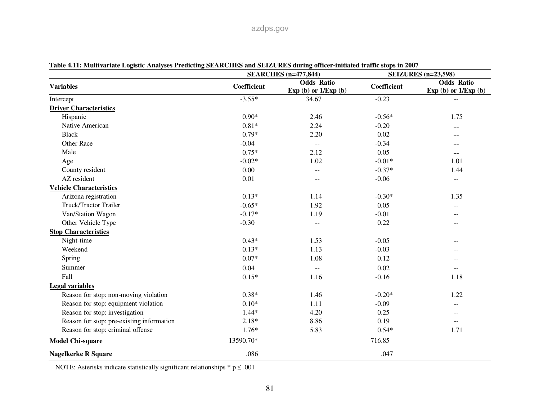|                                           |             | <b>SEARCHES</b> (n=477,844)                 | <b>SEIZURES</b> (n=23,598) |                                             |
|-------------------------------------------|-------------|---------------------------------------------|----------------------------|---------------------------------------------|
| <b>Variables</b>                          | Coefficient | <b>Odds Ratio</b><br>Exp (b) or $1/Exp$ (b) | Coefficient                | <b>Odds Ratio</b><br>Exp (b) or $1/Exp$ (b) |
| Intercept                                 | $-3.55*$    | 34.67                                       | $-0.23$                    |                                             |
| <b>Driver Characteristics</b>             |             |                                             |                            |                                             |
| Hispanic                                  | $0.90*$     | 2.46                                        | $-0.56*$                   | 1.75                                        |
| Native American                           | $0.81*$     | 2.24                                        | $-0.20$                    | --                                          |
| <b>Black</b>                              | $0.79*$     | 2.20                                        | 0.02                       |                                             |
| <b>Other Race</b>                         | $-0.04$     | $\sim$ $\sim$                               | $-0.34$                    |                                             |
| Male                                      | $0.75*$     | 2.12                                        | 0.05                       | $- -$                                       |
| Age                                       | $-0.02*$    | 1.02                                        | $-0.01*$                   | 1.01                                        |
| County resident                           | 0.00        | $-$                                         | $-0.37*$                   | 1.44                                        |
| AZ resident                               | 0.01        | $\mathbf{u}$                                | $-0.06$                    | $\overline{\phantom{m}}$                    |
| <b>Vehicle Characteristics</b>            |             |                                             |                            |                                             |
| Arizona registration                      | $0.13*$     | 1.14                                        | $-0.30*$                   | 1.35                                        |
| Truck/Tractor Trailer                     | $-0.65*$    | 1.92                                        | 0.05                       |                                             |
| Van/Station Wagon                         | $-0.17*$    | 1.19                                        | $-0.01$                    | $- -$                                       |
| Other Vehicle Type                        | $-0.30$     | $\overline{a}$                              | 0.22                       | $-$                                         |
| <b>Stop Characteristics</b>               |             |                                             |                            |                                             |
| Night-time                                | $0.43*$     | 1.53                                        | $-0.05$                    |                                             |
| Weekend                                   | $0.13*$     | 1.13                                        | $-0.03$                    |                                             |
| Spring                                    | $0.07*$     | 1.08                                        | 0.12                       |                                             |
| Summer                                    | 0.04        | $\overline{a}$                              | 0.02                       |                                             |
| Fall                                      | $0.15*$     | 1.16                                        | $-0.16$                    | 1.18                                        |
| <b>Legal variables</b>                    |             |                                             |                            |                                             |
| Reason for stop: non-moving violation     | $0.38*$     | 1.46                                        | $-0.20*$                   | 1.22                                        |
| Reason for stop: equipment violation      | $0.10*$     | 1.11                                        | $-0.09$                    | $\qquad \qquad -$                           |
| Reason for stop: investigation            | $1.44*$     | 4.20                                        | 0.25                       | $-$                                         |
| Reason for stop: pre-existing information | $2.18*$     | 8.86                                        | 0.19                       | $-$                                         |
| Reason for stop: criminal offense         | $1.76*$     | 5.83                                        | $0.54*$                    | 1.71                                        |
| <b>Model Chi-square</b>                   | 13590.70*   |                                             | 716.85                     |                                             |
| <b>Nagelkerke R Square</b>                | .086        |                                             | .047                       |                                             |

**Table 4.11: Multivariate Logistic Analyses Predicting SEARCHES and SEIZURES during officer-initiated traffic stops in 2007** 

NOTE: Asterisks indicate statistically significant relationships  $*$  p  $\leq$  .001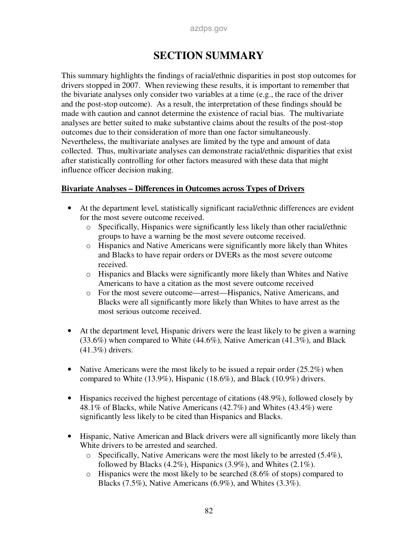# **SECTION SUMMARY**

This summary highlights the findings of racial/ethnic disparities in post stop outcomes for drivers stopped in 2007. When reviewing these results, it is important to remember that the bivariate analyses only consider two variables at a time (e.g., the race of the driver and the post-stop outcome). As a result, the interpretation of these findings should be made with caution and cannot determine the existence of racial bias. The multivariate analyses are better suited to make substantive claims about the results of the post-stop outcomes due to their consideration of more than one factor simultaneously. Nevertheless, the multivariate analyses are limited by the type and amount of data collected. Thus, multivariate analyses can demonstrate racial/ethnic disparities that exist after statistically controlling for other factors measured with these data that might influence officer decision making.

#### **Bivariate Analyses – Differences in Outcomes across Types of Drivers**

- At the department level, statistically significant racial/ethnic differences are evident for the most severe outcome received.
	- o Specifically, Hispanics were significantly less likely than other racial/ethnic groups to have a warning be the most severe outcome received.
	- o Hispanics and Native Americans were significantly more likely than Whites and Blacks to have repair orders or DVERs as the most severe outcome received.
	- o Hispanics and Blacks were significantly more likely than Whites and Native Americans to have a citation as the most severe outcome received
	- o For the most severe outcome—arrest—Hispanics, Native Americans, and Blacks were all significantly more likely than Whites to have arrest as the most serious outcome received.
- At the department level, Hispanic drivers were the least likely to be given a warning (33.6%) when compared to White (44.6%), Native American (41.3%), and Black (41.3%) drivers.
- Native Americans were the most likely to be issued a repair order  $(25.2\%)$  when compared to White (13.9%), Hispanic (18.6%), and Black (10.9%) drivers.
- Hispanics received the highest percentage of citations (48.9%), followed closely by 48.1% of Blacks, while Native Americans (42.7%) and Whites (43.4%) were significantly less likely to be cited than Hispanics and Blacks.
- Hispanic, Native American and Black drivers were all significantly more likely than White drivers to be arrested and searched.
	- $\circ$  Specifically, Native Americans were the most likely to be arrested (5.4%), followed by Blacks  $(4.2\%)$ , Hispanics  $(3.9\%)$ , and Whites  $(2.1\%)$ .
	- $\circ$  Hispanics were the most likely to be searched (8.6% of stops) compared to Blacks (7.5%), Native Americans (6.9%), and Whites (3.3%).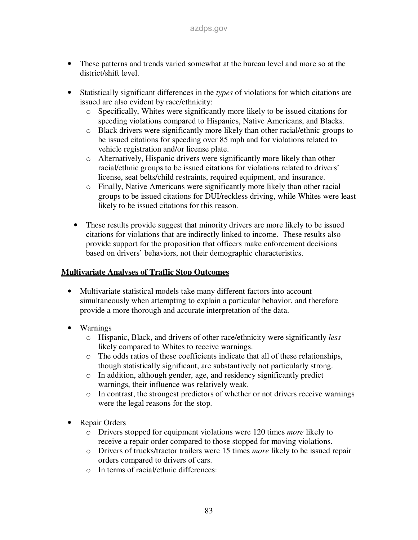- These patterns and trends varied somewhat at the bureau level and more so at the district/shift level.
- Statistically significant differences in the *types* of violations for which citations are issued are also evident by race/ethnicity:
	- o Specifically, Whites were significantly more likely to be issued citations for speeding violations compared to Hispanics, Native Americans, and Blacks.
	- o Black drivers were significantly more likely than other racial/ethnic groups to be issued citations for speeding over 85 mph and for violations related to vehicle registration and/or license plate.
	- o Alternatively, Hispanic drivers were significantly more likely than other racial/ethnic groups to be issued citations for violations related to drivers' license, seat belts/child restraints, required equipment, and insurance.
	- o Finally, Native Americans were significantly more likely than other racial groups to be issued citations for DUI/reckless driving, while Whites were least likely to be issued citations for this reason.
	- These results provide suggest that minority drivers are more likely to be issued citations for violations that are indirectly linked to income. These results also provide support for the proposition that officers make enforcement decisions based on drivers' behaviors, not their demographic characteristics.

### **Multivariate Analyses of Traffic Stop Outcomes**

- Multivariate statistical models take many different factors into account simultaneously when attempting to explain a particular behavior, and therefore provide a more thorough and accurate interpretation of the data.
- Warnings
	- o Hispanic, Black, and drivers of other race/ethnicity were significantly *less* likely compared to Whites to receive warnings.
	- o The odds ratios of these coefficients indicate that all of these relationships, though statistically significant, are substantively not particularly strong.
	- o In addition, although gender, age, and residency significantly predict warnings, their influence was relatively weak.
	- o In contrast, the strongest predictors of whether or not drivers receive warnings were the legal reasons for the stop.
- Repair Orders
	- o Drivers stopped for equipment violations were 120 times *more* likely to receive a repair order compared to those stopped for moving violations.
	- o Drivers of trucks/tractor trailers were 15 times *more* likely to be issued repair orders compared to drivers of cars.
	- o In terms of racial/ethnic differences: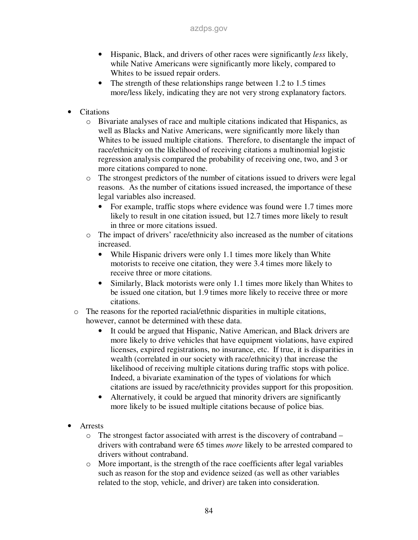- Hispanic, Black, and drivers of other races were significantly *less* likely, while Native Americans were significantly more likely, compared to Whites to be issued repair orders.
- The strength of these relationships range between 1.2 to 1.5 times more/less likely, indicating they are not very strong explanatory factors.
- Citations
	- o Bivariate analyses of race and multiple citations indicated that Hispanics, as well as Blacks and Native Americans, were significantly more likely than Whites to be issued multiple citations. Therefore, to disentangle the impact of race/ethnicity on the likelihood of receiving citations a multinomial logistic regression analysis compared the probability of receiving one, two, and 3 or more citations compared to none.
	- o The strongest predictors of the number of citations issued to drivers were legal reasons. As the number of citations issued increased, the importance of these legal variables also increased.
		- For example, traffic stops where evidence was found were 1.7 times more likely to result in one citation issued, but 12.7 times more likely to result in three or more citations issued.
	- o The impact of drivers' race/ethnicity also increased as the number of citations increased.
		- While Hispanic drivers were only 1.1 times more likely than White motorists to receive one citation, they were 3.4 times more likely to receive three or more citations.
		- Similarly, Black motorists were only 1.1 times more likely than Whites to be issued one citation, but 1.9 times more likely to receive three or more citations.
	- o The reasons for the reported racial/ethnic disparities in multiple citations, however, cannot be determined with these data.
		- It could be argued that Hispanic, Native American, and Black drivers are more likely to drive vehicles that have equipment violations, have expired licenses, expired registrations, no insurance, etc. If true, it is disparities in wealth (correlated in our society with race/ethnicity) that increase the likelihood of receiving multiple citations during traffic stops with police. Indeed, a bivariate examination of the types of violations for which citations are issued by race/ethnicity provides support for this proposition.
		- Alternatively, it could be argued that minority drivers are significantly more likely to be issued multiple citations because of police bias.
- **Arrests** 
	- $\circ$  The strongest factor associated with arrest is the discovery of contraband drivers with contraband were 65 times *more* likely to be arrested compared to drivers without contraband.
	- o More important, is the strength of the race coefficients after legal variables such as reason for the stop and evidence seized (as well as other variables related to the stop, vehicle, and driver) are taken into consideration.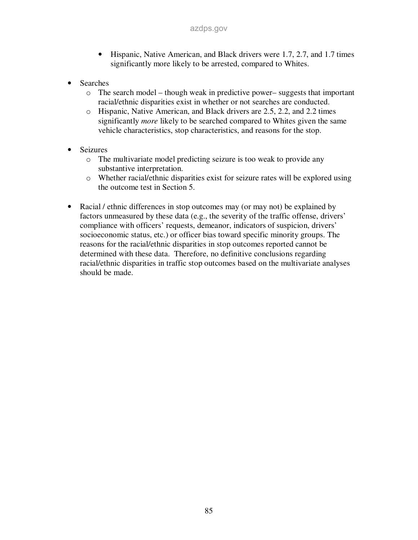- Hispanic, Native American, and Black drivers were 1.7, 2.7, and 1.7 times significantly more likely to be arrested, compared to Whites.
- Searches
	- o The search model though weak in predictive power– suggests that important racial/ethnic disparities exist in whether or not searches are conducted.
	- o Hispanic, Native American, and Black drivers are 2.5, 2.2, and 2.2 times significantly *more* likely to be searched compared to Whites given the same vehicle characteristics, stop characteristics, and reasons for the stop.
- **Seizures** 
	- o The multivariate model predicting seizure is too weak to provide any substantive interpretation.
	- o Whether racial/ethnic disparities exist for seizure rates will be explored using the outcome test in Section 5.
- Racial / ethnic differences in stop outcomes may (or may not) be explained by factors unmeasured by these data (e.g., the severity of the traffic offense, drivers' compliance with officers' requests, demeanor, indicators of suspicion, drivers' socioeconomic status, etc.) or officer bias toward specific minority groups. The reasons for the racial/ethnic disparities in stop outcomes reported cannot be determined with these data. Therefore, no definitive conclusions regarding racial/ethnic disparities in traffic stop outcomes based on the multivariate analyses should be made.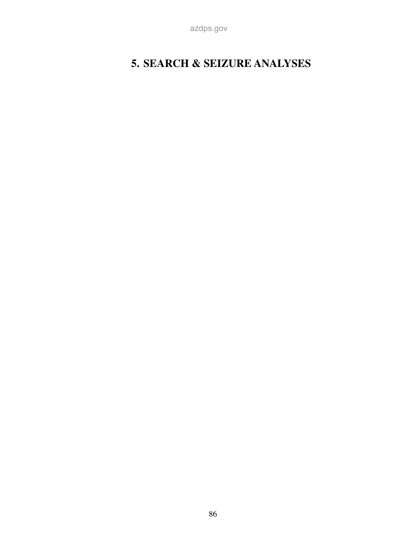azdps.gov

# **5. SEARCH & SEIZURE ANALYSES**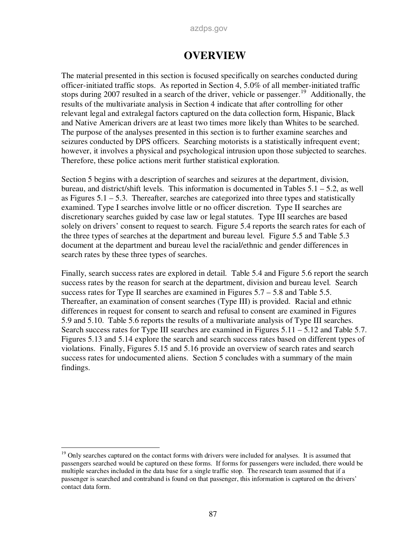#### azdps.gov

## **OVERVIEW**

The material presented in this section is focused specifically on searches conducted during officer-initiated traffic stops. As reported in Section 4, 5.0% of all member-initiated traffic stops during 2007 resulted in a search of the driver, vehicle or passenger.<sup>19</sup> Additionally, the results of the multivariate analysis in Section 4 indicate that after controlling for other relevant legal and extralegal factors captured on the data collection form, Hispanic, Black and Native American drivers are at least two times more likely than Whites to be searched. The purpose of the analyses presented in this section is to further examine searches and seizures conducted by DPS officers. Searching motorists is a statistically infrequent event; however, it involves a physical and psychological intrusion upon those subjected to searches. Therefore, these police actions merit further statistical exploration.

Section 5 begins with a description of searches and seizures at the department, division, bureau, and district/shift levels. This information is documented in Tables 5.1 – 5.2, as well as Figures 5.1 – 5.3. Thereafter, searches are categorized into three types and statistically examined. Type I searches involve little or no officer discretion. Type II searches are discretionary searches guided by case law or legal statutes. Type III searches are based solely on drivers' consent to request to search. Figure 5.4 reports the search rates for each of the three types of searches at the department and bureau level. Figure 5.5 and Table 5.3 document at the department and bureau level the racial/ethnic and gender differences in search rates by these three types of searches.

Finally, search success rates are explored in detail. Table 5.4 and Figure 5.6 report the search success rates by the reason for search at the department, division and bureau level. Search success rates for Type II searches are examined in Figures 5.7 – 5.8 and Table 5.5. Thereafter, an examination of consent searches (Type III) is provided. Racial and ethnic differences in request for consent to search and refusal to consent are examined in Figures 5.9 and 5.10. Table 5.6 reports the results of a multivariate analysis of Type III searches. Search success rates for Type III searches are examined in Figures 5.11 – 5.12 and Table 5.7. Figures 5.13 and 5.14 explore the search and search success rates based on different types of violations. Finally, Figures 5.15 and 5.16 provide an overview of search rates and search success rates for undocumented aliens. Section 5 concludes with a summary of the main findings.

-

<sup>&</sup>lt;sup>19</sup> Only searches captured on the contact forms with drivers were included for analyses. It is assumed that passengers searched would be captured on these forms. If forms for passengers were included, there would be multiple searches included in the data base for a single traffic stop. The research team assumed that if a passenger is searched and contraband is found on that passenger, this information is captured on the drivers' contact data form.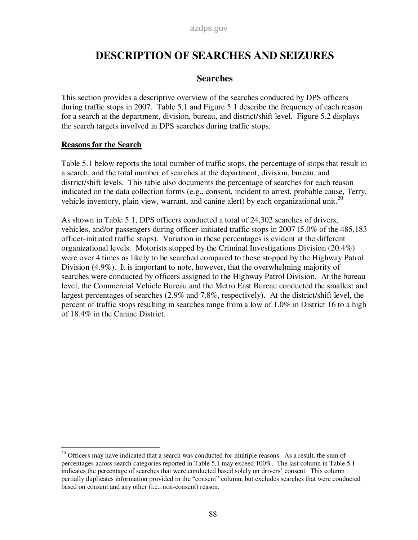## **DESCRIPTION OF SEARCHES AND SEIZURES**

### **Searches**

This section provides a descriptive overview of the searches conducted by DPS officers during traffic stops in 2007. Table 5.1 and Figure 5.1 describe the frequency of each reason for a search at the department, division, bureau, and district/shift level. Figure 5.2 displays the search targets involved in DPS searches during traffic stops.

### **Reasons for the Search**

Table 5.1 below reports the total number of traffic stops, the percentage of stops that result in a search, and the total number of searches at the department, division, bureau, and district/shift levels. This table also documents the percentage of searches for each reason indicated on the data collection forms (e.g., consent, incident to arrest, probable cause, Terry, vehicle inventory, plain view, warrant, and canine alert) by each organizational unit.<sup>20</sup>

As shown in Table 5.1, DPS officers conducted a total of 24,302 searches of drivers, vehicles, and/or passengers during officer-initiated traffic stops in 2007 (5.0% of the 485,183 officer-initiated traffic stops). Variation in these percentages is evident at the different organizational levels. Motorists stopped by the Criminal Investigations Division (20.4%) were over 4 times as likely to be searched compared to those stopped by the Highway Patrol Division (4.9%). It is important to note, however, that the overwhelming majority of searches were conducted by officers assigned to the Highway Patrol Division. At the bureau level, the Commercial Vehicle Bureau and the Metro East Bureau conducted the smallest and largest percentages of searches (2.9% and 7.8%, respectively). At the district/shift level, the percent of traffic stops resulting in searches range from a low of 1.0% in District 16 to a high of 18.4% in the Canine District.

<sup>-</sup><sup>20</sup> Officers may have indicated that a search was conducted for multiple reasons. As a result, the sum of percentages across search categories reported in Table 5.1 may exceed 100%. The last column in Table 5.1 indicates the percentage of searches that were conducted based solely on drivers' consent. This column partially duplicates information provided in the "consent" column, but excludes searches that were conducted based on consent and any other (i.e., non-consent) reason.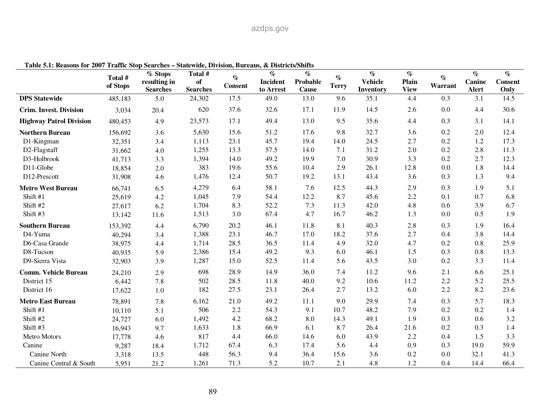# azdps.gov

| rabic viri intasons for 2007 traine stop starting — statement, Druston, Durtaus, | Total #<br>of Stops | % Stops<br>resulting in<br><b>Searches</b> | Total #<br>of<br><b>Searches</b> | $\%$<br><b>Consent</b> | $\alpha$ <i>Districts charge</i><br>$\%$<br><b>Incident</b><br>to Arrest | $\%$<br>Probable<br><b>Cause</b> | $\%$<br><b>Terry</b> | $\%$<br><b>Vehicle</b><br>Inventory | $\%$<br>Plain<br><b>View</b> | $\%$<br>Warrant | $\%$<br>Canine<br>Alert | $\%$<br><b>Consent</b><br>Only |
|----------------------------------------------------------------------------------|---------------------|--------------------------------------------|----------------------------------|------------------------|--------------------------------------------------------------------------|----------------------------------|----------------------|-------------------------------------|------------------------------|-----------------|-------------------------|--------------------------------|
| <b>DPS</b> Statewide                                                             | 485,183             | 5.0                                        | 24,302                           | 17.5                   | 49.0                                                                     | 13.0                             | 9.6                  | 35.1                                | 4.4                          | 0.3             | 3.1                     | 14.5                           |
| <b>Crim. Invest. Division</b>                                                    | 3,034               | 20.4                                       | 620                              | 37.6                   | 32.6                                                                     | 17.1                             | 11.9                 | 14.5                                | 2.6                          | 0.0             | 4.4                     | 30.6                           |
| <b>Highway Patrol Division</b>                                                   | 480,453             | 4.9                                        | 23,573                           | 17.1                   | 49.4                                                                     | 13.0                             | 9.5                  | 35.6                                | 4.4                          | 0.3             | 3.1                     | 14.1                           |
| <b>Northern Bureau</b>                                                           | 156,692             | 3.6                                        | 5,630                            | 15.6                   | 51.2                                                                     | 17.6                             | 9.8                  | 32.7                                | 3.6                          | 0.2             | $2.0\,$                 | 12.4                           |
| D1-Kingman                                                                       | 32,351              | 3.4                                        | 1,113                            | 23.1                   | 45.7                                                                     | 19.4                             | 14.0                 | 24.5                                | 2.7                          | 0.2             | 1.2                     | 17.3                           |
| D2-Flagstaff                                                                     | 31,662              | 4.0                                        | 1,255                            | 13.3                   | 57.5                                                                     | 14.0                             | 7.1                  | 31.2                                | $2.0\,$                      | 0.2             | 2.8                     | 11.3                           |
| D3-Holbrook                                                                      | 41,713              | 3.3                                        | 1,394                            | 14.0                   | 49.2                                                                     | 19.9                             | 7.0                  | 30.9                                | 3.3                          | 0.2             | 2.7                     | 12.3                           |
| D11-Globe                                                                        | 18,854              | 2.0                                        | 383                              | 19.6                   | 55.6                                                                     | 10.4                             | 2.9                  | 26.1                                | 12.8                         | 0.0             | 1.8                     | 14.4                           |
| D12-Prescott                                                                     | 31,908              | 4.6                                        | 1,476                            | 12.4                   | 50.7                                                                     | 19.2                             | 13.1                 | 43.4                                | 3.6                          | 0.3             | 1.3                     | 9.4                            |
| <b>Metro West Bureau</b>                                                         | 66,741              | 6.5                                        | 4,279                            | 6.4                    | 58.1                                                                     | 7.6                              | 12.5                 | 44.3                                | 2.9                          | 0.3             | 1.9                     | 5.1                            |
| Shift #1                                                                         | 25,619              | 4.2                                        | 1,045                            | 7.9                    | 54.4                                                                     | 12.2                             | 8.7                  | 45.6                                | 2.2                          | 0.1             | 0.7                     | 6.8                            |
| Shift #2                                                                         | 27,617              | 6.2                                        | 1,704                            | 8.3                    | 52.2                                                                     | 7.3                              | 11.3                 | 42.0                                | 4.8                          | 0.6             | 3.9                     | 6.7                            |
| Shift #3                                                                         | 13,142              | 11.6                                       | 1,513                            | 3.0                    | 67.4                                                                     | 4.7                              | 16.7                 | 46.2                                | 1.3                          | 0.0             | 0.5                     | 1.9                            |
| <b>Southern Bureau</b>                                                           | 153,392             | 4.4                                        | 6,790                            | 20.2                   | 46.1                                                                     | 11.8                             | 8.1                  | 40.3                                | 2.8                          | 0.3             | 1.9                     | 16.4                           |
| D4-Yuma                                                                          | 40,294              | 3.4                                        | 1,388                            | 23.1                   | 46.7                                                                     | 17.0                             | 18.2                 | 37.6                                | 2.7                          | 0.4             | 3.8                     | 14.4                           |
| D6-Casa Grande                                                                   | 38,975              | 4.4                                        | 1,714                            | 28.5                   | 36.5                                                                     | 11.4                             | 4.9                  | 32.0                                | 4.7                          | 0.2             | 0.8                     | 25.9                           |
| D8-Tucson                                                                        | 40,935              | 5.9                                        | 2,386                            | 15.4                   | 49.2                                                                     | 9.3                              | 6.0                  | 46.1                                | 1.5                          | 0.3             | 0.8                     | 13.3                           |
| D9-Sierra Vista                                                                  | 32,903              | 3.9                                        | 1,287                            | 15.0                   | 52.5                                                                     | 11.4                             | 5.6                  | 43.5                                | 3.0                          | 0.2             | 3.3                     | 11.4                           |
| <b>Comm. Vehicle Bureau</b>                                                      | 24,210              | 2.9                                        | 698                              | 28.9                   | 14.9                                                                     | 36.0                             | 7.4                  | 11.2                                | 9.6                          | 2.1             | 6.6                     | 25.1                           |
| District 15                                                                      | 6,442               | 7.8                                        | 502                              | 28.5                   | 11.8                                                                     | 40.0                             | 9.2                  | 10.6                                | 11.2                         | 2.2             | 5.2                     | 25.5                           |
| District 16                                                                      | 17,622              | 1.0                                        | 182                              | 27.5                   | 23.1                                                                     | 26.4                             | 2.7                  | 13.2                                | 6.0                          | 2.2             | 8.2                     | 23.6                           |
| <b>Metro East Bureau</b>                                                         | 78,891              | 7.8                                        | 6,162                            | 21.0                   | 49.2                                                                     | 11.1                             | 9.0                  | 29.9                                | 7.4                          | 0.3             | 5.7                     | 18.3                           |
| Shift #1                                                                         | 10,110              | 5.1                                        | 506                              | $2.2\,$                | 54.3                                                                     | 9.1                              | 10.7                 | 48.2                                | 7.9                          | 0.2             | 0.2                     | 1.4                            |
| Shift #2                                                                         | 24,727              | 6.0                                        | 1,492                            | 4.2                    | 68.2                                                                     | 8.0                              | 14.3                 | 49.1                                | 1.9                          | 0.3             | 0.6                     | 3.2                            |
| Shift #3                                                                         | 16,943              | 9.7                                        | 1,633                            | 1.8                    | 66.9                                                                     | 6.1                              | 8.7                  | 26.4                                | 21.6                         | 0.2             | 0.3                     | 1.4                            |
| Metro Motors                                                                     | 17,778              | 4.6                                        | 817                              | 4.4                    | 66.0                                                                     | 14.6                             | 6.0                  | 43.9                                | 2.2                          | 0.4             | 1.5                     | 3.3                            |
| Canine                                                                           | 9,287               | 18.4                                       | 1,712                            | 67.4                   | 6.3                                                                      | 17.4                             | 5.6                  | 4.4                                 | 0.9                          | 0.3             | 19.0                    | 59.9                           |
| Canine North                                                                     | 3,318               | 13.5                                       | 448                              | 56.3                   | 9.4                                                                      | 36.4                             | 15.6                 | 3.6                                 | 0.2                          | 0.0             | 32.1                    | 41.3                           |
| Canine Central & South                                                           | 5,951               | 21.2                                       | 1,261                            | 71.3                   | 5.2                                                                      | 10.7                             | 2.1                  | 4.8                                 | 1.2                          | 0.4             | 14.4                    | 66.4                           |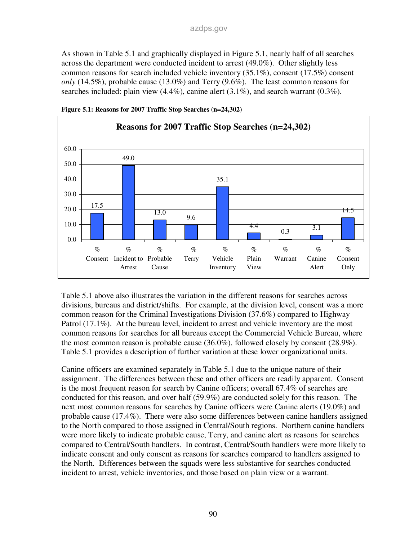As shown in Table 5.1 and graphically displayed in Figure 5.1, nearly half of all searches across the department were conducted incident to arrest (49.0%). Other slightly less common reasons for search included vehicle inventory (35.1%), consent (17.5%) consent *only* (14.5%), probable cause (13.0%) and Terry (9.6%). The least common reasons for searches included: plain view  $(4.4\%)$ , canine alert  $(3.1\%)$ , and search warrant  $(0.3\%)$ .





Table 5.1 above also illustrates the variation in the different reasons for searches across divisions, bureaus and district/shifts. For example, at the division level, consent was a more common reason for the Criminal Investigations Division (37.6%) compared to Highway Patrol (17.1%). At the bureau level, incident to arrest and vehicle inventory are the most common reasons for searches for all bureaus except the Commercial Vehicle Bureau, where the most common reason is probable cause (36.0%), followed closely by consent (28.9%). Table 5.1 provides a description of further variation at these lower organizational units.

Canine officers are examined separately in Table 5.1 due to the unique nature of their assignment. The differences between these and other officers are readily apparent. Consent is the most frequent reason for search by Canine officers; overall 67.4% of searches are conducted for this reason, and over half (59.9%) are conducted solely for this reason. The next most common reasons for searches by Canine officers were Canine alerts (19.0%) and probable cause (17.4%). There were also some differences between canine handlers assigned to the North compared to those assigned in Central/South regions. Northern canine handlers were more likely to indicate probable cause, Terry, and canine alert as reasons for searches compared to Central/South handlers. In contrast, Central/South handlers were more likely to indicate consent and only consent as reasons for searches compared to handlers assigned to the North. Differences between the squads were less substantive for searches conducted incident to arrest, vehicle inventories, and those based on plain view or a warrant.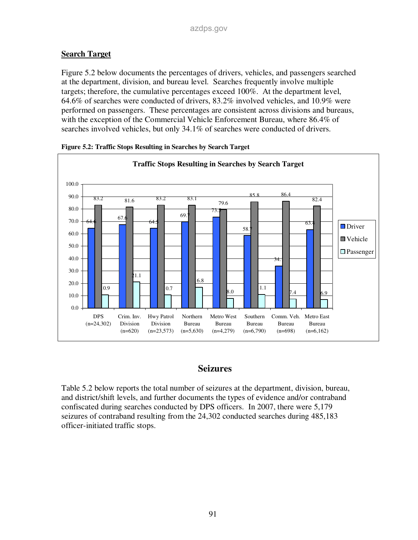### **Search Target**

Figure 5.2 below documents the percentages of drivers, vehicles, and passengers searched at the department, division, and bureau level. Searches frequently involve multiple targets; therefore, the cumulative percentages exceed 100%. At the department level, 64.6% of searches were conducted of drivers, 83.2% involved vehicles, and 10.9% were performed on passengers. These percentages are consistent across divisions and bureaus, with the exception of the Commercial Vehicle Enforcement Bureau, where 86.4% of searches involved vehicles, but only 34.1% of searches were conducted of drivers.



**Figure 5.2: Traffic Stops Resulting in Searches by Search Target** 

### **Seizures**

Table 5.2 below reports the total number of seizures at the department, division, bureau, and district/shift levels, and further documents the types of evidence and/or contraband confiscated during searches conducted by DPS officers. In 2007, there were 5,179 seizures of contraband resulting from the 24,302 conducted searches during 485,183 officer-initiated traffic stops.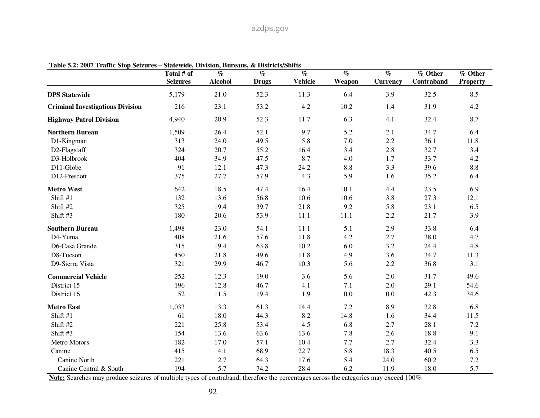### azdps.gov

| rabic $3.2$ , 2007 - Frank Stop Scizures – State whic, Dryision, Dureaus, $\alpha$ | Total # of      | $\overline{\mathcal{C}_{0}}$ | <b>DISH ICLS/DILLIS</b><br>$\overline{\mathcal{C}}$ | $\overline{\mathcal{C}}$ | $\overline{\mathcal{C}_{0}}$ | $\overline{\mathcal{C}}$ | % Other    | % Other         |
|------------------------------------------------------------------------------------|-----------------|------------------------------|-----------------------------------------------------|--------------------------|------------------------------|--------------------------|------------|-----------------|
|                                                                                    | <b>Seizures</b> | <b>Alcohol</b>               | <b>Drugs</b>                                        | <b>Vehicle</b>           | Weapon                       | <b>Currency</b>          | Contraband | <b>Property</b> |
| <b>DPS</b> Statewide                                                               | 5,179           | 21.0                         | 52.3                                                | 11.3                     | 6.4                          | 3.9                      | 32.5       | 8.5             |
| <b>Criminal Investigations Division</b>                                            | 216             | 23.1                         | 53.2                                                | 4.2                      | 10.2                         | 1.4                      | 31.9       | 4.2             |
| <b>Highway Patrol Division</b>                                                     | 4,940           | 20.9                         | 52.3                                                | 11.7                     | 6.3                          | 4.1                      | 32.4       | 8.7             |
| <b>Northern Bureau</b>                                                             | 1,509           | 26.4                         | 52.1                                                | 9.7                      | 5.2                          | 2.1                      | 34.7       | 6.4             |
| D1-Kingman                                                                         | 313             | 24.0                         | 49.5                                                | 5.8                      | 7.0                          | 2.2                      | 36.1       | 11.8            |
| D2-Flagstaff                                                                       | 324             | 20.7                         | 55.2                                                | 16.4                     | 3.4                          | 2.8                      | 32.7       | 3.4             |
| D3-Holbrook                                                                        | 404             | 34.9                         | 47.5                                                | 8.7                      | 4.0                          | 1.7                      | 33.7       | 4.2             |
| D11-Globe                                                                          | 91              | 12.1                         | 47.3                                                | 24.2                     | 8.8                          | 3.3                      | 39.6       | 8.8             |
| D12-Prescott                                                                       | 375             | 27.7                         | 57.9                                                | 4.3                      | 5.9                          | 1.6                      | 35.2       | 6.4             |
| <b>Metro West</b>                                                                  | 642             | 18.5                         | 47.4                                                | 16.4                     | 10.1                         | 4.4                      | 23.5       | 6.9             |
| Shift #1                                                                           | 132             | 13.6                         | 56.8                                                | 10.6                     | 10.6                         | 3.8                      | 27.3       | 12.1            |
| Shift #2                                                                           | 325             | 19.4                         | 39.7                                                | 21.8                     | 9.2                          | 5.8                      | 23.1       | 6.5             |
| Shift #3                                                                           | 180             | 20.6                         | 53.9                                                | 11.1                     | 11.1                         | 2.2                      | 21.7       | 3.9             |
| <b>Southern Bureau</b>                                                             | 1,498           | 23.0                         | 54.1                                                | 11.1                     | 5.1                          | 2.9                      | 33.8       | 6.4             |
| D4-Yuma                                                                            | 408             | 21.6                         | 57.6                                                | 11.8                     | 4.2                          | 2.7                      | 38.0       | 4.7             |
| D6-Casa Grande                                                                     | 315             | 19.4                         | 63.8                                                | 10.2                     | 6.0                          | 3.2                      | 24.4       | 4.8             |
| D8-Tucson                                                                          | 450             | 21.8                         | 49.6                                                | 11.8                     | 4.9                          | 3.6                      | 34.7       | 11.3            |
| D9-Sierra Vista                                                                    | 321             | 29.9                         | 46.7                                                | 10.3                     | 5.6                          | 2.2                      | 36.8       | 3.1             |
| <b>Commercial Vehicle</b>                                                          | 252             | 12.3                         | 19.0                                                | 3.6                      | 5.6                          | 2.0                      | 31.7       | 49.6            |
| District 15                                                                        | 196             | 12.8                         | 46.7                                                | 4.1                      | 7.1                          | 2.0                      | 29.1       | 54.6            |
| District 16                                                                        | 52              | 11.5                         | 19.4                                                | 1.9                      | $0.0\,$                      | 0.0                      | 42.3       | 34.6            |
| <b>Metro East</b>                                                                  | 1,033           | 13.3                         | 61.3                                                | 14.4                     | 7.2                          | 8.9                      | 32.8       | 6.8             |
| Shift #1                                                                           | 61              | 18.0                         | 44.3                                                | 8.2                      | 14.8                         | 1.6                      | 34.4       | 11.5            |
| Shift #2                                                                           | 221             | 25.8                         | 53.4                                                | 4.5                      | 6.8                          | 2.7                      | 28.1       | 7.2             |
| Shift #3                                                                           | 154             | 13.6                         | 63.6                                                | 13.6                     | 7.8                          | 2.6                      | 18.8       | 9.1             |
| Metro Motors                                                                       | 182             | 17.0                         | 57.1                                                | 10.4                     | 7.7                          | 2.7                      | 32.4       | 3.3             |
| Canine                                                                             | 415             | 4.1                          | 68.9                                                | 22.7                     | 5.8                          | 18.3                     | 40.5       | 6.5             |
| Canine North                                                                       | 221             | 2.7                          | 64.3                                                | 17.6                     | 5.4                          | 24.0                     | 60.2       | 7.2             |
| Canine Central & South                                                             | 194             | 5.7                          | 74.2                                                | 28.4                     | 6.2                          | 11.9                     | 18.0       | 5.7             |

**Table 5.2: 2007 Traffic Stop Seizures – Statewide, Division, Bureaus, & Districts/Shifts** 

**Note:** Searches may produce seizures of multiple types of contraband; therefore the percentages across the categories may exceed 100%.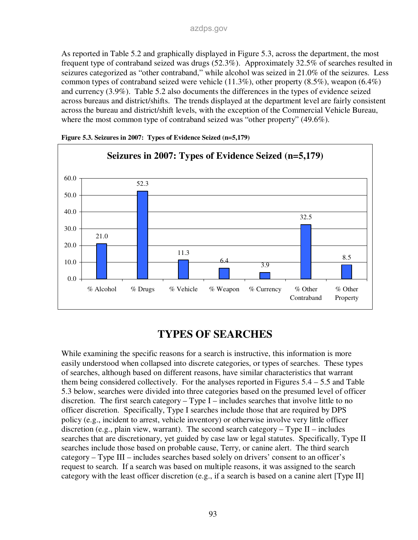As reported in Table 5.2 and graphically displayed in Figure 5.3, across the department, the most frequent type of contraband seized was drugs (52.3%). Approximately 32.5% of searches resulted in seizures categorized as "other contraband," while alcohol was seized in 21.0% of the seizures. Less common types of contraband seized were vehicle  $(11.3\%)$ , other property  $(8.5\%)$ , weapon  $(6.4\%)$ and currency (3.9%). Table 5.2 also documents the differences in the types of evidence seized across bureaus and district/shifts. The trends displayed at the department level are fairly consistent across the bureau and district/shift levels, with the exception of the Commercial Vehicle Bureau, where the most common type of contraband seized was "other property" (49.6%).



**Figure 5.3. Seizures in 2007: Types of Evidence Seized (n=5,179)** 

## **TYPES OF SEARCHES**

While examining the specific reasons for a search is instructive, this information is more easily understood when collapsed into discrete categories, or types of searches. These types of searches, although based on different reasons, have similar characteristics that warrant them being considered collectively. For the analyses reported in Figures 5.4 – 5.5 and Table 5.3 below, searches were divided into three categories based on the presumed level of officer discretion. The first search category – Type I – includes searches that involve little to no officer discretion. Specifically, Type I searches include those that are required by DPS policy (e.g., incident to arrest, vehicle inventory) or otherwise involve very little officer discretion (e.g., plain view, warrant). The second search category – Type  $II$  – includes searches that are discretionary, yet guided by case law or legal statutes. Specifically, Type II searches include those based on probable cause, Terry, or canine alert. The third search category – Type III – includes searches based solely on drivers' consent to an officer's request to search. If a search was based on multiple reasons, it was assigned to the search category with the least officer discretion (e.g., if a search is based on a canine alert [Type II]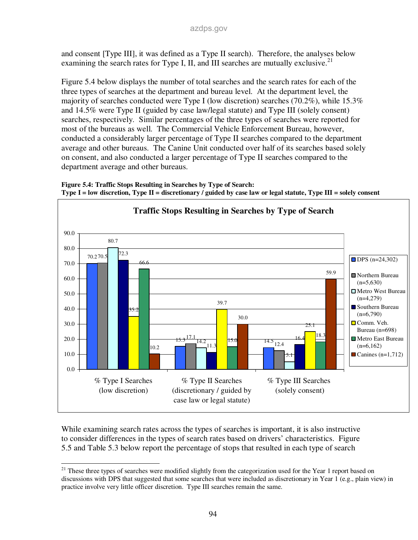and consent [Type III], it was defined as a Type II search). Therefore, the analyses below examining the search rates for Type I, II, and III searches are mutually exclusive.<sup>21</sup>

Figure 5.4 below displays the number of total searches and the search rates for each of the three types of searches at the department and bureau level. At the department level, the majority of searches conducted were Type I (low discretion) searches (70.2%), while 15.3% and 14.5% were Type II (guided by case law/legal statute) and Type III (solely consent) searches, respectively. Similar percentages of the three types of searches were reported for most of the bureaus as well. The Commercial Vehicle Enforcement Bureau, however, conducted a considerably larger percentage of Type II searches compared to the department average and other bureaus. The Canine Unit conducted over half of its searches based solely on consent, and also conducted a larger percentage of Type II searches compared to the department average and other bureaus.





While examining search rates across the types of searches is important, it is also instructive to consider differences in the types of search rates based on drivers' characteristics. Figure 5.5 and Table 5.3 below report the percentage of stops that resulted in each type of search

<sup>-</sup> $21$  These three types of searches were modified slightly from the categorization used for the Year 1 report based on discussions with DPS that suggested that some searches that were included as discretionary in Year 1 (e.g., plain view) in practice involve very little officer discretion. Type III searches remain the same.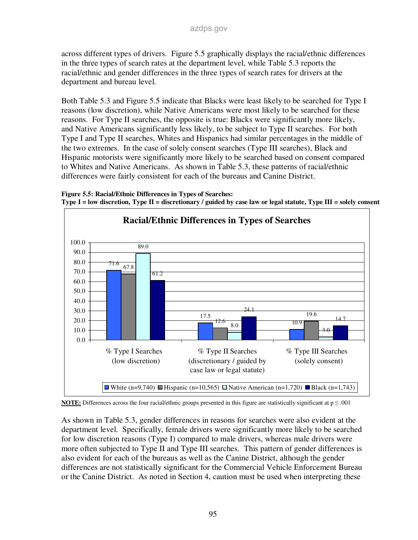across different types of drivers. Figure 5.5 graphically displays the racial/ethnic differences in the three types of search rates at the department level, while Table 5.3 reports the racial/ethnic and gender differences in the three types of search rates for drivers at the department and bureau level.

Both Table 5.3 and Figure 5.5 indicate that Blacks were least likely to be searched for Type I reasons (low discretion), while Native Americans were most likely to be searched for these reasons. For Type II searches, the opposite is true: Blacks were significantly more likely, and Native Americans significantly less likely, to be subject to Type II searches. For both Type I and Type II searches, Whites and Hispanics had similar percentages in the middle of the two extremes. In the case of solely consent searches (Type III searches), Black and Hispanic motorists were significantly more likely to be searched based on consent compared to Whites and Native Americans. As shown in Table 5.3, these patterns of racial/ethnic differences were fairly consistent for each of the bureaus and Canine District.







As shown in Table 5.3, gender differences in reasons for searches were also evident at the department level. Specifically, female drivers were significantly more likely to be searched for low discretion reasons (Type I) compared to male drivers, whereas male drivers were more often subjected to Type II and Type III searches. This pattern of gender differences is also evident for each of the bureaus as well as the Canine District, although the gender differences are not statistically significant for the Commercial Vehicle Enforcement Bureau or the Canine District. As noted in Section 4, caution must be used when interpreting these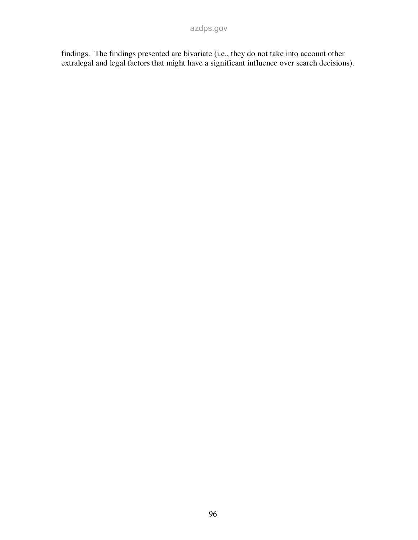findings. The findings presented are bivariate (i.e., they do not take into account other extralegal and legal factors that might have a significant influence over search decisions).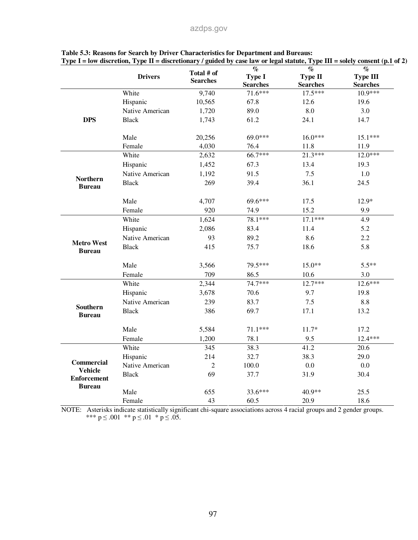|                                      |                 |                               | $\overline{\mathcal{C}}$ | $\overline{\mathcal{C}}$ | $\overline{\mathcal{C}}$ |
|--------------------------------------|-----------------|-------------------------------|--------------------------|--------------------------|--------------------------|
|                                      | <b>Drivers</b>  | Total # of<br><b>Searches</b> | <b>Type I</b>            | <b>Type II</b>           | <b>Type III</b>          |
|                                      |                 |                               | <b>Searches</b>          | <b>Searches</b>          | <b>Searches</b>          |
|                                      | White           | 9,740                         | 71.6***                  | $17.5***$                | $10.9***$                |
|                                      | Hispanic        | 10,565                        | 67.8                     | 12.6                     | 19.6                     |
|                                      | Native American | 1,720                         | 89.0                     | 8.0                      | 3.0                      |
| <b>DPS</b>                           | <b>Black</b>    | 1,743                         | 61.2                     | 24.1                     | 14.7                     |
|                                      | Male            | 20,256                        | 69.0***                  | $16.0***$                | $15.1***$                |
|                                      | Female          | 4,030                         | 76.4                     | 11.8                     | 11.9                     |
|                                      | White           | 2,632                         | 66.7***                  | $21.3***$                | $12.0***$                |
|                                      | Hispanic        | 1,452                         | 67.3                     | 13.4                     | 19.3                     |
|                                      | Native American | 1,192                         | 91.5                     | 7.5                      | 1.0                      |
| <b>Northern</b><br><b>Bureau</b>     | <b>Black</b>    | 269                           | 39.4                     | 36.1                     | 24.5                     |
|                                      | Male            | 4,707                         | 69.6***                  | 17.5                     | 12.9*                    |
|                                      | Female          | 920                           | 74.9                     | 15.2                     | 9.9                      |
|                                      | White           | 1,624                         | 78.1***                  | $17.1***$                | 4.9                      |
|                                      | Hispanic        | 2,086                         | 83.4                     | 11.4                     | 5.2                      |
|                                      | Native American | 93                            | 89.2                     | 8.6                      | 2.2                      |
| <b>Metro West</b><br><b>Bureau</b>   | <b>Black</b>    | 415                           | 75.7                     | 18.6                     | 5.8                      |
|                                      | Male            | 3,566                         | 79.5***                  | $15.0**$                 | $5.5**$                  |
|                                      | Female          | 709                           | 86.5                     | 10.6                     | 3.0                      |
|                                      | White           | 2,344                         | 74.7***                  | $12.7***$                | $12.6***$                |
|                                      | Hispanic        | 3,678                         | 70.6                     | 9.7                      | 19.8                     |
|                                      | Native American | 239                           | 83.7                     | 7.5                      | 8.8                      |
| <b>Southern</b><br><b>Bureau</b>     | <b>Black</b>    | 386                           | 69.7                     | 17.1                     | 13.2                     |
|                                      | Male            | 5,584                         | $71.1***$                | $11.7*$                  | 17.2                     |
|                                      | Female          | 1,200                         | 78.1                     | 9.5                      | 12.4 ***                 |
|                                      | White           | 345                           | 38.3                     | 41.2                     | 20.6                     |
|                                      | Hispanic        | 214                           | 32.7                     | 38.3                     | 29.0                     |
| <b>Commercial</b>                    | Native American | $\overline{2}$                | 100.0                    | 0.0                      | 0.0                      |
| <b>Vehicle</b><br><b>Enforcement</b> | <b>Black</b>    | 69                            | 37.7                     | 31.9                     | 30.4                     |
| <b>Bureau</b>                        | Male            | 655                           | 33.6***                  | 40.9**                   | 25.5                     |
|                                      | Female          | 43                            | 60.5                     | 20.9                     | 18.6                     |

| Table 5.3: Reasons for Search by Driver Characteristics for Department and Bureaus: |                                                                                                                              |
|-------------------------------------------------------------------------------------|------------------------------------------------------------------------------------------------------------------------------|
|                                                                                     | Type I = low discretion, Type II = discretionary / guided by case law or legal statute, Type III = solely consent (p.1 of 2) |

NOTE: Asterisks indicate statistically significant chi-square associations across 4 racial groups and 2 gender groups. \*\*\*  $p \le 0.001$  \*\*  $p \le 0.01$  \*  $p \le 0.05$ .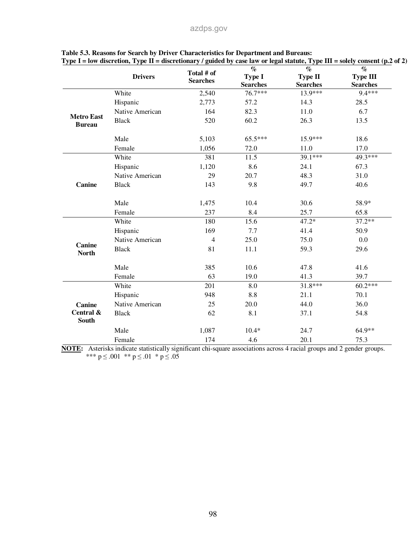|                                    | <b>Drivers</b>  | Total # of<br><b>Searches</b> | $\overline{\mathcal{C}}$<br><b>Type I</b><br><b>Searches</b> | $\overline{\mathcal{C}}$<br>Type II<br><b>Searches</b> | $\mathcal{O}_{\!\!\mathbb{O}}$<br><b>Type III</b><br><b>Searches</b> |
|------------------------------------|-----------------|-------------------------------|--------------------------------------------------------------|--------------------------------------------------------|----------------------------------------------------------------------|
|                                    | White           | 2,540                         | 76.7***                                                      | 13.9***                                                | $9.4***$                                                             |
|                                    | Hispanic        | 2,773                         | 57.2                                                         | 14.3                                                   | 28.5                                                                 |
|                                    | Native American | 164                           | 82.3                                                         | 11.0                                                   | 6.7                                                                  |
| <b>Metro East</b><br><b>Bureau</b> | <b>Black</b>    | 520                           | 60.2                                                         | 26.3                                                   | 13.5                                                                 |
|                                    | Male            | 5,103                         | 65.5***                                                      | 15.9***                                                | 18.6                                                                 |
|                                    | Female          | 1,056                         | 72.0                                                         | 11.0                                                   | 17.0                                                                 |
|                                    | White           | 381                           | 11.5                                                         | 39.1***                                                | 49.3***                                                              |
|                                    | Hispanic        | 1,120                         | 8.6                                                          | 24.1                                                   | 67.3                                                                 |
|                                    | Native American | 29                            | 20.7                                                         | 48.3                                                   | 31.0                                                                 |
| Canine                             | <b>Black</b>    | 143                           | 9.8                                                          | 49.7                                                   | 40.6                                                                 |
|                                    | Male            | 1,475                         | 10.4                                                         | 30.6                                                   | 58.9*                                                                |
|                                    | Female          | 237                           | 8.4                                                          | 25.7                                                   | 65.8                                                                 |
|                                    | White           | 180                           | 15.6                                                         | $47.2*$                                                | $37.2**$                                                             |
|                                    | Hispanic        | 169                           | 7.7                                                          | 41.4                                                   | 50.9                                                                 |
|                                    | Native American | $\overline{4}$                | 25.0                                                         | 75.0                                                   | 0.0                                                                  |
| Canine<br><b>North</b>             | <b>Black</b>    | 81                            | 11.1                                                         | 59.3                                                   | 29.6                                                                 |
|                                    | Male            | 385                           | 10.6                                                         | 47.8                                                   | 41.6                                                                 |
|                                    | Female          | 63                            | 19.0                                                         | 41.3                                                   | 39.7                                                                 |
|                                    | White           | 201                           | 8.0                                                          | 31.8***                                                | $60.2***$                                                            |
|                                    | Hispanic        | 948                           | 8.8                                                          | 21.1                                                   | 70.1                                                                 |
| Canine                             | Native American | 25                            | 20.0                                                         | 44.0                                                   | 36.0                                                                 |
| Central &<br><b>South</b>          | <b>Black</b>    | 62                            | 8.1                                                          | 37.1                                                   | 54.8                                                                 |
|                                    | Male            | 1,087                         | $10.4*$                                                      | 24.7                                                   | 64.9**                                                               |
|                                    | Female          | 174                           | 4.6                                                          | 20.1                                                   | 75.3                                                                 |

#### **Table 5.3. Reasons for Search by Driver Characteristics for Department and Bureaus: Type I = low discretion, Type II = discretionary / guided by case law or legal statute, Type III = solely consent (p.2 of 2)**

**NOTE:** Asterisks indicate statistically significant chi-square associations across 4 racial groups and 2 gender groups. \*\*\*  $p \le 0.001$  \*\*  $p \le 0.01$  \*  $p \le 0.05$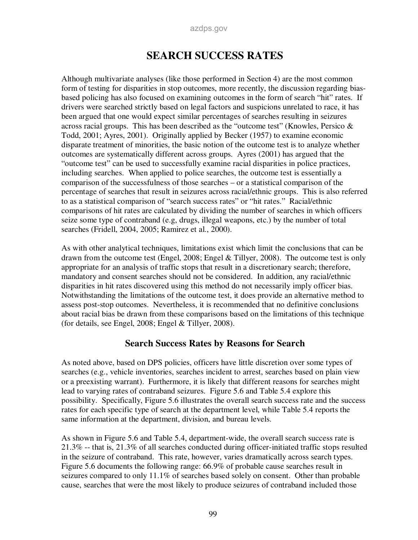#### azdps.gov

## **SEARCH SUCCESS RATES**

Although multivariate analyses (like those performed in Section 4) are the most common form of testing for disparities in stop outcomes, more recently, the discussion regarding biasbased policing has also focused on examining outcomes in the form of search "hit" rates. If drivers were searched strictly based on legal factors and suspicions unrelated to race, it has been argued that one would expect similar percentages of searches resulting in seizures across racial groups. This has been described as the "outcome test" (Knowles, Persico  $\&$ Todd, 2001; Ayres, 2001). Originally applied by Becker (1957) to examine economic disparate treatment of minorities, the basic notion of the outcome test is to analyze whether outcomes are systematically different across groups. Ayres (2001) has argued that the "outcome test" can be used to successfully examine racial disparities in police practices, including searches. When applied to police searches, the outcome test is essentially a comparison of the successfulness of those searches – or a statistical comparison of the percentage of searches that result in seizures across racial/ethnic groups. This is also referred to as a statistical comparison of "search success rates" or "hit rates." Racial/ethnic comparisons of hit rates are calculated by dividing the number of searches in which officers seize some type of contraband (e.g, drugs, illegal weapons, etc.) by the number of total searches (Fridell, 2004, 2005; Ramirez et al., 2000).

As with other analytical techniques, limitations exist which limit the conclusions that can be drawn from the outcome test (Engel, 2008; Engel & Tillyer, 2008). The outcome test is only appropriate for an analysis of traffic stops that result in a discretionary search; therefore, mandatory and consent searches should not be considered. In addition, any racial/ethnic disparities in hit rates discovered using this method do not necessarily imply officer bias. Notwithstanding the limitations of the outcome test, it does provide an alternative method to assess post-stop outcomes. Nevertheless, it is recommended that no definitive conclusions about racial bias be drawn from these comparisons based on the limitations of this technique (for details, see Engel, 2008; Engel & Tillyer, 2008).

### **Search Success Rates by Reasons for Search**

As noted above, based on DPS policies, officers have little discretion over some types of searches (e.g., vehicle inventories, searches incident to arrest, searches based on plain view or a preexisting warrant). Furthermore, it is likely that different reasons for searches might lead to varying rates of contraband seizures. Figure 5.6 and Table 5.4 explore this possibility. Specifically, Figure 5.6 illustrates the overall search success rate and the success rates for each specific type of search at the department level, while Table 5.4 reports the same information at the department, division, and bureau levels.

As shown in Figure 5.6 and Table 5.4, department-wide, the overall search success rate is 21.3% -- that is, 21.3% of all searches conducted during officer-initiated traffic stops resulted in the seizure of contraband. This rate, however, varies dramatically across search types. Figure 5.6 documents the following range: 66.9% of probable cause searches result in seizures compared to only 11.1% of searches based solely on consent. Other than probable cause, searches that were the most likely to produce seizures of contraband included those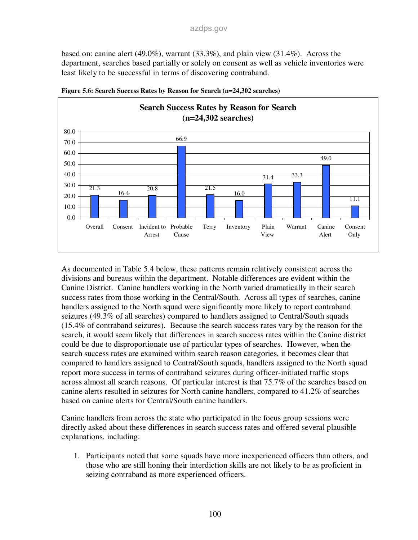based on: canine alert  $(49.0\%)$ , warrant  $(33.3\%)$ , and plain view  $(31.4\%)$ . Across the department, searches based partially or solely on consent as well as vehicle inventories were least likely to be successful in terms of discovering contraband.



**Figure 5.6: Search Success Rates by Reason for Search (n=24,302 searches)** 

As documented in Table 5.4 below, these patterns remain relatively consistent across the divisions and bureaus within the department. Notable differences are evident within the Canine District. Canine handlers working in the North varied dramatically in their search success rates from those working in the Central/South. Across all types of searches, canine handlers assigned to the North squad were significantly more likely to report contraband seizures (49.3% of all searches) compared to handlers assigned to Central/South squads (15.4% of contraband seizures). Because the search success rates vary by the reason for the search, it would seem likely that differences in search success rates within the Canine district could be due to disproportionate use of particular types of searches. However, when the search success rates are examined within search reason categories, it becomes clear that compared to handlers assigned to Central/South squads, handlers assigned to the North squad report more success in terms of contraband seizures during officer-initiated traffic stops across almost all search reasons. Of particular interest is that 75.7% of the searches based on canine alerts resulted in seizures for North canine handlers, compared to 41.2% of searches based on canine alerts for Central/South canine handlers.

Canine handlers from across the state who participated in the focus group sessions were directly asked about these differences in search success rates and offered several plausible explanations, including:

1. Participants noted that some squads have more inexperienced officers than others, and those who are still honing their interdiction skills are not likely to be as proficient in seizing contraband as more experienced officers.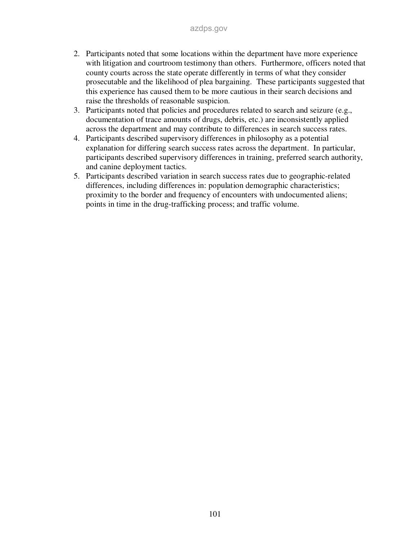- 2. Participants noted that some locations within the department have more experience with litigation and courtroom testimony than others. Furthermore, officers noted that county courts across the state operate differently in terms of what they consider prosecutable and the likelihood of plea bargaining. These participants suggested that this experience has caused them to be more cautious in their search decisions and raise the thresholds of reasonable suspicion.
- 3. Participants noted that policies and procedures related to search and seizure (e.g., documentation of trace amounts of drugs, debris, etc.) are inconsistently applied across the department and may contribute to differences in search success rates.
- 4. Participants described supervisory differences in philosophy as a potential explanation for differing search success rates across the department. In particular, participants described supervisory differences in training, preferred search authority, and canine deployment tactics.
- 5. Participants described variation in search success rates due to geographic-related differences, including differences in: population demographic characteristics; proximity to the border and frequency of encounters with undocumented aliens; points in time in the drug-trafficking process; and traffic volume.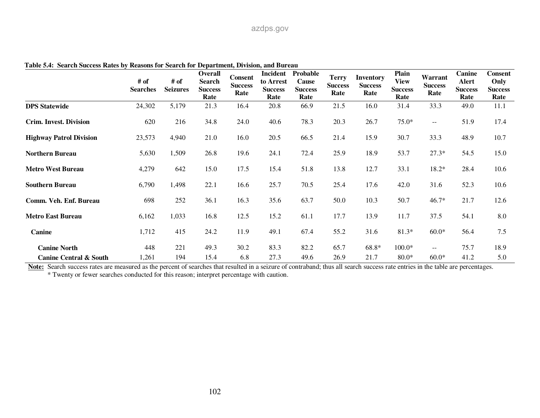|                                   | # of<br><b>Searches</b> | # of<br><b>Seizures</b> | Overall<br><b>Search</b><br><b>Success</b><br>Rate | <b>Consent</b><br><b>Success</b><br>Rate | Incident<br>to Arrest<br><b>Success</b><br>Rate | Probable<br>Cause<br><b>Success</b><br>Rate | <b>Terry</b><br><b>Success</b><br>Rate | <b>Inventory</b><br><b>Success</b><br>Rate | Plain<br><b>View</b><br><b>Success</b><br>Rate | Warrant<br><b>Success</b><br>Rate | Canine<br>Alert<br><b>Success</b><br>Rate | <b>Consent</b><br>Only<br><b>Success</b><br>Rate |
|-----------------------------------|-------------------------|-------------------------|----------------------------------------------------|------------------------------------------|-------------------------------------------------|---------------------------------------------|----------------------------------------|--------------------------------------------|------------------------------------------------|-----------------------------------|-------------------------------------------|--------------------------------------------------|
| <b>DPS</b> Statewide              | 24,302                  | 5,179                   | 21.3                                               | 16.4                                     | 20.8                                            | 66.9                                        | 21.5                                   | 16.0                                       | 31.4                                           | 33.3                              | 49.0                                      | 11.1                                             |
| <b>Crim. Invest. Division</b>     | 620                     | 216                     | 34.8                                               | 24.0                                     | 40.6                                            | 78.3                                        | 20.3                                   | 26.7                                       | $75.0*$                                        | $\overline{\phantom{m}}$          | 51.9                                      | 17.4                                             |
| <b>Highway Patrol Division</b>    | 23,573                  | 4,940                   | 21.0                                               | 16.0                                     | 20.5                                            | 66.5                                        | 21.4                                   | 15.9                                       | 30.7                                           | 33.3                              | 48.9                                      | 10.7                                             |
| <b>Northern Bureau</b>            | 5,630                   | 1,509                   | 26.8                                               | 19.6                                     | 24.1                                            | 72.4                                        | 25.9                                   | 18.9                                       | 53.7                                           | $27.3*$                           | 54.5                                      | 15.0                                             |
| <b>Metro West Bureau</b>          | 4,279                   | 642                     | 15.0                                               | 17.5                                     | 15.4                                            | 51.8                                        | 13.8                                   | 12.7                                       | 33.1                                           | $18.2*$                           | 28.4                                      | 10.6                                             |
| <b>Southern Bureau</b>            | 6,790                   | 1,498                   | 22.1                                               | 16.6                                     | 25.7                                            | 70.5                                        | 25.4                                   | 17.6                                       | 42.0                                           | 31.6                              | 52.3                                      | 10.6                                             |
| Comm. Veh. Enf. Bureau            | 698                     | 252                     | 36.1                                               | 16.3                                     | 35.6                                            | 63.7                                        | 50.0                                   | 10.3                                       | 50.7                                           | $46.7*$                           | 21.7                                      | 12.6                                             |
| <b>Metro East Bureau</b>          | 6,162                   | 1,033                   | 16.8                                               | 12.5                                     | 15.2                                            | 61.1                                        | 17.7                                   | 13.9                                       | 11.7                                           | 37.5                              | 54.1                                      | 8.0                                              |
| Canine                            | 1,712                   | 415                     | 24.2                                               | 11.9                                     | 49.1                                            | 67.4                                        | 55.2                                   | 31.6                                       | $81.3*$                                        | $60.0*$                           | 56.4                                      | 7.5                                              |
| <b>Canine North</b>               | 448                     | 221                     | 49.3                                               | 30.2                                     | 83.3                                            | 82.2                                        | 65.7                                   | 68.8*                                      | $100.0*$                                       | $\overline{\phantom{m}}$          | 75.7                                      | 18.9                                             |
| <b>Canine Central &amp; South</b> | 1,261                   | 194                     | 15.4                                               | 6.8                                      | 27.3                                            | 49.6                                        | 26.9                                   | 21.7                                       | $80.0*$                                        | $60.0*$                           | 41.2                                      | 5.0                                              |

**Table 5.4: Search Success Rates by Reasons for Search for Department, Division, and Bureau** 

Note: Search success rates are measured as the percent of searches that resulted in a seizure of contraband; thus all search success rate entries in the table are percentages.

\* Twenty or fewer searches conducted for this reason; interpret percentage with caution.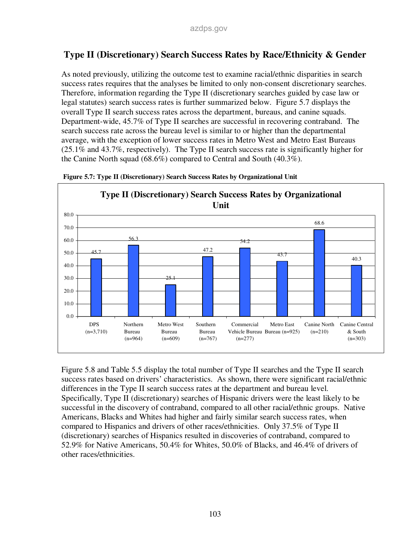### **Type II (Discretionary) Search Success Rates by Race/Ethnicity & Gender**

As noted previously, utilizing the outcome test to examine racial/ethnic disparities in search success rates requires that the analyses be limited to only non-consent discretionary searches. Therefore, information regarding the Type II (discretionary searches guided by case law or legal statutes) search success rates is further summarized below. Figure 5.7 displays the overall Type II search success rates across the department, bureaus, and canine squads. Department-wide, 45.7% of Type II searches are successful in recovering contraband. The search success rate across the bureau level is similar to or higher than the departmental average, with the exception of lower success rates in Metro West and Metro East Bureaus (25.1% and 43.7%, respectively). The Type II search success rate is significantly higher for the Canine North squad (68.6%) compared to Central and South (40.3%).





Figure 5.8 and Table 5.5 display the total number of Type II searches and the Type II search success rates based on drivers' characteristics. As shown, there were significant racial/ethnic differences in the Type II search success rates at the department and bureau level. Specifically, Type II (discretionary) searches of Hispanic drivers were the least likely to be successful in the discovery of contraband, compared to all other racial/ethnic groups. Native Americans, Blacks and Whites had higher and fairly similar search success rates, when compared to Hispanics and drivers of other races/ethnicities. Only 37.5% of Type II (discretionary) searches of Hispanics resulted in discoveries of contraband, compared to 52.9% for Native Americans, 50.4% for Whites, 50.0% of Blacks, and 46.4% of drivers of other races/ethnicities.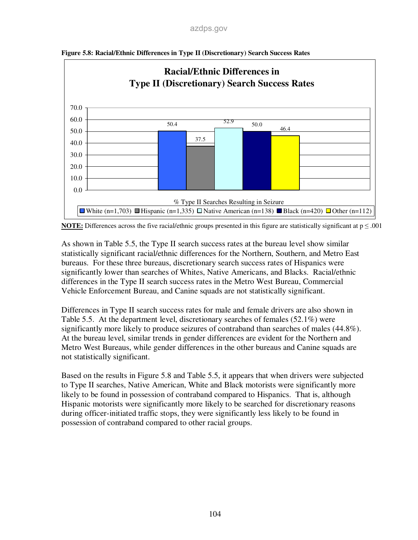

**Figure 5.8: Racial/Ethnic Differences in Type II (Discretionary) Search Success Rates** 



As shown in Table 5.5, the Type II search success rates at the bureau level show similar statistically significant racial/ethnic differences for the Northern, Southern, and Metro East bureaus. For these three bureaus, discretionary search success rates of Hispanics were significantly lower than searches of Whites, Native Americans, and Blacks. Racial/ethnic differences in the Type II search success rates in the Metro West Bureau, Commercial Vehicle Enforcement Bureau, and Canine squads are not statistically significant.

Differences in Type II search success rates for male and female drivers are also shown in Table 5.5. At the department level, discretionary searches of females (52.1%) were significantly more likely to produce seizures of contraband than searches of males (44.8%). At the bureau level, similar trends in gender differences are evident for the Northern and Metro West Bureaus, while gender differences in the other bureaus and Canine squads are not statistically significant.

Based on the results in Figure 5.8 and Table 5.5, it appears that when drivers were subjected to Type II searches, Native American, White and Black motorists were significantly more likely to be found in possession of contraband compared to Hispanics. That is, although Hispanic motorists were significantly more likely to be searched for discretionary reasons during officer-initiated traffic stops, they were significantly less likely to be found in possession of contraband compared to other racial groups.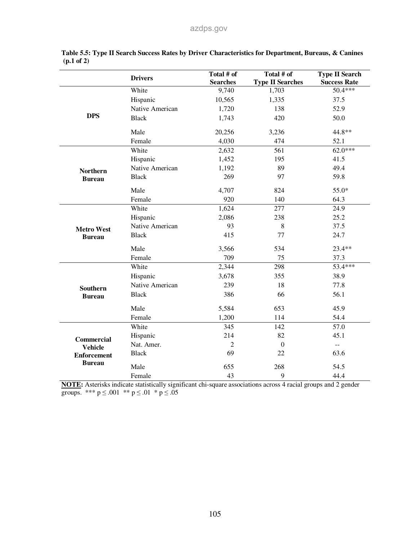|                    | <b>Drivers</b>  | Total # of      | Total # of              | <b>Type II Search</b> |
|--------------------|-----------------|-----------------|-------------------------|-----------------------|
|                    |                 | <b>Searches</b> | <b>Type II Searches</b> | <b>Success Rate</b>   |
|                    | White           | 9,740           | 1,703                   | 50.4***               |
|                    | Hispanic        | 10,565          | 1,335                   | 37.5                  |
|                    | Native American | 1,720           | 138                     | 52.9                  |
| <b>DPS</b>         | <b>Black</b>    | 1,743           | 420                     | 50.0                  |
|                    | Male            | 20,256          | 3,236                   | 44.8**                |
|                    | Female          | 4,030           | 474                     | 52.1                  |
|                    | White           | 2,632           | 561                     | $62.0***$             |
|                    | Hispanic        | 1,452           | 195                     | 41.5                  |
| <b>Northern</b>    | Native American | 1,192           | 89                      | 49.4                  |
| <b>Bureau</b>      | <b>Black</b>    | 269             | 97                      | 59.8                  |
|                    | Male            | 4,707           | 824                     | 55.0*                 |
|                    | Female          | 920             | 140                     | 64.3                  |
|                    | White           | 1,624           | 277                     | 24.9                  |
|                    | Hispanic        | 2,086           | 238                     | 25.2                  |
| <b>Metro West</b>  | Native American | 93              | 8                       | 37.5                  |
| <b>Bureau</b>      | <b>Black</b>    | 415             | 77                      | 24.7                  |
|                    | Male            | 3,566           | 534                     | 23.4**                |
|                    | Female          | 709             | 75                      | 37.3                  |
|                    | White           | 2,344           | 298                     | 53.4***               |
|                    | Hispanic        | 3,678           | 355                     | 38.9                  |
| <b>Southern</b>    | Native American | 239             | 18                      | 77.8                  |
| <b>Bureau</b>      | <b>Black</b>    | 386             | 66                      | 56.1                  |
|                    | Male            | 5,584           | 653                     | 45.9                  |
|                    | Female          | 1,200           | 114                     | 54.4                  |
|                    | White           | 345             | 142                     | 57.0                  |
| <b>Commercial</b>  | Hispanic        | 214             | 82                      | 45.1                  |
| <b>Vehicle</b>     | Nat. Amer.      | $\overline{2}$  | $\boldsymbol{0}$        | --                    |
| <b>Enforcement</b> | <b>Black</b>    | 69              | 22                      | 63.6                  |
| <b>Bureau</b>      | Male            | 655             | 268                     | 54.5                  |
|                    | Female          | 43              | 9                       | 44.4                  |

|                       | Table 5.5: Type II Search Success Rates by Driver Characteristics for Department, Bureaus, & Canines |  |  |  |
|-----------------------|------------------------------------------------------------------------------------------------------|--|--|--|
| $(p.1 \text{ of } 2)$ |                                                                                                      |  |  |  |

**NOTE:** Asterisks indicate statistically significant chi-square associations across 4 racial groups and 2 gender groups. \*\*\*  $p \le 0.001$  \*\*  $p \le 0.01$  \*  $p \le 0.05$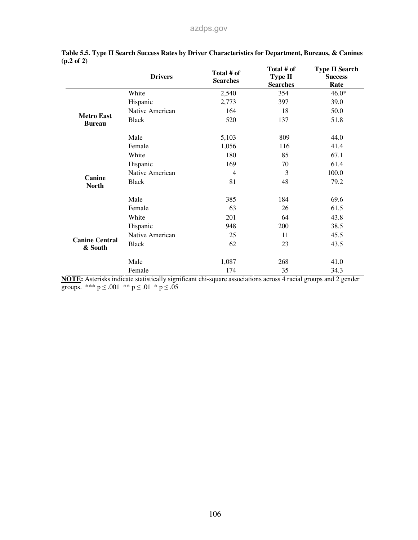|                                  | <b>Drivers</b>  | Total # of<br><b>Searches</b> | Total # of<br><b>Type II</b><br><b>Searches</b> | <b>Type II Search</b><br><b>Success</b><br>Rate |
|----------------------------------|-----------------|-------------------------------|-------------------------------------------------|-------------------------------------------------|
|                                  | White           | 2,540                         | 354                                             | $46.0*$                                         |
|                                  | Hispanic        | 2,773                         | 397                                             | 39.0                                            |
| <b>Metro East</b>                | Native American | 164                           | 18                                              | 50.0                                            |
| <b>Bureau</b>                    | <b>Black</b>    | 520                           | 137                                             | 51.8                                            |
|                                  | Male            | 5,103                         | 809                                             | 44.0                                            |
|                                  | Female          | 1,056                         | 116                                             | 41.4                                            |
|                                  | White           | 180                           | 85                                              | 67.1                                            |
|                                  | Hispanic        | 169                           | 70                                              | 61.4                                            |
|                                  | Native American | 4                             | 3                                               | 100.0                                           |
| Canine<br><b>North</b>           | <b>Black</b>    | 81                            | 48                                              | 79.2                                            |
|                                  | Male            | 385                           | 184                                             | 69.6                                            |
|                                  | Female          | 63                            | 26                                              | 61.5                                            |
|                                  | White           | 201                           | 64                                              | 43.8                                            |
|                                  | Hispanic        | 948                           | 200                                             | 38.5                                            |
|                                  | Native American | 25                            | 11                                              | 45.5                                            |
| <b>Canine Central</b><br>& South | <b>Black</b>    | 62                            | 23                                              | 43.5                                            |
|                                  | Male            | 1,087                         | 268                                             | 41.0                                            |
|                                  | Female          | 174                           | 35                                              | 34.3                                            |

|                       | Table 5.5. Type II Search Success Rates by Driver Characteristics for Department, Bureaus, & Canines |  |  |  |
|-----------------------|------------------------------------------------------------------------------------------------------|--|--|--|
| $(p.2 \text{ of } 2)$ |                                                                                                      |  |  |  |

**NOTE:** Asterisks indicate statistically significant chi-square associations across 4 racial groups and 2 gender groups. \*\*\*  $p \le 0.001$  \*\*  $p \le 0.01$  \*  $p \le 0.05$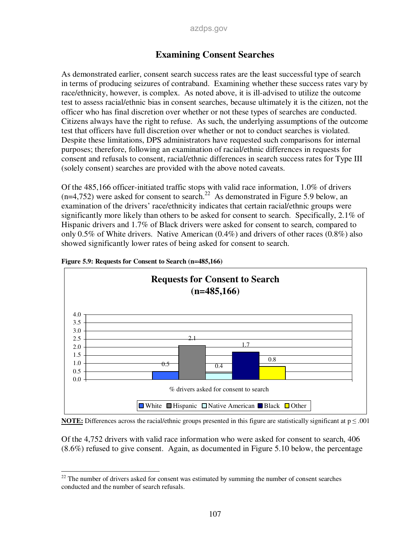### **Examining Consent Searches**

As demonstrated earlier, consent search success rates are the least successful type of search in terms of producing seizures of contraband. Examining whether these success rates vary by race/ethnicity, however, is complex. As noted above, it is ill-advised to utilize the outcome test to assess racial/ethnic bias in consent searches, because ultimately it is the citizen, not the officer who has final discretion over whether or not these types of searches are conducted. Citizens always have the right to refuse. As such, the underlying assumptions of the outcome test that officers have full discretion over whether or not to conduct searches is violated. Despite these limitations, DPS administrators have requested such comparisons for internal purposes; therefore, following an examination of racial/ethnic differences in requests for consent and refusals to consent, racial/ethnic differences in search success rates for Type III (solely consent) searches are provided with the above noted caveats.

Of the 485,166 officer-initiated traffic stops with valid race information, 1.0% of drivers  $(n=4,752)$  were asked for consent to search.<sup>22</sup> As demonstrated in Figure 5.9 below, an examination of the drivers' race/ethnicity indicates that certain racial/ethnic groups were significantly more likely than others to be asked for consent to search. Specifically, 2.1% of Hispanic drivers and 1.7% of Black drivers were asked for consent to search, compared to only 0.5% of White drivers. Native American  $(0.4\%)$  and drivers of other races  $(0.8\%)$  also showed significantly lower rates of being asked for consent to search.



**Figure 5.9: Requests for Consent to Search (n=485,166)** 



Of the 4,752 drivers with valid race information who were asked for consent to search, 406 (8.6%) refused to give consent. Again, as documented in Figure 5.10 below, the percentage

<sup>-</sup> $22$  The number of drivers asked for consent was estimated by summing the number of consent searches conducted and the number of search refusals.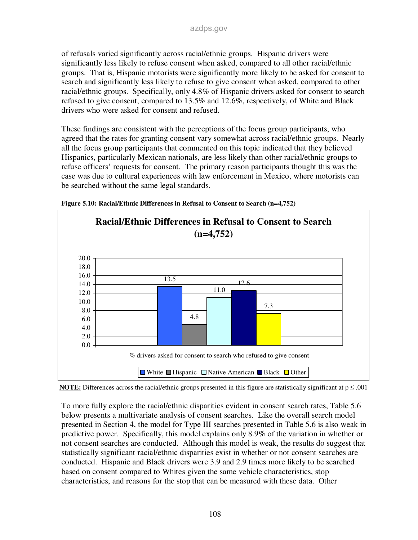of refusals varied significantly across racial/ethnic groups. Hispanic drivers were significantly less likely to refuse consent when asked, compared to all other racial/ethnic groups. That is, Hispanic motorists were significantly more likely to be asked for consent to search and significantly less likely to refuse to give consent when asked, compared to other racial/ethnic groups. Specifically, only 4.8% of Hispanic drivers asked for consent to search refused to give consent, compared to 13.5% and 12.6%, respectively, of White and Black drivers who were asked for consent and refused.

These findings are consistent with the perceptions of the focus group participants, who agreed that the rates for granting consent vary somewhat across racial/ethnic groups. Nearly all the focus group participants that commented on this topic indicated that they believed Hispanics, particularly Mexican nationals, are less likely than other racial/ethnic groups to refuse officers' requests for consent. The primary reason participants thought this was the case was due to cultural experiences with law enforcement in Mexico, where motorists can be searched without the same legal standards.







To more fully explore the racial/ethnic disparities evident in consent search rates, Table 5.6 below presents a multivariate analysis of consent searches. Like the overall search model presented in Section 4, the model for Type III searches presented in Table 5.6 is also weak in predictive power. Specifically, this model explains only 8.9% of the variation in whether or not consent searches are conducted. Although this model is weak, the results do suggest that statistically significant racial/ethnic disparities exist in whether or not consent searches are conducted. Hispanic and Black drivers were 3.9 and 2.9 times more likely to be searched based on consent compared to Whites given the same vehicle characteristics, stop characteristics, and reasons for the stop that can be measured with these data. Other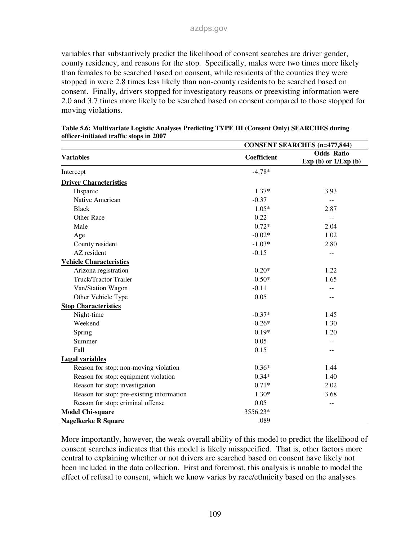variables that substantively predict the likelihood of consent searches are driver gender, county residency, and reasons for the stop. Specifically, males were two times more likely than females to be searched based on consent, while residents of the counties they were stopped in were 2.8 times less likely than non-county residents to be searched based on consent. Finally, drivers stopped for investigatory reasons or preexisting information were 2.0 and 3.7 times more likely to be searched based on consent compared to those stopped for moving violations.

|                                           |             | <b>CONSENT SEARCHES (n=477,844)</b>         |
|-------------------------------------------|-------------|---------------------------------------------|
| <b>Variables</b>                          | Coefficient | <b>Odds Ratio</b><br>Exp (b) or $1/Exp$ (b) |
| Intercept                                 | $-4.78*$    |                                             |
| <b>Driver Characteristics</b>             |             |                                             |
| Hispanic                                  | $1.37*$     | 3.93                                        |
| Native American                           | $-0.37$     |                                             |
| <b>Black</b>                              | $1.05*$     | 2.87                                        |
| <b>Other Race</b>                         | 0.22        | $- -$                                       |
| Male                                      | $0.72*$     | 2.04                                        |
| Age                                       | $-0.02*$    | 1.02                                        |
| County resident                           | $-1.03*$    | 2.80                                        |
| AZ resident                               | $-0.15$     | --                                          |
| <b>Vehicle Characteristics</b>            |             |                                             |
| Arizona registration                      | $-0.20*$    | 1.22                                        |
| <b>Truck/Tractor Trailer</b>              | $-0.50*$    | 1.65                                        |
| Van/Station Wagon                         | $-0.11$     |                                             |
| Other Vehicle Type                        | 0.05        |                                             |
| <b>Stop Characteristics</b>               |             |                                             |
| Night-time                                | $-0.37*$    | 1.45                                        |
| Weekend                                   | $-0.26*$    | 1.30                                        |
| Spring                                    | $0.19*$     | 1.20                                        |
| Summer                                    | 0.05        |                                             |
| Fall                                      | 0.15        |                                             |
| <b>Legal variables</b>                    |             |                                             |
| Reason for stop: non-moving violation     | $0.36*$     | 1.44                                        |
| Reason for stop: equipment violation      | $0.34*$     | 1.40                                        |
| Reason for stop: investigation            | $0.71*$     | 2.02                                        |
| Reason for stop: pre-existing information | $1.30*$     | 3.68                                        |
| Reason for stop: criminal offense         | 0.05        | $-$                                         |
| <b>Model Chi-square</b>                   | 3556.23*    |                                             |
| <b>Nagelkerke R Square</b>                | .089        |                                             |

| Table 5.6: Multivariate Logistic Analyses Predicting TYPE III (Consent Only) SEARCHES during |  |
|----------------------------------------------------------------------------------------------|--|
| officer-initiated traffic stops in 2007                                                      |  |

More importantly, however, the weak overall ability of this model to predict the likelihood of consent searches indicates that this model is likely misspecified. That is, other factors more central to explaining whether or not drivers are searched based on consent have likely not been included in the data collection. First and foremost, this analysis is unable to model the effect of refusal to consent, which we know varies by race/ethnicity based on the analyses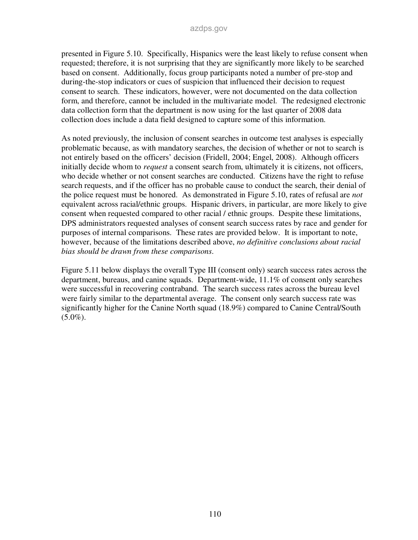presented in Figure 5.10. Specifically, Hispanics were the least likely to refuse consent when requested; therefore, it is not surprising that they are significantly more likely to be searched based on consent. Additionally, focus group participants noted a number of pre-stop and during-the-stop indicators or cues of suspicion that influenced their decision to request consent to search. These indicators, however, were not documented on the data collection form, and therefore, cannot be included in the multivariate model. The redesigned electronic data collection form that the department is now using for the last quarter of 2008 data collection does include a data field designed to capture some of this information.

As noted previously, the inclusion of consent searches in outcome test analyses is especially problematic because, as with mandatory searches, the decision of whether or not to search is not entirely based on the officers' decision (Fridell, 2004; Engel, 2008). Although officers initially decide whom to *request* a consent search from, ultimately it is citizens, not officers, who decide whether or not consent searches are conducted. Citizens have the right to refuse search requests, and if the officer has no probable cause to conduct the search, their denial of the police request must be honored. As demonstrated in Figure 5.10, rates of refusal are *not* equivalent across racial/ethnic groups. Hispanic drivers, in particular, are more likely to give consent when requested compared to other racial / ethnic groups. Despite these limitations, DPS administrators requested analyses of consent search success rates by race and gender for purposes of internal comparisons. These rates are provided below. It is important to note, however, because of the limitations described above, *no definitive conclusions about racial bias should be drawn from these comparisons*.

Figure 5.11 below displays the overall Type III (consent only) search success rates across the department, bureaus, and canine squads. Department-wide, 11.1% of consent only searches were successful in recovering contraband. The search success rates across the bureau level were fairly similar to the departmental average. The consent only search success rate was significantly higher for the Canine North squad (18.9%) compared to Canine Central/South  $(5.0\%).$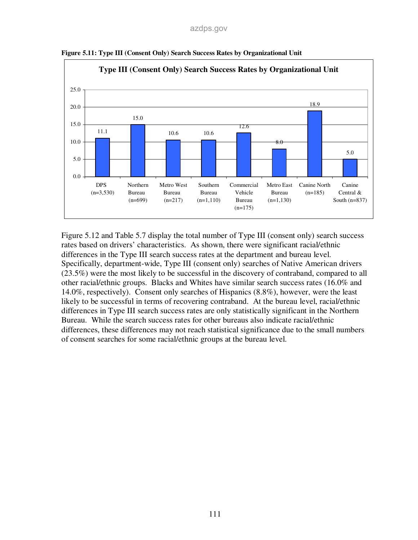

**Figure 5.11: Type III (Consent Only) Search Success Rates by Organizational Unit** 

Figure 5.12 and Table 5.7 display the total number of Type III (consent only) search success rates based on drivers' characteristics. As shown, there were significant racial/ethnic differences in the Type III search success rates at the department and bureau level. Specifically, department-wide, Type III (consent only) searches of Native American drivers (23.5%) were the most likely to be successful in the discovery of contraband, compared to all other racial/ethnic groups. Blacks and Whites have similar search success rates (16.0% and 14.0%, respectively). Consent only searches of Hispanics (8.8%), however, were the least likely to be successful in terms of recovering contraband. At the bureau level, racial/ethnic differences in Type III search success rates are only statistically significant in the Northern Bureau. While the search success rates for other bureaus also indicate racial/ethnic differences, these differences may not reach statistical significance due to the small numbers of consent searches for some racial/ethnic groups at the bureau level.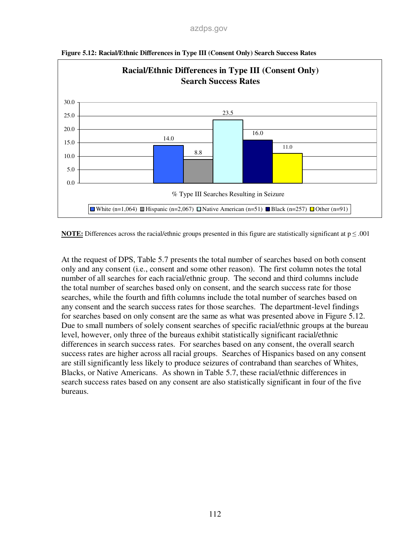

**Figure 5.12: Racial/Ethnic Differences in Type III (Consent Only) Search Success Rates** 

**NOTE:** Differences across the racial/ethnic groups presented in this figure are statistically significant at  $p \le 0.001$ 

At the request of DPS, Table 5.7 presents the total number of searches based on both consent only and any consent (i.e., consent and some other reason). The first column notes the total number of all searches for each racial/ethnic group. The second and third columns include the total number of searches based only on consent, and the search success rate for those searches, while the fourth and fifth columns include the total number of searches based on any consent and the search success rates for those searches. The department-level findings for searches based on only consent are the same as what was presented above in Figure 5.12. Due to small numbers of solely consent searches of specific racial/ethnic groups at the bureau level, however, only three of the bureaus exhibit statistically significant racial/ethnic differences in search success rates. For searches based on any consent, the overall search success rates are higher across all racial groups. Searches of Hispanics based on any consent are still significantly less likely to produce seizures of contraband than searches of Whites, Blacks, or Native Americans. As shown in Table 5.7, these racial/ethnic differences in search success rates based on any consent are also statistically significant in four of the five bureaus.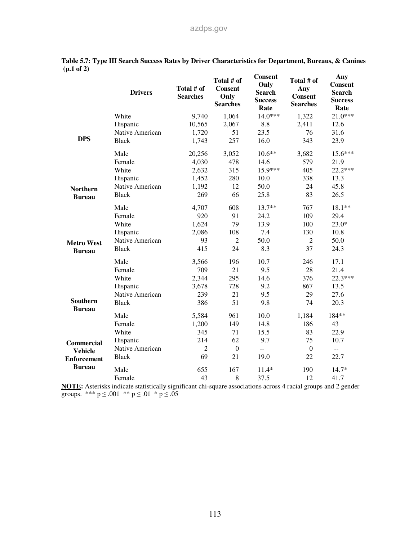|                                  | <b>Drivers</b>  | Total # of<br><b>Searches</b> | Total # of<br><b>Consent</b><br>Only<br><b>Searches</b> | <b>Consent</b><br>Only<br><b>Search</b><br><b>Success</b><br>Rate | Total # of<br>Any<br><b>Consent</b><br><b>Searches</b> | Any<br><b>Consent</b><br><b>Search</b><br><b>Success</b><br>Rate |
|----------------------------------|-----------------|-------------------------------|---------------------------------------------------------|-------------------------------------------------------------------|--------------------------------------------------------|------------------------------------------------------------------|
|                                  | White           | 9,740                         | 1,064                                                   | $14.0***$                                                         | 1,322                                                  | $21.0***$                                                        |
|                                  | Hispanic        | 10,565                        | 2,067                                                   | 8.8                                                               | 2,411                                                  | 12.6                                                             |
|                                  | Native American | 1,720                         | 51                                                      | 23.5                                                              | 76                                                     | 31.6                                                             |
| <b>DPS</b>                       | <b>Black</b>    | 1,743                         | 257                                                     | 16.0                                                              | 343                                                    | 23.9                                                             |
|                                  | Male            | 20,256                        | 3,052                                                   | $10.6**$                                                          | 3,682                                                  | 15.6***                                                          |
|                                  | Female          | 4,030                         | 478                                                     | 14.6                                                              | 579                                                    | 21.9                                                             |
|                                  | White           | 2,632                         | 315                                                     | 15.9***                                                           | 405                                                    | $22.2***$                                                        |
|                                  | Hispanic        | 1,452                         | 280                                                     | 10.0                                                              | 338                                                    | 13.3                                                             |
| <b>Northern</b>                  | Native American | 1,192                         | 12                                                      | 50.0                                                              | 24                                                     | 45.8                                                             |
| <b>Bureau</b>                    | <b>Black</b>    | 269                           | 66                                                      | 25.8                                                              | 83                                                     | 26.5                                                             |
|                                  | Male            | 4,707                         | 608                                                     | $13.7**$                                                          | 767                                                    | 18.1**                                                           |
|                                  | Female          | 920                           | 91                                                      | 24.2                                                              | 109                                                    | 29.4                                                             |
|                                  | White           | 1,624                         | 79                                                      | 13.9                                                              | 100                                                    | $23.0*$                                                          |
|                                  | Hispanic        | 2,086                         | 108                                                     | 7.4                                                               | 130                                                    | 10.8                                                             |
| <b>Metro West</b>                | Native American | 93                            | $\overline{2}$                                          | 50.0                                                              | $\overline{2}$                                         | 50.0                                                             |
| <b>Bureau</b>                    | <b>Black</b>    | 415                           | 24                                                      | 8.3                                                               | 37                                                     | 24.3                                                             |
|                                  | Male            | 3,566                         | 196                                                     | 10.7                                                              | 246                                                    | 17.1                                                             |
|                                  | Female          | 709                           | 21                                                      | 9.5                                                               | 28                                                     | 21.4                                                             |
|                                  | White           | 2,344                         | $\overline{295}$                                        | 14.6                                                              | $\overline{376}$                                       | 22.3***                                                          |
|                                  | Hispanic        | 3,678                         | 728                                                     | 9.2                                                               | 867                                                    | 13.5                                                             |
|                                  | Native American | 239                           | 21                                                      | 9.5                                                               | 29                                                     | 27.6                                                             |
| <b>Southern</b><br><b>Bureau</b> | <b>Black</b>    | 386                           | 51                                                      | 9.8                                                               | 74                                                     | 20.3                                                             |
|                                  | Male            | 5,584                         | 961                                                     | 10.0                                                              | 1,184                                                  | 184**                                                            |
|                                  | Female          | 1,200                         | 149                                                     | 14.8                                                              | 186                                                    | 43                                                               |
|                                  | White           | $\overline{345}$              | 71                                                      | 15.5                                                              | 83                                                     | $\overline{22.9}$                                                |
| <b>Commercial</b>                | Hispanic        | 214                           | 62                                                      | 9.7                                                               | 75                                                     | 10.7                                                             |
| <b>Vehicle</b>                   | Native American | $\overline{2}$                | $\mathbf{0}$                                            | $\overline{a}$                                                    | $\overline{0}$                                         | $\mathbb{L}^{\mathbb{L}}$                                        |
| <b>Enforcement</b>               | <b>Black</b>    | 69                            | 21                                                      | 19.0                                                              | 22                                                     | 22.7                                                             |
| <b>Bureau</b>                    | Male            | 655                           | 167                                                     | $11.4*$                                                           | 190                                                    | $14.7*$                                                          |
|                                  | Female          | 43                            | 8                                                       | 37.5                                                              | 12                                                     | 41.7                                                             |

|                       |  |  | Table 5.7: Type III Search Success Rates by Driver Characteristics for Department, Bureaus, & Canines |  |  |
|-----------------------|--|--|-------------------------------------------------------------------------------------------------------|--|--|
| $(p.1 \text{ of } 2)$ |  |  |                                                                                                       |  |  |

**NOTE:** Asterisks indicate statistically significant chi-square associations across 4 racial groups and 2 gender groups. \*\*\*  $p \le 0.001$  \*\*  $p \le 0.01$  \*  $p \le 0.05$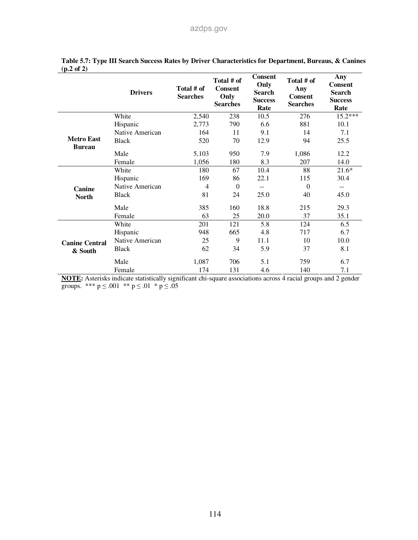|                                    | <b>Drivers</b>  | Total # of<br><b>Searches</b> | Total # of<br><b>Consent</b><br>Only<br><b>Searches</b> | <b>Consent</b><br>Only<br><b>Search</b><br><b>Success</b><br>Rate | Total # of<br>Any<br><b>Consent</b><br><b>Searches</b> | Any<br><b>Consent</b><br><b>Search</b><br><b>Success</b><br>Rate |
|------------------------------------|-----------------|-------------------------------|---------------------------------------------------------|-------------------------------------------------------------------|--------------------------------------------------------|------------------------------------------------------------------|
|                                    | White           | 2,540                         | 238                                                     | 10.5                                                              | 276                                                    | $15.2***$                                                        |
|                                    | Hispanic        | 2,773                         | 790                                                     | 6.6                                                               | 881                                                    | 10.1                                                             |
|                                    | Native American | 164                           | 11                                                      | 9.1                                                               | 14                                                     | 7.1                                                              |
| <b>Metro East</b><br><b>Bureau</b> | <b>Black</b>    | 520                           | 70                                                      | 12.9                                                              | 94                                                     | 25.5                                                             |
|                                    | Male            | 5,103                         | 950                                                     | 7.9                                                               | 1,086                                                  | 12.2                                                             |
|                                    | Female          | 1,056                         | 180                                                     | 8.3                                                               | 207                                                    | 14.0                                                             |
| Canine<br><b>North</b>             | White           | 180                           | 67                                                      | 10.4                                                              | 88                                                     | $21.6*$                                                          |
|                                    | Hispanic        | 169                           | 86                                                      | 22.1                                                              | 115                                                    | 30.4                                                             |
|                                    | Native American | 4                             | $\Omega$                                                | $-$                                                               | $\theta$                                               | $-$                                                              |
|                                    | <b>Black</b>    | 81                            | 24                                                      | 25.0                                                              | 40                                                     | 45.0                                                             |
|                                    | Male            | 385                           | 160                                                     | 18.8                                                              | 215                                                    | 29.3                                                             |
|                                    | Female          | 63                            | 25                                                      | 20.0                                                              | 37                                                     | 35.1                                                             |
|                                    | White           | 201                           | 121                                                     | 5.8                                                               | 124                                                    | 6.5                                                              |
| <b>Canine Central</b><br>& South   | Hispanic        | 948                           | 665                                                     | 4.8                                                               | 717                                                    | 6.7                                                              |
|                                    | Native American | 25                            | 9                                                       | 11.1                                                              | 10                                                     | 10.0                                                             |
|                                    | <b>Black</b>    | 62                            | 34                                                      | 5.9                                                               | 37                                                     | 8.1                                                              |
|                                    | Male            | 1,087                         | 706                                                     | 5.1                                                               | 759                                                    | 6.7                                                              |
|                                    | Female          | 174                           | 131                                                     | 4.6                                                               | 140                                                    | 7.1                                                              |

#### **Table 5.7: Type III Search Success Rates by Driver Characteristics for Department, Bureaus, & Canines (p.2 of 2)**

**NOTE:** Asterisks indicate statistically significant chi-square associations across 4 racial groups and 2 gender groups. \*\*\*  $p \le 0.001$  \*\*  $p \le 0.01$  \*  $p \le 0.05$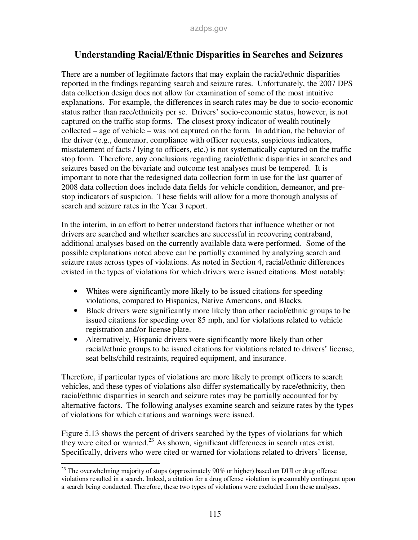### **Understanding Racial/Ethnic Disparities in Searches and Seizures**

There are a number of legitimate factors that may explain the racial/ethnic disparities reported in the findings regarding search and seizure rates. Unfortunately, the 2007 DPS data collection design does not allow for examination of some of the most intuitive explanations. For example, the differences in search rates may be due to socio-economic status rather than race/ethnicity per se. Drivers' socio-economic status, however, is not captured on the traffic stop forms. The closest proxy indicator of wealth routinely collected – age of vehicle – was not captured on the form. In addition, the behavior of the driver (e.g., demeanor, compliance with officer requests, suspicious indicators, misstatement of facts / lying to officers, etc.) is not systematically captured on the traffic stop form. Therefore, any conclusions regarding racial/ethnic disparities in searches and seizures based on the bivariate and outcome test analyses must be tempered. It is important to note that the redesigned data collection form in use for the last quarter of 2008 data collection does include data fields for vehicle condition, demeanor, and prestop indicators of suspicion. These fields will allow for a more thorough analysis of search and seizure rates in the Year 3 report.

In the interim, in an effort to better understand factors that influence whether or not drivers are searched and whether searches are successful in recovering contraband, additional analyses based on the currently available data were performed. Some of the possible explanations noted above can be partially examined by analyzing search and seizure rates across types of violations. As noted in Section 4, racial/ethnic differences existed in the types of violations for which drivers were issued citations. Most notably:

- Whites were significantly more likely to be issued citations for speeding violations, compared to Hispanics, Native Americans, and Blacks.
- Black drivers were significantly more likely than other racial/ethnic groups to be issued citations for speeding over 85 mph, and for violations related to vehicle registration and/or license plate.
- Alternatively, Hispanic drivers were significantly more likely than other racial/ethnic groups to be issued citations for violations related to drivers' license, seat belts/child restraints, required equipment, and insurance.

Therefore, if particular types of violations are more likely to prompt officers to search vehicles, and these types of violations also differ systematically by race/ethnicity, then racial/ethnic disparities in search and seizure rates may be partially accounted for by alternative factors. The following analyses examine search and seizure rates by the types of violations for which citations and warnings were issued.

Figure 5.13 shows the percent of drivers searched by the types of violations for which they were cited or warned.<sup>23</sup> As shown, significant differences in search rates exist. Specifically, drivers who were cited or warned for violations related to drivers' license,

<sup>-</sup> $23$  The overwhelming majority of stops (approximately 90% or higher) based on DUI or drug offense violations resulted in a search. Indeed, a citation for a drug offense violation is presumably contingent upon a search being conducted. Therefore, these two types of violations were excluded from these analyses.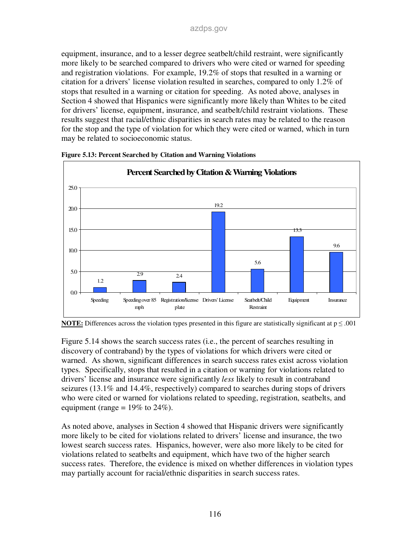equipment, insurance, and to a lesser degree seatbelt/child restraint, were significantly more likely to be searched compared to drivers who were cited or warned for speeding and registration violations. For example, 19.2% of stops that resulted in a warning or citation for a drivers' license violation resulted in searches, compared to only 1.2% of stops that resulted in a warning or citation for speeding. As noted above, analyses in Section 4 showed that Hispanics were significantly more likely than Whites to be cited for drivers' license, equipment, insurance, and seatbelt/child restraint violations. These results suggest that racial/ethnic disparities in search rates may be related to the reason for the stop and the type of violation for which they were cited or warned, which in turn may be related to socioeconomic status.



**Figure 5.13: Percent Searched by Citation and Warning Violations** 

**NOTE:** Differences across the violation types presented in this figure are statistically significant at  $p \le 0.001$ 

Figure 5.14 shows the search success rates (i.e., the percent of searches resulting in discovery of contraband) by the types of violations for which drivers were cited or warned. As shown, significant differences in search success rates exist across violation types. Specifically, stops that resulted in a citation or warning for violations related to drivers' license and insurance were significantly *less* likely to result in contraband seizures (13.1% and 14.4%, respectively) compared to searches during stops of drivers who were cited or warned for violations related to speeding, registration, seatbelts, and equipment (range =  $19\%$  to  $24\%$ ).

As noted above, analyses in Section 4 showed that Hispanic drivers were significantly more likely to be cited for violations related to drivers' license and insurance, the two lowest search success rates. Hispanics, however, were also more likely to be cited for violations related to seatbelts and equipment, which have two of the higher search success rates. Therefore, the evidence is mixed on whether differences in violation types may partially account for racial/ethnic disparities in search success rates.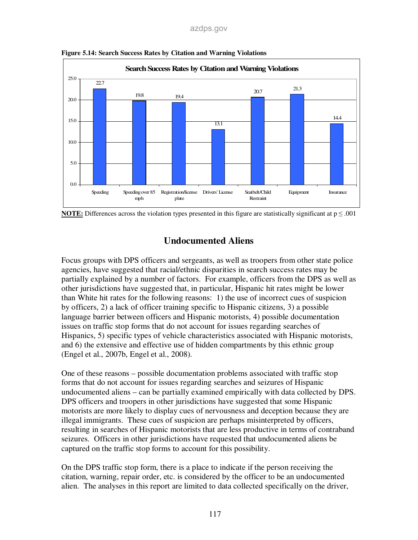#### azdps.gov



**Figure 5.14: Search Success Rates by Citation and Warning Violations** 



## **Undocumented Aliens**

Focus groups with DPS officers and sergeants, as well as troopers from other state police agencies, have suggested that racial/ethnic disparities in search success rates may be partially explained by a number of factors. For example, officers from the DPS as well as other jurisdictions have suggested that, in particular, Hispanic hit rates might be lower than White hit rates for the following reasons: 1) the use of incorrect cues of suspicion by officers, 2) a lack of officer training specific to Hispanic citizens, 3) a possible language barrier between officers and Hispanic motorists, 4) possible documentation issues on traffic stop forms that do not account for issues regarding searches of Hispanics, 5) specific types of vehicle characteristics associated with Hispanic motorists, and 6) the extensive and effective use of hidden compartments by this ethnic group (Engel et al., 2007b, Engel et al., 2008).

One of these reasons – possible documentation problems associated with traffic stop forms that do not account for issues regarding searches and seizures of Hispanic undocumented aliens – can be partially examined empirically with data collected by DPS. DPS officers and troopers in other jurisdictions have suggested that some Hispanic motorists are more likely to display cues of nervousness and deception because they are illegal immigrants. These cues of suspicion are perhaps misinterpreted by officers, resulting in searches of Hispanic motorists that are less productive in terms of contraband seizures. Officers in other jurisdictions have requested that undocumented aliens be captured on the traffic stop forms to account for this possibility.

On the DPS traffic stop form, there is a place to indicate if the person receiving the citation, warning, repair order, etc. is considered by the officer to be an undocumented alien. The analyses in this report are limited to data collected specifically on the driver,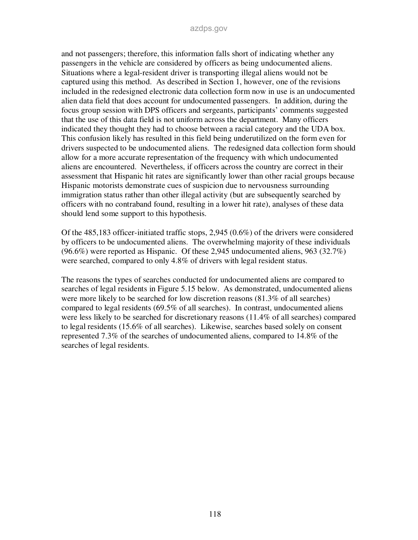and not passengers; therefore, this information falls short of indicating whether any passengers in the vehicle are considered by officers as being undocumented aliens. Situations where a legal-resident driver is transporting illegal aliens would not be captured using this method. As described in Section 1, however, one of the revisions included in the redesigned electronic data collection form now in use is an undocumented alien data field that does account for undocumented passengers. In addition, during the focus group session with DPS officers and sergeants, participants' comments suggested that the use of this data field is not uniform across the department. Many officers indicated they thought they had to choose between a racial category and the UDA box. This confusion likely has resulted in this field being underutilized on the form even for drivers suspected to be undocumented aliens. The redesigned data collection form should allow for a more accurate representation of the frequency with which undocumented aliens are encountered. Nevertheless, if officers across the country are correct in their assessment that Hispanic hit rates are significantly lower than other racial groups because Hispanic motorists demonstrate cues of suspicion due to nervousness surrounding immigration status rather than other illegal activity (but are subsequently searched by officers with no contraband found, resulting in a lower hit rate), analyses of these data should lend some support to this hypothesis.

Of the 485,183 officer-initiated traffic stops, 2,945 (0.6%) of the drivers were considered by officers to be undocumented aliens. The overwhelming majority of these individuals (96.6%) were reported as Hispanic. Of these 2,945 undocumented aliens, 963 (32.7%) were searched, compared to only 4.8% of drivers with legal resident status.

The reasons the types of searches conducted for undocumented aliens are compared to searches of legal residents in Figure 5.15 below. As demonstrated, undocumented aliens were more likely to be searched for low discretion reasons (81.3% of all searches) compared to legal residents (69.5% of all searches). In contrast, undocumented aliens were less likely to be searched for discretionary reasons (11.4% of all searches) compared to legal residents (15.6% of all searches). Likewise, searches based solely on consent represented 7.3% of the searches of undocumented aliens, compared to 14.8% of the searches of legal residents.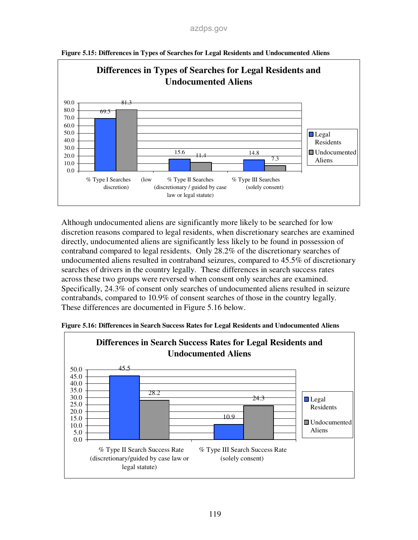

**Figure 5.15: Differences in Types of Searches for Legal Residents and Undocumented Aliens** 

Although undocumented aliens are significantly more likely to be searched for low discretion reasons compared to legal residents, when discretionary searches are examined directly, undocumented aliens are significantly less likely to be found in possession of contraband compared to legal residents. Only 28.2% of the discretionary searches of undocumented aliens resulted in contraband seizures, compared to 45.5% of discretionary searches of drivers in the country legally. These differences in search success rates across these two groups were reversed when consent only searches are examined. Specifically, 24.3% of consent only searches of undocumented aliens resulted in seizure contrabands, compared to 10.9% of consent searches of those in the country legally. These differences are documented in Figure 5.16 below.



**Figure 5.16: Differences in Search Success Rates for Legal Residents and Undocumented Aliens**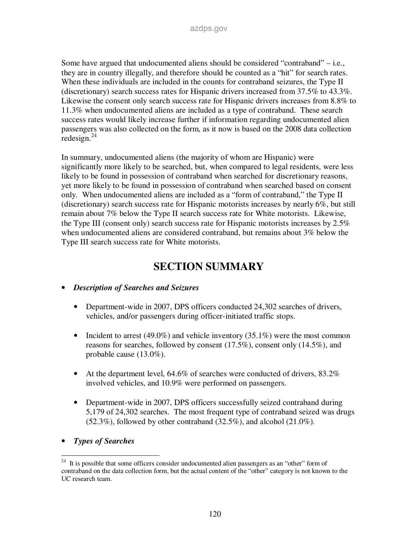Some have argued that undocumented aliens should be considered "contraband" – i.e., they are in country illegally, and therefore should be counted as a "hit" for search rates. When these individuals are included in the counts for contraband seizures, the Type II (discretionary) search success rates for Hispanic drivers increased from 37.5% to 43.3%. Likewise the consent only search success rate for Hispanic drivers increases from 8.8% to 11.3% when undocumented aliens are included as a type of contraband. These search success rates would likely increase further if information regarding undocumented alien passengers was also collected on the form, as it now is based on the 2008 data collection  $redesign.<sup>24</sup>$ 

In summary, undocumented aliens (the majority of whom are Hispanic) were significantly more likely to be searched, but, when compared to legal residents, were less likely to be found in possession of contraband when searched for discretionary reasons, yet more likely to be found in possession of contraband when searched based on consent only. When undocumented aliens are included as a "form of contraband," the Type II (discretionary) search success rate for Hispanic motorists increases by nearly 6%, but still remain about 7% below the Type II search success rate for White motorists. Likewise, the Type III (consent only) search success rate for Hispanic motorists increases by 2.5% when undocumented aliens are considered contraband, but remains about 3% below the Type III search success rate for White motorists.

### **SECTION SUMMARY**

#### • *Description of Searches and Seizures*

- Department-wide in 2007, DPS officers conducted 24,302 searches of drivers, vehicles, and/or passengers during officer-initiated traffic stops.
- Incident to arrest (49.0%) and vehicle inventory (35.1%) were the most common reasons for searches, followed by consent (17.5%), consent only (14.5%), and probable cause (13.0%).
- At the department level,  $64.6\%$  of searches were conducted of drivers,  $83.2\%$ involved vehicles, and 10.9% were performed on passengers.
- Department-wide in 2007, DPS officers successfully seized contraband during 5,179 of 24,302 searches. The most frequent type of contraband seized was drugs (52.3%), followed by other contraband (32.5%), and alcohol (21.0%).
- *Types of Searches*

<sup>-</sup><sup>24</sup> It is possible that some officers consider undocumented alien passengers as an "other" form of contraband on the data collection form, but the actual content of the "other" category is not known to the UC research team.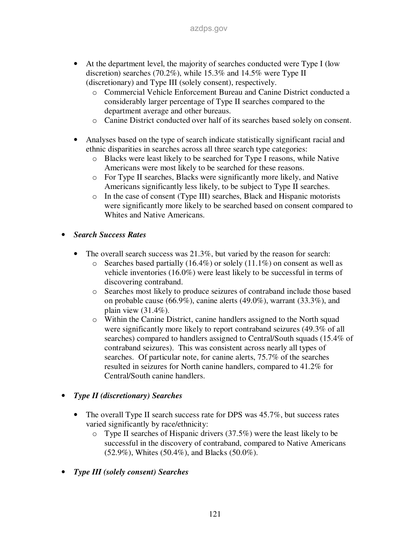- At the department level, the majority of searches conducted were Type I (low discretion) searches (70.2%), while 15.3% and 14.5% were Type II (discretionary) and Type III (solely consent), respectively.
	- o Commercial Vehicle Enforcement Bureau and Canine District conducted a considerably larger percentage of Type II searches compared to the department average and other bureaus.
	- o Canine District conducted over half of its searches based solely on consent.
- Analyses based on the type of search indicate statistically significant racial and ethnic disparities in searches across all three search type categories:
	- o Blacks were least likely to be searched for Type I reasons, while Native Americans were most likely to be searched for these reasons.
	- o For Type II searches, Blacks were significantly more likely, and Native Americans significantly less likely, to be subject to Type II searches.
	- o In the case of consent (Type III) searches, Black and Hispanic motorists were significantly more likely to be searched based on consent compared to Whites and Native Americans.
- *Search Success Rates* 
	- The overall search success was 21.3%, but varied by the reason for search:
		- $\circ$  Searches based partially (16.4%) or solely (11.1%) on consent as well as vehicle inventories (16.0%) were least likely to be successful in terms of discovering contraband.
		- o Searches most likely to produce seizures of contraband include those based on probable cause (66.9%), canine alerts (49.0%), warrant (33.3%), and plain view (31.4%).
		- o Within the Canine District, canine handlers assigned to the North squad were significantly more likely to report contraband seizures (49.3% of all searches) compared to handlers assigned to Central/South squads (15.4% of contraband seizures). This was consistent across nearly all types of searches. Of particular note, for canine alerts, 75.7% of the searches resulted in seizures for North canine handlers, compared to 41.2% for Central/South canine handlers.
- *Type II (discretionary) Searches* 
	- The overall Type II search success rate for DPS was  $45.7\%$ , but success rates varied significantly by race/ethnicity:
		- o Type II searches of Hispanic drivers (37.5%) were the least likely to be successful in the discovery of contraband, compared to Native Americans (52.9%), Whites (50.4%), and Blacks (50.0%).
- *Type III (solely consent) Searches*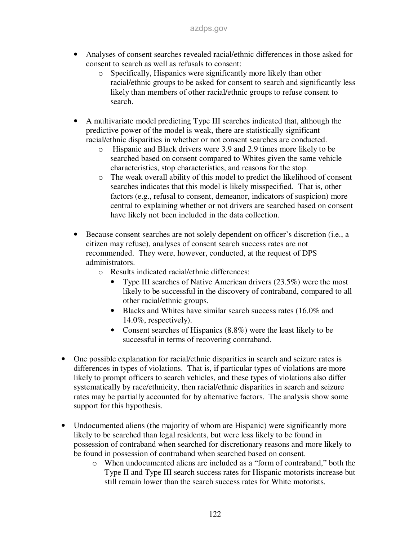- Analyses of consent searches revealed racial/ethnic differences in those asked for consent to search as well as refusals to consent:
	- o Specifically, Hispanics were significantly more likely than other racial/ethnic groups to be asked for consent to search and significantly less likely than members of other racial/ethnic groups to refuse consent to search.
- A multivariate model predicting Type III searches indicated that, although the predictive power of the model is weak, there are statistically significant racial/ethnic disparities in whether or not consent searches are conducted.
	- o Hispanic and Black drivers were 3.9 and 2.9 times more likely to be searched based on consent compared to Whites given the same vehicle characteristics, stop characteristics, and reasons for the stop.
	- o The weak overall ability of this model to predict the likelihood of consent searches indicates that this model is likely misspecified. That is, other factors (e.g., refusal to consent, demeanor, indicators of suspicion) more central to explaining whether or not drivers are searched based on consent have likely not been included in the data collection.
- Because consent searches are not solely dependent on officer's discretion (i.e., a citizen may refuse), analyses of consent search success rates are not recommended. They were, however, conducted, at the request of DPS administrators.
	- o Results indicated racial/ethnic differences:
		- Type III searches of Native American drivers (23.5%) were the most likely to be successful in the discovery of contraband, compared to all other racial/ethnic groups.
		- Blacks and Whites have similar search success rates (16.0% and 14.0%, respectively).
		- Consent searches of Hispanics (8.8%) were the least likely to be successful in terms of recovering contraband.
- One possible explanation for racial/ethnic disparities in search and seizure rates is differences in types of violations. That is, if particular types of violations are more likely to prompt officers to search vehicles, and these types of violations also differ systematically by race/ethnicity, then racial/ethnic disparities in search and seizure rates may be partially accounted for by alternative factors. The analysis show some support for this hypothesis.
- Undocumented aliens (the majority of whom are Hispanic) were significantly more likely to be searched than legal residents, but were less likely to be found in possession of contraband when searched for discretionary reasons and more likely to be found in possession of contraband when searched based on consent.
	- o When undocumented aliens are included as a "form of contraband," both the Type II and Type III search success rates for Hispanic motorists increase but still remain lower than the search success rates for White motorists.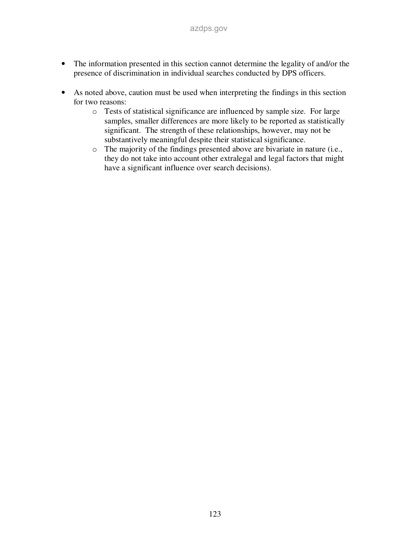- The information presented in this section cannot determine the legality of and/or the presence of discrimination in individual searches conducted by DPS officers.
- As noted above, caution must be used when interpreting the findings in this section for two reasons:
	- o Tests of statistical significance are influenced by sample size. For large samples, smaller differences are more likely to be reported as statistically significant. The strength of these relationships, however, may not be substantively meaningful despite their statistical significance.
	- o The majority of the findings presented above are bivariate in nature (i.e., they do not take into account other extralegal and legal factors that might have a significant influence over search decisions).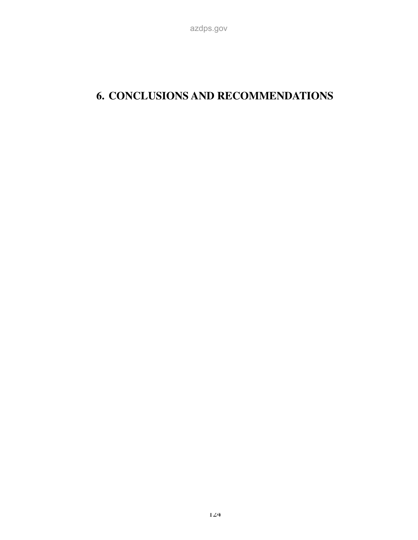# **6. CONCLUSIONS AND RECOMMENDATIONS**

azdps.gov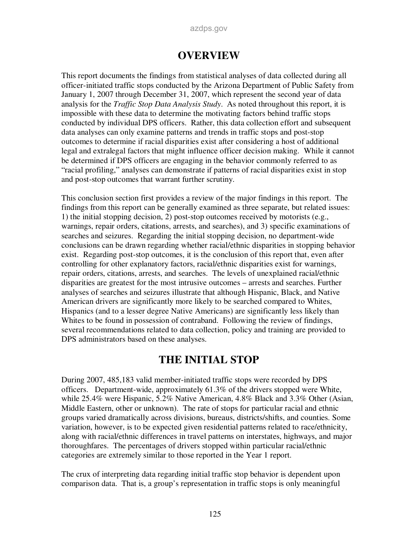#### azdps.gov

### **OVERVIEW**

This report documents the findings from statistical analyses of data collected during all officer-initiated traffic stops conducted by the Arizona Department of Public Safety from January 1, 2007 through December 31, 2007, which represent the second year of data analysis for the *Traffic Stop Data Analysis Study*. As noted throughout this report, it is impossible with these data to determine the motivating factors behind traffic stops conducted by individual DPS officers. Rather, this data collection effort and subsequent data analyses can only examine patterns and trends in traffic stops and post-stop outcomes to determine if racial disparities exist after considering a host of additional legal and extralegal factors that might influence officer decision making. While it cannot be determined if DPS officers are engaging in the behavior commonly referred to as "racial profiling," analyses can demonstrate if patterns of racial disparities exist in stop and post-stop outcomes that warrant further scrutiny.

This conclusion section first provides a review of the major findings in this report. The findings from this report can be generally examined as three separate, but related issues: 1) the initial stopping decision, 2) post-stop outcomes received by motorists (e.g., warnings, repair orders, citations, arrests, and searches), and 3) specific examinations of searches and seizures. Regarding the initial stopping decision, no department-wide conclusions can be drawn regarding whether racial/ethnic disparities in stopping behavior exist. Regarding post-stop outcomes, it is the conclusion of this report that, even after controlling for other explanatory factors, racial/ethnic disparities exist for warnings, repair orders, citations, arrests, and searches. The levels of unexplained racial/ethnic disparities are greatest for the most intrusive outcomes – arrests and searches. Further analyses of searches and seizures illustrate that although Hispanic, Black, and Native American drivers are significantly more likely to be searched compared to Whites, Hispanics (and to a lesser degree Native Americans) are significantly less likely than Whites to be found in possession of contraband. Following the review of findings, several recommendations related to data collection, policy and training are provided to DPS administrators based on these analyses.

### **THE INITIAL STOP**

During 2007, 485,183 valid member-initiated traffic stops were recorded by DPS officers. Department-wide, approximately 61.3% of the drivers stopped were White, while 25.4% were Hispanic, 5.2% Native American, 4.8% Black and 3.3% Other (Asian, Middle Eastern, other or unknown). The rate of stops for particular racial and ethnic groups varied dramatically across divisions, bureaus, districts/shifts, and counties. Some variation, however, is to be expected given residential patterns related to race/ethnicity, along with racial/ethnic differences in travel patterns on interstates, highways, and major thoroughfares. The percentages of drivers stopped within particular racial/ethnic categories are extremely similar to those reported in the Year 1 report.

The crux of interpreting data regarding initial traffic stop behavior is dependent upon comparison data. That is, a group's representation in traffic stops is only meaningful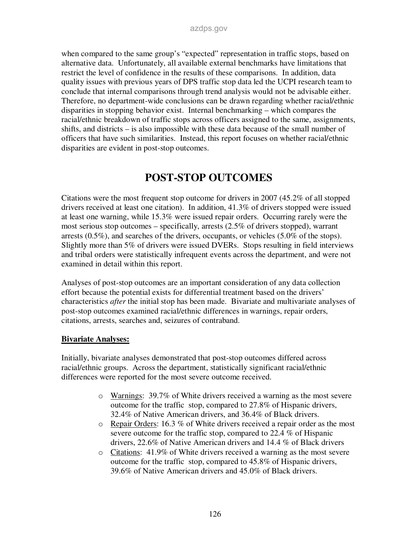when compared to the same group's "expected" representation in traffic stops, based on alternative data. Unfortunately, all available external benchmarks have limitations that restrict the level of confidence in the results of these comparisons. In addition, data quality issues with previous years of DPS traffic stop data led the UCPI research team to conclude that internal comparisons through trend analysis would not be advisable either. Therefore, no department-wide conclusions can be drawn regarding whether racial/ethnic disparities in stopping behavior exist. Internal benchmarking – which compares the racial/ethnic breakdown of traffic stops across officers assigned to the same, assignments, shifts, and districts – is also impossible with these data because of the small number of officers that have such similarities. Instead, this report focuses on whether racial/ethnic disparities are evident in post-stop outcomes.

## **POST-STOP OUTCOMES**

Citations were the most frequent stop outcome for drivers in 2007 (45.2% of all stopped drivers received at least one citation). In addition, 41.3% of drivers stopped were issued at least one warning, while 15.3% were issued repair orders. Occurring rarely were the most serious stop outcomes – specifically, arrests (2.5% of drivers stopped), warrant arrests (0.5%), and searches of the drivers, occupants, or vehicles (5.0% of the stops). Slightly more than 5% of drivers were issued DVERs. Stops resulting in field interviews and tribal orders were statistically infrequent events across the department, and were not examined in detail within this report.

Analyses of post-stop outcomes are an important consideration of any data collection effort because the potential exists for differential treatment based on the drivers' characteristics *after* the initial stop has been made. Bivariate and multivariate analyses of post-stop outcomes examined racial/ethnic differences in warnings, repair orders, citations, arrests, searches and, seizures of contraband.

#### **Bivariate Analyses:**

Initially, bivariate analyses demonstrated that post-stop outcomes differed across racial/ethnic groups. Across the department, statistically significant racial/ethnic differences were reported for the most severe outcome received.

- o Warnings: 39.7% of White drivers received a warning as the most severe outcome for the traffic stop, compared to 27.8% of Hispanic drivers, 32.4% of Native American drivers, and 36.4% of Black drivers.
- o Repair Orders: 16.3 % of White drivers received a repair order as the most severe outcome for the traffic stop, compared to 22.4 % of Hispanic drivers, 22.6% of Native American drivers and 14.4 % of Black drivers
- o Citations: 41.9% of White drivers received a warning as the most severe outcome for the traffic stop, compared to 45.8% of Hispanic drivers, 39.6% of Native American drivers and 45.0% of Black drivers.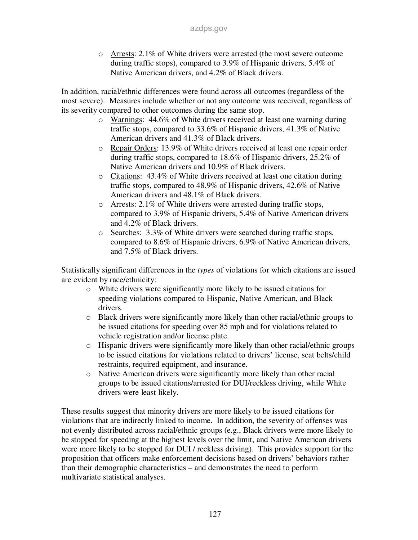o Arrests: 2.1% of White drivers were arrested (the most severe outcome during traffic stops), compared to 3.9% of Hispanic drivers, 5.4% of Native American drivers, and 4.2% of Black drivers.

In addition, racial/ethnic differences were found across all outcomes (regardless of the most severe). Measures include whether or not any outcome was received, regardless of its severity compared to other outcomes during the same stop.

- o Warnings: 44.6% of White drivers received at least one warning during traffic stops, compared to 33.6% of Hispanic drivers, 41.3% of Native American drivers and 41.3% of Black drivers.
- o Repair Orders: 13.9% of White drivers received at least one repair order during traffic stops, compared to 18.6% of Hispanic drivers, 25.2% of Native American drivers and 10.9% of Black drivers.
- o Citations: 43.4% of White drivers received at least one citation during traffic stops, compared to 48.9% of Hispanic drivers, 42.6% of Native American drivers and 48.1% of Black drivers.
- o Arrests: 2.1% of White drivers were arrested during traffic stops, compared to 3.9% of Hispanic drivers, 5.4% of Native American drivers and 4.2% of Black drivers.
- o Searches: 3.3% of White drivers were searched during traffic stops, compared to 8.6% of Hispanic drivers, 6.9% of Native American drivers, and 7.5% of Black drivers.

Statistically significant differences in the *types* of violations for which citations are issued are evident by race/ethnicity:

- o White drivers were significantly more likely to be issued citations for speeding violations compared to Hispanic, Native American, and Black drivers.
- o Black drivers were significantly more likely than other racial/ethnic groups to be issued citations for speeding over 85 mph and for violations related to vehicle registration and/or license plate.
- o Hispanic drivers were significantly more likely than other racial/ethnic groups to be issued citations for violations related to drivers' license, seat belts/child restraints, required equipment, and insurance.
- o Native American drivers were significantly more likely than other racial groups to be issued citations/arrested for DUI/reckless driving, while White drivers were least likely.

These results suggest that minority drivers are more likely to be issued citations for violations that are indirectly linked to income. In addition, the severity of offenses was not evenly distributed across racial/ethnic groups (e.g., Black drivers were more likely to be stopped for speeding at the highest levels over the limit, and Native American drivers were more likely to be stopped for DUI / reckless driving). This provides support for the proposition that officers make enforcement decisions based on drivers' behaviors rather than their demographic characteristics – and demonstrates the need to perform multivariate statistical analyses.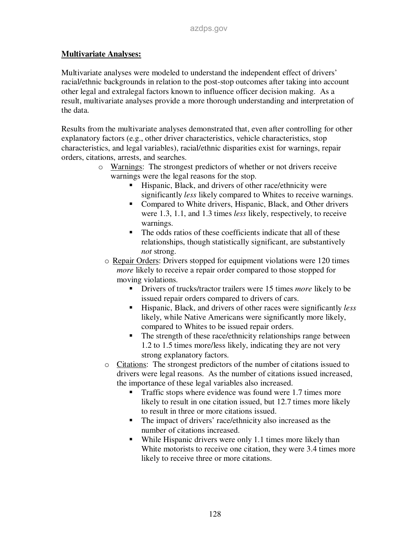#### **Multivariate Analyses:**

Multivariate analyses were modeled to understand the independent effect of drivers' racial/ethnic backgrounds in relation to the post-stop outcomes after taking into account other legal and extralegal factors known to influence officer decision making. As a result, multivariate analyses provide a more thorough understanding and interpretation of the data.

Results from the multivariate analyses demonstrated that, even after controlling for other explanatory factors (e.g., other driver characteristics, vehicle characteristics, stop characteristics, and legal variables), racial/ethnic disparities exist for warnings, repair orders, citations, arrests, and searches.

- o Warnings: The strongest predictors of whether or not drivers receive warnings were the legal reasons for the stop.
	- Hispanic, Black, and drivers of other race/ethnicity were significantly *less* likely compared to Whites to receive warnings.
	- Compared to White drivers, Hispanic, Black, and Other drivers were 1.3, 1.1, and 1.3 times *less* likely, respectively, to receive warnings.
	- The odds ratios of these coefficients indicate that all of these relationships, though statistically significant, are substantively *not* strong.
	- o Repair Orders: Drivers stopped for equipment violations were 120 times *more* likely to receive a repair order compared to those stopped for moving violations.
		- **Drivers of trucks/tractor trailers were 15 times** *more* likely to be issued repair orders compared to drivers of cars.
		- Hispanic, Black, and drivers of other races were significantly *less* likely, while Native Americans were significantly more likely, compared to Whites to be issued repair orders.
		- The strength of these race/ethnicity relationships range between 1.2 to 1.5 times more/less likely, indicating they are not very strong explanatory factors.
	- o Citations: The strongest predictors of the number of citations issued to drivers were legal reasons. As the number of citations issued increased, the importance of these legal variables also increased.
		- Traffic stops where evidence was found were 1.7 times more likely to result in one citation issued, but 12.7 times more likely to result in three or more citations issued.
		- The impact of drivers' race/ethnicity also increased as the number of citations increased.
		- While Hispanic drivers were only 1.1 times more likely than White motorists to receive one citation, they were 3.4 times more likely to receive three or more citations.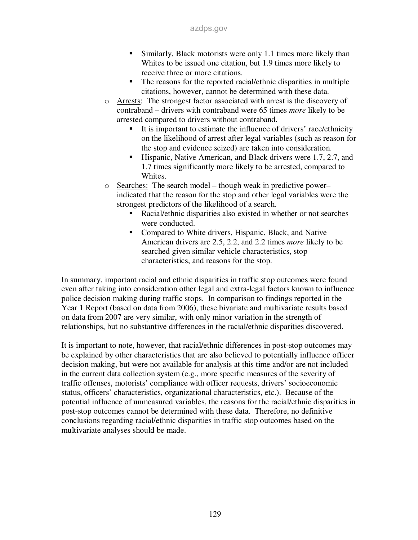- Similarly, Black motorists were only 1.1 times more likely than Whites to be issued one citation, but 1.9 times more likely to receive three or more citations.
- The reasons for the reported racial/ethnic disparities in multiple citations, however, cannot be determined with these data.
- o Arrests: The strongest factor associated with arrest is the discovery of contraband – drivers with contraband were 65 times *more* likely to be arrested compared to drivers without contraband.
	- It is important to estimate the influence of drivers' race/ethnicity on the likelihood of arrest after legal variables (such as reason for the stop and evidence seized) are taken into consideration.
	- Hispanic, Native American, and Black drivers were 1.7, 2.7, and 1.7 times significantly more likely to be arrested, compared to Whites.
- o Searches: The search model though weak in predictive power– indicated that the reason for the stop and other legal variables were the strongest predictors of the likelihood of a search.
	- Racial/ethnic disparities also existed in whether or not searches were conducted.
	- Compared to White drivers, Hispanic, Black, and Native American drivers are 2.5, 2.2, and 2.2 times *more* likely to be searched given similar vehicle characteristics, stop characteristics, and reasons for the stop.

In summary, important racial and ethnic disparities in traffic stop outcomes were found even after taking into consideration other legal and extra-legal factors known to influence police decision making during traffic stops. In comparison to findings reported in the Year 1 Report (based on data from 2006), these bivariate and multivariate results based on data from 2007 are very similar, with only minor variation in the strength of relationships, but no substantive differences in the racial/ethnic disparities discovered.

It is important to note, however, that racial/ethnic differences in post-stop outcomes may be explained by other characteristics that are also believed to potentially influence officer decision making, but were not available for analysis at this time and/or are not included in the current data collection system (e.g., more specific measures of the severity of traffic offenses, motorists' compliance with officer requests, drivers' socioeconomic status, officers' characteristics, organizational characteristics, etc.). Because of the potential influence of unmeasured variables, the reasons for the racial/ethnic disparities in post-stop outcomes cannot be determined with these data. Therefore, no definitive conclusions regarding racial/ethnic disparities in traffic stop outcomes based on the multivariate analyses should be made.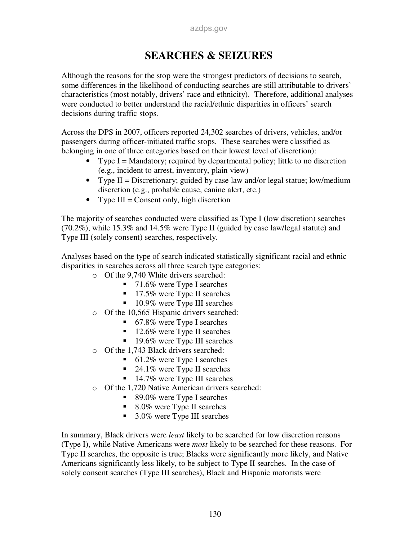## **SEARCHES & SEIZURES**

Although the reasons for the stop were the strongest predictors of decisions to search, some differences in the likelihood of conducting searches are still attributable to drivers' characteristics (most notably, drivers' race and ethnicity). Therefore, additional analyses were conducted to better understand the racial/ethnic disparities in officers' search decisions during traffic stops.

Across the DPS in 2007, officers reported 24,302 searches of drivers, vehicles, and/or passengers during officer-initiated traffic stops. These searches were classified as belonging in one of three categories based on their lowest level of discretion):

- Type  $I =$  Mandatory; required by departmental policy; little to no discretion (e.g., incident to arrest, inventory, plain view)
- Type II = Discretionary; guided by case law and/or legal statue; low/medium discretion (e.g., probable cause, canine alert, etc.)
- Type  $III =$  Consent only, high discretion

The majority of searches conducted were classified as Type I (low discretion) searches (70.2%), while 15.3% and 14.5% were Type II (guided by case law/legal statute) and Type III (solely consent) searches, respectively.

Analyses based on the type of search indicated statistically significant racial and ethnic disparities in searches across all three search type categories:

- o Of the 9,740 White drivers searched:
	- 71.6% were Type I searches
	- 17.5% were Type II searches
	- $10.9\%$  were Type III searches
- o Of the 10,565 Hispanic drivers searched:
	- 67.8% were Type I searches
	- $12.6\%$  were Type II searches
	- $19.6\%$  were Type III searches
- Of the 1,743 Black drivers searched:
	- $\blacksquare$  61.2% were Type I searches
	- $\blacksquare$  24.1% were Type II searches
	- 14.7% were Type III searches
- o Of the 1,720 Native American drivers searched:
	- $\blacksquare$  89.0% were Type I searches
	- 8.0% were Type II searches
	- 3.0% were Type III searches

In summary, Black drivers were *least* likely to be searched for low discretion reasons (Type I), while Native Americans were *most* likely to be searched for these reasons. For Type II searches, the opposite is true; Blacks were significantly more likely, and Native Americans significantly less likely, to be subject to Type II searches. In the case of solely consent searches (Type III searches), Black and Hispanic motorists were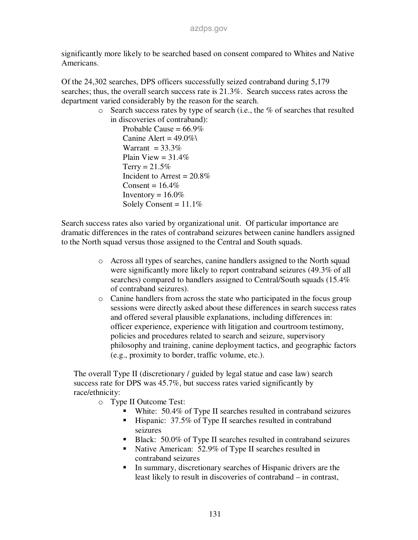significantly more likely to be searched based on consent compared to Whites and Native Americans.

Of the 24,302 searches, DPS officers successfully seized contraband during 5,179 searches; thus, the overall search success rate is  $21.3\%$ . Search success rates across the department varied considerably by the reason for the search.

 $\circ$  Search success rates by type of search (i.e., the % of searches that resulted in discoveries of contraband):

Probable Cause =  $66.9\%$ Canine Alert =  $49.0\%$ Warrant =  $33.3\%$ Plain View =  $31.4\%$  $Terry = 21.5%$ Incident to Arrest =  $20.8\%$ Consent =  $16.4\%$ Inventory =  $16.0\%$ Solely Consent =  $11.1\%$ 

Search success rates also varied by organizational unit. Of particular importance are dramatic differences in the rates of contraband seizures between canine handlers assigned to the North squad versus those assigned to the Central and South squads.

- o Across all types of searches, canine handlers assigned to the North squad were significantly more likely to report contraband seizures (49.3% of all searches) compared to handlers assigned to Central/South squads (15.4% of contraband seizures).
- o Canine handlers from across the state who participated in the focus group sessions were directly asked about these differences in search success rates and offered several plausible explanations, including differences in: officer experience, experience with litigation and courtroom testimony, policies and procedures related to search and seizure, supervisory philosophy and training, canine deployment tactics, and geographic factors (e.g., proximity to border, traffic volume, etc.).

The overall Type II (discretionary / guided by legal statue and case law) search success rate for DPS was 45.7%, but success rates varied significantly by race/ethnicity:

o Type II Outcome Test:

- White: 50.4% of Type II searches resulted in contraband seizures
- Hispanic: 37.5% of Type II searches resulted in contraband seizures
- Black: 50.0% of Type II searches resulted in contraband seizures
- Native American: 52.9% of Type II searches resulted in contraband seizures
- In summary, discretionary searches of Hispanic drivers are the least likely to result in discoveries of contraband – in contrast,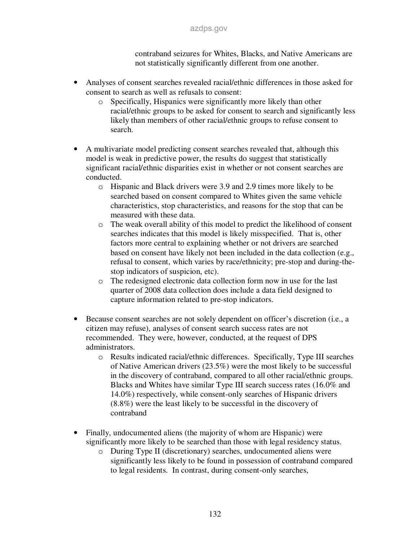contraband seizures for Whites, Blacks, and Native Americans are not statistically significantly different from one another.

- Analyses of consent searches revealed racial/ethnic differences in those asked for consent to search as well as refusals to consent:
	- o Specifically, Hispanics were significantly more likely than other racial/ethnic groups to be asked for consent to search and significantly less likely than members of other racial/ethnic groups to refuse consent to search.
- A multivariate model predicting consent searches revealed that, although this model is weak in predictive power, the results do suggest that statistically significant racial/ethnic disparities exist in whether or not consent searches are conducted.
	- o Hispanic and Black drivers were 3.9 and 2.9 times more likely to be searched based on consent compared to Whites given the same vehicle characteristics, stop characteristics, and reasons for the stop that can be measured with these data.
	- o The weak overall ability of this model to predict the likelihood of consent searches indicates that this model is likely misspecified. That is, other factors more central to explaining whether or not drivers are searched based on consent have likely not been included in the data collection (e.g., refusal to consent, which varies by race/ethnicity; pre-stop and during-thestop indicators of suspicion, etc).
	- o The redesigned electronic data collection form now in use for the last quarter of 2008 data collection does include a data field designed to capture information related to pre-stop indicators.
- Because consent searches are not solely dependent on officer's discretion (i.e., a citizen may refuse), analyses of consent search success rates are not recommended. They were, however, conducted, at the request of DPS administrators.
	- o Results indicated racial/ethnic differences. Specifically, Type III searches of Native American drivers (23.5%) were the most likely to be successful in the discovery of contraband, compared to all other racial/ethnic groups. Blacks and Whites have similar Type III search success rates (16.0% and 14.0%) respectively, while consent-only searches of Hispanic drivers (8.8%) were the least likely to be successful in the discovery of contraband
- Finally, undocumented aliens (the majority of whom are Hispanic) were significantly more likely to be searched than those with legal residency status.
	- o During Type II (discretionary) searches, undocumented aliens were significantly less likely to be found in possession of contraband compared to legal residents. In contrast, during consent-only searches,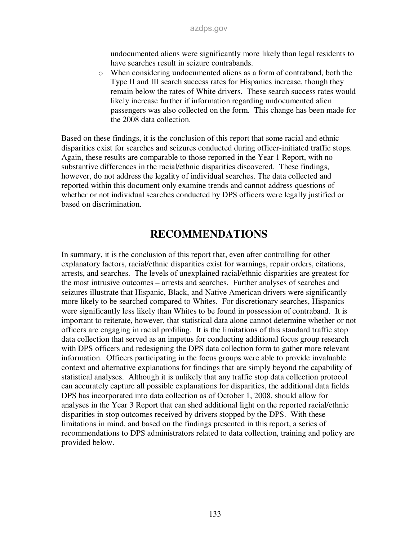undocumented aliens were significantly more likely than legal residents to have searches result in seizure contrabands.

o When considering undocumented aliens as a form of contraband, both the Type II and III search success rates for Hispanics increase, though they remain below the rates of White drivers. These search success rates would likely increase further if information regarding undocumented alien passengers was also collected on the form. This change has been made for the 2008 data collection.

Based on these findings, it is the conclusion of this report that some racial and ethnic disparities exist for searches and seizures conducted during officer-initiated traffic stops. Again, these results are comparable to those reported in the Year 1 Report, with no substantive differences in the racial/ethnic disparities discovered. These findings, however, do not address the legality of individual searches. The data collected and reported within this document only examine trends and cannot address questions of whether or not individual searches conducted by DPS officers were legally justified or based on discrimination.

## **RECOMMENDATIONS**

In summary, it is the conclusion of this report that, even after controlling for other explanatory factors, racial/ethnic disparities exist for warnings, repair orders, citations, arrests, and searches. The levels of unexplained racial/ethnic disparities are greatest for the most intrusive outcomes – arrests and searches. Further analyses of searches and seizures illustrate that Hispanic, Black, and Native American drivers were significantly more likely to be searched compared to Whites. For discretionary searches, Hispanics were significantly less likely than Whites to be found in possession of contraband. It is important to reiterate, however, that statistical data alone cannot determine whether or not officers are engaging in racial profiling. It is the limitations of this standard traffic stop data collection that served as an impetus for conducting additional focus group research with DPS officers and redesigning the DPS data collection form to gather more relevant information. Officers participating in the focus groups were able to provide invaluable context and alternative explanations for findings that are simply beyond the capability of statistical analyses. Although it is unlikely that any traffic stop data collection protocol can accurately capture all possible explanations for disparities, the additional data fields DPS has incorporated into data collection as of October 1, 2008, should allow for analyses in the Year 3 Report that can shed additional light on the reported racial/ethnic disparities in stop outcomes received by drivers stopped by the DPS. With these limitations in mind, and based on the findings presented in this report, a series of recommendations to DPS administrators related to data collection, training and policy are provided below.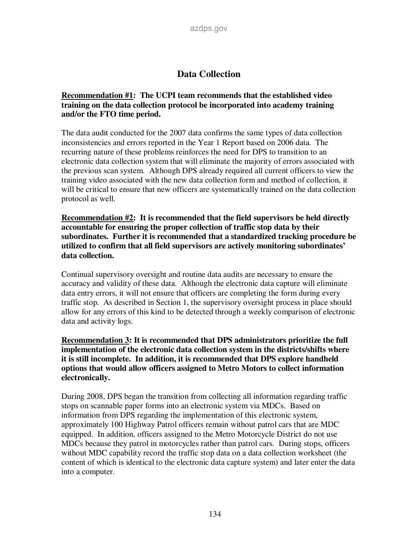### **Data Collection**

#### **Recommendation #1: The UCPI team recommends that the established video training on the data collection protocol be incorporated into academy training and/or the FTO time period.**

The data audit conducted for the 2007 data confirms the same types of data collection inconsistencies and errors reported in the Year 1 Report based on 2006 data. The recurring nature of these problems reinforces the need for DPS to transition to an electronic data collection system that will eliminate the majority of errors associated with the previous scan system. Although DPS already required all current officers to view the training video associated with the new data collection form and method of collection, it will be critical to ensure that new officers are systematically trained on the data collection protocol as well.

**Recommendation #2: It is recommended that the field supervisors be held directly accountable for ensuring the proper collection of traffic stop data by their subordinates. Further it is recommended that a standardized tracking procedure be utilized to confirm that all field supervisors are actively monitoring subordinates' data collection.** 

Continual supervisory oversight and routine data audits are necessary to ensure the accuracy and validity of these data. Although the electronic data capture will eliminate data entry errors, it will not ensure that officers are completing the form during every traffic stop. As described in Section 1, the supervisory oversight process in place should allow for any errors of this kind to be detected through a weekly comparison of electronic data and activity logs.

**Recommendation 3: It is recommended that DPS administrators prioritize the full implementation of the electronic data collection system in the districts/shifts where it is still incomplete. In addition, it is recommended that DPS explore handheld options that would allow officers assigned to Metro Motors to collect information electronically.** 

During 2008, DPS began the transition from collecting all information regarding traffic stops on scannable paper forms into an electronic system via MDCs. Based on information from DPS regarding the implementation of this electronic system, approximately 100 Highway Patrol officers remain without patrol cars that are MDC equipped. In addition, officers assigned to the Metro Motorcycle District do not use MDCs because they patrol in motorcycles rather than patrol cars. During stops, officers without MDC capability record the traffic stop data on a data collection worksheet (the content of which is identical to the electronic data capture system) and later enter the data into a computer.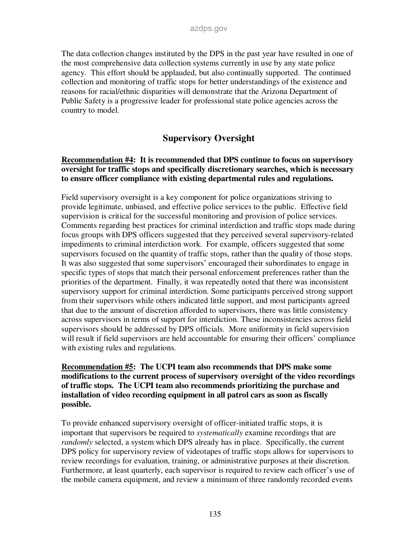The data collection changes instituted by the DPS in the past year have resulted in one of the most comprehensive data collection systems currently in use by any state police agency. This effort should be applauded, but also continually supported. The continued collection and monitoring of traffic stops for better understandings of the existence and reasons for racial/ethnic disparities will demonstrate that the Arizona Department of Public Safety is a progressive leader for professional state police agencies across the country to model.

### **Supervisory Oversight**

#### **Recommendation #4: It is recommended that DPS continue to focus on supervisory oversight for traffic stops and specifically discretionary searches, which is necessary to ensure officer compliance with existing departmental rules and regulations.**

Field supervisory oversight is a key component for police organizations striving to provide legitimate, unbiased, and effective police services to the public. Effective field supervision is critical for the successful monitoring and provision of police services. Comments regarding best practices for criminal interdiction and traffic stops made during focus groups with DPS officers suggested that they perceived several supervisory-related impediments to criminal interdiction work. For example, officers suggested that some supervisors focused on the quantity of traffic stops, rather than the quality of those stops. It was also suggested that some supervisors' encouraged their subordinates to engage in specific types of stops that match their personal enforcement preferences rather than the priorities of the department. Finally, it was repeatedly noted that there was inconsistent supervisory support for criminal interdiction. Some participants perceived strong support from their supervisors while others indicated little support, and most participants agreed that due to the amount of discretion afforded to supervisors, there was little consistency across supervisors in terms of support for interdiction. These inconsistencies across field supervisors should be addressed by DPS officials. More uniformity in field supervision will result if field supervisors are held accountable for ensuring their officers' compliance with existing rules and regulations.

#### **Recommendation #5: The UCPI team also recommends that DPS make some modifications to the current process of supervisory oversight of the video recordings of traffic stops. The UCPI team also recommends prioritizing the purchase and installation of video recording equipment in all patrol cars as soon as fiscally possible.**

To provide enhanced supervisory oversight of officer-initiated traffic stops, it is important that supervisors be required to *systematically* examine recordings that are *randomly* selected, a system which DPS already has in place. Specifically, the current DPS policy for supervisory review of videotapes of traffic stops allows for supervisors to review recordings for evaluation, training, or administrative purposes at their discretion. Furthermore, at least quarterly, each supervisor is required to review each officer's use of the mobile camera equipment, and review a minimum of three randomly recorded events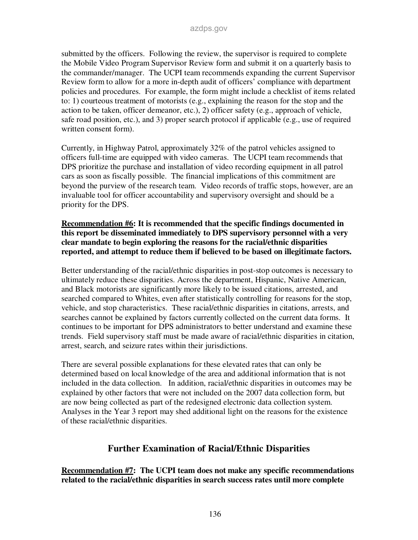submitted by the officers. Following the review, the supervisor is required to complete the Mobile Video Program Supervisor Review form and submit it on a quarterly basis to the commander/manager. The UCPI team recommends expanding the current Supervisor Review form to allow for a more in-depth audit of officers' compliance with department policies and procedures. For example, the form might include a checklist of items related to: 1) courteous treatment of motorists (e.g., explaining the reason for the stop and the action to be taken, officer demeanor, etc.), 2) officer safety (e.g., approach of vehicle, safe road position, etc.), and 3) proper search protocol if applicable (e.g., use of required written consent form).

Currently, in Highway Patrol, approximately 32% of the patrol vehicles assigned to officers full-time are equipped with video cameras. The UCPI team recommends that DPS prioritize the purchase and installation of video recording equipment in all patrol cars as soon as fiscally possible. The financial implications of this commitment are beyond the purview of the research team. Video records of traffic stops, however, are an invaluable tool for officer accountability and supervisory oversight and should be a priority for the DPS.

#### **Recommendation #6: It is recommended that the specific findings documented in this report be disseminated immediately to DPS supervisory personnel with a very clear mandate to begin exploring the reasons for the racial/ethnic disparities reported, and attempt to reduce them if believed to be based on illegitimate factors.**

Better understanding of the racial/ethnic disparities in post-stop outcomes is necessary to ultimately reduce these disparities. Across the department, Hispanic, Native American, and Black motorists are significantly more likely to be issued citations, arrested, and searched compared to Whites, even after statistically controlling for reasons for the stop, vehicle, and stop characteristics. These racial/ethnic disparities in citations, arrests, and searches cannot be explained by factors currently collected on the current data forms. It continues to be important for DPS administrators to better understand and examine these trends. Field supervisory staff must be made aware of racial/ethnic disparities in citation, arrest, search, and seizure rates within their jurisdictions.

There are several possible explanations for these elevated rates that can only be determined based on local knowledge of the area and additional information that is not included in the data collection. In addition, racial/ethnic disparities in outcomes may be explained by other factors that were not included on the 2007 data collection form, but are now being collected as part of the redesigned electronic data collection system. Analyses in the Year 3 report may shed additional light on the reasons for the existence of these racial/ethnic disparities.

### **Further Examination of Racial/Ethnic Disparities**

**Recommendation #7: The UCPI team does not make any specific recommendations related to the racial/ethnic disparities in search success rates until more complete**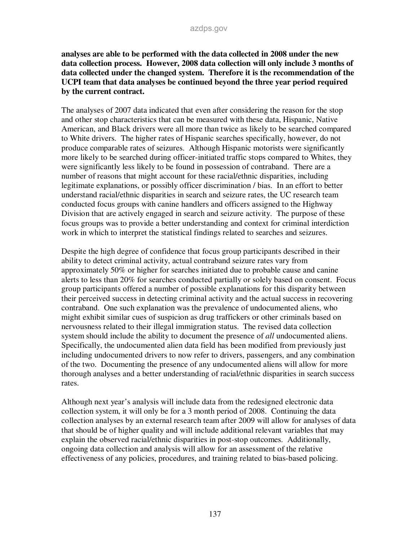**analyses are able to be performed with the data collected in 2008 under the new data collection process. However, 2008 data collection will only include 3 months of data collected under the changed system. Therefore it is the recommendation of the UCPI team that data analyses be continued beyond the three year period required by the current contract.** 

The analyses of 2007 data indicated that even after considering the reason for the stop and other stop characteristics that can be measured with these data, Hispanic, Native American, and Black drivers were all more than twice as likely to be searched compared to White drivers. The higher rates of Hispanic searches specifically, however, do not produce comparable rates of seizures. Although Hispanic motorists were significantly more likely to be searched during officer-initiated traffic stops compared to Whites, they were significantly less likely to be found in possession of contraband. There are a number of reasons that might account for these racial/ethnic disparities, including legitimate explanations, or possibly officer discrimination / bias. In an effort to better understand racial/ethnic disparities in search and seizure rates, the UC research team conducted focus groups with canine handlers and officers assigned to the Highway Division that are actively engaged in search and seizure activity. The purpose of these focus groups was to provide a better understanding and context for criminal interdiction work in which to interpret the statistical findings related to searches and seizures.

Despite the high degree of confidence that focus group participants described in their ability to detect criminal activity, actual contraband seizure rates vary from approximately 50% or higher for searches initiated due to probable cause and canine alerts to less than 20% for searches conducted partially or solely based on consent. Focus group participants offered a number of possible explanations for this disparity between their perceived success in detecting criminal activity and the actual success in recovering contraband. One such explanation was the prevalence of undocumented aliens, who might exhibit similar cues of suspicion as drug traffickers or other criminals based on nervousness related to their illegal immigration status. The revised data collection system should include the ability to document the presence of *all* undocumented aliens. Specifically, the undocumented alien data field has been modified from previously just including undocumented drivers to now refer to drivers, passengers, and any combination of the two. Documenting the presence of any undocumented aliens will allow for more thorough analyses and a better understanding of racial/ethnic disparities in search success rates.

Although next year's analysis will include data from the redesigned electronic data collection system, it will only be for a 3 month period of 2008. Continuing the data collection analyses by an external research team after 2009 will allow for analyses of data that should be of higher quality and will include additional relevant variables that may explain the observed racial/ethnic disparities in post-stop outcomes. Additionally, ongoing data collection and analysis will allow for an assessment of the relative effectiveness of any policies, procedures, and training related to bias-based policing.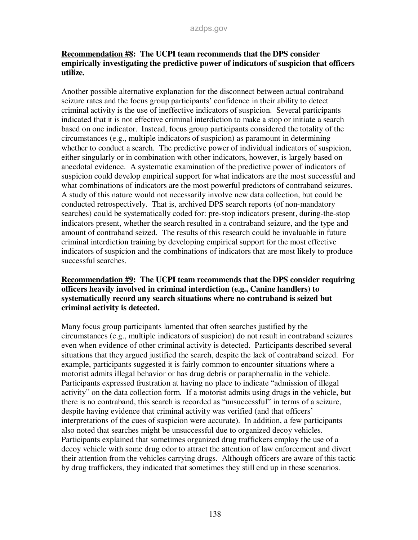#### **Recommendation #8: The UCPI team recommends that the DPS consider empirically investigating the predictive power of indicators of suspicion that officers utilize.**

Another possible alternative explanation for the disconnect between actual contraband seizure rates and the focus group participants' confidence in their ability to detect criminal activity is the use of ineffective indicators of suspicion. Several participants indicated that it is not effective criminal interdiction to make a stop or initiate a search based on one indicator. Instead, focus group participants considered the totality of the circumstances (e.g., multiple indicators of suspicion) as paramount in determining whether to conduct a search. The predictive power of individual indicators of suspicion, either singularly or in combination with other indicators, however, is largely based on anecdotal evidence. A systematic examination of the predictive power of indicators of suspicion could develop empirical support for what indicators are the most successful and what combinations of indicators are the most powerful predictors of contraband seizures. A study of this nature would not necessarily involve new data collection, but could be conducted retrospectively. That is, archived DPS search reports (of non-mandatory searches) could be systematically coded for: pre-stop indicators present, during-the-stop indicators present, whether the search resulted in a contraband seizure, and the type and amount of contraband seized. The results of this research could be invaluable in future criminal interdiction training by developing empirical support for the most effective indicators of suspicion and the combinations of indicators that are most likely to produce successful searches.

#### **Recommendation #9: The UCPI team recommends that the DPS consider requiring officers heavily involved in criminal interdiction (e.g., Canine handlers) to systematically record any search situations where no contraband is seized but criminal activity is detected.**

Many focus group participants lamented that often searches justified by the circumstances (e.g., multiple indicators of suspicion) do not result in contraband seizures even when evidence of other criminal activity is detected. Participants described several situations that they argued justified the search, despite the lack of contraband seized. For example, participants suggested it is fairly common to encounter situations where a motorist admits illegal behavior or has drug debris or paraphernalia in the vehicle. Participants expressed frustration at having no place to indicate "admission of illegal activity" on the data collection form. If a motorist admits using drugs in the vehicle, but there is no contraband, this search is recorded as "unsuccessful" in terms of a seizure, despite having evidence that criminal activity was verified (and that officers' interpretations of the cues of suspicion were accurate). In addition, a few participants also noted that searches might be unsuccessful due to organized decoy vehicles. Participants explained that sometimes organized drug traffickers employ the use of a decoy vehicle with some drug odor to attract the attention of law enforcement and divert their attention from the vehicles carrying drugs. Although officers are aware of this tactic by drug traffickers, they indicated that sometimes they still end up in these scenarios.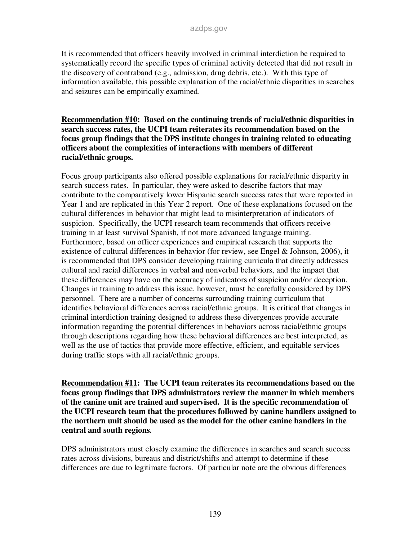It is recommended that officers heavily involved in criminal interdiction be required to systematically record the specific types of criminal activity detected that did not result in the discovery of contraband (e.g., admission, drug debris, etc.). With this type of information available, this possible explanation of the racial/ethnic disparities in searches and seizures can be empirically examined.

#### **Recommendation #10: Based on the continuing trends of racial/ethnic disparities in search success rates, the UCPI team reiterates its recommendation based on the focus group findings that the DPS institute changes in training related to educating officers about the complexities of interactions with members of different racial/ethnic groups.**

Focus group participants also offered possible explanations for racial/ethnic disparity in search success rates. In particular, they were asked to describe factors that may contribute to the comparatively lower Hispanic search success rates that were reported in Year 1 and are replicated in this Year 2 report. One of these explanations focused on the cultural differences in behavior that might lead to misinterpretation of indicators of suspicion. Specifically, the UCPI research team recommends that officers receive training in at least survival Spanish, if not more advanced language training. Furthermore, based on officer experiences and empirical research that supports the existence of cultural differences in behavior (for review, see Engel & Johnson, 2006), it is recommended that DPS consider developing training curricula that directly addresses cultural and racial differences in verbal and nonverbal behaviors, and the impact that these differences may have on the accuracy of indicators of suspicion and/or deception. Changes in training to address this issue, however, must be carefully considered by DPS personnel. There are a number of concerns surrounding training curriculum that identifies behavioral differences across racial/ethnic groups. It is critical that changes in criminal interdiction training designed to address these divergences provide accurate information regarding the potential differences in behaviors across racial/ethnic groups through descriptions regarding how these behavioral differences are best interpreted, as well as the use of tactics that provide more effective, efficient, and equitable services during traffic stops with all racial/ethnic groups.

**Recommendation #11: The UCPI team reiterates its recommendations based on the focus group findings that DPS administrators review the manner in which members of the canine unit are trained and supervised. It is the specific recommendation of the UCPI research team that the procedures followed by canine handlers assigned to the northern unit should be used as the model for the other canine handlers in the central and south regions***.*

DPS administrators must closely examine the differences in searches and search success rates across divisions, bureaus and district/shifts and attempt to determine if these differences are due to legitimate factors. Of particular note are the obvious differences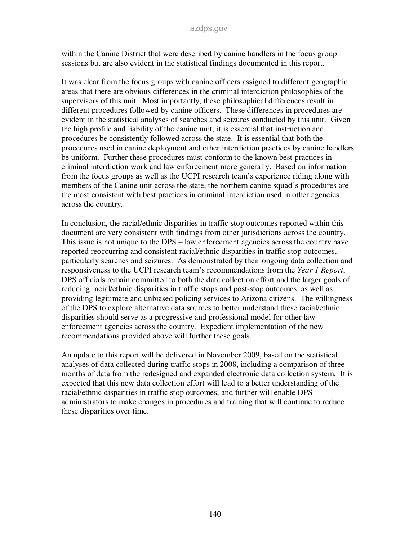within the Canine District that were described by canine handlers in the focus group sessions but are also evident in the statistical findings documented in this report.

It was clear from the focus groups with canine officers assigned to different geographic areas that there are obvious differences in the criminal interdiction philosophies of the supervisors of this unit. Most importantly, these philosophical differences result in different procedures followed by canine officers. These differences in procedures are evident in the statistical analyses of searches and seizures conducted by this unit. Given the high profile and liability of the canine unit, it is essential that instruction and procedures be consistently followed across the state. It is essential that both the procedures used in canine deployment and other interdiction practices by canine handlers be uniform. Further these procedures must conform to the known best practices in criminal interdiction work and law enforcement more generally. Based on information from the focus groups as well as the UCPI research team's experience riding along with members of the Canine unit across the state, the northern canine squad's procedures are the most consistent with best practices in criminal interdiction used in other agencies across the country.

In conclusion, the racial/ethnic disparities in traffic stop outcomes reported within this document are very consistent with findings from other jurisdictions across the country. This issue is not unique to the DPS – law enforcement agencies across the country have reported reoccurring and consistent racial/ethnic disparities in traffic stop outcomes, particularly searches and seizures. As demonstrated by their ongoing data collection and responsiveness to the UCPI research team's recommendations from the *Year 1 Report*, DPS officials remain committed to both the data collection effort and the larger goals of reducing racial/ethnic disparities in traffic stops and post-stop outcomes, as well as providing legitimate and unbiased policing services to Arizona citizens. The willingness of the DPS to explore alternative data sources to better understand these racial/ethnic disparities should serve as a progressive and professional model for other law enforcement agencies across the country. Expedient implementation of the new recommendations provided above will further these goals.

An update to this report will be delivered in November 2009, based on the statistical analyses of data collected during traffic stops in 2008, including a comparison of three months of data from the redesigned and expanded electronic data collection system. It is expected that this new data collection effort will lead to a better understanding of the racial/ethnic disparities in traffic stop outcomes, and further will enable DPS administrators to make changes in procedures and training that will continue to reduce these disparities over time.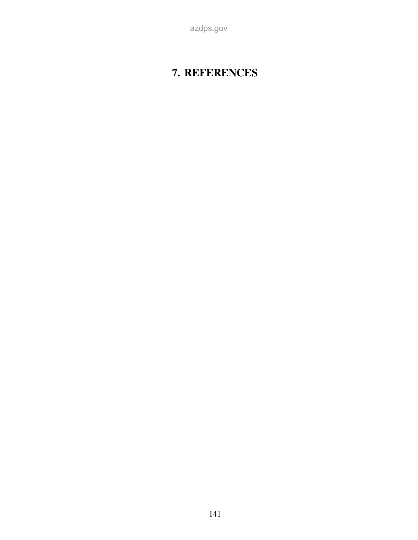azdps.gov

# **7. REFERENCES**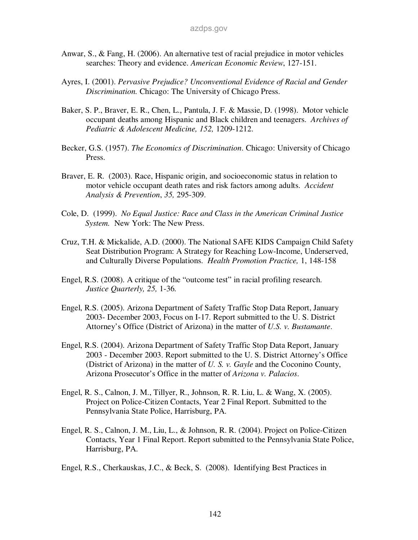- Anwar, S., & Fang, H. (2006). An alternative test of racial prejudice in motor vehicles searches: Theory and evidence. *American Economic Review*, 127-151.
- Ayres, I. (2001). *Pervasive Prejudice? Unconventional Evidence of Racial and Gender Discrimination.* Chicago: The University of Chicago Press.
- Baker, S. P., Braver, E. R., Chen, L., Pantula, J. F. & Massie, D. (1998). Motor vehicle occupant deaths among Hispanic and Black children and teenagers. *Archives of Pediatric & Adolescent Medicine, 152,* 1209-1212.
- Becker, G.S. (1957). *The Economics of Discrimination*. Chicago: University of Chicago Press.
- Braver, E. R. (2003). Race, Hispanic origin, and socioeconomic status in relation to motor vehicle occupant death rates and risk factors among adults. *Accident Analysis & Prevention*, *35,* 295-309.
- Cole, D. (1999). *No Equal Justice: Race and Class in the American Criminal Justice System.* New York: The New Press.
- Cruz, T.H. & Mickalide, A.D. (2000). The National SAFE KIDS Campaign Child Safety Seat Distribution Program: A Strategy for Reaching Low-Income, Underserved, and Culturally Diverse Populations. *Health Promotion Practice,* 1, 148-158
- Engel, R.S. (2008). A critique of the "outcome test" in racial profiling research. *Justice Quarterly, 25,* 1-36*.*
- Engel, R.S. (2005). Arizona Department of Safety Traffic Stop Data Report, January 2003- December 2003, Focus on I-17. Report submitted to the U. S. District Attorney's Office (District of Arizona) in the matter of *U.S. v. Bustamante*.
- Engel, R.S. (2004). Arizona Department of Safety Traffic Stop Data Report, January 2003 - December 2003. Report submitted to the U. S. District Attorney's Office (District of Arizona) in the matter of *U. S. v. Gayle* and the Coconino County, Arizona Prosecutor's Office in the matter of *Arizona v. Palacios*.
- Engel, R. S., Calnon, J. M., Tillyer, R., Johnson, R. R. Liu, L. & Wang, X. (2005). Project on Police-Citizen Contacts, Year 2 Final Report. Submitted to the Pennsylvania State Police, Harrisburg, PA.
- Engel, R. S., Calnon, J. M., Liu, L., & Johnson, R. R. (2004). Project on Police-Citizen Contacts, Year 1 Final Report. Report submitted to the Pennsylvania State Police, Harrisburg, PA.
- Engel, R.S., Cherkauskas, J.C., & Beck, S. (2008). Identifying Best Practices in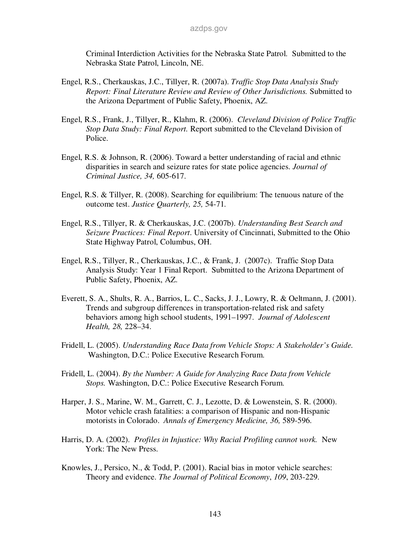Criminal Interdiction Activities for the Nebraska State Patrol. Submitted to the Nebraska State Patrol, Lincoln, NE.

- Engel, R.S., Cherkauskas, J.C., Tillyer, R. (2007a). *Traffic Stop Data Analysis Study Report: Final Literature Review and Review of Other Jurisdictions.* Submitted to the Arizona Department of Public Safety, Phoenix, AZ.
- Engel, R.S., Frank, J., Tillyer, R., Klahm, R. (2006). *Cleveland Division of Police Traffic Stop Data Study: Final Report.* Report submitted to the Cleveland Division of Police.
- Engel, R.S. & Johnson, R. (2006). Toward a better understanding of racial and ethnic disparities in search and seizure rates for state police agencies. *Journal of Criminal Justice, 34,* 605-617.
- Engel, R.S. & Tillyer, R. (2008). Searching for equilibrium: The tenuous nature of the outcome test. *Justice Quarterly, 25,* 54-71*.*
- Engel, R.S., Tillyer, R. & Cherkauskas, J.C. (2007b). *Understanding Best Search and Seizure Practices: Final Report*. University of Cincinnati, Submitted to the Ohio State Highway Patrol, Columbus, OH.
- Engel, R.S., Tillyer, R., Cherkauskas, J.C., & Frank, J. (2007c). Traffic Stop Data Analysis Study: Year 1 Final Report. Submitted to the Arizona Department of Public Safety, Phoenix, AZ.
- Everett, S. A., Shults, R. A., Barrios, L. C., Sacks, J. J., Lowry, R. & Oeltmann, J. (2001). Trends and subgroup differences in transportation-related risk and safety behaviors among high school students, 1991–1997. *Journal of Adolescent Health, 28,* 228–34.
- Fridell, L. (2005). *Understanding Race Data from Vehicle Stops: A Stakeholder's Guide.*  Washington, D.C.: Police Executive Research Forum.
- Fridell, L. (2004). *By the Number: A Guide for Analyzing Race Data from Vehicle Stops.* Washington, D.C.: Police Executive Research Forum.
- Harper, J. S., Marine, W. M., Garrett, C. J., Lezotte, D. & Lowenstein, S. R. (2000). Motor vehicle crash fatalities: a comparison of Hispanic and non-Hispanic motorists in Colorado. *Annals of Emergency Medicine, 36,* 589-596.
- Harris, D. A. (2002). *Profiles in Injustice: Why Racial Profiling cannot work.* New York: The New Press.
- Knowles, J., Persico, N., & Todd, P. (2001). Racial bias in motor vehicle searches: Theory and evidence. *The Journal of Political Economy*, *109*, 203-229.